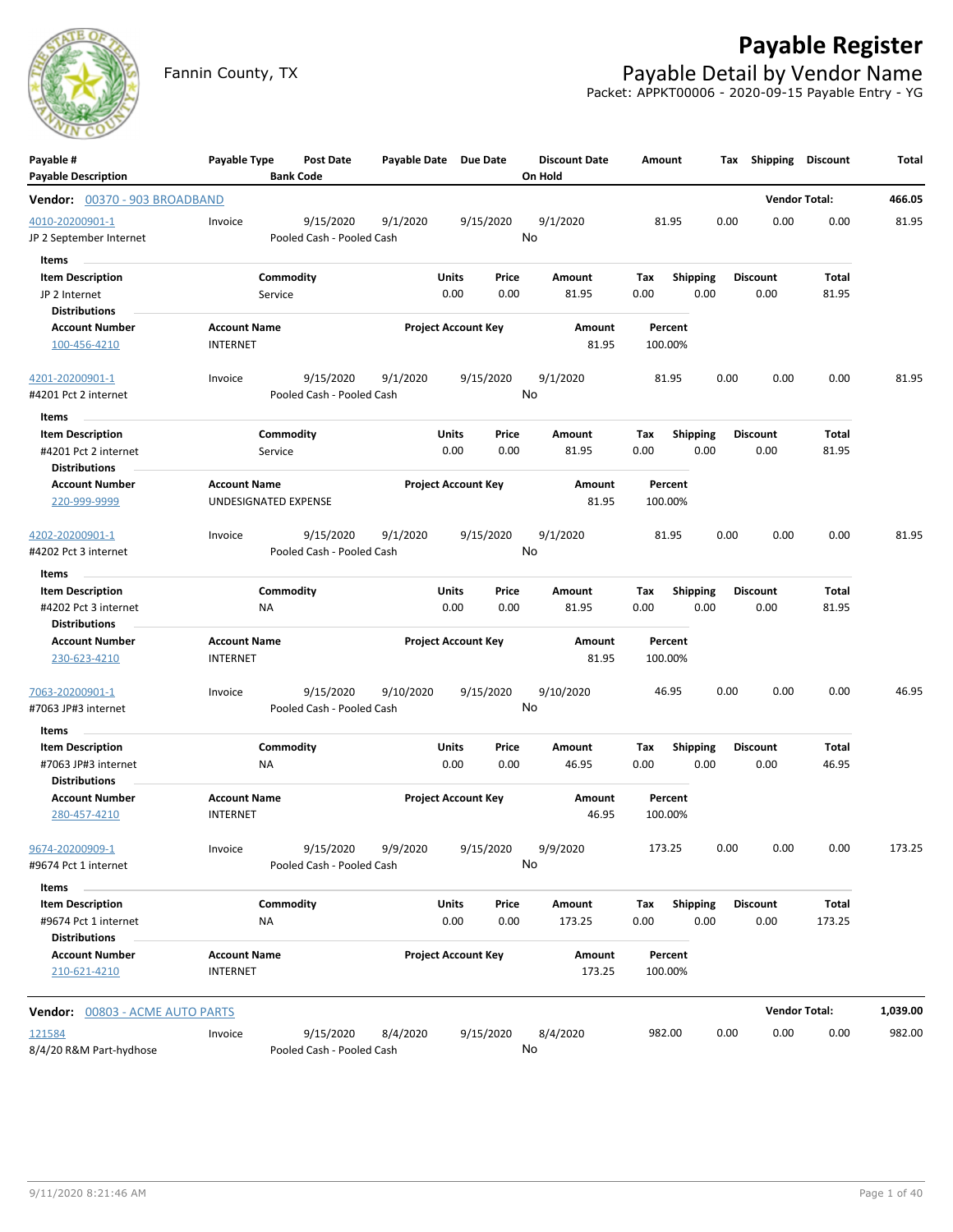

# **Payable Register**

Fannin County, TX **Payable Detail by Vendor Name** Packet: APPKT00006 - 2020-09-15 Payable Entry - YG

| Payable #<br><b>Payable Description</b>     | Payable Type                                | <b>Post Date</b><br><b>Bank Code</b> | Payable Date Due Date |                            | <b>Discount Date</b><br>On Hold | Amount             |                 | Tax  | Shipping             | Discount | Total    |
|---------------------------------------------|---------------------------------------------|--------------------------------------|-----------------------|----------------------------|---------------------------------|--------------------|-----------------|------|----------------------|----------|----------|
| Vendor: 00370 - 903 BROADBAND               |                                             |                                      |                       |                            |                                 |                    |                 |      | <b>Vendor Total:</b> |          | 466.05   |
| 4010-20200901-1                             | Invoice                                     | 9/15/2020                            | 9/1/2020              | 9/15/2020                  | 9/1/2020                        | 81.95              |                 | 0.00 | 0.00                 | 0.00     | 81.95    |
| JP 2 September Internet                     |                                             | Pooled Cash - Pooled Cash            |                       |                            | No                              |                    |                 |      |                      |          |          |
| Items                                       |                                             |                                      |                       |                            |                                 |                    |                 |      |                      |          |          |
| <b>Item Description</b>                     |                                             | Commodity                            |                       | Units<br>Price             | Amount                          | Tax                | <b>Shipping</b> |      | <b>Discount</b>      | Total    |          |
| JP 2 Internet<br><b>Distributions</b>       | Service                                     |                                      |                       | 0.00<br>0.00               | 81.95                           | 0.00               | 0.00            |      | 0.00                 | 81.95    |          |
| <b>Account Number</b>                       | <b>Account Name</b>                         |                                      |                       | <b>Project Account Key</b> | Amount                          | Percent            |                 |      |                      |          |          |
| 100-456-4210                                | <b>INTERNET</b>                             |                                      |                       |                            | 81.95                           | 100.00%            |                 |      |                      |          |          |
| 4201-20200901-1                             | Invoice                                     | 9/15/2020                            | 9/1/2020              | 9/15/2020                  | 9/1/2020                        | 81.95              |                 | 0.00 | 0.00                 | 0.00     | 81.95    |
| #4201 Pct 2 internet                        |                                             | Pooled Cash - Pooled Cash            |                       |                            | No                              |                    |                 |      |                      |          |          |
| Items                                       |                                             |                                      |                       |                            |                                 |                    |                 |      |                      |          |          |
| <b>Item Description</b>                     |                                             | Commodity                            |                       | Units<br>Price             | Amount                          | Tax                | <b>Shipping</b> |      | <b>Discount</b>      | Total    |          |
| #4201 Pct 2 internet                        | Service                                     |                                      |                       | 0.00<br>0.00               | 81.95                           | 0.00               | 0.00            |      | 0.00                 | 81.95    |          |
| <b>Distributions</b>                        |                                             |                                      |                       |                            |                                 |                    |                 |      |                      |          |          |
| <b>Account Number</b><br>220-999-9999       | <b>Account Name</b><br>UNDESIGNATED EXPENSE |                                      |                       | <b>Project Account Key</b> | Amount<br>81.95                 | Percent<br>100.00% |                 |      |                      |          |          |
| 4202-20200901-1                             | Invoice                                     | 9/15/2020                            | 9/1/2020              | 9/15/2020                  | 9/1/2020                        | 81.95              |                 | 0.00 | 0.00                 | 0.00     | 81.95    |
| #4202 Pct 3 internet                        |                                             | Pooled Cash - Pooled Cash            |                       |                            | No                              |                    |                 |      |                      |          |          |
| Items                                       |                                             |                                      |                       |                            |                                 |                    |                 |      |                      |          |          |
| <b>Item Description</b>                     |                                             | Commodity                            |                       | Units<br>Price             | Amount                          | Tax                | <b>Shipping</b> |      | <b>Discount</b>      | Total    |          |
| #4202 Pct 3 internet                        | <b>NA</b>                                   |                                      |                       | 0.00<br>0.00               | 81.95                           | 0.00               | 0.00            |      | 0.00                 | 81.95    |          |
| <b>Distributions</b>                        |                                             |                                      |                       |                            |                                 |                    |                 |      |                      |          |          |
| <b>Account Number</b>                       | <b>Account Name</b>                         |                                      |                       | <b>Project Account Key</b> | Amount                          | Percent            |                 |      |                      |          |          |
| 230-623-4210                                | <b>INTERNET</b>                             |                                      |                       |                            | 81.95                           | 100.00%            |                 |      |                      |          |          |
| 7063-20200901-1                             | Invoice                                     | 9/15/2020                            | 9/10/2020             | 9/15/2020                  | 9/10/2020                       | 46.95              |                 | 0.00 | 0.00                 | 0.00     | 46.95    |
| #7063 JP#3 internet                         |                                             | Pooled Cash - Pooled Cash            |                       |                            | No                              |                    |                 |      |                      |          |          |
| Items                                       |                                             |                                      |                       |                            |                                 |                    |                 |      |                      |          |          |
| <b>Item Description</b>                     |                                             | Commodity                            |                       | Units<br>Price             | Amount                          | Tax                | Shipping        |      | <b>Discount</b>      | Total    |          |
| #7063 JP#3 internet<br><b>Distributions</b> | ΝA                                          |                                      |                       | 0.00<br>0.00               | 46.95                           | 0.00               | 0.00            |      | 0.00                 | 46.95    |          |
| <b>Account Number</b><br>280-457-4210       | <b>Account Name</b><br><b>INTERNET</b>      |                                      |                       | <b>Project Account Key</b> | Amount<br>46.95                 | Percent<br>100.00% |                 |      |                      |          |          |
| 9674-20200909-1                             | Invoice                                     | 9/15/2020                            | 9/9/2020              | 9/15/2020                  | 9/9/2020                        | 173.25             |                 | 0.00 | 0.00                 | 0.00     | 173.25   |
| #9674 Pct 1 internet                        |                                             | Pooled Cash - Pooled Cash            |                       |                            | No                              |                    |                 |      |                      |          |          |
| Items                                       |                                             |                                      |                       |                            |                                 |                    |                 |      |                      |          |          |
| <b>Item Description</b>                     |                                             | Commodity                            |                       | Units<br>Price             | Amount                          | Tax                | <b>Shipping</b> |      | <b>Discount</b>      | Total    |          |
| #9674 Pct 1 internet                        | NA                                          |                                      |                       | 0.00<br>0.00               | 173.25                          | 0.00               | 0.00            |      | 0.00                 | 173.25   |          |
| <b>Distributions</b>                        |                                             |                                      |                       |                            |                                 |                    |                 |      |                      |          |          |
| <b>Account Number</b>                       | <b>Account Name</b>                         |                                      |                       | <b>Project Account Key</b> | Amount                          | Percent            |                 |      |                      |          |          |
| 210-621-4210                                | <b>INTERNET</b>                             |                                      |                       |                            | 173.25                          | 100.00%            |                 |      |                      |          |          |
| Vendor: 00803 - ACME AUTO PARTS             |                                             |                                      |                       |                            |                                 |                    |                 |      | <b>Vendor Total:</b> |          | 1,039.00 |
| 121584                                      | Invoice                                     | 9/15/2020                            | 8/4/2020              | 9/15/2020                  | 8/4/2020                        | 982.00             |                 | 0.00 | 0.00                 | 0.00     | 982.00   |
| 8/4/20 R&M Part-hydhose                     |                                             | Pooled Cash - Pooled Cash            |                       |                            | No                              |                    |                 |      |                      |          |          |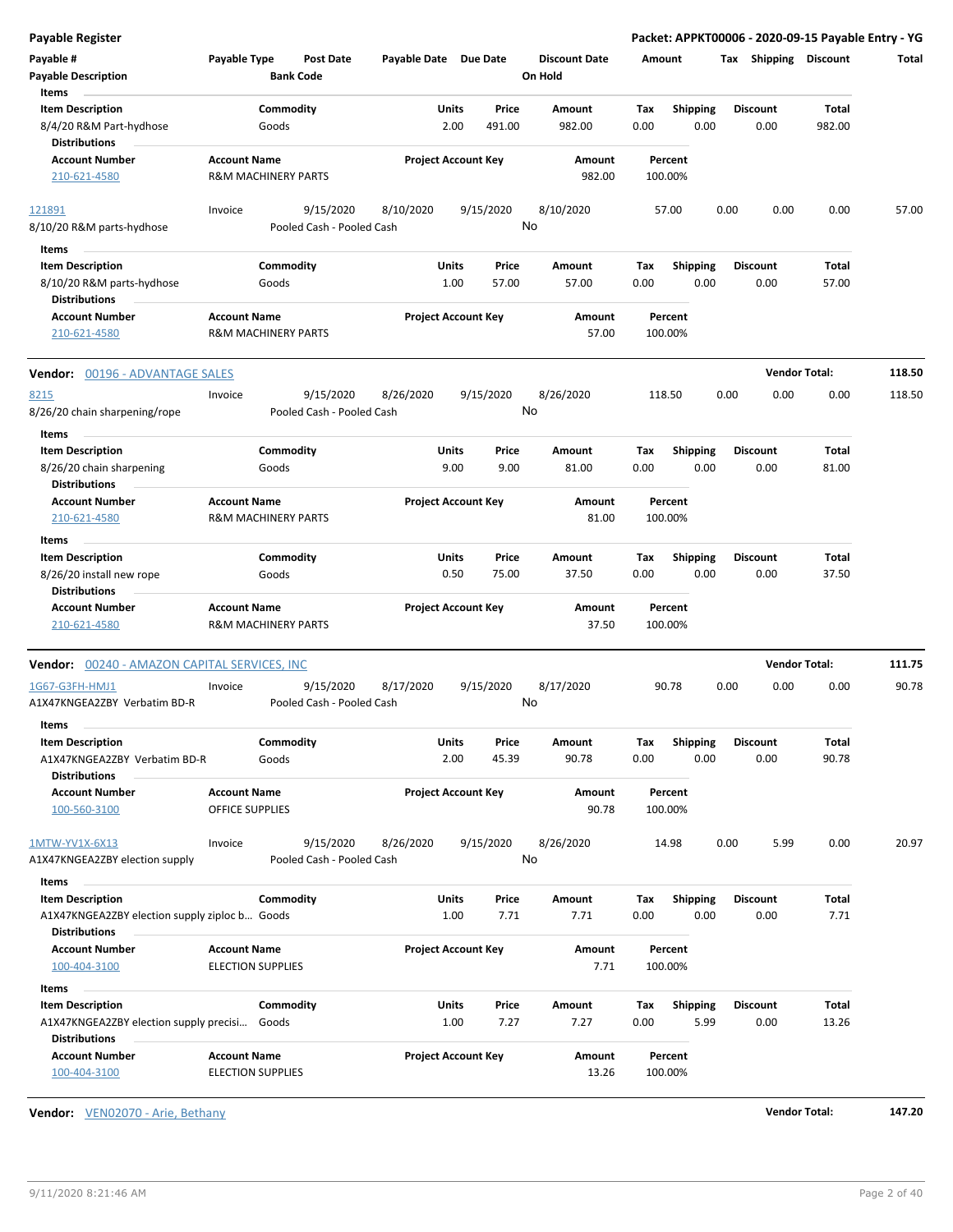| <b>Post Date</b><br><b>Discount Date</b>                                                                                                                                                                                   |        |
|----------------------------------------------------------------------------------------------------------------------------------------------------------------------------------------------------------------------------|--------|
| Payable #<br>Payable Type<br>Payable Date Due Date<br>Tax Shipping Discount<br>Amount                                                                                                                                      | Total  |
| <b>Bank Code</b><br>On Hold<br><b>Payable Description</b>                                                                                                                                                                  |        |
| Items                                                                                                                                                                                                                      |        |
| <b>Item Description</b><br>Commodity<br>Units<br>Price<br>Amount<br>Tax<br><b>Shipping</b><br><b>Discount</b><br>Total                                                                                                     |        |
| 8/4/20 R&M Part-hydhose<br>Goods<br>2.00<br>491.00<br>982.00<br>0.00<br>0.00<br>0.00<br>982.00<br><b>Distributions</b>                                                                                                     |        |
| <b>Account Number</b><br><b>Account Name</b><br><b>Project Account Key</b><br>Amount<br>Percent                                                                                                                            |        |
| <b>R&amp;M MACHINERY PARTS</b><br>982.00<br>210-621-4580<br>100.00%                                                                                                                                                        |        |
| 9/15/2020<br>9/15/2020<br>8/10/2020<br>0.00<br>0.00<br>0.00<br>121891<br>Invoice<br>8/10/2020<br>57.00<br>No<br>8/10/20 R&M parts-hydhose<br>Pooled Cash - Pooled Cash                                                     | 57.00  |
|                                                                                                                                                                                                                            |        |
| Items<br><b>Item Description</b><br>Commodity<br>Units<br>Price<br>Amount<br>Tax<br><b>Shipping</b><br><b>Discount</b><br>Total                                                                                            |        |
| 0.00<br>8/10/20 R&M parts-hydhose<br>Goods<br>1.00<br>57.00<br>57.00<br>0.00<br>0.00<br>57.00                                                                                                                              |        |
| <b>Distributions</b>                                                                                                                                                                                                       |        |
| <b>Account Number</b><br><b>Account Name</b><br><b>Project Account Key</b><br>Amount<br>Percent                                                                                                                            |        |
| 210-621-4580<br><b>R&amp;M MACHINERY PARTS</b><br>57.00<br>100.00%                                                                                                                                                         |        |
| <b>Vendor Total:</b><br><b>Vendor: 00196 - ADVANTAGE SALES</b>                                                                                                                                                             | 118.50 |
| 9/15/2020<br>8/26/2020<br>9/15/2020<br>8/26/2020<br>0.00<br>0.00<br>0.00<br>8215<br>Invoice<br>118.50                                                                                                                      | 118.50 |
| No<br>8/26/20 chain sharpening/rope<br>Pooled Cash - Pooled Cash                                                                                                                                                           |        |
| Items                                                                                                                                                                                                                      |        |
| <b>Item Description</b><br>Commodity<br><b>Shipping</b><br>Units<br>Price<br>Amount<br>Tax<br><b>Discount</b><br>Total                                                                                                     |        |
| 9.00<br>9.00<br>0.00<br>8/26/20 chain sharpening<br>Goods<br>81.00<br>0.00<br>0.00<br>81.00<br><b>Distributions</b>                                                                                                        |        |
| <b>Account Name</b><br><b>Project Account Key</b><br><b>Account Number</b><br>Amount<br>Percent                                                                                                                            |        |
| <b>R&amp;M MACHINERY PARTS</b><br>81.00<br>100.00%<br>210-621-4580                                                                                                                                                         |        |
| Items                                                                                                                                                                                                                      |        |
| <b>Item Description</b><br>Commodity<br>Price<br>Units<br>Amount<br>Tax<br><b>Shipping</b><br><b>Discount</b><br>Total                                                                                                     |        |
| 8/26/20 install new rope<br>0.50<br>75.00<br>37.50<br>0.00<br>0.00<br>0.00<br>37.50<br>Goods                                                                                                                               |        |
| <b>Distributions</b>                                                                                                                                                                                                       |        |
| <b>Account Name</b><br><b>Project Account Key</b><br><b>Account Number</b><br>Amount<br>Percent<br>210-621-4580<br>37.50<br><b>R&amp;M MACHINERY PARTS</b><br>100.00%                                                      |        |
| <b>Vendor Total:</b><br><b>Vendor: 00240 - AMAZON CAPITAL SERVICES, INC</b>                                                                                                                                                | 111.75 |
| 9/15/2020<br>8/17/2020<br>9/15/2020<br>8/17/2020<br>90.78<br>0.00<br>0.00<br>0.00<br>Invoice                                                                                                                               | 90.78  |
| 1G67-G3FH-HMJ1<br>No<br>A1X47KNGEA2ZBY Verbatim BD-R<br>Pooled Cash - Pooled Cash                                                                                                                                          |        |
| Items                                                                                                                                                                                                                      |        |
| Commodity<br>Units<br>Total<br><b>Item Description</b><br>Price<br>Amount<br>Tax<br><b>Shipping</b><br><b>Discount</b><br>90.78<br>0.00<br>90.78<br>A1X47KNGEA2ZBY Verbatim BD-R<br>Goods<br>2.00<br>45.39<br>0.00<br>0.00 |        |
| <b>Distributions</b><br><b>Account Name</b><br><b>Project Account Key</b><br><b>Account Number</b><br>Amount<br>Percent                                                                                                    |        |
| <b>OFFICE SUPPLIES</b><br>90.78<br>100.00%<br>100-560-3100                                                                                                                                                                 |        |
| 9/15/2020<br>8/26/2020<br>9/15/2020<br>8/26/2020<br>14.98<br>0.00<br>5.99<br>0.00<br>1MTW-YV1X-6X13<br>Invoice                                                                                                             | 20.97  |
| No<br>Pooled Cash - Pooled Cash<br>A1X47KNGEA2ZBY election supply                                                                                                                                                          |        |
| Items                                                                                                                                                                                                                      |        |
| Commodity<br><b>Item Description</b><br>Units<br>Price<br>Amount<br>Tax<br><b>Shipping</b><br><b>Discount</b><br>Total                                                                                                     |        |
| 7.71<br>0.00<br>1.00<br>7.71<br>0.00<br>0.00<br>7.71<br>A1X47KNGEA2ZBY election supply ziploc b Goods                                                                                                                      |        |
| <b>Distributions</b>                                                                                                                                                                                                       |        |
| <b>Project Account Key</b><br><b>Account Number</b><br><b>Account Name</b><br>Amount<br>Percent                                                                                                                            |        |
| <b>ELECTION SUPPLIES</b><br>7.71<br>100.00%<br>100-404-3100                                                                                                                                                                |        |
| Items                                                                                                                                                                                                                      |        |
| Commodity<br><b>Item Description</b><br>Units<br>Price<br>Amount<br><b>Shipping</b><br><b>Discount</b><br>Total<br>Тах                                                                                                     |        |
| 1.00<br>7.27<br>7.27<br>0.00<br>5.99<br>0.00<br>13.26<br>A1X47KNGEA2ZBY election supply precisi Goods                                                                                                                      |        |
| <b>Distributions</b>                                                                                                                                                                                                       |        |
| <b>Account Name</b><br><b>Project Account Key</b><br><b>Account Number</b><br>Amount<br>Percent<br>100-404-3100<br><b>ELECTION SUPPLIES</b><br>13.26<br>100.00%                                                            |        |

**Vendor:** VEN02070 - Arie, Bethany **Vendor Total: 147.20**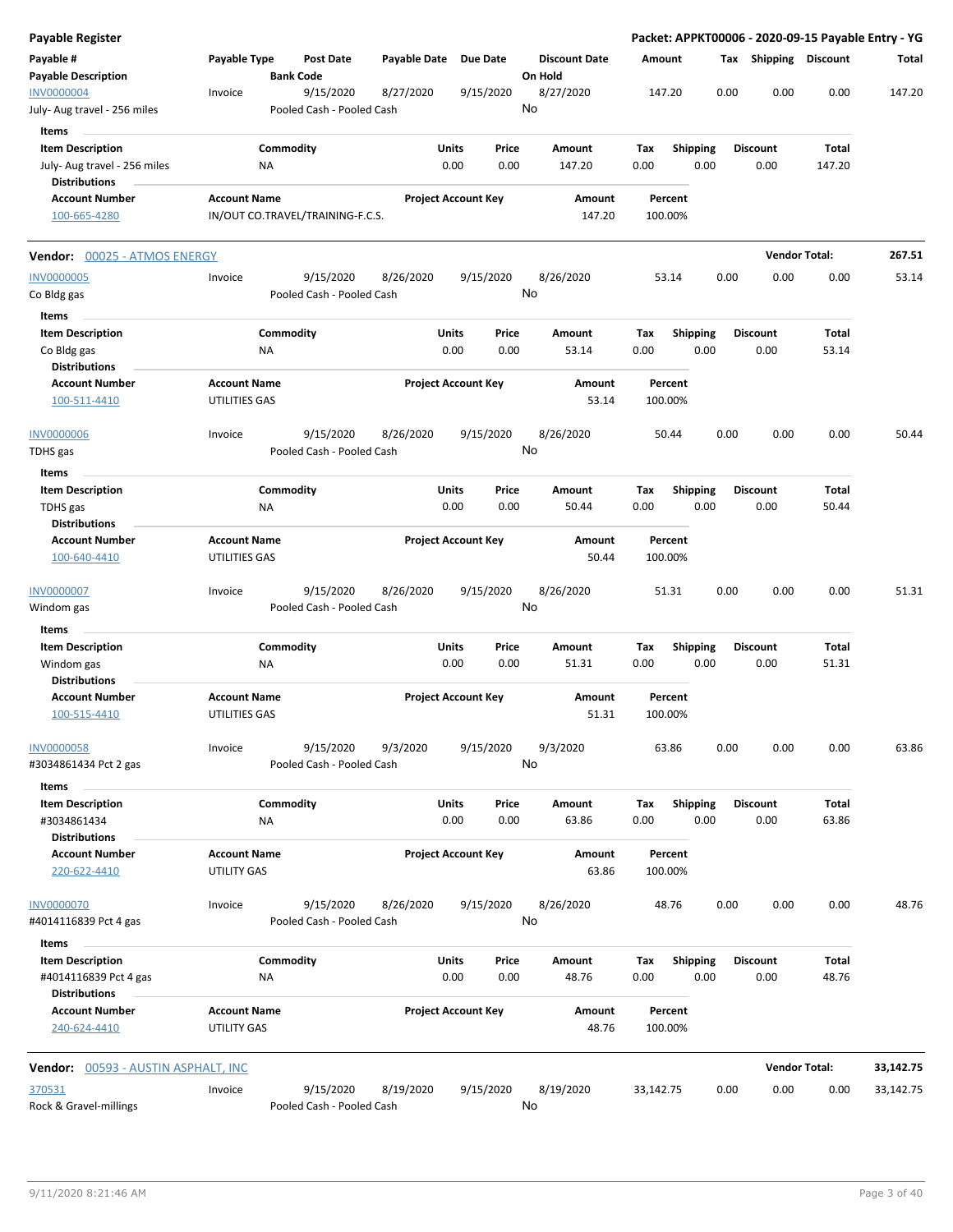| Payable Register                                              |                                    |                                        |              |                                |                                 | Packet: APPKT00006 - 2020-09-15 Payable Entry - YG |      |                         |                       |           |
|---------------------------------------------------------------|------------------------------------|----------------------------------------|--------------|--------------------------------|---------------------------------|----------------------------------------------------|------|-------------------------|-----------------------|-----------|
| Payable #<br><b>Payable Description</b>                       | Payable Type                       | <b>Post Date</b><br><b>Bank Code</b>   | Payable Date | <b>Due Date</b>                | <b>Discount Date</b><br>On Hold | Amount                                             |      | Tax Shipping Discount   |                       | Total     |
| <b>INV0000004</b><br>July- Aug travel - 256 miles             | Invoice                            | 9/15/2020<br>Pooled Cash - Pooled Cash | 8/27/2020    | 9/15/2020                      | 8/27/2020<br>No                 | 147.20                                             | 0.00 | 0.00                    | 0.00                  | 147.20    |
| Items                                                         |                                    |                                        |              |                                |                                 |                                                    |      |                         |                       |           |
| <b>Item Description</b><br>July- Aug travel - 256 miles       |                                    | Commodity<br>ΝA                        |              | Units<br>Price<br>0.00<br>0.00 | Amount<br>147.20                | Tax<br><b>Shipping</b><br>0.00                     | 0.00 | <b>Discount</b><br>0.00 | Total<br>147.20       |           |
| <b>Distributions</b><br><b>Account Number</b>                 | <b>Account Name</b>                |                                        |              | <b>Project Account Key</b>     | Amount                          | Percent                                            |      |                         |                       |           |
| 100-665-4280                                                  |                                    | IN/OUT CO.TRAVEL/TRAINING-F.C.S.       |              |                                | 147.20                          | 100.00%                                            |      |                         |                       |           |
| Vendor: 00025 - ATMOS ENERGY                                  |                                    |                                        |              |                                |                                 |                                                    |      |                         | <b>Vendor Total:</b>  | 267.51    |
| <b>INV0000005</b>                                             | Invoice                            | 9/15/2020                              | 8/26/2020    | 9/15/2020                      | 8/26/2020                       | 53.14                                              | 0.00 | 0.00                    | 0.00                  | 53.14     |
| Co Bldg gas<br>Items                                          |                                    | Pooled Cash - Pooled Cash              |              |                                | No                              |                                                    |      |                         |                       |           |
| <b>Item Description</b>                                       |                                    | Commodity                              |              | Units<br>Price                 | Amount                          | Tax<br><b>Shipping</b>                             |      | <b>Discount</b>         | Total                 |           |
| Co Bldg gas<br><b>Distributions</b>                           |                                    | <b>NA</b>                              |              | 0.00<br>0.00                   | 53.14                           | 0.00                                               | 0.00 | 0.00                    | 53.14                 |           |
| <b>Account Number</b>                                         | <b>Account Name</b>                |                                        |              | <b>Project Account Key</b>     | Amount                          | Percent                                            |      |                         |                       |           |
| 100-511-4410                                                  | UTILITIES GAS                      |                                        |              |                                | 53.14                           | 100.00%                                            |      |                         |                       |           |
| <b>INV0000006</b><br>TDHS gas                                 | Invoice                            | 9/15/2020<br>Pooled Cash - Pooled Cash | 8/26/2020    | 9/15/2020                      | 8/26/2020<br>No                 | 50.44                                              | 0.00 | 0.00                    | 0.00                  | 50.44     |
| <b>Items</b>                                                  |                                    |                                        |              |                                |                                 |                                                    |      |                         |                       |           |
| <b>Item Description</b><br>TDHS gas<br><b>Distributions</b>   |                                    | Commodity<br>NA                        |              | Units<br>Price<br>0.00<br>0.00 | Amount<br>50.44                 | <b>Shipping</b><br>Tax<br>0.00                     | 0.00 | <b>Discount</b><br>0.00 | <b>Total</b><br>50.44 |           |
| <b>Account Number</b>                                         | <b>Account Name</b>                |                                        |              | <b>Project Account Key</b>     | Amount                          | Percent                                            |      |                         |                       |           |
| 100-640-4410                                                  | UTILITIES GAS                      |                                        |              |                                | 50.44                           | 100.00%                                            |      |                         |                       |           |
| <b>INV0000007</b><br>Windom gas                               | Invoice                            | 9/15/2020<br>Pooled Cash - Pooled Cash | 8/26/2020    | 9/15/2020                      | 8/26/2020<br>No                 | 51.31                                              | 0.00 | 0.00                    | 0.00                  | 51.31     |
| Items                                                         |                                    |                                        |              |                                |                                 |                                                    |      |                         |                       |           |
| <b>Item Description</b><br>Windom gas<br><b>Distributions</b> |                                    | Commodity<br>NA                        |              | Units<br>Price<br>0.00<br>0.00 | Amount<br>51.31                 | Tax<br><b>Shipping</b><br>0.00                     | 0.00 | <b>Discount</b><br>0.00 | Total<br>51.31        |           |
| <b>Account Number</b>                                         | <b>Account Name</b>                |                                        |              | <b>Project Account Key</b>     | Amount                          | Percent                                            |      |                         |                       |           |
| 100-515-4410                                                  | UTILITIES GAS                      |                                        |              |                                | 51.31                           | 100.00%                                            |      |                         |                       |           |
| <b>INV0000058</b><br>#3034861434 Pct 2 gas                    | Invoice                            | 9/15/2020<br>Pooled Cash - Pooled Cash | 9/3/2020     | 9/15/2020                      | 9/3/2020<br>No                  | 63.86                                              | 0.00 | 0.00                    | 0.00                  | 63.86     |
| Items                                                         |                                    |                                        |              |                                |                                 |                                                    |      |                         |                       |           |
| <b>Item Description</b><br>#3034861434                        |                                    | Commodity<br>ΝA                        |              | Units<br>Price<br>0.00<br>0.00 | Amount<br>63.86                 | <b>Shipping</b><br>Тах<br>0.00                     | 0.00 | <b>Discount</b><br>0.00 | Total<br>63.86        |           |
| <b>Distributions</b><br><b>Account Number</b><br>220-622-4410 | <b>Account Name</b><br>UTILITY GAS |                                        |              | <b>Project Account Key</b>     | Amount<br>63.86                 | Percent<br>100.00%                                 |      |                         |                       |           |
| INV0000070                                                    | Invoice                            | 9/15/2020                              | 8/26/2020    | 9/15/2020                      | 8/26/2020                       | 48.76                                              | 0.00 | 0.00                    | 0.00                  | 48.76     |
| #4014116839 Pct 4 gas<br>Items                                |                                    | Pooled Cash - Pooled Cash              |              |                                | No                              |                                                    |      |                         |                       |           |
| <b>Item Description</b>                                       |                                    | Commodity                              |              | Units<br>Price                 | Amount                          | <b>Shipping</b><br>Tax                             |      | Discount                | Total                 |           |
| #4014116839 Pct 4 gas<br><b>Distributions</b>                 |                                    | ΝA                                     |              | 0.00<br>0.00                   | 48.76                           | 0.00                                               | 0.00 | 0.00                    | 48.76                 |           |
| <b>Account Number</b><br>240-624-4410                         | <b>Account Name</b><br>UTILITY GAS |                                        |              | <b>Project Account Key</b>     | Amount<br>48.76                 | Percent<br>100.00%                                 |      |                         |                       |           |
| <b>Vendor:</b> 00593 - AUSTIN ASPHALT, INC                    |                                    |                                        |              |                                |                                 |                                                    |      |                         | <b>Vendor Total:</b>  | 33,142.75 |
| 370531                                                        | Invoice                            | 9/15/2020                              | 8/19/2020    | 9/15/2020                      | 8/19/2020                       | 33,142.75                                          | 0.00 | 0.00                    | 0.00                  | 33,142.75 |
| Rock & Gravel-millings                                        |                                    | Pooled Cash - Pooled Cash              |              |                                | No                              |                                                    |      |                         |                       |           |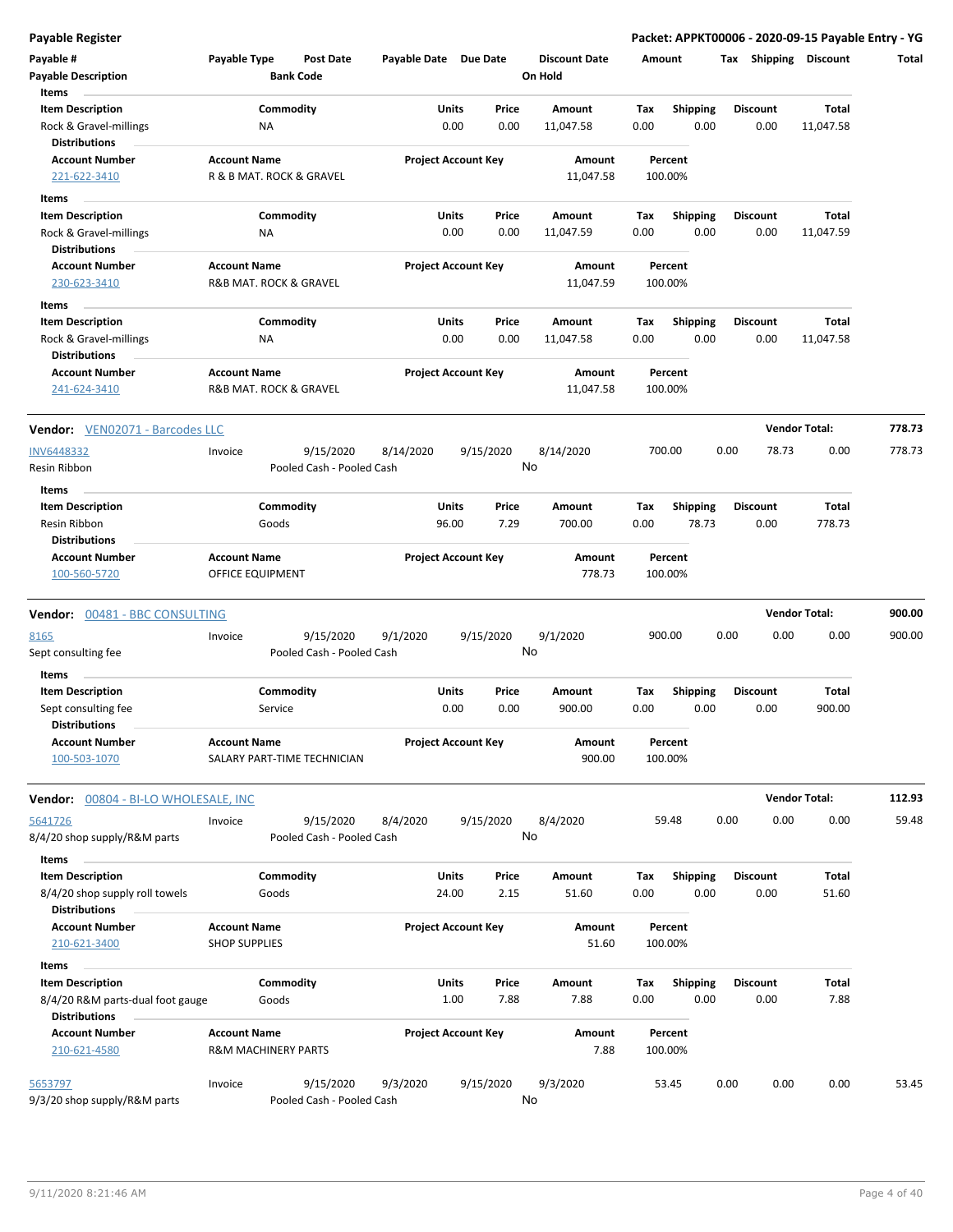|  | Payable Register |
|--|------------------|
|  |                  |

| Payable #<br><b>Payable Description</b><br>Items                          | Payable Type                                    | <b>Bank Code</b>     | Post Date                              | Payable Date Due Date |                |                            |    | <b>Discount Date</b><br>On Hold | Amount      |                         |      | Tax Shipping Discount   |                      | Total  |
|---------------------------------------------------------------------------|-------------------------------------------------|----------------------|----------------------------------------|-----------------------|----------------|----------------------------|----|---------------------------------|-------------|-------------------------|------|-------------------------|----------------------|--------|
| <b>Item Description</b><br>Rock & Gravel-millings<br><b>Distributions</b> |                                                 | Commodity<br>ΝA      |                                        |                       | Units<br>0.00  | Price<br>0.00              |    | Amount<br>11,047.58             | Tax<br>0.00 | <b>Shipping</b><br>0.00 |      | <b>Discount</b><br>0.00 | Total<br>11,047.58   |        |
| <b>Account Number</b><br>221-622-3410                                     | <b>Account Name</b><br>R & B MAT. ROCK & GRAVEL |                      |                                        |                       |                | <b>Project Account Key</b> |    | Amount<br>11,047.58             |             | Percent<br>100.00%      |      |                         |                      |        |
| Items                                                                     |                                                 |                      |                                        |                       |                |                            |    |                                 |             |                         |      |                         |                      |        |
| <b>Item Description</b>                                                   |                                                 | Commodity            |                                        |                       | Units          | Price                      |    | Amount                          | Tax         | <b>Shipping</b>         |      | <b>Discount</b>         | Total                |        |
| Rock & Gravel-millings<br><b>Distributions</b>                            |                                                 | NA                   |                                        |                       | 0.00           | 0.00                       |    | 11,047.59                       | 0.00        | 0.00                    |      | 0.00                    | 11,047.59            |        |
| <b>Account Number</b>                                                     | <b>Account Name</b>                             |                      |                                        |                       |                | <b>Project Account Key</b> |    | Amount                          |             | Percent                 |      |                         |                      |        |
| 230-623-3410                                                              | R&B MAT. ROCK & GRAVEL                          |                      |                                        |                       |                |                            |    | 11,047.59                       |             | 100.00%                 |      |                         |                      |        |
| Items                                                                     |                                                 |                      |                                        |                       |                |                            |    |                                 |             |                         |      |                         |                      |        |
| <b>Item Description</b>                                                   |                                                 | Commodity            |                                        |                       | Units          | Price                      |    | Amount                          | Тах         | <b>Shipping</b>         |      | <b>Discount</b>         | Total                |        |
| Rock & Gravel-millings<br><b>Distributions</b>                            |                                                 | ΝA                   |                                        |                       | 0.00           | 0.00                       |    | 11,047.58                       | 0.00        | 0.00                    |      | 0.00                    | 11,047.58            |        |
| <b>Account Number</b><br>241-624-3410                                     | <b>Account Name</b><br>R&B MAT. ROCK & GRAVEL   |                      |                                        |                       |                | <b>Project Account Key</b> |    | Amount<br>11,047.58             |             | Percent<br>100.00%      |      |                         |                      |        |
| Vendor: VEN02071 - Barcodes LLC                                           |                                                 |                      |                                        |                       |                |                            |    |                                 |             |                         |      |                         | <b>Vendor Total:</b> | 778.73 |
| <b>INV6448332</b>                                                         | Invoice                                         |                      | 9/15/2020                              | 8/14/2020             |                | 9/15/2020                  |    | 8/14/2020                       |             | 700.00                  | 0.00 | 78.73                   | 0.00                 | 778.73 |
| Resin Ribbon<br>Items                                                     |                                                 |                      | Pooled Cash - Pooled Cash              |                       |                |                            | No |                                 |             |                         |      |                         |                      |        |
| <b>Item Description</b>                                                   |                                                 | Commodity            |                                        |                       | Units          | Price                      |    | Amount                          | Tax         | <b>Shipping</b>         |      | <b>Discount</b>         | Total                |        |
| Resin Ribbon<br><b>Distributions</b>                                      |                                                 | Goods                |                                        |                       | 96.00          | 7.29                       |    | 700.00                          | 0.00        | 78.73                   |      | 0.00                    | 778.73               |        |
| <b>Account Number</b><br>100-560-5720                                     | <b>Account Name</b><br>OFFICE EQUIPMENT         |                      |                                        |                       |                | <b>Project Account Key</b> |    | Amount<br>778.73                |             | Percent<br>100.00%      |      |                         |                      |        |
| Vendor: 00481 - BBC CONSULTING                                            |                                                 |                      |                                        |                       |                |                            |    |                                 |             |                         |      |                         | <b>Vendor Total:</b> | 900.00 |
| 8165                                                                      | Invoice                                         |                      | 9/15/2020                              | 9/1/2020              |                | 9/15/2020                  |    | 9/1/2020                        | 900.00      |                         | 0.00 | 0.00                    | 0.00                 | 900.00 |
| Sept consulting fee                                                       |                                                 |                      | Pooled Cash - Pooled Cash              |                       |                |                            | No |                                 |             |                         |      |                         |                      |        |
| Items                                                                     |                                                 |                      |                                        |                       |                |                            |    |                                 |             |                         |      |                         |                      |        |
| <b>Item Description</b><br>Sept consulting fee                            |                                                 | Commodity<br>Service |                                        |                       | Units<br>0.00  | Price<br>0.00              |    | Amount<br>900.00                | Tax<br>0.00 | <b>Shipping</b><br>0.00 |      | <b>Discount</b><br>0.00 | Total<br>900.00      |        |
| <b>Distributions</b><br><b>Account Number</b><br>100-503-1070             | <b>Account Name</b>                             |                      | SALARY PART-TIME TECHNICIAN            |                       |                | <b>Project Account Key</b> |    | Amount<br>900.00                |             | Percent<br>100.00%      |      |                         |                      |        |
| <b>Vendor:</b> 00804 - BI-LO WHOLESALE, INC                               |                                                 |                      |                                        |                       |                |                            |    |                                 |             |                         |      |                         | <b>Vendor Total:</b> | 112.93 |
| 5641726<br>8/4/20 shop supply/R&M parts                                   | Invoice                                         |                      | 9/15/2020<br>Pooled Cash - Pooled Cash | 8/4/2020              |                | 9/15/2020                  | No | 8/4/2020                        |             | 59.48                   | 0.00 | 0.00                    | 0.00                 | 59.48  |
| Items                                                                     |                                                 |                      |                                        |                       |                |                            |    |                                 |             |                         |      |                         |                      |        |
| <b>Item Description</b><br>8/4/20 shop supply roll towels                 |                                                 | Commodity<br>Goods   |                                        |                       | Units<br>24.00 | Price<br>2.15              |    | Amount<br>51.60                 | Тах<br>0.00 | <b>Shipping</b><br>0.00 |      | <b>Discount</b><br>0.00 | Total<br>51.60       |        |
| <b>Distributions</b><br><b>Account Number</b><br>210-621-3400             | <b>Account Name</b><br><b>SHOP SUPPLIES</b>     |                      |                                        |                       |                | <b>Project Account Key</b> |    | Amount<br>51.60                 |             | Percent<br>100.00%      |      |                         |                      |        |
| Items                                                                     |                                                 |                      |                                        |                       |                |                            |    |                                 |             |                         |      |                         |                      |        |
| <b>Item Description</b><br>8/4/20 R&M parts-dual foot gauge               |                                                 | Commodity<br>Goods   |                                        |                       | Units<br>1.00  | Price<br>7.88              |    | Amount<br>7.88                  | Tax<br>0.00 | Shipping<br>0.00        |      | <b>Discount</b><br>0.00 | Total<br>7.88        |        |
| <b>Distributions</b><br><b>Account Number</b>                             | <b>Account Name</b>                             |                      |                                        |                       |                | <b>Project Account Key</b> |    | Amount                          |             | Percent                 |      |                         |                      |        |
| 210-621-4580                                                              | <b>R&amp;M MACHINERY PARTS</b>                  |                      |                                        |                       |                |                            |    | 7.88                            |             | 100.00%                 |      |                         |                      |        |
| 5653797<br>9/3/20 shop supply/R&M parts                                   | Invoice                                         |                      | 9/15/2020<br>Pooled Cash - Pooled Cash | 9/3/2020              |                | 9/15/2020                  | No | 9/3/2020                        |             | 53.45                   | 0.00 | 0.00                    | 0.00                 | 53.45  |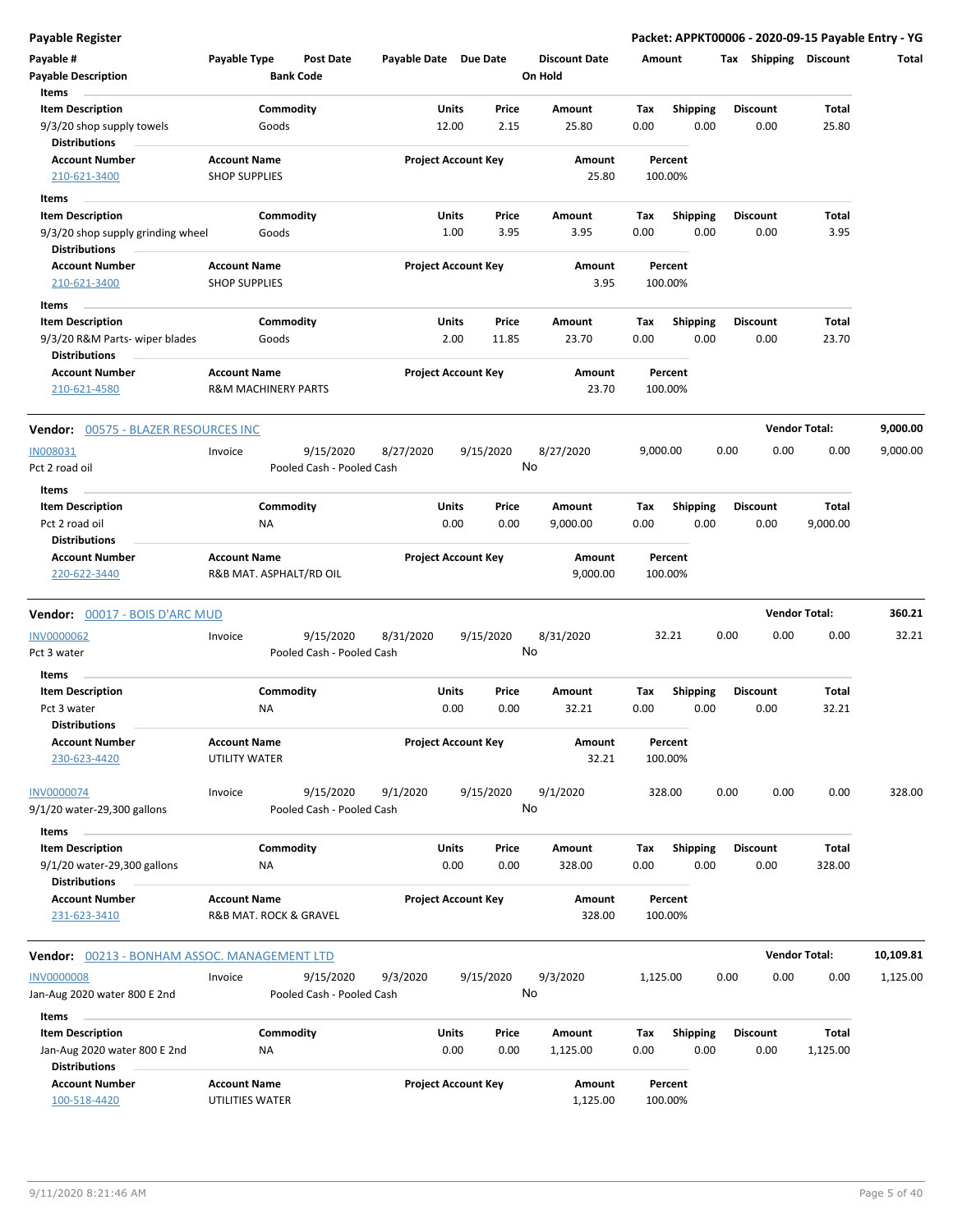|  |  | Payable Register |
|--|--|------------------|
|  |  |                  |

| Payable #<br><b>Payable Description</b><br>Items                                        | Payable Type                                          | Post Date<br><b>Bank Code</b> |                           | Payable Date Due Date      |                |                 | <b>Discount Date</b><br>On Hold | Amount      |                         |      | Tax Shipping Discount   |                   | Total     |
|-----------------------------------------------------------------------------------------|-------------------------------------------------------|-------------------------------|---------------------------|----------------------------|----------------|-----------------|---------------------------------|-------------|-------------------------|------|-------------------------|-------------------|-----------|
| <b>Item Description</b><br>9/3/20 shop supply towels<br><b>Distributions</b>            |                                                       | Commodity<br>Goods            |                           |                            | Units<br>12.00 | Price<br>2.15   | Amount<br>25.80                 | Tax<br>0.00 | <b>Shipping</b><br>0.00 |      | <b>Discount</b><br>0.00 | Total<br>25.80    |           |
| <b>Account Number</b><br>210-621-3400                                                   | <b>Account Name</b><br><b>SHOP SUPPLIES</b>           |                               |                           | <b>Project Account Key</b> |                |                 | Amount<br>25.80                 |             | Percent<br>100.00%      |      |                         |                   |           |
| Items                                                                                   |                                                       |                               |                           |                            |                |                 |                                 |             |                         |      |                         |                   |           |
| <b>Item Description</b><br>9/3/20 shop supply grinding wheel<br><b>Distributions</b>    |                                                       | Commodity<br>Goods            |                           |                            | Units<br>1.00  | Price<br>3.95   | Amount<br>3.95                  | Tax<br>0.00 | <b>Shipping</b><br>0.00 |      | <b>Discount</b><br>0.00 | Total<br>3.95     |           |
| <b>Account Number</b><br>210-621-3400                                                   | <b>Account Name</b><br><b>SHOP SUPPLIES</b>           |                               |                           | <b>Project Account Key</b> |                |                 | Amount<br>3.95                  |             | Percent<br>100.00%      |      |                         |                   |           |
| Items                                                                                   |                                                       |                               |                           |                            |                |                 |                                 |             |                         |      |                         |                   |           |
| <b>Item Description</b><br>9/3/20 R&M Parts- wiper blades<br><b>Distributions</b>       |                                                       | Commodity<br>Goods            |                           |                            | Units<br>2.00  | Price<br>11.85  | Amount<br>23.70                 | Tax<br>0.00 | <b>Shipping</b><br>0.00 |      | <b>Discount</b><br>0.00 | Total<br>23.70    |           |
| <b>Account Number</b><br>210-621-4580                                                   | <b>Account Name</b><br><b>R&amp;M MACHINERY PARTS</b> |                               |                           | <b>Project Account Key</b> |                |                 | Amount<br>23.70                 |             | Percent<br>100.00%      |      |                         |                   |           |
| <b>Vendor: 00575 - BLAZER RESOURCES INC</b>                                             |                                                       |                               |                           |                            |                |                 |                                 |             |                         |      | <b>Vendor Total:</b>    |                   | 9,000.00  |
| IN008031<br>Pct 2 road oil<br>Items                                                     | Invoice                                               | 9/15/2020                     | Pooled Cash - Pooled Cash | 8/27/2020                  |                | 9/15/2020<br>No | 8/27/2020                       | 9,000.00    |                         | 0.00 | 0.00                    | 0.00              | 9,000.00  |
| <b>Item Description</b>                                                                 |                                                       | Commodity                     |                           |                            | Units          | Price           | Amount                          | Tax         | <b>Shipping</b>         |      | <b>Discount</b>         | Total             |           |
| Pct 2 road oil<br><b>Distributions</b>                                                  | NA                                                    |                               |                           |                            | 0.00           | 0.00            | 9,000.00                        | 0.00        | 0.00                    |      | 0.00                    | 9,000.00          |           |
| <b>Account Number</b><br>220-622-3440                                                   | <b>Account Name</b><br>R&B MAT. ASPHALT/RD OIL        |                               |                           | <b>Project Account Key</b> |                |                 | Amount<br>9,000.00              |             | Percent<br>100.00%      |      |                         |                   |           |
| <b>Vendor:</b> 00017 - BOIS D'ARC MUD                                                   |                                                       |                               |                           |                            |                |                 |                                 |             |                         |      | <b>Vendor Total:</b>    |                   | 360.21    |
| INV0000062<br>Pct 3 water                                                               | Invoice                                               | 9/15/2020                     | Pooled Cash - Pooled Cash | 8/31/2020                  |                | 9/15/2020<br>No | 8/31/2020                       |             | 32.21                   | 0.00 | 0.00                    | 0.00              | 32.21     |
| Items<br><b>Item Description</b><br>Pct 3 water<br><b>Distributions</b>                 | NA                                                    | Commodity                     |                           |                            | Units<br>0.00  | Price<br>0.00   | Amount<br>32.21                 | Tax<br>0.00 | <b>Shipping</b><br>0.00 |      | <b>Discount</b><br>0.00 | Total<br>32.21    |           |
| <b>Account Number</b><br>230-623-4420                                                   | <b>Account Name</b><br>UTILITY WATER                  |                               |                           | <b>Project Account Key</b> |                |                 | Amount<br>32.21                 |             | Percent<br>100.00%      |      |                         |                   |           |
| <u>INV0000074</u><br>9/1/20 water-29,300 gallons                                        | Invoice                                               | 9/15/2020                     | Pooled Cash - Pooled Cash | 9/1/2020                   | 9/15/2020      | No              | 9/1/2020                        |             | 328.00                  | 0.00 | 0.00                    | 0.00              | 328.00    |
| Items<br><b>Item Description</b><br>9/1/20 water-29,300 gallons<br><b>Distributions</b> | NA                                                    | Commodity                     |                           |                            | Units<br>0.00  | Price<br>0.00   | Amount<br>328.00                | Tax<br>0.00 | <b>Shipping</b><br>0.00 |      | <b>Discount</b><br>0.00 | Total<br>328.00   |           |
| <b>Account Number</b><br>231-623-3410                                                   | <b>Account Name</b><br>R&B MAT. ROCK & GRAVEL         |                               |                           | <b>Project Account Key</b> |                |                 | Amount<br>328.00                |             | Percent<br>100.00%      |      |                         |                   |           |
| Vendor: 00213 - BONHAM ASSOC. MANAGEMENT LTD                                            |                                                       |                               |                           |                            |                |                 |                                 |             |                         |      | <b>Vendor Total:</b>    |                   | 10,109.81 |
| <b>INV0000008</b><br>Jan-Aug 2020 water 800 E 2nd                                       | Invoice                                               | 9/15/2020                     | Pooled Cash - Pooled Cash | 9/3/2020                   |                | 9/15/2020<br>No | 9/3/2020                        | 1,125.00    |                         | 0.00 | 0.00                    | 0.00              | 1,125.00  |
| Items<br><b>Item Description</b><br>Jan-Aug 2020 water 800 E 2nd                        | ΝA                                                    | Commodity                     |                           |                            | Units<br>0.00  | Price<br>0.00   | Amount<br>1,125.00              | Tax<br>0.00 | Shipping<br>0.00        |      | <b>Discount</b><br>0.00 | Total<br>1,125.00 |           |
| <b>Distributions</b><br><b>Account Number</b><br>100-518-4420                           | <b>Account Name</b><br>UTILITIES WATER                |                               |                           | <b>Project Account Key</b> |                |                 | Amount<br>1,125.00              |             | Percent<br>100.00%      |      |                         |                   |           |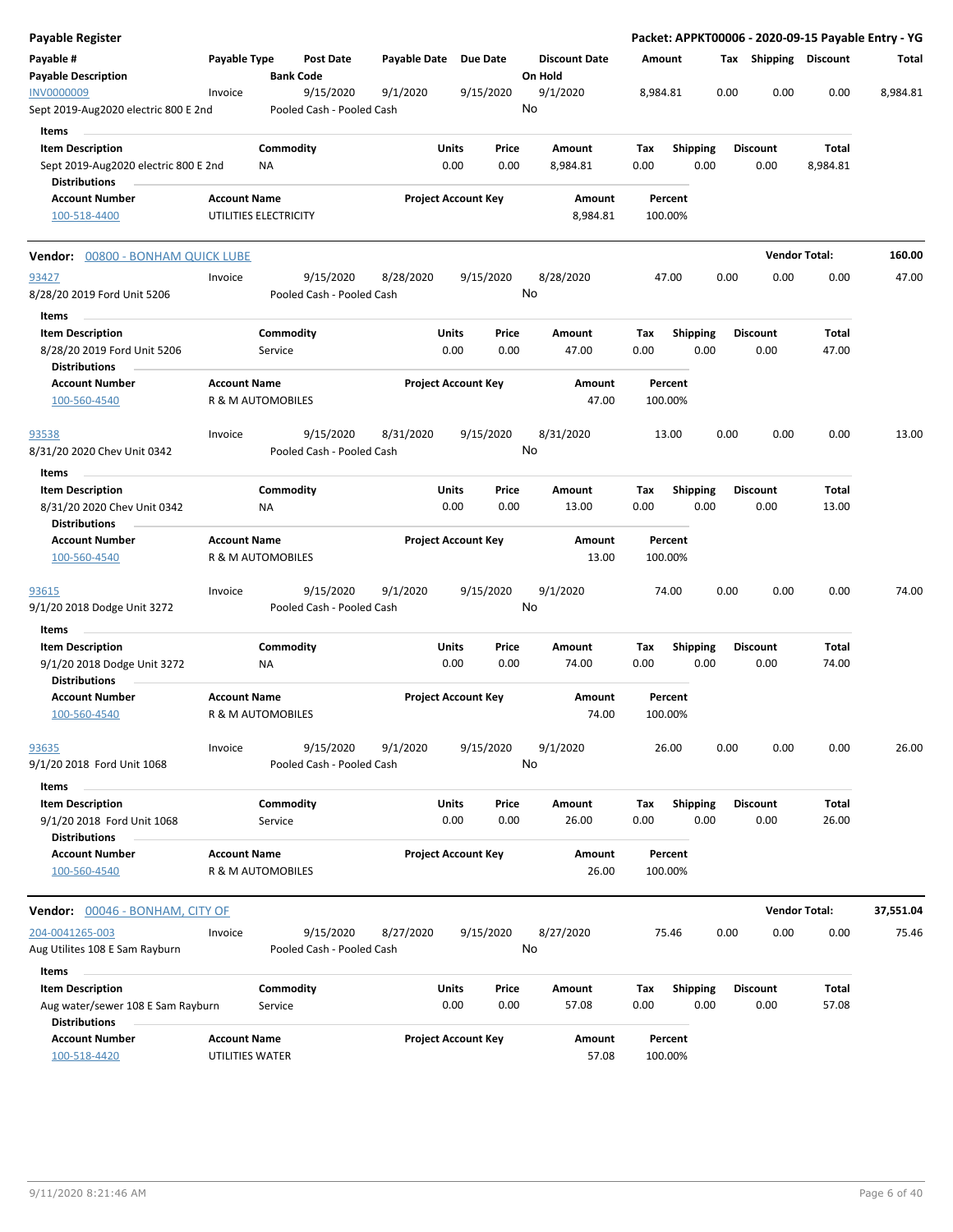| Payable Register                                                              |                                          |                      |                                        |                       |               |                            |    |                                 |             |                    |                         |      |                         | Packet: APPKT00006 - 2020-09-15 Payable Entry - YG |           |
|-------------------------------------------------------------------------------|------------------------------------------|----------------------|----------------------------------------|-----------------------|---------------|----------------------------|----|---------------------------------|-------------|--------------------|-------------------------|------|-------------------------|----------------------------------------------------|-----------|
| Payable #<br><b>Payable Description</b>                                       | Payable Type                             |                      | Post Date<br><b>Bank Code</b>          | Payable Date Due Date |               |                            |    | <b>Discount Date</b><br>On Hold | Amount      |                    |                         |      | Tax Shipping Discount   |                                                    | Total     |
| INV0000009<br>Sept 2019-Aug2020 electric 800 E 2nd                            | Invoice                                  |                      | 9/15/2020<br>Pooled Cash - Pooled Cash | 9/1/2020              |               | 9/15/2020                  | No | 9/1/2020                        | 8,984.81    |                    |                         | 0.00 | 0.00                    | 0.00                                               | 8,984.81  |
| Items                                                                         |                                          |                      |                                        |                       |               |                            |    |                                 |             |                    |                         |      |                         |                                                    |           |
| <b>Item Description</b>                                                       |                                          | Commodity            |                                        |                       | Units         | Price                      |    | Amount                          | Tax         |                    | <b>Shipping</b>         |      | <b>Discount</b>         | Total                                              |           |
| Sept 2019-Aug2020 electric 800 E 2nd                                          |                                          | ΝA                   |                                        |                       | 0.00          | 0.00                       |    | 8,984.81                        | 0.00        |                    | 0.00                    |      | 0.00                    | 8,984.81                                           |           |
| <b>Distributions</b>                                                          |                                          |                      |                                        |                       |               |                            |    |                                 |             |                    |                         |      |                         |                                                    |           |
| <b>Account Number</b>                                                         | <b>Account Name</b>                      |                      |                                        |                       |               | <b>Project Account Key</b> |    | Amount                          |             | Percent            |                         |      |                         |                                                    |           |
| 100-518-4400                                                                  | UTILITIES ELECTRICITY                    |                      |                                        |                       |               |                            |    | 8,984.81                        |             | 100.00%            |                         |      |                         |                                                    |           |
| <b>Vendor:</b> 00800 - BONHAM QUICK LUBE                                      |                                          |                      |                                        |                       |               |                            |    |                                 |             |                    |                         |      | <b>Vendor Total:</b>    |                                                    | 160.00    |
| 93427                                                                         | Invoice                                  |                      | 9/15/2020                              | 8/28/2020             |               | 9/15/2020                  |    | 8/28/2020                       |             | 47.00              |                         | 0.00 | 0.00                    | 0.00                                               | 47.00     |
| 8/28/20 2019 Ford Unit 5206<br>Items                                          |                                          |                      | Pooled Cash - Pooled Cash              |                       |               |                            | No |                                 |             |                    |                         |      |                         |                                                    |           |
| <b>Item Description</b>                                                       |                                          | Commodity            |                                        |                       | Units         | Price                      |    | Amount                          | Tax         |                    | Shipping                |      | <b>Discount</b>         | Total                                              |           |
| 8/28/20 2019 Ford Unit 5206<br><b>Distributions</b>                           |                                          | Service              |                                        |                       | 0.00          | 0.00                       |    | 47.00                           | 0.00        |                    | 0.00                    |      | 0.00                    | 47.00                                              |           |
| <b>Account Number</b><br>100-560-4540                                         | <b>Account Name</b><br>R & M AUTOMOBILES |                      |                                        |                       |               | <b>Project Account Key</b> |    | Amount<br>47.00                 |             | Percent<br>100.00% |                         |      |                         |                                                    |           |
|                                                                               |                                          |                      |                                        |                       |               |                            |    |                                 |             |                    |                         |      |                         |                                                    |           |
| 93538<br>8/31/20 2020 Chev Unit 0342                                          | Invoice                                  |                      | 9/15/2020<br>Pooled Cash - Pooled Cash | 8/31/2020             |               | 9/15/2020                  | No | 8/31/2020                       |             | 13.00              |                         | 0.00 | 0.00                    | 0.00                                               | 13.00     |
| <b>Items</b>                                                                  |                                          |                      |                                        |                       |               |                            |    |                                 |             |                    |                         |      |                         |                                                    |           |
| <b>Item Description</b>                                                       |                                          | Commodity            |                                        |                       | Units         | Price                      |    | Amount                          | Tax         |                    | <b>Shipping</b>         |      | <b>Discount</b>         | Total                                              |           |
| 8/31/20 2020 Chev Unit 0342<br><b>Distributions</b>                           |                                          | ΝA                   |                                        |                       | 0.00          | 0.00                       |    | 13.00                           | 0.00        |                    | 0.00                    |      | 0.00                    | 13.00                                              |           |
| <b>Account Number</b><br>100-560-4540                                         | <b>Account Name</b><br>R & M AUTOMOBILES |                      |                                        |                       |               | <b>Project Account Key</b> |    | Amount<br>13.00                 |             | Percent<br>100.00% |                         |      |                         |                                                    |           |
| 93615<br>9/1/20 2018 Dodge Unit 3272                                          | Invoice                                  |                      | 9/15/2020<br>Pooled Cash - Pooled Cash | 9/1/2020              |               | 9/15/2020                  | No | 9/1/2020                        |             | 74.00              |                         | 0.00 | 0.00                    | 0.00                                               | 74.00     |
| Items                                                                         |                                          |                      |                                        |                       |               |                            |    |                                 |             |                    |                         |      |                         |                                                    |           |
| <b>Item Description</b>                                                       |                                          | Commodity            |                                        |                       | Units         | Price                      |    | Amount                          | Tax         |                    | <b>Shipping</b>         |      | <b>Discount</b>         | Total                                              |           |
| 9/1/20 2018 Dodge Unit 3272<br><b>Distributions</b>                           |                                          | ΝA                   |                                        |                       | 0.00          | 0.00                       |    | 74.00                           | 0.00        |                    | 0.00                    |      | 0.00                    | 74.00                                              |           |
| <b>Account Number</b><br>100-560-4540                                         | <b>Account Name</b><br>R & M AUTOMOBILES |                      |                                        |                       |               | <b>Project Account Key</b> |    | Amount<br>74.00                 |             | Percent<br>100.00% |                         |      |                         |                                                    |           |
| <u>93635</u>                                                                  | Invoice                                  |                      | 9/15/2020                              | 9/1/2020              |               | 9/15/2020                  |    | 9/1/2020                        |             | 26.00              |                         | 0.00 | 0.00                    | 0.00                                               | 26.00     |
| 9/1/20 2018 Ford Unit 1068                                                    |                                          |                      | Pooled Cash - Pooled Cash              |                       |               |                            | No |                                 |             |                    |                         |      |                         |                                                    |           |
| Items                                                                         |                                          |                      |                                        |                       |               |                            |    |                                 |             |                    |                         |      |                         |                                                    |           |
| <b>Item Description</b><br>9/1/20 2018 Ford Unit 1068<br><b>Distributions</b> |                                          | Commodity<br>Service |                                        |                       | Units<br>0.00 | Price<br>0.00              |    | Amount<br>26.00                 | Tax<br>0.00 |                    | <b>Shipping</b><br>0.00 |      | <b>Discount</b><br>0.00 | Total<br>26.00                                     |           |
| <b>Account Number</b><br>100-560-4540                                         | <b>Account Name</b><br>R & M AUTOMOBILES |                      |                                        |                       |               | <b>Project Account Key</b> |    | Amount<br>26.00                 |             | Percent<br>100.00% |                         |      |                         |                                                    |           |
|                                                                               |                                          |                      |                                        |                       |               |                            |    |                                 |             |                    |                         |      |                         |                                                    |           |
| Vendor: 00046 - BONHAM, CITY OF                                               |                                          |                      |                                        |                       |               |                            |    |                                 |             |                    |                         |      | <b>Vendor Total:</b>    |                                                    | 37,551.04 |
| 204-0041265-003                                                               | Invoice                                  |                      | 9/15/2020                              | 8/27/2020             |               | 9/15/2020                  |    | 8/27/2020                       |             | 75.46              |                         | 0.00 | 0.00                    | 0.00                                               | 75.46     |
| Aug Utilites 108 E Sam Rayburn                                                |                                          |                      | Pooled Cash - Pooled Cash              |                       |               |                            | No |                                 |             |                    |                         |      |                         |                                                    |           |
| Items                                                                         |                                          |                      |                                        |                       |               |                            |    |                                 |             |                    |                         |      |                         |                                                    |           |
| <b>Item Description</b>                                                       |                                          | Commodity            |                                        |                       | Units         | Price                      |    | Amount                          | Tax         |                    | Shipping                |      | <b>Discount</b>         | Total                                              |           |
| Aug water/sewer 108 E Sam Rayburn                                             |                                          | Service              |                                        |                       | 0.00          | 0.00                       |    | 57.08                           | 0.00        |                    | 0.00                    |      | 0.00                    | 57.08                                              |           |
| <b>Distributions</b>                                                          |                                          |                      |                                        |                       |               |                            |    |                                 |             |                    |                         |      |                         |                                                    |           |
| <b>Account Number</b><br>100-518-4420                                         | <b>Account Name</b><br>UTILITIES WATER   |                      |                                        |                       |               | <b>Project Account Key</b> |    | Amount<br>57.08                 |             | Percent<br>100.00% |                         |      |                         |                                                    |           |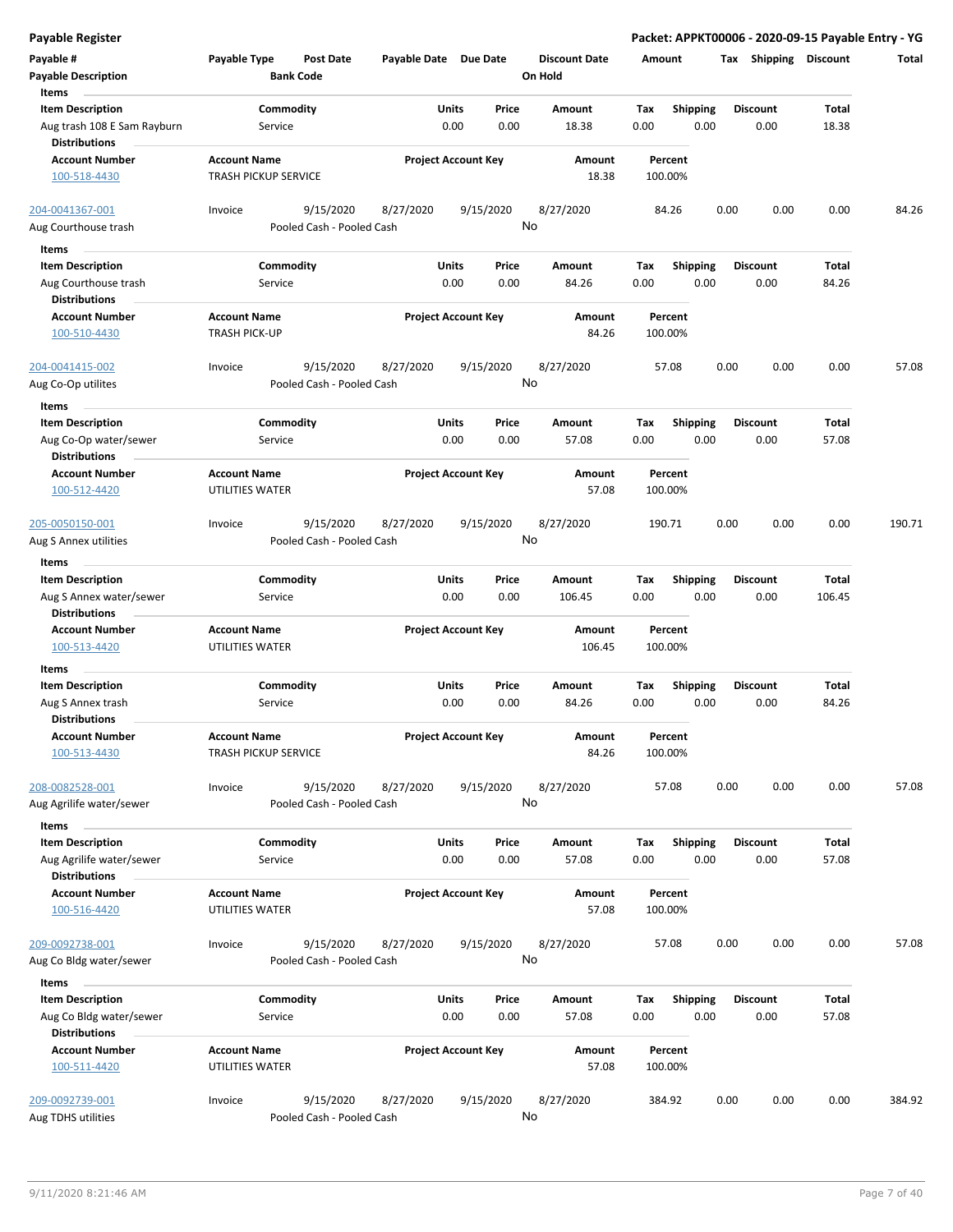|  | Payable Register |
|--|------------------|

| Payable #<br><b>Payable Description</b><br>Items              | Payable Type                                       | <b>Post Date</b><br><b>Bank Code</b>   | Payable Date Due Date |                            | <b>Discount Date</b><br>On Hold | Amount             |                         |      | Tax Shipping            | <b>Discount</b> | Total  |
|---------------------------------------------------------------|----------------------------------------------------|----------------------------------------|-----------------------|----------------------------|---------------------------------|--------------------|-------------------------|------|-------------------------|-----------------|--------|
| <b>Item Description</b><br>Aug trash 108 E Sam Rayburn        | Service                                            | Commodity                              | <b>Units</b>          | Price<br>0.00<br>0.00      | Amount<br>18.38                 | Tax<br>0.00        | <b>Shipping</b><br>0.00 |      | <b>Discount</b><br>0.00 | Total<br>18.38  |        |
| <b>Distributions</b><br><b>Account Number</b>                 | <b>Account Name</b>                                |                                        |                       | <b>Project Account Key</b> | Amount                          | Percent            |                         |      |                         |                 |        |
| 100-518-4430                                                  | <b>TRASH PICKUP SERVICE</b>                        |                                        |                       |                            | 18.38                           | 100.00%            |                         |      |                         |                 |        |
| 204-0041367-001<br>Aug Courthouse trash                       | Invoice                                            | 9/15/2020<br>Pooled Cash - Pooled Cash | 8/27/2020             | 9/15/2020                  | 8/27/2020<br>No                 | 84.26              |                         | 0.00 | 0.00                    | 0.00            | 84.26  |
| Items                                                         |                                                    |                                        |                       |                            |                                 |                    |                         |      |                         |                 |        |
| <b>Item Description</b>                                       |                                                    | Commodity                              | Units                 | Price                      | Amount                          | Tax                | Shipping                |      | <b>Discount</b>         | Total           |        |
| Aug Courthouse trash<br><b>Distributions</b>                  | Service                                            |                                        |                       | 0.00<br>0.00               | 84.26                           | 0.00               | 0.00                    |      | 0.00                    | 84.26           |        |
| <b>Account Number</b><br>100-510-4430                         | <b>Account Name</b><br><b>TRASH PICK-UP</b>        |                                        |                       | <b>Project Account Key</b> | Amount<br>84.26                 | Percent<br>100.00% |                         |      |                         |                 |        |
| 204-0041415-002                                               | Invoice                                            | 9/15/2020                              | 8/27/2020             | 9/15/2020                  | 8/27/2020                       | 57.08              |                         | 0.00 | 0.00                    | 0.00            | 57.08  |
| Aug Co-Op utilites<br>Items                                   |                                                    | Pooled Cash - Pooled Cash              |                       |                            | No                              |                    |                         |      |                         |                 |        |
| <b>Item Description</b>                                       |                                                    | Commodity                              | Units                 | Price                      | Amount                          | Tax                | <b>Shipping</b>         |      | <b>Discount</b>         | Total           |        |
| Aug Co-Op water/sewer<br><b>Distributions</b>                 | Service                                            |                                        |                       | 0.00<br>0.00               | 57.08                           | 0.00               | 0.00                    |      | 0.00                    | 57.08           |        |
| <b>Account Number</b><br>100-512-4420                         | <b>Account Name</b><br>UTILITIES WATER             |                                        |                       | <b>Project Account Key</b> | Amount<br>57.08                 | Percent<br>100.00% |                         |      |                         |                 |        |
| <u>205-0050150-001</u><br>Aug S Annex utilities               | Invoice                                            | 9/15/2020<br>Pooled Cash - Pooled Cash | 8/27/2020             | 9/15/2020                  | 8/27/2020<br>No                 | 190.71             |                         | 0.00 | 0.00                    | 0.00            | 190.71 |
| Items                                                         |                                                    |                                        |                       |                            |                                 |                    |                         |      |                         |                 |        |
| <b>Item Description</b>                                       |                                                    | Commodity                              | Units                 | Price                      | Amount                          | Tax                | Shipping                |      | <b>Discount</b>         | Total           |        |
| Aug S Annex water/sewer<br><b>Distributions</b>               | Service                                            |                                        |                       | 0.00<br>0.00               | 106.45                          | 0.00               | 0.00                    |      | 0.00                    | 106.45          |        |
| <b>Account Number</b><br>100-513-4420                         | <b>Account Name</b><br>UTILITIES WATER             |                                        |                       | <b>Project Account Key</b> | Amount<br>106.45                | Percent<br>100.00% |                         |      |                         |                 |        |
| Items                                                         |                                                    |                                        |                       |                            |                                 |                    |                         |      |                         |                 |        |
| <b>Item Description</b>                                       |                                                    | Commodity                              | <b>Units</b>          | Price                      | Amount                          | Tax                | <b>Shipping</b>         |      | <b>Discount</b>         | Total           |        |
| Aug S Annex trash<br><b>Distributions</b>                     | Service                                            |                                        |                       | 0.00<br>0.00               | 84.26                           | 0.00               | 0.00                    |      | 0.00                    | 84.26           |        |
| <b>Account Number</b><br>100-513-4430                         | <b>Account Name</b><br><b>TRASH PICKUP SERVICE</b> |                                        |                       | <b>Project Account Key</b> | Amount<br>84.26                 | Percent<br>100.00% |                         |      |                         |                 |        |
| 208-0082528-001<br>Aug Agrilife water/sewer                   | Invoice                                            | 9/15/2020<br>Pooled Cash - Pooled Cash | 8/27/2020             | 9/15/2020                  | 8/27/2020<br>No                 | 57.08              |                         | 0.00 | 0.00                    | 0.00            | 57.08  |
| Items                                                         |                                                    |                                        |                       |                            |                                 |                    |                         |      |                         |                 |        |
| <b>Item Description</b><br>Aug Agrilife water/sewer           | Service                                            | Commodity                              | Units                 | Price<br>0.00<br>0.00      | Amount<br>57.08                 | Tax<br>0.00        | <b>Shipping</b><br>0.00 |      | <b>Discount</b><br>0.00 | Total<br>57.08  |        |
| <b>Distributions</b><br><b>Account Number</b><br>100-516-4420 | <b>Account Name</b><br>UTILITIES WATER             |                                        |                       | <b>Project Account Key</b> | Amount<br>57.08                 | Percent<br>100.00% |                         |      |                         |                 |        |
| 209-0092738-001<br>Aug Co Bldg water/sewer                    | Invoice                                            | 9/15/2020<br>Pooled Cash - Pooled Cash | 8/27/2020             | 9/15/2020                  | 8/27/2020<br>No                 | 57.08              |                         | 0.00 | 0.00                    | 0.00            | 57.08  |
| Items                                                         |                                                    |                                        |                       |                            |                                 |                    |                         |      |                         |                 |        |
| <b>Item Description</b>                                       |                                                    | Commodity                              | Units                 | Price                      | Amount                          | Tax                | Shipping                |      | <b>Discount</b>         | Total           |        |
| Aug Co Bldg water/sewer<br><b>Distributions</b>               | Service                                            |                                        |                       | 0.00<br>0.00               | 57.08                           | 0.00               | 0.00                    |      | 0.00                    | 57.08           |        |
| <b>Account Number</b><br>100-511-4420                         | <b>Account Name</b><br>UTILITIES WATER             |                                        |                       | <b>Project Account Key</b> | Amount<br>57.08                 | Percent<br>100.00% |                         |      |                         |                 |        |
| 209-0092739-001<br>Aug TDHS utilities                         | Invoice                                            | 9/15/2020<br>Pooled Cash - Pooled Cash | 8/27/2020             | 9/15/2020                  | 8/27/2020<br>No                 | 384.92             |                         | 0.00 | 0.00                    | 0.00            | 384.92 |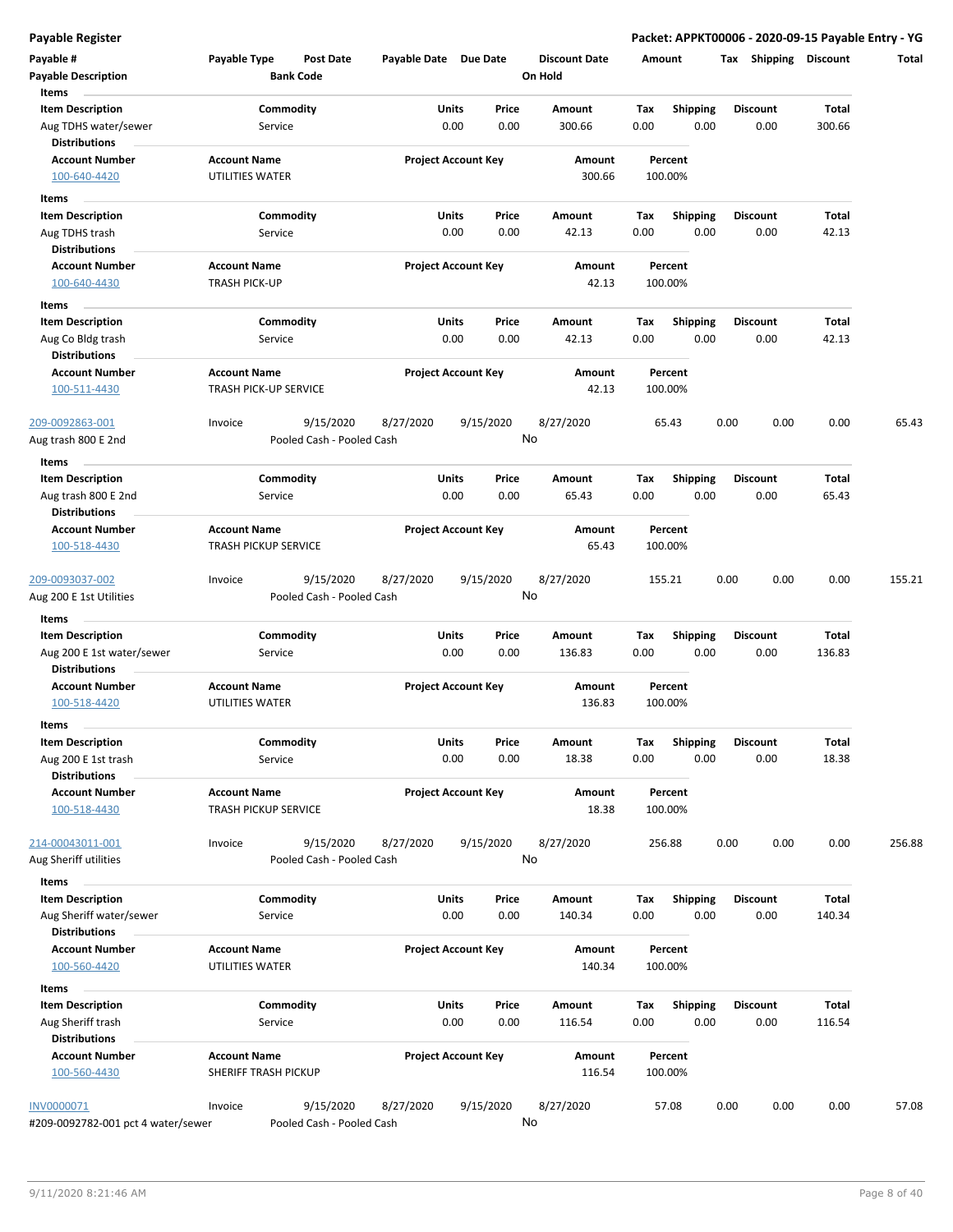| Payable #<br><b>Payable Description</b><br>Items                           | Payable Type                                       | <b>Post Date</b><br><b>Bank Code</b>   | Payable Date Due Date |                                | <b>Discount Date</b><br>On Hold | Amount             |                         | Tax Shipping Discount   |                        | Total  |
|----------------------------------------------------------------------------|----------------------------------------------------|----------------------------------------|-----------------------|--------------------------------|---------------------------------|--------------------|-------------------------|-------------------------|------------------------|--------|
| <b>Item Description</b><br>Aug TDHS water/sewer<br><b>Distributions</b>    | Service                                            | Commodity                              |                       | Units<br>Price<br>0.00<br>0.00 | Amount<br>300.66                | Tax<br>0.00        | <b>Shipping</b><br>0.00 | <b>Discount</b><br>0.00 | Total<br>300.66        |        |
| <b>Account Number</b><br>100-640-4420                                      | <b>Account Name</b><br>UTILITIES WATER             |                                        |                       | <b>Project Account Key</b>     | Amount<br>300.66                | Percent<br>100.00% |                         |                         |                        |        |
| Items                                                                      |                                                    |                                        |                       | Units<br>Price                 |                                 | Tax                |                         | <b>Discount</b>         | Total                  |        |
| <b>Item Description</b><br>Aug TDHS trash<br><b>Distributions</b>          | Service                                            | Commodity                              |                       | 0.00<br>0.00                   | Amount<br>42.13                 | 0.00               | <b>Shipping</b><br>0.00 | 0.00                    | 42.13                  |        |
| <b>Account Number</b><br>100-640-4430                                      | <b>Account Name</b><br><b>TRASH PICK-UP</b>        |                                        |                       | <b>Project Account Key</b>     | Amount<br>42.13                 | Percent<br>100.00% |                         |                         |                        |        |
| Items                                                                      |                                                    |                                        |                       |                                |                                 |                    |                         |                         |                        |        |
| <b>Item Description</b><br>Aug Co Bldg trash<br><b>Distributions</b>       | Service                                            | Commodity                              |                       | Units<br>Price<br>0.00<br>0.00 | Amount<br>42.13                 | Tax<br>0.00        | <b>Shipping</b><br>0.00 | <b>Discount</b><br>0.00 | Total<br>42.13         |        |
| <b>Account Number</b><br>100-511-4430                                      | <b>Account Name</b><br>TRASH PICK-UP SERVICE       |                                        |                       | <b>Project Account Key</b>     | Amount<br>42.13                 | Percent<br>100.00% |                         |                         |                        |        |
| 209-0092863-001<br>Aug trash 800 E 2nd                                     | Invoice                                            | 9/15/2020<br>Pooled Cash - Pooled Cash | 8/27/2020             | 9/15/2020                      | 8/27/2020<br>No                 | 65.43              |                         | 0.00<br>0.00            | 0.00                   | 65.43  |
| Items                                                                      |                                                    |                                        |                       |                                |                                 |                    |                         |                         |                        |        |
| <b>Item Description</b><br>Aug trash 800 E 2nd<br><b>Distributions</b>     | Service                                            | Commodity                              |                       | Units<br>Price<br>0.00<br>0.00 | Amount<br>65.43                 | Tax<br>0.00        | <b>Shipping</b><br>0.00 | <b>Discount</b><br>0.00 | Total<br>65.43         |        |
| <b>Account Number</b><br>100-518-4430                                      | <b>Account Name</b><br>TRASH PICKUP SERVICE        |                                        |                       | <b>Project Account Key</b>     | Amount<br>65.43                 | Percent<br>100.00% |                         |                         |                        |        |
| 209-0093037-002<br>Aug 200 E 1st Utilities                                 | Invoice                                            | 9/15/2020<br>Pooled Cash - Pooled Cash | 8/27/2020             | 9/15/2020                      | 8/27/2020<br>No                 | 155.21             |                         | 0.00<br>0.00            | 0.00                   | 155.21 |
| Items                                                                      |                                                    |                                        |                       |                                |                                 |                    |                         |                         |                        |        |
| <b>Item Description</b>                                                    |                                                    | Commodity                              |                       | Units<br>Price                 | Amount                          | Tax                | <b>Shipping</b>         | <b>Discount</b>         | Total                  |        |
| Aug 200 E 1st water/sewer<br><b>Distributions</b>                          | Service                                            |                                        |                       | 0.00<br>0.00                   | 136.83                          | 0.00               | 0.00                    | 0.00                    | 136.83                 |        |
| <b>Account Number</b><br>100-518-4420                                      | <b>Account Name</b><br>UTILITIES WATER             |                                        |                       | <b>Project Account Key</b>     | Amount<br>136.83                | Percent<br>100.00% |                         |                         |                        |        |
| Items                                                                      |                                                    |                                        |                       |                                |                                 |                    |                         |                         |                        |        |
| Item Description<br>Aug 200 E 1st trash<br><b>Distributions</b>            | Service                                            | Commodity                              |                       | Units<br>Price<br>0.00<br>0.00 | Amount<br>18.38                 | Tax<br>0.00        | Shipping<br>0.00        | <b>Discount</b><br>0.00 | Total<br>18.38         |        |
| <b>Account Number</b><br>100-518-4430                                      | <b>Account Name</b><br>TRASH PICKUP SERVICE        |                                        |                       | <b>Project Account Key</b>     | Amount<br>18.38                 | Percent<br>100.00% |                         |                         |                        |        |
| 214-00043011-001<br>Aug Sheriff utilities                                  | Invoice                                            | 9/15/2020<br>Pooled Cash - Pooled Cash | 8/27/2020             | 9/15/2020                      | 8/27/2020<br>No                 | 256.88             |                         | 0.00<br>0.00            | 0.00                   | 256.88 |
| Items                                                                      |                                                    |                                        |                       |                                |                                 |                    |                         |                         |                        |        |
| <b>Item Description</b><br>Aug Sheriff water/sewer<br><b>Distributions</b> | Service                                            | Commodity                              |                       | Units<br>Price<br>0.00<br>0.00 | Amount<br>140.34                | Tax<br>0.00        | Shipping<br>0.00        | <b>Discount</b><br>0.00 | Total<br>140.34        |        |
| <b>Account Number</b><br>100-560-4420                                      | <b>Account Name</b><br>UTILITIES WATER             |                                        |                       | <b>Project Account Key</b>     | Amount<br>140.34                | Percent<br>100.00% |                         |                         |                        |        |
| Items                                                                      |                                                    |                                        |                       |                                |                                 |                    |                         |                         |                        |        |
| <b>Item Description</b><br>Aug Sheriff trash<br><b>Distributions</b>       | Service                                            | Commodity                              |                       | Units<br>Price<br>0.00<br>0.00 | Amount<br>116.54                | Tax<br>0.00        | <b>Shipping</b><br>0.00 | <b>Discount</b><br>0.00 | <b>Total</b><br>116.54 |        |
| <b>Account Number</b><br>100-560-4430                                      | <b>Account Name</b><br><b>SHERIFF TRASH PICKUP</b> |                                        |                       | <b>Project Account Key</b>     | Amount<br>116.54                | Percent<br>100.00% |                         |                         |                        |        |
| <b>INV0000071</b><br>#209-0092782-001 pct 4 water/sewer                    | Invoice                                            | 9/15/2020<br>Pooled Cash - Pooled Cash | 8/27/2020             | 9/15/2020                      | 8/27/2020<br>No                 | 57.08              |                         | 0.00<br>0.00            | 0.00                   | 57.08  |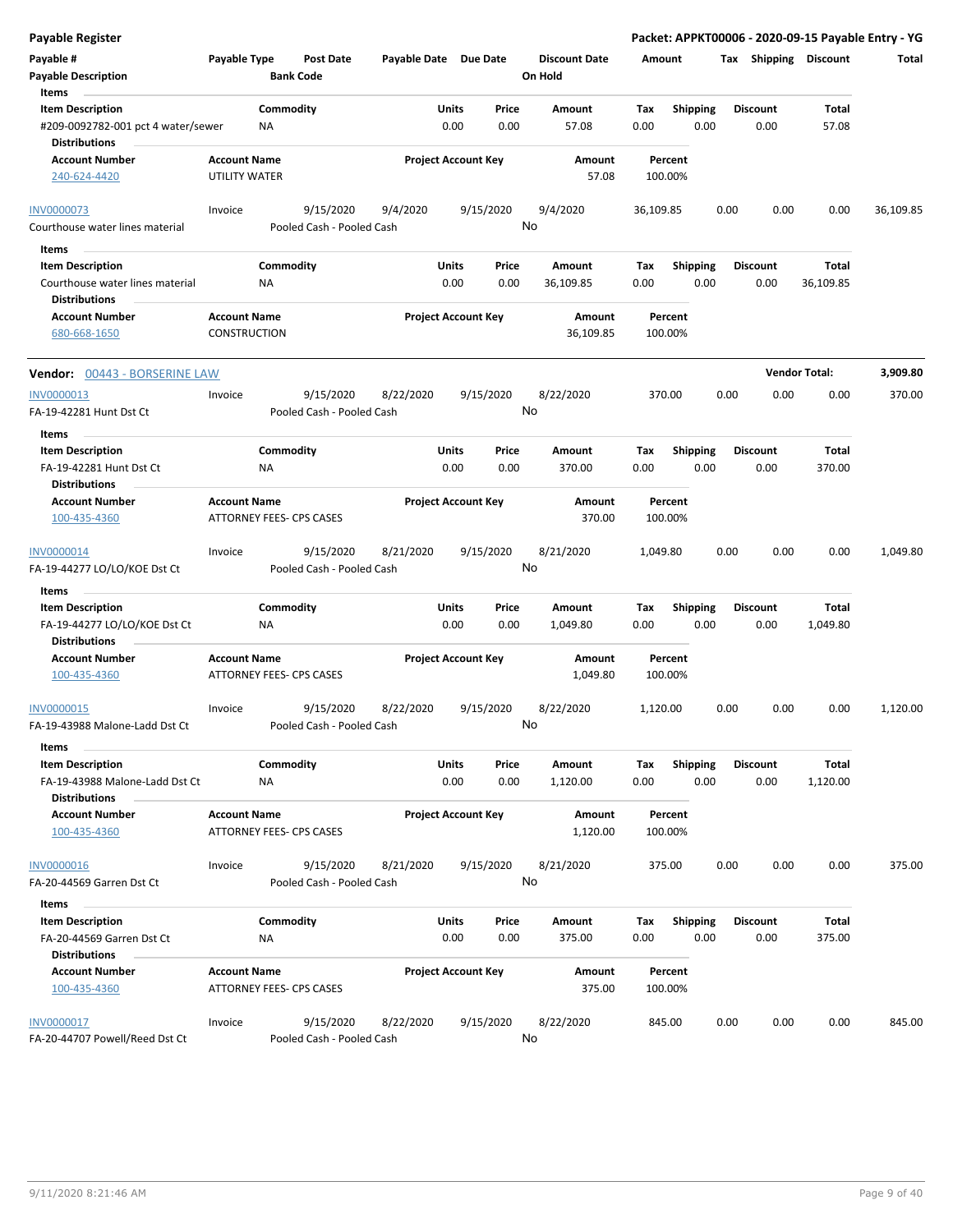| <b>Payable Register</b>                                                                        |                                      |                        |                                        |                       |               |                            |    |                                 |             |                    |      |      |                         |                       | Packet: APPKT00006 - 2020-09-15 Payable Entry - YG |
|------------------------------------------------------------------------------------------------|--------------------------------------|------------------------|----------------------------------------|-----------------------|---------------|----------------------------|----|---------------------------------|-------------|--------------------|------|------|-------------------------|-----------------------|----------------------------------------------------|
| Payable #<br><b>Payable Description</b>                                                        | Payable Type                         |                        | <b>Post Date</b><br><b>Bank Code</b>   | Payable Date Due Date |               |                            |    | <b>Discount Date</b><br>On Hold | Amount      |                    |      |      |                         | Tax Shipping Discount | Total                                              |
| Items<br><b>Item Description</b><br>#209-0092782-001 pct 4 water/sewer<br><b>Distributions</b> |                                      | Commodity<br>ΝA        |                                        |                       | Units<br>0.00 | Price<br>0.00              |    | Amount<br>57.08                 | Tax<br>0.00 | <b>Shipping</b>    | 0.00 |      | <b>Discount</b><br>0.00 | Total<br>57.08        |                                                    |
| <b>Account Number</b><br>240-624-4420                                                          | <b>Account Name</b><br>UTILITY WATER |                        |                                        |                       |               | <b>Project Account Key</b> |    | Amount<br>57.08                 |             | Percent<br>100.00% |      |      |                         |                       |                                                    |
| <b>INV0000073</b><br>Courthouse water lines material                                           | Invoice                              |                        | 9/15/2020<br>Pooled Cash - Pooled Cash | 9/4/2020              |               | 9/15/2020                  | No | 9/4/2020                        | 36,109.85   |                    |      | 0.00 | 0.00                    | 0.00                  | 36,109.85                                          |
| Items<br><b>Item Description</b>                                                               |                                      | Commodity              |                                        |                       | Units         | Price                      |    | Amount                          | Tax         | Shipping           |      |      | <b>Discount</b>         | Total                 |                                                    |
| Courthouse water lines material<br><b>Distributions</b>                                        |                                      | ΝA                     |                                        |                       | 0.00          | 0.00                       |    | 36,109.85                       | 0.00        |                    | 0.00 |      | 0.00                    | 36,109.85             |                                                    |
| <b>Account Number</b><br>680-668-1650                                                          | <b>Account Name</b><br>CONSTRUCTION  |                        |                                        |                       |               | <b>Project Account Key</b> |    | Amount<br>36,109.85             |             | Percent<br>100.00% |      |      |                         |                       |                                                    |
| Vendor: 00443 - BORSERINE LAW                                                                  |                                      |                        |                                        |                       |               |                            |    |                                 |             |                    |      |      |                         | <b>Vendor Total:</b>  | 3,909.80                                           |
| <b>INV0000013</b><br>FA-19-42281 Hunt Dst Ct                                                   | Invoice                              |                        | 9/15/2020<br>Pooled Cash - Pooled Cash | 8/22/2020             |               | 9/15/2020                  | No | 8/22/2020                       |             | 370.00             |      | 0.00 | 0.00                    | 0.00                  | 370.00                                             |
| Items                                                                                          |                                      |                        |                                        |                       |               |                            |    |                                 |             |                    |      |      |                         |                       |                                                    |
| <b>Item Description</b><br>FA-19-42281 Hunt Dst Ct<br><b>Distributions</b>                     |                                      | Commodity<br>ΝA        |                                        |                       | Units<br>0.00 | Price<br>0.00              |    | Amount<br>370.00                | Tax<br>0.00 | <b>Shipping</b>    | 0.00 |      | <b>Discount</b><br>0.00 | Total<br>370.00       |                                                    |
| <b>Account Number</b><br>100-435-4360                                                          | <b>Account Name</b>                  |                        | ATTORNEY FEES- CPS CASES               |                       |               | <b>Project Account Key</b> |    | Amount<br>370.00                |             | Percent<br>100.00% |      |      |                         |                       |                                                    |
| INV0000014<br>FA-19-44277 LO/LO/KOE Dst Ct                                                     | Invoice                              |                        | 9/15/2020<br>Pooled Cash - Pooled Cash | 8/21/2020             |               | 9/15/2020                  | No | 8/21/2020                       | 1,049.80    |                    |      | 0.00 | 0.00                    | 0.00                  | 1,049.80                                           |
| Items                                                                                          |                                      |                        |                                        |                       |               |                            |    |                                 |             |                    |      |      |                         |                       |                                                    |
| <b>Item Description</b><br>FA-19-44277 LO/LO/KOE Dst Ct<br><b>Distributions</b>                |                                      | Commodity<br>NA        |                                        |                       | Units<br>0.00 | Price<br>0.00              |    | Amount<br>1,049.80              | Tax<br>0.00 | <b>Shipping</b>    | 0.00 |      | <b>Discount</b><br>0.00 | Total<br>1,049.80     |                                                    |
| <b>Account Number</b><br>100-435-4360                                                          | <b>Account Name</b>                  |                        | ATTORNEY FEES- CPS CASES               |                       |               | <b>Project Account Key</b> |    | Amount<br>1,049.80              |             | Percent<br>100.00% |      |      |                         |                       |                                                    |
| INV0000015<br>FA-19-43988 Malone-Ladd Dst Ct                                                   | Invoice                              |                        | 9/15/2020<br>Pooled Cash - Pooled Cash | 8/22/2020             |               | 9/15/2020                  | No | 8/22/2020                       | 1,120.00    |                    |      | 0.00 | 0.00                    | 0.00                  | 1,120.00                                           |
| Items                                                                                          |                                      |                        |                                        |                       |               |                            |    |                                 |             |                    |      |      |                         |                       |                                                    |
| <b>Item Description</b><br>FA-19-43988 Malone-Ladd Dst Ct<br><b>Distributions</b>              |                                      | Commodity<br>NA        |                                        |                       | Units<br>0.00 | Price<br>0.00              |    | Amount<br>1,120.00              | Tax<br>0.00 | <b>Shipping</b>    | 0.00 |      | <b>Discount</b><br>0.00 | Total<br>1,120.00     |                                                    |
| <b>Account Number</b><br>100-435-4360                                                          | <b>Account Name</b>                  |                        | ATTORNEY FEES- CPS CASES               |                       |               | <b>Project Account Key</b> |    | Amount<br>1,120.00              |             | Percent<br>100.00% |      |      |                         |                       |                                                    |
| <b>INV0000016</b><br>FA-20-44569 Garren Dst Ct                                                 | Invoice                              |                        | 9/15/2020<br>Pooled Cash - Pooled Cash | 8/21/2020             |               | 9/15/2020                  | No | 8/21/2020                       |             | 375.00             |      | 0.00 | 0.00                    | 0.00                  | 375.00                                             |
| Items                                                                                          |                                      |                        |                                        |                       |               |                            |    |                                 |             |                    |      |      |                         |                       |                                                    |
| <b>Item Description</b><br>FA-20-44569 Garren Dst Ct<br><b>Distributions</b>                   |                                      | Commodity<br><b>NA</b> |                                        |                       | Units<br>0.00 | Price<br>0.00              |    | Amount<br>375.00                | Tax<br>0.00 | <b>Shipping</b>    | 0.00 |      | <b>Discount</b><br>0.00 | Total<br>375.00       |                                                    |
| <b>Account Number</b><br>100-435-4360                                                          | <b>Account Name</b>                  |                        | ATTORNEY FEES- CPS CASES               |                       |               | <b>Project Account Key</b> |    | Amount<br>375.00                |             | Percent<br>100.00% |      |      |                         |                       |                                                    |
| <b>INV0000017</b><br>FA-20-44707 Powell/Reed Dst Ct                                            | Invoice                              |                        | 9/15/2020<br>Pooled Cash - Pooled Cash | 8/22/2020             |               | 9/15/2020                  | No | 8/22/2020                       |             | 845.00             |      | 0.00 | 0.00                    | 0.00                  | 845.00                                             |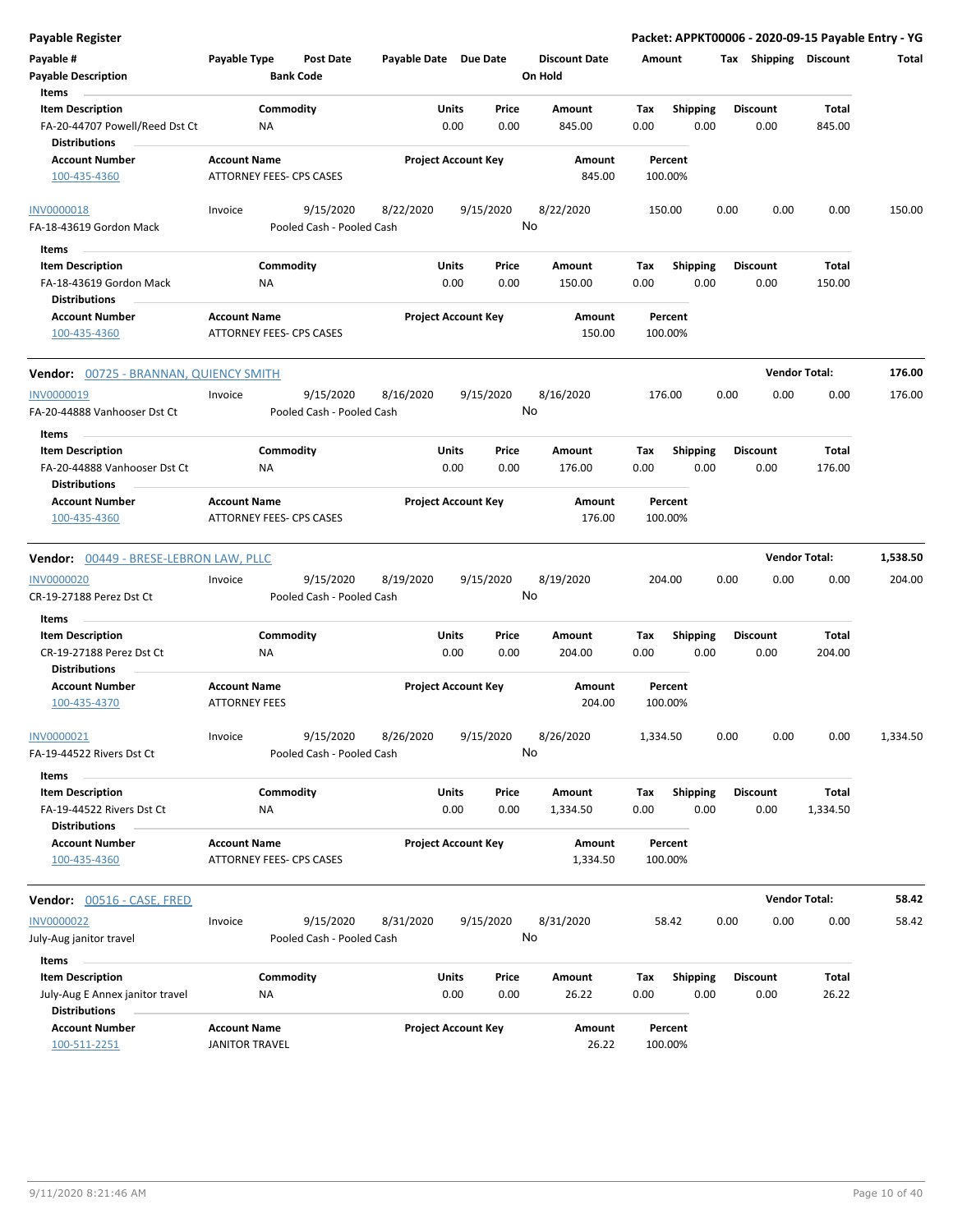| Payable Register                                                                  |                                              |                                        |                       |                                |                                 |             |                         |                         |                        | Packet: APPKT00006 - 2020-09-15 Payable Entry - YG |
|-----------------------------------------------------------------------------------|----------------------------------------------|----------------------------------------|-----------------------|--------------------------------|---------------------------------|-------------|-------------------------|-------------------------|------------------------|----------------------------------------------------|
| Payable #<br><b>Payable Description</b>                                           | Payable Type                                 | <b>Post Date</b><br><b>Bank Code</b>   | Payable Date Due Date |                                | <b>Discount Date</b><br>On Hold | Amount      |                         |                         | Tax Shipping Discount  | Total                                              |
| Items                                                                             |                                              |                                        | Units                 | Price                          | <b>Amount</b>                   |             |                         |                         | Total                  |                                                    |
| <b>Item Description</b><br>FA-20-44707 Powell/Reed Dst Ct<br><b>Distributions</b> | NA                                           | Commodity                              |                       | 0.00<br>0.00                   | 845.00                          | Tax<br>0.00 | Shipping<br>0.00        | <b>Discount</b><br>0.00 | 845.00                 |                                                    |
| <b>Account Number</b>                                                             | <b>Account Name</b>                          |                                        |                       | <b>Project Account Key</b>     | Amount                          |             | Percent                 |                         |                        |                                                    |
| 100-435-4360                                                                      |                                              | ATTORNEY FEES- CPS CASES               |                       |                                | 845.00                          |             | 100.00%                 |                         |                        |                                                    |
| <b>INV0000018</b>                                                                 | Invoice                                      | 9/15/2020                              | 8/22/2020             | 9/15/2020                      | 8/22/2020                       |             | 150.00                  | 0.00                    | 0.00<br>0.00           | 150.00                                             |
| FA-18-43619 Gordon Mack                                                           |                                              | Pooled Cash - Pooled Cash              |                       |                                | No                              |             |                         |                         |                        |                                                    |
| Items<br>$\overline{\phantom{a}}$                                                 |                                              |                                        |                       |                                |                                 |             |                         |                         |                        |                                                    |
| <b>Item Description</b><br>FA-18-43619 Gordon Mack<br><b>Distributions</b>        | ΝA                                           | Commodity                              | Units                 | Price<br>0.00<br>0.00          | Amount<br>150.00                | Tax<br>0.00 | <b>Shipping</b><br>0.00 | <b>Discount</b><br>0.00 | Total<br>150.00        |                                                    |
| <b>Account Number</b>                                                             | <b>Account Name</b>                          |                                        |                       | <b>Project Account Key</b>     | Amount                          |             | Percent                 |                         |                        |                                                    |
| 100-435-4360                                                                      |                                              | <b>ATTORNEY FEES- CPS CASES</b>        |                       |                                | 150.00                          |             | 100.00%                 |                         |                        |                                                    |
| Vendor: 00725 - BRANNAN, QUIENCY SMITH                                            |                                              |                                        |                       |                                |                                 |             |                         |                         | <b>Vendor Total:</b>   | 176.00                                             |
| <b>INV0000019</b><br>FA-20-44888 Vanhooser Dst Ct                                 | Invoice                                      | 9/15/2020<br>Pooled Cash - Pooled Cash | 8/16/2020             | 9/15/2020                      | 8/16/2020<br>No                 |             | 176.00                  | 0.00                    | 0.00<br>0.00           | 176.00                                             |
| Items                                                                             |                                              |                                        |                       |                                |                                 |             |                         |                         |                        |                                                    |
| <b>Item Description</b><br>FA-20-44888 Vanhooser Dst Ct                           | NA                                           | Commodity                              |                       | Units<br>Price<br>0.00<br>0.00 | Amount<br>176.00                | Tax<br>0.00 | <b>Shipping</b><br>0.00 | <b>Discount</b><br>0.00 | Total<br>176.00        |                                                    |
| <b>Distributions</b>                                                              |                                              |                                        |                       |                                |                                 |             |                         |                         |                        |                                                    |
| <b>Account Number</b><br>100-435-4360                                             | <b>Account Name</b>                          | ATTORNEY FEES- CPS CASES               |                       | <b>Project Account Key</b>     | Amount<br>176.00                |             | Percent<br>100.00%      |                         |                        |                                                    |
| Vendor: 00449 - BRESE-LEBRON LAW, PLLC                                            |                                              |                                        |                       |                                |                                 |             |                         |                         | <b>Vendor Total:</b>   | 1,538.50                                           |
| <b>INV0000020</b>                                                                 | Invoice                                      | 9/15/2020                              | 8/19/2020             | 9/15/2020                      | 8/19/2020                       |             | 204.00                  | 0.00                    | 0.00<br>0.00           | 204.00                                             |
| CR-19-27188 Perez Dst Ct                                                          |                                              | Pooled Cash - Pooled Cash              |                       |                                | No                              |             |                         |                         |                        |                                                    |
| Items                                                                             |                                              |                                        |                       |                                |                                 |             |                         |                         |                        |                                                    |
| <b>Item Description</b><br>CR-19-27188 Perez Dst Ct<br><b>Distributions</b>       | NA                                           | Commodity                              | <b>Units</b>          | Price<br>0.00<br>0.00          | Amount<br>204.00                | Tax<br>0.00 | <b>Shipping</b><br>0.00 | <b>Discount</b><br>0.00 | <b>Total</b><br>204.00 |                                                    |
| <b>Account Number</b><br>100-435-4370                                             | <b>Account Name</b><br><b>ATTORNEY FEES</b>  |                                        |                       | <b>Project Account Key</b>     | Amount<br>204.00                |             | Percent<br>100.00%      |                         |                        |                                                    |
| INV0000021<br>FA-19-44522 Rivers Dst Ct                                           | Invoice                                      | 9/15/2020<br>Pooled Cash - Pooled Cash | 8/26/2020             | 9/15/2020                      | 8/26/2020<br>No                 | 1,334.50    |                         | 0.00                    | 0.00<br>0.00           | 1,334.50                                           |
| Items<br><b>Item Description</b>                                                  |                                              | Commodity                              |                       | Units<br>Price                 | Amount                          | Tax         | Shipping                | <b>Discount</b>         | Total                  |                                                    |
| FA-19-44522 Rivers Dst Ct<br><b>Distributions</b>                                 | ΝA                                           |                                        |                       | 0.00<br>0.00                   | 1,334.50                        | 0.00        | 0.00                    | 0.00                    | 1,334.50               |                                                    |
| <b>Account Number</b><br>100-435-4360                                             | <b>Account Name</b>                          | <b>ATTORNEY FEES- CPS CASES</b>        |                       | <b>Project Account Key</b>     | Amount<br>1,334.50              |             | Percent<br>100.00%      |                         |                        |                                                    |
| Vendor: 00516 - CASE, FRED                                                        |                                              |                                        |                       |                                |                                 |             |                         |                         | <b>Vendor Total:</b>   | 58.42                                              |
| <b>INV0000022</b>                                                                 | Invoice                                      | 9/15/2020                              | 8/31/2020             | 9/15/2020                      | 8/31/2020                       |             | 58.42                   | 0.00                    | 0.00<br>0.00           | 58.42                                              |
| July-Aug janitor travel                                                           |                                              | Pooled Cash - Pooled Cash              |                       |                                | No                              |             |                         |                         |                        |                                                    |
| Items                                                                             |                                              |                                        |                       |                                |                                 |             |                         |                         |                        |                                                    |
| <b>Item Description</b>                                                           |                                              | Commodity                              |                       | Units<br>Price                 | Amount                          | Tax         | Shipping                | <b>Discount</b>         | Total                  |                                                    |
| July-Aug E Annex janitor travel<br><b>Distributions</b>                           | ΝA                                           |                                        |                       | 0.00<br>0.00                   | 26.22                           | 0.00        | 0.00                    | 0.00                    | 26.22                  |                                                    |
| <b>Account Number</b><br>100-511-2251                                             | <b>Account Name</b><br><b>JANITOR TRAVEL</b> |                                        |                       | <b>Project Account Key</b>     | Amount<br>26.22                 |             | Percent<br>100.00%      |                         |                        |                                                    |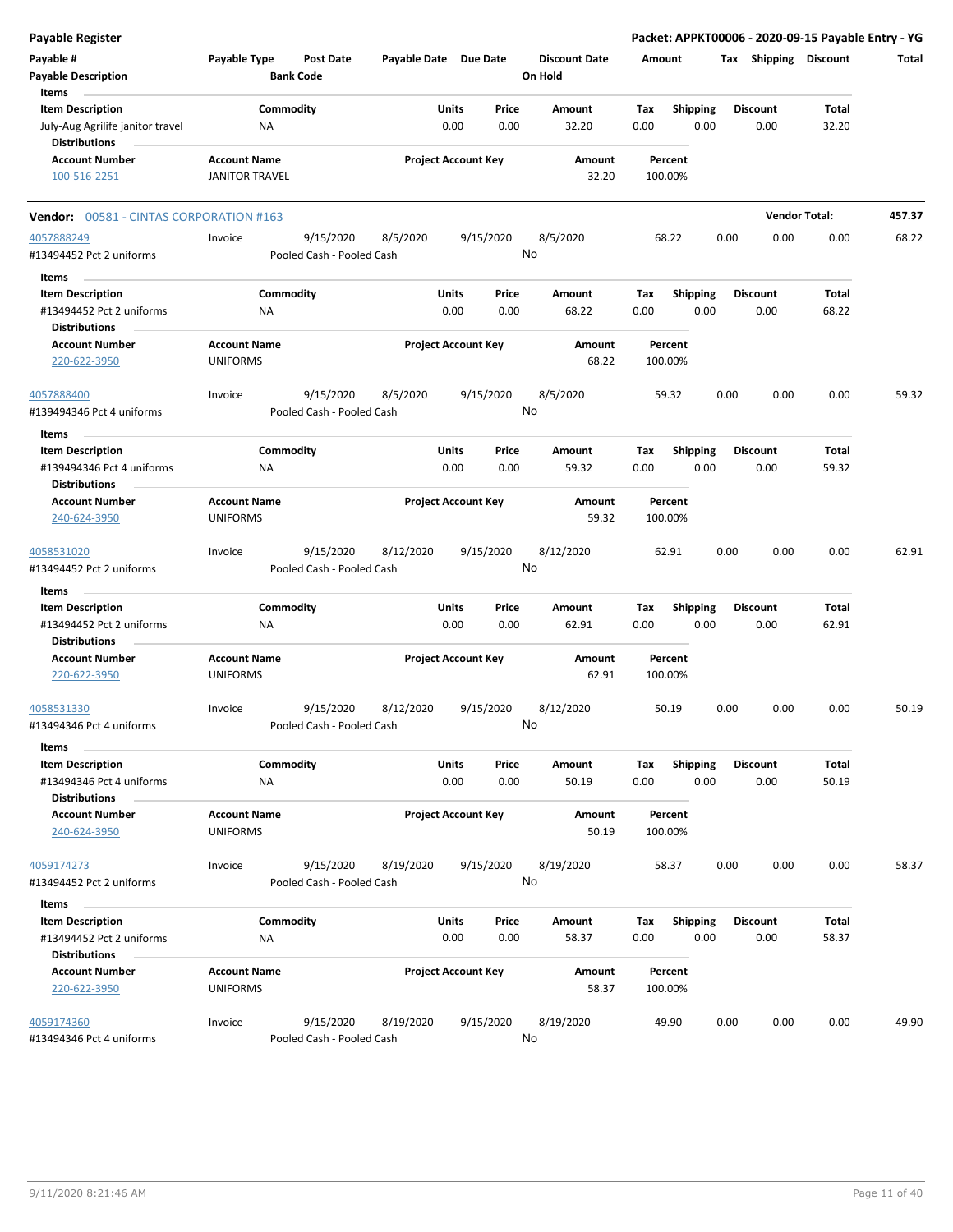| Payable Register                                         |                                        |                  |                                        |                       |       |                            |    |                                 |             |                         |      |                       | Packet: APPKT00006 - 2020-09-15 Payable Entry - YG |        |
|----------------------------------------------------------|----------------------------------------|------------------|----------------------------------------|-----------------------|-------|----------------------------|----|---------------------------------|-------------|-------------------------|------|-----------------------|----------------------------------------------------|--------|
| Payable #<br><b>Payable Description</b>                  | Payable Type                           | <b>Bank Code</b> | Post Date                              | Payable Date Due Date |       |                            |    | <b>Discount Date</b><br>On Hold | Amount      |                         |      | Tax Shipping Discount |                                                    | Total  |
| Items<br><b>Item Description</b>                         |                                        | Commodity        |                                        |                       | Units | Price                      |    | Amount                          |             |                         |      | <b>Discount</b>       | Total                                              |        |
| July-Aug Agrilife janitor travel<br><b>Distributions</b> |                                        | ΝA               |                                        |                       | 0.00  | 0.00                       |    | 32.20                           | Tax<br>0.00 | <b>Shipping</b><br>0.00 |      | 0.00                  | 32.20                                              |        |
| <b>Account Number</b>                                    | <b>Account Name</b>                    |                  |                                        |                       |       | <b>Project Account Key</b> |    | Amount                          |             | Percent                 |      |                       |                                                    |        |
| 100-516-2251                                             | <b>JANITOR TRAVEL</b>                  |                  |                                        |                       |       |                            |    | 32.20                           | 100.00%     |                         |      |                       |                                                    |        |
| <b>Vendor: 00581 - CINTAS CORPORATION #163</b>           |                                        |                  |                                        |                       |       |                            |    |                                 |             |                         |      | <b>Vendor Total:</b>  |                                                    | 457.37 |
| 4057888249                                               | Invoice                                |                  | 9/15/2020                              | 8/5/2020              |       | 9/15/2020                  |    | 8/5/2020                        |             | 68.22                   | 0.00 | 0.00                  | 0.00                                               | 68.22  |
| #13494452 Pct 2 uniforms                                 |                                        |                  | Pooled Cash - Pooled Cash              |                       |       |                            | No |                                 |             |                         |      |                       |                                                    |        |
| Items                                                    |                                        |                  |                                        |                       |       |                            |    |                                 |             |                         |      |                       |                                                    |        |
| <b>Item Description</b>                                  |                                        | Commodity        |                                        |                       | Units | Price                      |    | Amount                          | Tax         | <b>Shipping</b>         |      | <b>Discount</b>       | Total                                              |        |
| #13494452 Pct 2 uniforms<br><b>Distributions</b>         |                                        | <b>NA</b>        |                                        |                       | 0.00  | 0.00                       |    | 68.22                           | 0.00        | 0.00                    |      | 0.00                  | 68.22                                              |        |
| <b>Account Number</b><br>220-622-3950                    | <b>Account Name</b><br><b>UNIFORMS</b> |                  |                                        |                       |       | <b>Project Account Key</b> |    | Amount<br>68.22                 | 100.00%     | Percent                 |      |                       |                                                    |        |
| 4057888400<br>#139494346 Pct 4 uniforms                  | Invoice                                |                  | 9/15/2020<br>Pooled Cash - Pooled Cash | 8/5/2020              |       | 9/15/2020                  | No | 8/5/2020                        |             | 59.32                   | 0.00 | 0.00                  | 0.00                                               | 59.32  |
|                                                          |                                        |                  |                                        |                       |       |                            |    |                                 |             |                         |      |                       |                                                    |        |
| Items<br><b>Item Description</b>                         |                                        | Commodity        |                                        |                       | Units | Price                      |    | Amount                          | Tax         | <b>Shipping</b>         |      | <b>Discount</b>       | Total                                              |        |
| #139494346 Pct 4 uniforms                                |                                        | ΝA               |                                        |                       | 0.00  | 0.00                       |    | 59.32                           | 0.00        | 0.00                    |      | 0.00                  | 59.32                                              |        |
| <b>Distributions</b>                                     |                                        |                  |                                        |                       |       |                            |    |                                 |             |                         |      |                       |                                                    |        |
| <b>Account Number</b>                                    | <b>Account Name</b>                    |                  |                                        |                       |       | <b>Project Account Key</b> |    | Amount                          |             | Percent                 |      |                       |                                                    |        |
| 240-624-3950                                             | <b>UNIFORMS</b>                        |                  |                                        |                       |       |                            |    | 59.32                           | 100.00%     |                         |      |                       |                                                    |        |
| 4058531020<br>#13494452 Pct 2 uniforms                   | Invoice                                |                  | 9/15/2020<br>Pooled Cash - Pooled Cash | 8/12/2020             |       | 9/15/2020                  | No | 8/12/2020                       |             | 62.91                   | 0.00 | 0.00                  | 0.00                                               | 62.91  |
| Items                                                    |                                        |                  |                                        |                       |       |                            |    |                                 |             |                         |      |                       |                                                    |        |
| <b>Item Description</b>                                  |                                        | Commodity        |                                        |                       | Units | Price                      |    | Amount                          | Tax         | <b>Shipping</b>         |      | <b>Discount</b>       | Total                                              |        |
| #13494452 Pct 2 uniforms<br><b>Distributions</b>         |                                        | <b>NA</b>        |                                        |                       | 0.00  | 0.00                       |    | 62.91                           | 0.00        | 0.00                    |      | 0.00                  | 62.91                                              |        |
| <b>Account Number</b><br>220-622-3950                    | <b>Account Name</b><br><b>UNIFORMS</b> |                  |                                        |                       |       | <b>Project Account Key</b> |    | Amount<br>62.91                 | 100.00%     | Percent                 |      |                       |                                                    |        |
| 4058531330                                               | Invoice                                |                  | 9/15/2020                              | 8/12/2020             |       | 9/15/2020                  |    | 8/12/2020                       |             | 50.19                   | 0.00 | 0.00                  | 0.00                                               | 50.19  |
| #13494346 Pct 4 uniforms<br>Items                        |                                        |                  | Pooled Cash - Pooled Cash              |                       |       |                            | No |                                 |             |                         |      |                       |                                                    |        |
| <b>Item Description</b>                                  |                                        | Commodity        |                                        |                       | Units | Price                      |    | Amount                          | Tax         | Shipping                |      | <b>Discount</b>       | Total                                              |        |
| #13494346 Pct 4 uniforms<br><b>Distributions</b>         |                                        | NA               |                                        |                       | 0.00  | 0.00                       |    | 50.19                           | 0.00        | 0.00                    |      | 0.00                  | 50.19                                              |        |
| <b>Account Number</b><br>240-624-3950                    | <b>Account Name</b><br><b>UNIFORMS</b> |                  |                                        |                       |       | <b>Project Account Key</b> |    | Amount<br>50.19                 | 100.00%     | Percent                 |      |                       |                                                    |        |
|                                                          |                                        |                  |                                        |                       |       |                            |    |                                 |             |                         |      |                       |                                                    |        |
| 4059174273<br>#13494452 Pct 2 uniforms                   | Invoice                                |                  | 9/15/2020<br>Pooled Cash - Pooled Cash | 8/19/2020             |       | 9/15/2020                  | No | 8/19/2020                       |             | 58.37                   | 0.00 | 0.00                  | 0.00                                               | 58.37  |
| Items                                                    |                                        |                  |                                        |                       |       |                            |    |                                 |             |                         |      |                       |                                                    |        |
| <b>Item Description</b>                                  |                                        | Commodity        |                                        |                       | Units | Price                      |    | Amount                          | Tax         | Shipping                |      | <b>Discount</b>       | Total                                              |        |
| #13494452 Pct 2 uniforms<br><b>Distributions</b>         |                                        | NA               |                                        |                       | 0.00  | 0.00                       |    | 58.37                           | 0.00        | 0.00                    |      | 0.00                  | 58.37                                              |        |
| <b>Account Number</b><br>220-622-3950                    | <b>Account Name</b><br><b>UNIFORMS</b> |                  |                                        |                       |       | <b>Project Account Key</b> |    | Amount<br>58.37                 | 100.00%     | Percent                 |      |                       |                                                    |        |
| 4059174360<br>#13494346 Pct 4 uniforms                   | Invoice                                |                  | 9/15/2020<br>Pooled Cash - Pooled Cash | 8/19/2020             |       | 9/15/2020                  | No | 8/19/2020                       |             | 49.90                   | 0.00 | 0.00                  | 0.00                                               | 49.90  |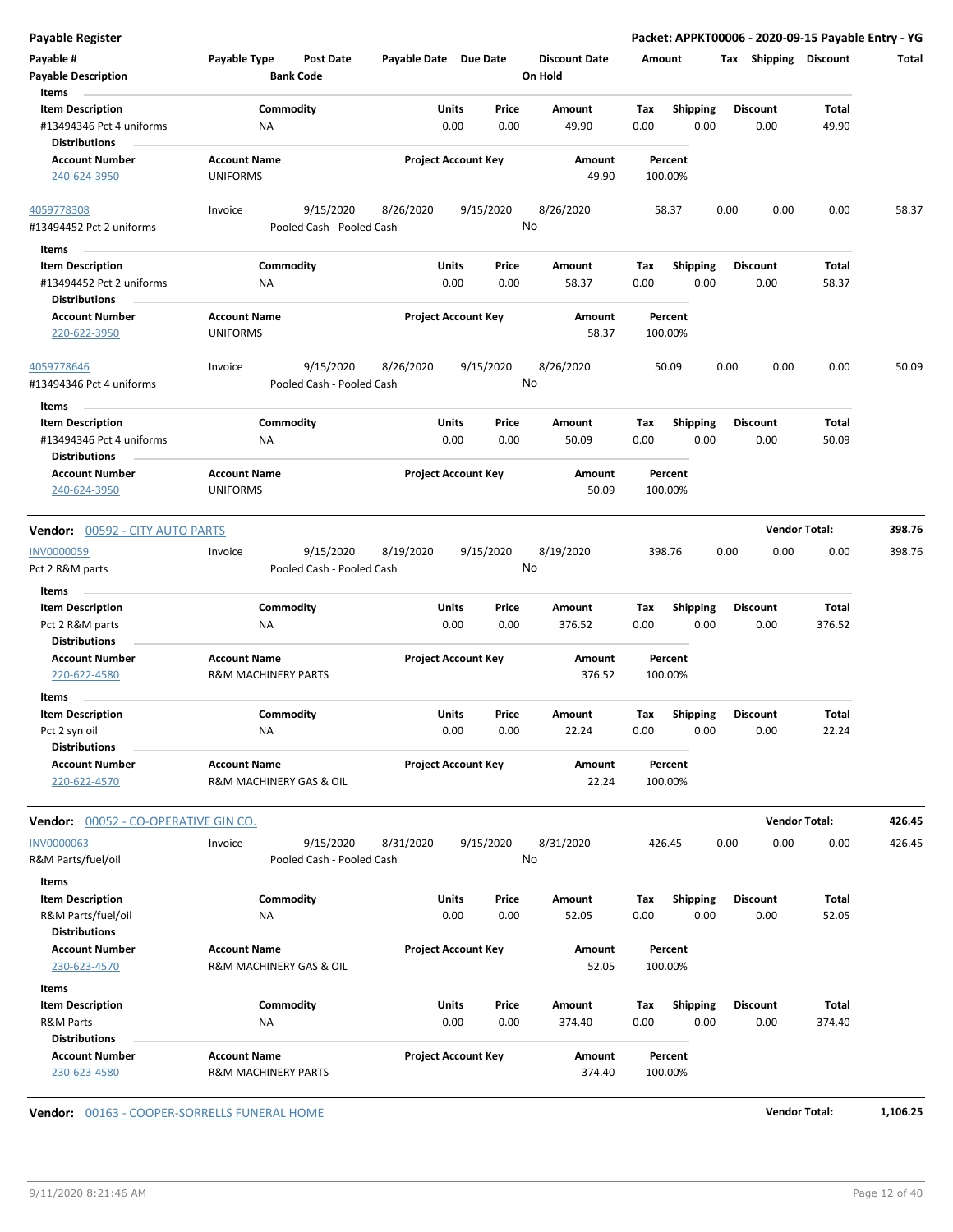| <b>Payable Register</b>                          |                                        |                                        |                            |       |           |                      |        |                    |      |                 | Packet: APPKT00006 - 2020-09-15 Payable Entry - YG |        |
|--------------------------------------------------|----------------------------------------|----------------------------------------|----------------------------|-------|-----------|----------------------|--------|--------------------|------|-----------------|----------------------------------------------------|--------|
| Payable #                                        | Payable Type                           | Post Date                              | Payable Date Due Date      |       |           | <b>Discount Date</b> | Amount |                    |      |                 | Tax Shipping Discount                              | Total  |
| <b>Payable Description</b>                       |                                        | <b>Bank Code</b>                       |                            |       |           | On Hold              |        |                    |      |                 |                                                    |        |
| Items                                            |                                        |                                        |                            |       |           |                      |        |                    |      |                 |                                                    |        |
| <b>Item Description</b>                          | Commodity                              |                                        |                            | Units | Price     | Amount               | Tax    | <b>Shipping</b>    |      | <b>Discount</b> | Total                                              |        |
| #13494346 Pct 4 uniforms<br><b>Distributions</b> | ΝA                                     |                                        |                            | 0.00  | 0.00      | 49.90                | 0.00   | 0.00               |      | 0.00            | 49.90                                              |        |
| <b>Account Number</b>                            | <b>Account Name</b>                    |                                        | <b>Project Account Key</b> |       |           | Amount               |        | Percent            |      |                 |                                                    |        |
| 240-624-3950                                     | <b>UNIFORMS</b>                        |                                        |                            |       |           | 49.90                |        | 100.00%            |      |                 |                                                    |        |
| 4059778308                                       | Invoice                                | 9/15/2020<br>Pooled Cash - Pooled Cash | 8/26/2020                  |       | 9/15/2020 | 8/26/2020<br>No      |        | 58.37              | 0.00 | 0.00            | 0.00                                               | 58.37  |
| #13494452 Pct 2 uniforms                         |                                        |                                        |                            |       |           |                      |        |                    |      |                 |                                                    |        |
| Items                                            |                                        |                                        |                            |       |           |                      |        |                    |      |                 |                                                    |        |
| <b>Item Description</b>                          | Commodity                              |                                        |                            | Units | Price     | Amount               | Tax    | <b>Shipping</b>    |      | <b>Discount</b> | Total                                              |        |
| #13494452 Pct 2 uniforms                         | ΝA                                     |                                        |                            | 0.00  | 0.00      | 58.37                | 0.00   | 0.00               |      | 0.00            | 58.37                                              |        |
| <b>Distributions</b>                             |                                        |                                        |                            |       |           |                      |        |                    |      |                 |                                                    |        |
| <b>Account Number</b><br>220-622-3950            | <b>Account Name</b><br><b>UNIFORMS</b> |                                        | <b>Project Account Key</b> |       |           | Amount<br>58.37      |        | Percent<br>100.00% |      |                 |                                                    |        |
|                                                  |                                        |                                        |                            |       |           |                      |        |                    |      |                 |                                                    |        |
| 4059778646<br>#13494346 Pct 4 uniforms           | Invoice                                | 9/15/2020<br>Pooled Cash - Pooled Cash | 8/26/2020                  |       | 9/15/2020 | 8/26/2020<br>No      |        | 50.09              | 0.00 | 0.00            | 0.00                                               | 50.09  |
|                                                  |                                        |                                        |                            |       |           |                      |        |                    |      |                 |                                                    |        |
| Items                                            |                                        |                                        |                            |       |           |                      |        |                    |      |                 |                                                    |        |
| <b>Item Description</b>                          | Commodity                              |                                        |                            | Units | Price     | Amount               | Tax    | <b>Shipping</b>    |      | <b>Discount</b> | Total                                              |        |
| #13494346 Pct 4 uniforms                         | NA                                     |                                        |                            | 0.00  | 0.00      | 50.09                | 0.00   | 0.00               |      | 0.00            | 50.09                                              |        |
| <b>Distributions</b>                             |                                        |                                        |                            |       |           |                      |        |                    |      |                 |                                                    |        |
| <b>Account Number</b>                            | <b>Account Name</b>                    |                                        | <b>Project Account Key</b> |       |           | Amount               |        | Percent            |      |                 |                                                    |        |
| 240-624-3950                                     | <b>UNIFORMS</b>                        |                                        |                            |       |           | 50.09                |        | 100.00%            |      |                 |                                                    |        |
| <b>Vendor: 00592 - CITY AUTO PARTS</b>           |                                        |                                        |                            |       |           |                      |        |                    |      |                 | <b>Vendor Total:</b>                               | 398.76 |
|                                                  |                                        |                                        |                            |       |           |                      |        |                    |      |                 |                                                    |        |
| INV0000059                                       | Invoice                                | 9/15/2020                              | 8/19/2020                  |       | 9/15/2020 | 8/19/2020<br>No      |        | 398.76             | 0.00 | 0.00            | 0.00                                               | 398.76 |
| Pct 2 R&M parts                                  |                                        | Pooled Cash - Pooled Cash              |                            |       |           |                      |        |                    |      |                 |                                                    |        |
| Items                                            |                                        |                                        |                            |       |           |                      |        |                    |      |                 |                                                    |        |
| <b>Item Description</b>                          | Commodity                              |                                        |                            | Units | Price     | Amount               | Tax    | <b>Shipping</b>    |      | <b>Discount</b> | <b>Total</b>                                       |        |
| Pct 2 R&M parts                                  | ΝA                                     |                                        |                            | 0.00  | 0.00      | 376.52               | 0.00   | 0.00               |      | 0.00            | 376.52                                             |        |
| <b>Distributions</b>                             |                                        |                                        |                            |       |           |                      |        |                    |      |                 |                                                    |        |
| <b>Account Number</b>                            | <b>Account Name</b>                    |                                        | <b>Project Account Key</b> |       |           | Amount               |        | Percent            |      |                 |                                                    |        |
| 220-622-4580                                     | <b>R&amp;M MACHINERY PARTS</b>         |                                        |                            |       |           | 376.52               |        | 100.00%            |      |                 |                                                    |        |
| Items                                            |                                        |                                        |                            |       |           |                      |        |                    |      |                 |                                                    |        |
| <b>Item Description</b>                          | Commodity                              |                                        |                            | Units | Price     | Amount               | Tax    | <b>Shipping</b>    |      | <b>Discount</b> | Total                                              |        |
| Pct 2 syn oil                                    | ΝA                                     |                                        |                            | 0.00  | 0.00      | 22.24                | 0.00   | 0.00               |      | 0.00            | 22.24                                              |        |
| <b>Distributions</b>                             |                                        |                                        |                            |       |           |                      |        |                    |      |                 |                                                    |        |
| <b>Account Number</b>                            | <b>Account Name</b>                    |                                        | <b>Project Account Key</b> |       |           | Amount               |        | Percent            |      |                 |                                                    |        |
| 220-622-4570                                     | <b>R&amp;M MACHINERY GAS &amp; OIL</b> |                                        |                            |       |           | 22.24                |        | 100.00%            |      |                 |                                                    |        |
| Vendor: 00052 - CO-OPERATIVE GIN CO.             |                                        |                                        |                            |       |           |                      |        |                    |      |                 | <b>Vendor Total:</b>                               | 426.45 |
|                                                  |                                        |                                        |                            |       |           |                      |        |                    |      |                 |                                                    |        |
| <b>INV0000063</b>                                | Invoice                                | 9/15/2020                              | 8/31/2020                  |       | 9/15/2020 | 8/31/2020            |        | 426.45             | 0.00 | 0.00            | 0.00                                               | 426.45 |
| R&M Parts/fuel/oil                               |                                        | Pooled Cash - Pooled Cash              |                            |       |           | No                   |        |                    |      |                 |                                                    |        |
| Items                                            |                                        |                                        |                            |       |           |                      |        |                    |      |                 |                                                    |        |
| <b>Item Description</b>                          | Commodity                              |                                        |                            | Units | Price     | Amount               | Tax    | <b>Shipping</b>    |      | <b>Discount</b> | <b>Total</b>                                       |        |
| R&M Parts/fuel/oil                               | NA                                     |                                        |                            | 0.00  | 0.00      | 52.05                | 0.00   | 0.00               |      | 0.00            | 52.05                                              |        |
| <b>Distributions</b>                             |                                        |                                        |                            |       |           |                      |        |                    |      |                 |                                                    |        |
| <b>Account Number</b>                            | <b>Account Name</b>                    |                                        | <b>Project Account Key</b> |       |           | Amount               |        | Percent            |      |                 |                                                    |        |
| 230-623-4570                                     | R&M MACHINERY GAS & OIL                |                                        |                            |       |           | 52.05                |        | 100.00%            |      |                 |                                                    |        |
| Items                                            |                                        |                                        |                            |       |           |                      |        |                    |      |                 |                                                    |        |
| <b>Item Description</b>                          | Commodity                              |                                        |                            | Units | Price     | Amount               | Tax    | <b>Shipping</b>    |      | <b>Discount</b> | <b>Total</b>                                       |        |
| R&M Parts                                        | NA                                     |                                        |                            | 0.00  | 0.00      | 374.40               | 0.00   | 0.00               |      | 0.00            | 374.40                                             |        |
| <b>Distributions</b>                             |                                        |                                        |                            |       |           |                      |        |                    |      |                 |                                                    |        |
| <b>Account Number</b>                            | <b>Account Name</b>                    |                                        | <b>Project Account Key</b> |       |           | Amount               |        | Percent            |      |                 |                                                    |        |
| 230-623-4580                                     | <b>R&amp;M MACHINERY PARTS</b>         |                                        |                            |       |           | 374.40               |        | 100.00%            |      |                 |                                                    |        |

**Vendor:** 00163 - COOPER-SORRELLS FUNERAL HOME **Vendor Total: 1,106.25**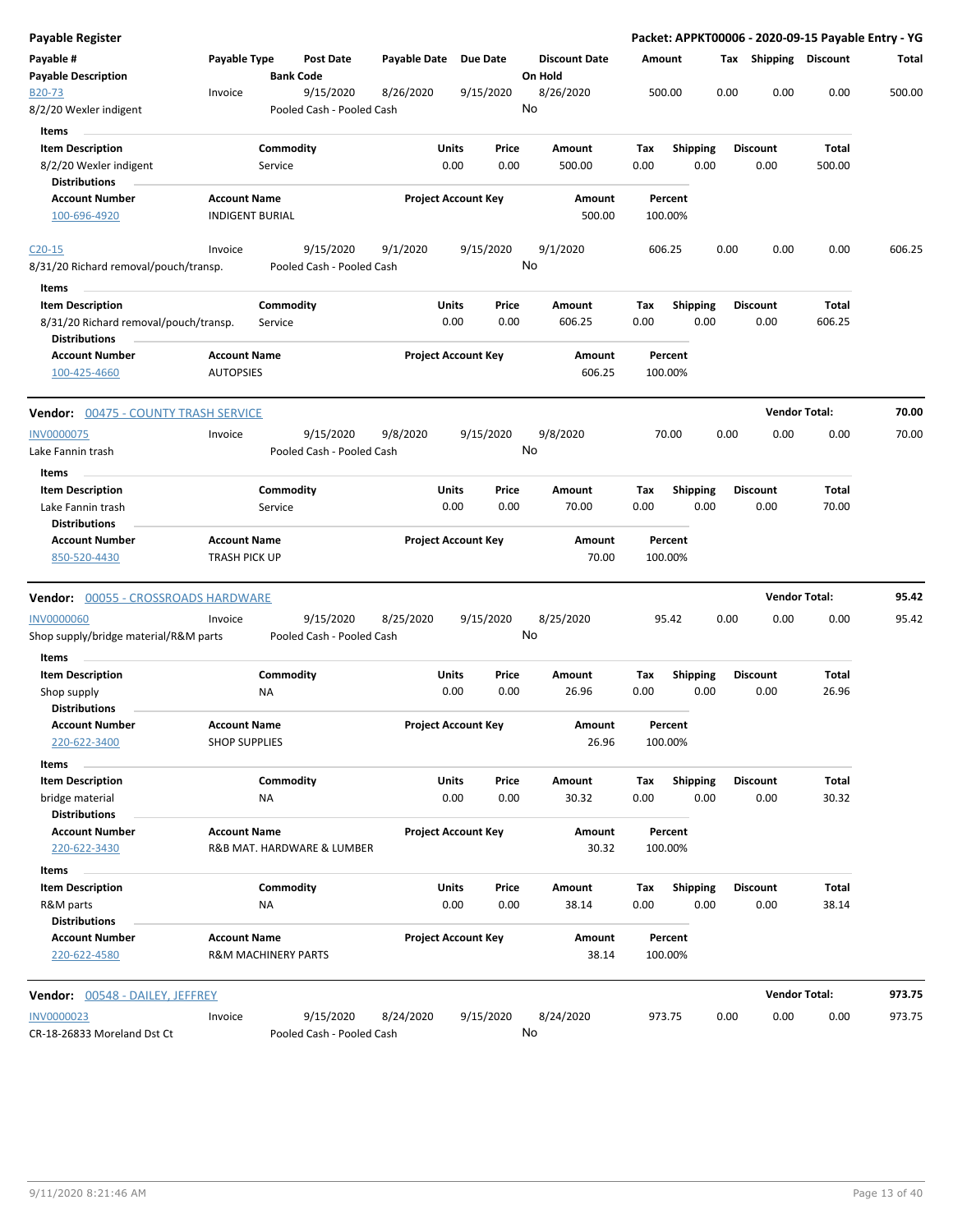| Payable Register                                              |                                                       |           |                                        |              |       |                            |       |                                 |        |                    |                 |      |                       | Packet: APPKT00006 - 2020-09-15 Payable Entry - YG |        |
|---------------------------------------------------------------|-------------------------------------------------------|-----------|----------------------------------------|--------------|-------|----------------------------|-------|---------------------------------|--------|--------------------|-----------------|------|-----------------------|----------------------------------------------------|--------|
| Payable #<br><b>Payable Description</b>                       | Payable Type                                          |           | Post Date<br><b>Bank Code</b>          | Payable Date |       | Due Date                   |       | <b>Discount Date</b><br>On Hold | Amount |                    |                 |      | Tax Shipping Discount |                                                    | Total  |
| B <sub>20</sub> -73<br>8/2/20 Wexler indigent                 | Invoice                                               |           | 9/15/2020<br>Pooled Cash - Pooled Cash | 8/26/2020    |       | 9/15/2020                  |       | 8/26/2020<br>No                 |        | 500.00             |                 | 0.00 | 0.00                  | 0.00                                               | 500.00 |
| Items                                                         |                                                       |           |                                        |              |       |                            |       |                                 |        |                    |                 |      |                       |                                                    |        |
| <b>Item Description</b>                                       |                                                       | Commodity |                                        |              | Units | Price                      |       | Amount                          | Tax    |                    | <b>Shipping</b> |      | <b>Discount</b>       | Total                                              |        |
| 8/2/20 Wexler indigent<br><b>Distributions</b>                |                                                       | Service   |                                        |              | 0.00  |                            | 0.00  | 500.00                          | 0.00   |                    | 0.00            |      | 0.00                  | 500.00                                             |        |
| <b>Account Number</b>                                         | <b>Account Name</b>                                   |           |                                        |              |       | <b>Project Account Key</b> |       | Amount                          |        | Percent            |                 |      |                       |                                                    |        |
| 100-696-4920                                                  | <b>INDIGENT BURIAL</b>                                |           |                                        |              |       |                            |       | 500.00                          |        | 100.00%            |                 |      |                       |                                                    |        |
| $C20-15$                                                      | Invoice                                               |           | 9/15/2020                              | 9/1/2020     |       | 9/15/2020                  |       | 9/1/2020                        |        | 606.25             |                 | 0.00 | 0.00                  | 0.00                                               | 606.25 |
| 8/31/20 Richard removal/pouch/transp.                         |                                                       |           | Pooled Cash - Pooled Cash              |              |       |                            |       | No                              |        |                    |                 |      |                       |                                                    |        |
| Items                                                         |                                                       |           |                                        |              |       |                            |       |                                 |        |                    |                 |      |                       |                                                    |        |
| <b>Item Description</b>                                       |                                                       | Commodity |                                        |              | Units | Price                      |       | Amount                          | Tax    |                    | Shipping        |      | <b>Discount</b>       | Total                                              |        |
| 8/31/20 Richard removal/pouch/transp.<br><b>Distributions</b> |                                                       | Service   |                                        |              | 0.00  |                            | 0.00  | 606.25                          | 0.00   |                    | 0.00            |      | 0.00                  | 606.25                                             |        |
| <b>Account Number</b><br>100-425-4660                         | <b>Account Name</b><br><b>AUTOPSIES</b>               |           |                                        |              |       | <b>Project Account Key</b> |       | Amount<br>606.25                |        | Percent<br>100.00% |                 |      |                       |                                                    |        |
| <b>Vendor:</b> 00475 - COUNTY TRASH SERVICE                   |                                                       |           |                                        |              |       |                            |       |                                 |        |                    |                 |      | <b>Vendor Total:</b>  |                                                    | 70.00  |
| <b>INV0000075</b>                                             | Invoice                                               |           | 9/15/2020                              | 9/8/2020     |       | 9/15/2020                  |       | 9/8/2020                        |        | 70.00              |                 | 0.00 | 0.00                  | 0.00                                               | 70.00  |
| Lake Fannin trash                                             |                                                       |           | Pooled Cash - Pooled Cash              |              |       |                            |       | No                              |        |                    |                 |      |                       |                                                    |        |
| Items                                                         |                                                       |           |                                        |              |       |                            |       |                                 |        |                    |                 |      |                       |                                                    |        |
| <b>Item Description</b>                                       |                                                       | Commodity |                                        |              | Units |                            | Price | Amount                          | Tax    |                    | <b>Shipping</b> |      | <b>Discount</b>       | <b>Total</b>                                       |        |
| Lake Fannin trash<br><b>Distributions</b>                     |                                                       | Service   |                                        |              | 0.00  |                            | 0.00  | 70.00                           | 0.00   |                    | 0.00            |      | 0.00                  | 70.00                                              |        |
| <b>Account Number</b><br>850-520-4430                         | <b>Account Name</b><br><b>TRASH PICK UP</b>           |           |                                        |              |       | <b>Project Account Key</b> |       | Amount<br>70.00                 |        | Percent<br>100.00% |                 |      |                       |                                                    |        |
| <b>Vendor: 00055 - CROSSROADS HARDWARE</b>                    |                                                       |           |                                        |              |       |                            |       |                                 |        |                    |                 |      | <b>Vendor Total:</b>  |                                                    | 95.42  |
| <b>INV0000060</b>                                             | Invoice                                               |           | 9/15/2020                              | 8/25/2020    |       | 9/15/2020                  |       | 8/25/2020                       |        | 95.42              |                 | 0.00 | 0.00                  | 0.00                                               | 95.42  |
| Shop supply/bridge material/R&M parts<br>Items                |                                                       |           | Pooled Cash - Pooled Cash              |              |       |                            |       | No                              |        |                    |                 |      |                       |                                                    |        |
| <b>Item Description</b>                                       |                                                       | Commodity |                                        |              | Units |                            | Price | Amount                          | Tax    |                    | <b>Shipping</b> |      | <b>Discount</b>       | <b>Total</b>                                       |        |
| Shop supply                                                   |                                                       | ΝA        |                                        |              | 0.00  |                            | 0.00  | 26.96                           | 0.00   |                    | 0.00            |      | 0.00                  | 26.96                                              |        |
| <b>Distributions</b>                                          |                                                       |           |                                        |              |       |                            |       |                                 |        |                    |                 |      |                       |                                                    |        |
| <b>Account Number</b><br>220-622-3400                         | <b>Account Name</b><br><b>SHOP SUPPLIES</b>           |           |                                        |              |       | <b>Project Account Key</b> |       | Amount<br>26.96                 |        | Percent<br>100.00% |                 |      |                       |                                                    |        |
| Items                                                         |                                                       |           |                                        |              |       |                            |       |                                 |        |                    |                 |      |                       |                                                    |        |
| <b>Item Description</b>                                       |                                                       | Commodity |                                        |              | Units |                            | Price | Amount                          | Tax    |                    | Shipping        |      | <b>Discount</b>       | Total                                              |        |
| bridge material<br><b>Distributions</b>                       |                                                       | <b>NA</b> |                                        |              | 0.00  |                            | 0.00  | 30.32                           | 0.00   |                    | 0.00            |      | 0.00                  | 30.32                                              |        |
| <b>Account Number</b><br>220-622-3430                         | <b>Account Name</b>                                   |           | R&B MAT. HARDWARE & LUMBER             |              |       | <b>Project Account Key</b> |       | Amount<br>30.32                 |        | Percent<br>100.00% |                 |      |                       |                                                    |        |
| Items                                                         |                                                       |           |                                        |              |       |                            |       |                                 |        |                    |                 |      |                       |                                                    |        |
| <b>Item Description</b>                                       |                                                       | Commodity |                                        |              | Units | Price                      |       | Amount                          | Tax    |                    | <b>Shipping</b> |      | <b>Discount</b>       | Total                                              |        |
| R&M parts<br><b>Distributions</b>                             |                                                       | NA        |                                        |              | 0.00  |                            | 0.00  | 38.14                           | 0.00   |                    | 0.00            |      | 0.00                  | 38.14                                              |        |
| <b>Account Number</b><br>220-622-4580                         | <b>Account Name</b><br><b>R&amp;M MACHINERY PARTS</b> |           |                                        |              |       | <b>Project Account Key</b> |       | Amount<br>38.14                 |        | Percent<br>100.00% |                 |      |                       |                                                    |        |
| Vendor: 00548 - DAILEY, JEFFREY                               |                                                       |           |                                        |              |       |                            |       |                                 |        |                    |                 |      | <b>Vendor Total:</b>  |                                                    | 973.75 |
| INV0000023<br>CR-18-26833 Moreland Dst Ct                     | Invoice                                               |           | 9/15/2020<br>Pooled Cash - Pooled Cash | 8/24/2020    |       | 9/15/2020                  |       | 8/24/2020<br>No                 |        | 973.75             |                 | 0.00 | 0.00                  | 0.00                                               | 973.75 |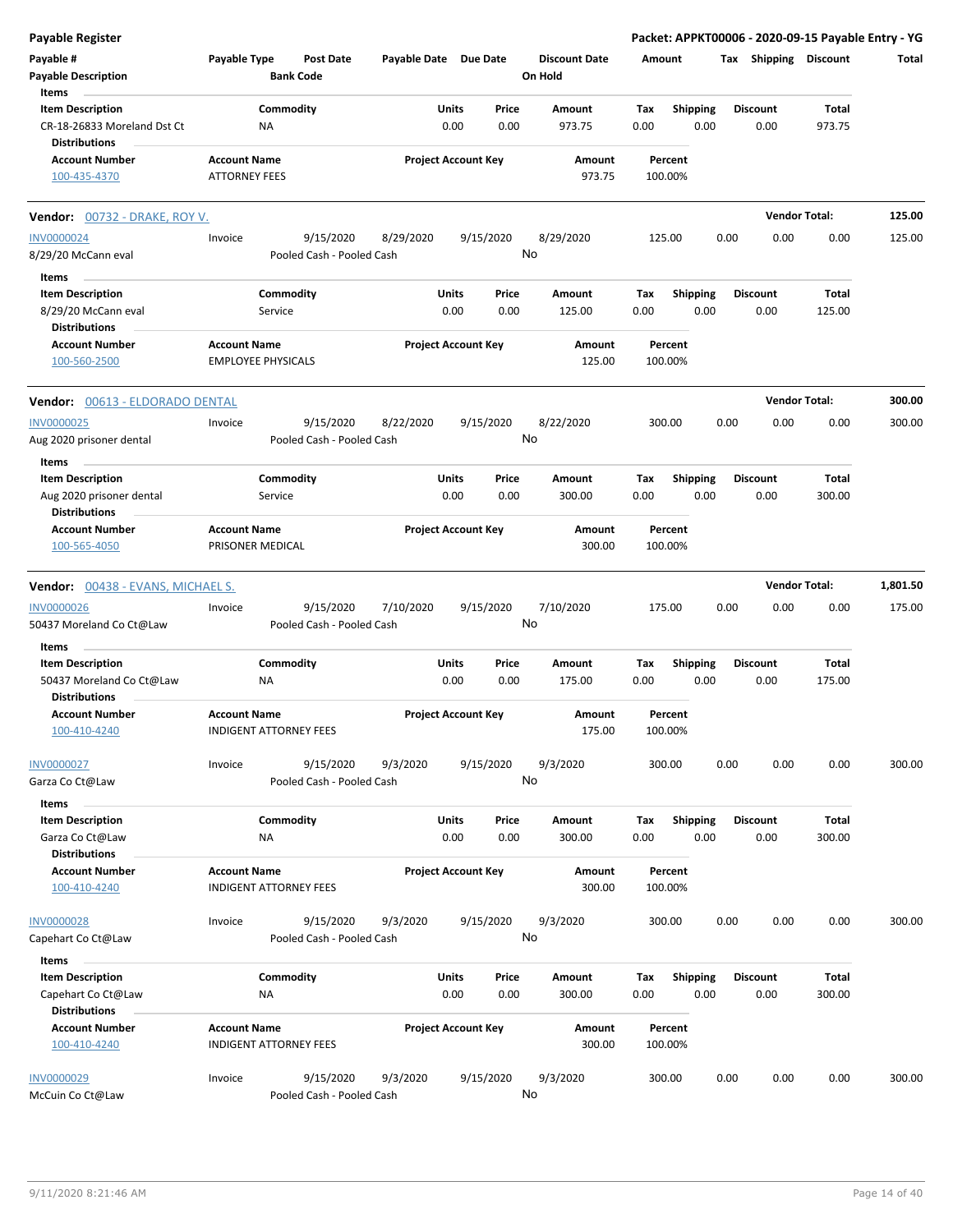| Payable #<br>Payable Type<br><b>Post Date</b><br>Payable Date Due Date<br><b>Discount Date</b><br>Tax Shipping Discount<br>Amount<br>Total<br><b>Bank Code</b><br>On Hold<br><b>Payable Description</b><br>Items<br><b>Item Description</b><br>Commodity<br>Units<br>Price<br><b>Shipping</b><br>Total<br>Amount<br>Tax<br><b>Discount</b><br>0.00<br>0.00<br>973.75<br>0.00<br>0.00<br>0.00<br>973.75<br>CR-18-26833 Moreland Dst Ct<br>ΝA<br><b>Distributions</b><br><b>Project Account Key</b><br><b>Account Number</b><br><b>Account Name</b><br>Amount<br>Percent<br><b>ATTORNEY FEES</b><br>973.75<br>100-435-4370<br>100.00%<br><b>Vendor Total:</b><br>125.00<br><b>Vendor:</b> 00732 - DRAKE, ROY V.<br><b>INV0000024</b><br>9/15/2020<br>8/29/2020<br>9/15/2020<br>8/29/2020<br>125.00<br>0.00<br>0.00<br>0.00<br>125.00<br>Invoice<br>No<br>8/29/20 McCann eval<br>Pooled Cash - Pooled Cash<br>Items<br>Commodity<br>Units<br>Shipping<br>Total<br><b>Item Description</b><br>Price<br>Amount<br>Tax<br><b>Discount</b><br>0.00<br>8/29/20 McCann eval<br>0.00<br>0.00<br>125.00<br>0.00<br>0.00<br>125.00<br>Service<br><b>Distributions</b><br><b>Project Account Key</b><br><b>Account Number</b><br><b>Account Name</b><br>Amount<br>Percent<br><b>EMPLOYEE PHYSICALS</b><br>125.00<br>100-560-2500<br>100.00%<br><b>Vendor Total:</b><br>300.00<br>Vendor: 00613 - ELDORADO DENTAL<br>9/15/2020<br>9/15/2020<br>0.00<br>0.00<br><b>INV0000025</b><br>8/22/2020<br>8/22/2020<br>300.00<br>0.00<br>300.00<br>Invoice<br>No<br>Pooled Cash - Pooled Cash<br>Aug 2020 prisoner dental<br>Items<br><b>Item Description</b><br>Commodity<br>Units<br>Price<br>Amount<br>Tax<br><b>Shipping</b><br><b>Discount</b><br>Total<br>0.00<br>0.00<br>300.00<br>0.00<br>0.00<br>0.00<br>300.00<br>Aug 2020 prisoner dental<br>Service<br><b>Distributions</b><br><b>Project Account Key</b><br><b>Account Number</b><br><b>Account Name</b><br>Amount<br>Percent<br>100-565-4050<br>PRISONER MEDICAL<br>300.00<br>100.00%<br><b>Vendor Total:</b><br>1,801.50<br><b>Vendor: 00438 - EVANS, MICHAEL S.</b><br>9/15/2020<br>9/15/2020<br>7/10/2020<br>175.00<br>0.00<br>0.00<br>175.00<br><b>INV0000026</b><br>Invoice<br>7/10/2020<br>0.00<br>No<br>50437 Moreland Co Ct@Law<br>Pooled Cash - Pooled Cash<br>Items<br>Commodity<br>Units<br><b>Item Description</b><br>Price<br>Amount<br>Tax<br><b>Shipping</b><br><b>Discount</b><br>Total<br>0.00<br>0.00<br>0.00<br>0.00<br>0.00<br>175.00<br>50437 Moreland Co Ct@Law<br>175.00<br>ΝA<br><b>Distributions</b><br><b>Account Number</b><br><b>Account Name</b><br><b>Project Account Key</b><br>Amount<br>Percent<br>175.00<br>100-410-4240<br>INDIGENT ATTORNEY FEES<br>100.00%<br>9/15/2020<br>300.00<br>0.00<br>0.00<br>0.00<br>300.00<br>INV0000027<br>9/15/2020<br>9/3/2020<br>9/3/2020<br>Invoice | <b>Payable Register</b> |
|---------------------------------------------------------------------------------------------------------------------------------------------------------------------------------------------------------------------------------------------------------------------------------------------------------------------------------------------------------------------------------------------------------------------------------------------------------------------------------------------------------------------------------------------------------------------------------------------------------------------------------------------------------------------------------------------------------------------------------------------------------------------------------------------------------------------------------------------------------------------------------------------------------------------------------------------------------------------------------------------------------------------------------------------------------------------------------------------------------------------------------------------------------------------------------------------------------------------------------------------------------------------------------------------------------------------------------------------------------------------------------------------------------------------------------------------------------------------------------------------------------------------------------------------------------------------------------------------------------------------------------------------------------------------------------------------------------------------------------------------------------------------------------------------------------------------------------------------------------------------------------------------------------------------------------------------------------------------------------------------------------------------------------------------------------------------------------------------------------------------------------------------------------------------------------------------------------------------------------------------------------------------------------------------------------------------------------------------------------------------------------------------------------------------------------------------------------------------------------------------------------------------------------------------------------------------------------------------------------------------------------------------------------------------------------------------------------------------------------------------------------------------------------------------------------------------------------------------------------------|-------------------------|
|                                                                                                                                                                                                                                                                                                                                                                                                                                                                                                                                                                                                                                                                                                                                                                                                                                                                                                                                                                                                                                                                                                                                                                                                                                                                                                                                                                                                                                                                                                                                                                                                                                                                                                                                                                                                                                                                                                                                                                                                                                                                                                                                                                                                                                                                                                                                                                                                                                                                                                                                                                                                                                                                                                                                                                                                                                                               |                         |
|                                                                                                                                                                                                                                                                                                                                                                                                                                                                                                                                                                                                                                                                                                                                                                                                                                                                                                                                                                                                                                                                                                                                                                                                                                                                                                                                                                                                                                                                                                                                                                                                                                                                                                                                                                                                                                                                                                                                                                                                                                                                                                                                                                                                                                                                                                                                                                                                                                                                                                                                                                                                                                                                                                                                                                                                                                                               |                         |
|                                                                                                                                                                                                                                                                                                                                                                                                                                                                                                                                                                                                                                                                                                                                                                                                                                                                                                                                                                                                                                                                                                                                                                                                                                                                                                                                                                                                                                                                                                                                                                                                                                                                                                                                                                                                                                                                                                                                                                                                                                                                                                                                                                                                                                                                                                                                                                                                                                                                                                                                                                                                                                                                                                                                                                                                                                                               |                         |
|                                                                                                                                                                                                                                                                                                                                                                                                                                                                                                                                                                                                                                                                                                                                                                                                                                                                                                                                                                                                                                                                                                                                                                                                                                                                                                                                                                                                                                                                                                                                                                                                                                                                                                                                                                                                                                                                                                                                                                                                                                                                                                                                                                                                                                                                                                                                                                                                                                                                                                                                                                                                                                                                                                                                                                                                                                                               |                         |
|                                                                                                                                                                                                                                                                                                                                                                                                                                                                                                                                                                                                                                                                                                                                                                                                                                                                                                                                                                                                                                                                                                                                                                                                                                                                                                                                                                                                                                                                                                                                                                                                                                                                                                                                                                                                                                                                                                                                                                                                                                                                                                                                                                                                                                                                                                                                                                                                                                                                                                                                                                                                                                                                                                                                                                                                                                                               |                         |
|                                                                                                                                                                                                                                                                                                                                                                                                                                                                                                                                                                                                                                                                                                                                                                                                                                                                                                                                                                                                                                                                                                                                                                                                                                                                                                                                                                                                                                                                                                                                                                                                                                                                                                                                                                                                                                                                                                                                                                                                                                                                                                                                                                                                                                                                                                                                                                                                                                                                                                                                                                                                                                                                                                                                                                                                                                                               |                         |
|                                                                                                                                                                                                                                                                                                                                                                                                                                                                                                                                                                                                                                                                                                                                                                                                                                                                                                                                                                                                                                                                                                                                                                                                                                                                                                                                                                                                                                                                                                                                                                                                                                                                                                                                                                                                                                                                                                                                                                                                                                                                                                                                                                                                                                                                                                                                                                                                                                                                                                                                                                                                                                                                                                                                                                                                                                                               |                         |
|                                                                                                                                                                                                                                                                                                                                                                                                                                                                                                                                                                                                                                                                                                                                                                                                                                                                                                                                                                                                                                                                                                                                                                                                                                                                                                                                                                                                                                                                                                                                                                                                                                                                                                                                                                                                                                                                                                                                                                                                                                                                                                                                                                                                                                                                                                                                                                                                                                                                                                                                                                                                                                                                                                                                                                                                                                                               |                         |
|                                                                                                                                                                                                                                                                                                                                                                                                                                                                                                                                                                                                                                                                                                                                                                                                                                                                                                                                                                                                                                                                                                                                                                                                                                                                                                                                                                                                                                                                                                                                                                                                                                                                                                                                                                                                                                                                                                                                                                                                                                                                                                                                                                                                                                                                                                                                                                                                                                                                                                                                                                                                                                                                                                                                                                                                                                                               |                         |
|                                                                                                                                                                                                                                                                                                                                                                                                                                                                                                                                                                                                                                                                                                                                                                                                                                                                                                                                                                                                                                                                                                                                                                                                                                                                                                                                                                                                                                                                                                                                                                                                                                                                                                                                                                                                                                                                                                                                                                                                                                                                                                                                                                                                                                                                                                                                                                                                                                                                                                                                                                                                                                                                                                                                                                                                                                                               |                         |
|                                                                                                                                                                                                                                                                                                                                                                                                                                                                                                                                                                                                                                                                                                                                                                                                                                                                                                                                                                                                                                                                                                                                                                                                                                                                                                                                                                                                                                                                                                                                                                                                                                                                                                                                                                                                                                                                                                                                                                                                                                                                                                                                                                                                                                                                                                                                                                                                                                                                                                                                                                                                                                                                                                                                                                                                                                                               |                         |
|                                                                                                                                                                                                                                                                                                                                                                                                                                                                                                                                                                                                                                                                                                                                                                                                                                                                                                                                                                                                                                                                                                                                                                                                                                                                                                                                                                                                                                                                                                                                                                                                                                                                                                                                                                                                                                                                                                                                                                                                                                                                                                                                                                                                                                                                                                                                                                                                                                                                                                                                                                                                                                                                                                                                                                                                                                                               |                         |
|                                                                                                                                                                                                                                                                                                                                                                                                                                                                                                                                                                                                                                                                                                                                                                                                                                                                                                                                                                                                                                                                                                                                                                                                                                                                                                                                                                                                                                                                                                                                                                                                                                                                                                                                                                                                                                                                                                                                                                                                                                                                                                                                                                                                                                                                                                                                                                                                                                                                                                                                                                                                                                                                                                                                                                                                                                                               |                         |
|                                                                                                                                                                                                                                                                                                                                                                                                                                                                                                                                                                                                                                                                                                                                                                                                                                                                                                                                                                                                                                                                                                                                                                                                                                                                                                                                                                                                                                                                                                                                                                                                                                                                                                                                                                                                                                                                                                                                                                                                                                                                                                                                                                                                                                                                                                                                                                                                                                                                                                                                                                                                                                                                                                                                                                                                                                                               |                         |
|                                                                                                                                                                                                                                                                                                                                                                                                                                                                                                                                                                                                                                                                                                                                                                                                                                                                                                                                                                                                                                                                                                                                                                                                                                                                                                                                                                                                                                                                                                                                                                                                                                                                                                                                                                                                                                                                                                                                                                                                                                                                                                                                                                                                                                                                                                                                                                                                                                                                                                                                                                                                                                                                                                                                                                                                                                                               |                         |
|                                                                                                                                                                                                                                                                                                                                                                                                                                                                                                                                                                                                                                                                                                                                                                                                                                                                                                                                                                                                                                                                                                                                                                                                                                                                                                                                                                                                                                                                                                                                                                                                                                                                                                                                                                                                                                                                                                                                                                                                                                                                                                                                                                                                                                                                                                                                                                                                                                                                                                                                                                                                                                                                                                                                                                                                                                                               |                         |
|                                                                                                                                                                                                                                                                                                                                                                                                                                                                                                                                                                                                                                                                                                                                                                                                                                                                                                                                                                                                                                                                                                                                                                                                                                                                                                                                                                                                                                                                                                                                                                                                                                                                                                                                                                                                                                                                                                                                                                                                                                                                                                                                                                                                                                                                                                                                                                                                                                                                                                                                                                                                                                                                                                                                                                                                                                                               |                         |
|                                                                                                                                                                                                                                                                                                                                                                                                                                                                                                                                                                                                                                                                                                                                                                                                                                                                                                                                                                                                                                                                                                                                                                                                                                                                                                                                                                                                                                                                                                                                                                                                                                                                                                                                                                                                                                                                                                                                                                                                                                                                                                                                                                                                                                                                                                                                                                                                                                                                                                                                                                                                                                                                                                                                                                                                                                                               |                         |
|                                                                                                                                                                                                                                                                                                                                                                                                                                                                                                                                                                                                                                                                                                                                                                                                                                                                                                                                                                                                                                                                                                                                                                                                                                                                                                                                                                                                                                                                                                                                                                                                                                                                                                                                                                                                                                                                                                                                                                                                                                                                                                                                                                                                                                                                                                                                                                                                                                                                                                                                                                                                                                                                                                                                                                                                                                                               |                         |
|                                                                                                                                                                                                                                                                                                                                                                                                                                                                                                                                                                                                                                                                                                                                                                                                                                                                                                                                                                                                                                                                                                                                                                                                                                                                                                                                                                                                                                                                                                                                                                                                                                                                                                                                                                                                                                                                                                                                                                                                                                                                                                                                                                                                                                                                                                                                                                                                                                                                                                                                                                                                                                                                                                                                                                                                                                                               |                         |
|                                                                                                                                                                                                                                                                                                                                                                                                                                                                                                                                                                                                                                                                                                                                                                                                                                                                                                                                                                                                                                                                                                                                                                                                                                                                                                                                                                                                                                                                                                                                                                                                                                                                                                                                                                                                                                                                                                                                                                                                                                                                                                                                                                                                                                                                                                                                                                                                                                                                                                                                                                                                                                                                                                                                                                                                                                                               |                         |
|                                                                                                                                                                                                                                                                                                                                                                                                                                                                                                                                                                                                                                                                                                                                                                                                                                                                                                                                                                                                                                                                                                                                                                                                                                                                                                                                                                                                                                                                                                                                                                                                                                                                                                                                                                                                                                                                                                                                                                                                                                                                                                                                                                                                                                                                                                                                                                                                                                                                                                                                                                                                                                                                                                                                                                                                                                                               |                         |
|                                                                                                                                                                                                                                                                                                                                                                                                                                                                                                                                                                                                                                                                                                                                                                                                                                                                                                                                                                                                                                                                                                                                                                                                                                                                                                                                                                                                                                                                                                                                                                                                                                                                                                                                                                                                                                                                                                                                                                                                                                                                                                                                                                                                                                                                                                                                                                                                                                                                                                                                                                                                                                                                                                                                                                                                                                                               |                         |
|                                                                                                                                                                                                                                                                                                                                                                                                                                                                                                                                                                                                                                                                                                                                                                                                                                                                                                                                                                                                                                                                                                                                                                                                                                                                                                                                                                                                                                                                                                                                                                                                                                                                                                                                                                                                                                                                                                                                                                                                                                                                                                                                                                                                                                                                                                                                                                                                                                                                                                                                                                                                                                                                                                                                                                                                                                                               |                         |
|                                                                                                                                                                                                                                                                                                                                                                                                                                                                                                                                                                                                                                                                                                                                                                                                                                                                                                                                                                                                                                                                                                                                                                                                                                                                                                                                                                                                                                                                                                                                                                                                                                                                                                                                                                                                                                                                                                                                                                                                                                                                                                                                                                                                                                                                                                                                                                                                                                                                                                                                                                                                                                                                                                                                                                                                                                                               |                         |
|                                                                                                                                                                                                                                                                                                                                                                                                                                                                                                                                                                                                                                                                                                                                                                                                                                                                                                                                                                                                                                                                                                                                                                                                                                                                                                                                                                                                                                                                                                                                                                                                                                                                                                                                                                                                                                                                                                                                                                                                                                                                                                                                                                                                                                                                                                                                                                                                                                                                                                                                                                                                                                                                                                                                                                                                                                                               |                         |
|                                                                                                                                                                                                                                                                                                                                                                                                                                                                                                                                                                                                                                                                                                                                                                                                                                                                                                                                                                                                                                                                                                                                                                                                                                                                                                                                                                                                                                                                                                                                                                                                                                                                                                                                                                                                                                                                                                                                                                                                                                                                                                                                                                                                                                                                                                                                                                                                                                                                                                                                                                                                                                                                                                                                                                                                                                                               |                         |
|                                                                                                                                                                                                                                                                                                                                                                                                                                                                                                                                                                                                                                                                                                                                                                                                                                                                                                                                                                                                                                                                                                                                                                                                                                                                                                                                                                                                                                                                                                                                                                                                                                                                                                                                                                                                                                                                                                                                                                                                                                                                                                                                                                                                                                                                                                                                                                                                                                                                                                                                                                                                                                                                                                                                                                                                                                                               |                         |
| No<br>Garza Co Ct@Law<br>Pooled Cash - Pooled Cash                                                                                                                                                                                                                                                                                                                                                                                                                                                                                                                                                                                                                                                                                                                                                                                                                                                                                                                                                                                                                                                                                                                                                                                                                                                                                                                                                                                                                                                                                                                                                                                                                                                                                                                                                                                                                                                                                                                                                                                                                                                                                                                                                                                                                                                                                                                                                                                                                                                                                                                                                                                                                                                                                                                                                                                                            |                         |
| Items                                                                                                                                                                                                                                                                                                                                                                                                                                                                                                                                                                                                                                                                                                                                                                                                                                                                                                                                                                                                                                                                                                                                                                                                                                                                                                                                                                                                                                                                                                                                                                                                                                                                                                                                                                                                                                                                                                                                                                                                                                                                                                                                                                                                                                                                                                                                                                                                                                                                                                                                                                                                                                                                                                                                                                                                                                                         |                         |
| <b>Item Description</b><br>Commodity<br>Units<br><b>Shipping</b><br>Price<br>Amount<br>Tax<br>Discount<br>Total<br>0.00<br>0.00<br>0.00<br>Garza Co Ct@Law<br>ΝA<br>0.00<br>300.00<br>0.00<br>300.00                                                                                                                                                                                                                                                                                                                                                                                                                                                                                                                                                                                                                                                                                                                                                                                                                                                                                                                                                                                                                                                                                                                                                                                                                                                                                                                                                                                                                                                                                                                                                                                                                                                                                                                                                                                                                                                                                                                                                                                                                                                                                                                                                                                                                                                                                                                                                                                                                                                                                                                                                                                                                                                          |                         |
| <b>Distributions</b>                                                                                                                                                                                                                                                                                                                                                                                                                                                                                                                                                                                                                                                                                                                                                                                                                                                                                                                                                                                                                                                                                                                                                                                                                                                                                                                                                                                                                                                                                                                                                                                                                                                                                                                                                                                                                                                                                                                                                                                                                                                                                                                                                                                                                                                                                                                                                                                                                                                                                                                                                                                                                                                                                                                                                                                                                                          |                         |
| <b>Account Number</b><br><b>Account Name</b><br><b>Project Account Key</b><br>Amount<br>Percent<br><b>INDIGENT ATTORNEY FEES</b><br>300.00<br>100.00%<br>100-410-4240                                                                                                                                                                                                                                                                                                                                                                                                                                                                                                                                                                                                                                                                                                                                                                                                                                                                                                                                                                                                                                                                                                                                                                                                                                                                                                                                                                                                                                                                                                                                                                                                                                                                                                                                                                                                                                                                                                                                                                                                                                                                                                                                                                                                                                                                                                                                                                                                                                                                                                                                                                                                                                                                                         |                         |
| <b>INV0000028</b><br>Invoice<br>9/15/2020<br>9/3/2020<br>9/15/2020<br>9/3/2020<br>300.00<br>0.00<br>0.00<br>0.00<br>300.00                                                                                                                                                                                                                                                                                                                                                                                                                                                                                                                                                                                                                                                                                                                                                                                                                                                                                                                                                                                                                                                                                                                                                                                                                                                                                                                                                                                                                                                                                                                                                                                                                                                                                                                                                                                                                                                                                                                                                                                                                                                                                                                                                                                                                                                                                                                                                                                                                                                                                                                                                                                                                                                                                                                                    |                         |
| No<br>Capehart Co Ct@Law<br>Pooled Cash - Pooled Cash                                                                                                                                                                                                                                                                                                                                                                                                                                                                                                                                                                                                                                                                                                                                                                                                                                                                                                                                                                                                                                                                                                                                                                                                                                                                                                                                                                                                                                                                                                                                                                                                                                                                                                                                                                                                                                                                                                                                                                                                                                                                                                                                                                                                                                                                                                                                                                                                                                                                                                                                                                                                                                                                                                                                                                                                         |                         |
| Items                                                                                                                                                                                                                                                                                                                                                                                                                                                                                                                                                                                                                                                                                                                                                                                                                                                                                                                                                                                                                                                                                                                                                                                                                                                                                                                                                                                                                                                                                                                                                                                                                                                                                                                                                                                                                                                                                                                                                                                                                                                                                                                                                                                                                                                                                                                                                                                                                                                                                                                                                                                                                                                                                                                                                                                                                                                         |                         |
| <b>Item Description</b><br>Commodity<br>Units<br>Price<br>Amount<br>Tax<br><b>Shipping</b><br><b>Discount</b><br>Total<br>0.00<br>0.00<br>0.00<br>0.00<br>Capehart Co Ct@Law<br>NA<br>300.00<br>0.00<br>300.00                                                                                                                                                                                                                                                                                                                                                                                                                                                                                                                                                                                                                                                                                                                                                                                                                                                                                                                                                                                                                                                                                                                                                                                                                                                                                                                                                                                                                                                                                                                                                                                                                                                                                                                                                                                                                                                                                                                                                                                                                                                                                                                                                                                                                                                                                                                                                                                                                                                                                                                                                                                                                                                |                         |
| <b>Distributions</b>                                                                                                                                                                                                                                                                                                                                                                                                                                                                                                                                                                                                                                                                                                                                                                                                                                                                                                                                                                                                                                                                                                                                                                                                                                                                                                                                                                                                                                                                                                                                                                                                                                                                                                                                                                                                                                                                                                                                                                                                                                                                                                                                                                                                                                                                                                                                                                                                                                                                                                                                                                                                                                                                                                                                                                                                                                          |                         |
| <b>Account Number</b><br><b>Account Name</b><br><b>Project Account Key</b><br>Amount<br>Percent<br><b>INDIGENT ATTORNEY FEES</b><br>300.00<br>100.00%<br>100-410-4240                                                                                                                                                                                                                                                                                                                                                                                                                                                                                                                                                                                                                                                                                                                                                                                                                                                                                                                                                                                                                                                                                                                                                                                                                                                                                                                                                                                                                                                                                                                                                                                                                                                                                                                                                                                                                                                                                                                                                                                                                                                                                                                                                                                                                                                                                                                                                                                                                                                                                                                                                                                                                                                                                         |                         |
| 9/15/2020<br>9/3/2020<br><b>INV0000029</b><br>9/3/2020<br>9/15/2020<br>300.00<br>0.00<br>0.00<br>0.00<br>300.00<br>Invoice<br>No<br>Pooled Cash - Pooled Cash<br>McCuin Co Ct@Law                                                                                                                                                                                                                                                                                                                                                                                                                                                                                                                                                                                                                                                                                                                                                                                                                                                                                                                                                                                                                                                                                                                                                                                                                                                                                                                                                                                                                                                                                                                                                                                                                                                                                                                                                                                                                                                                                                                                                                                                                                                                                                                                                                                                                                                                                                                                                                                                                                                                                                                                                                                                                                                                             |                         |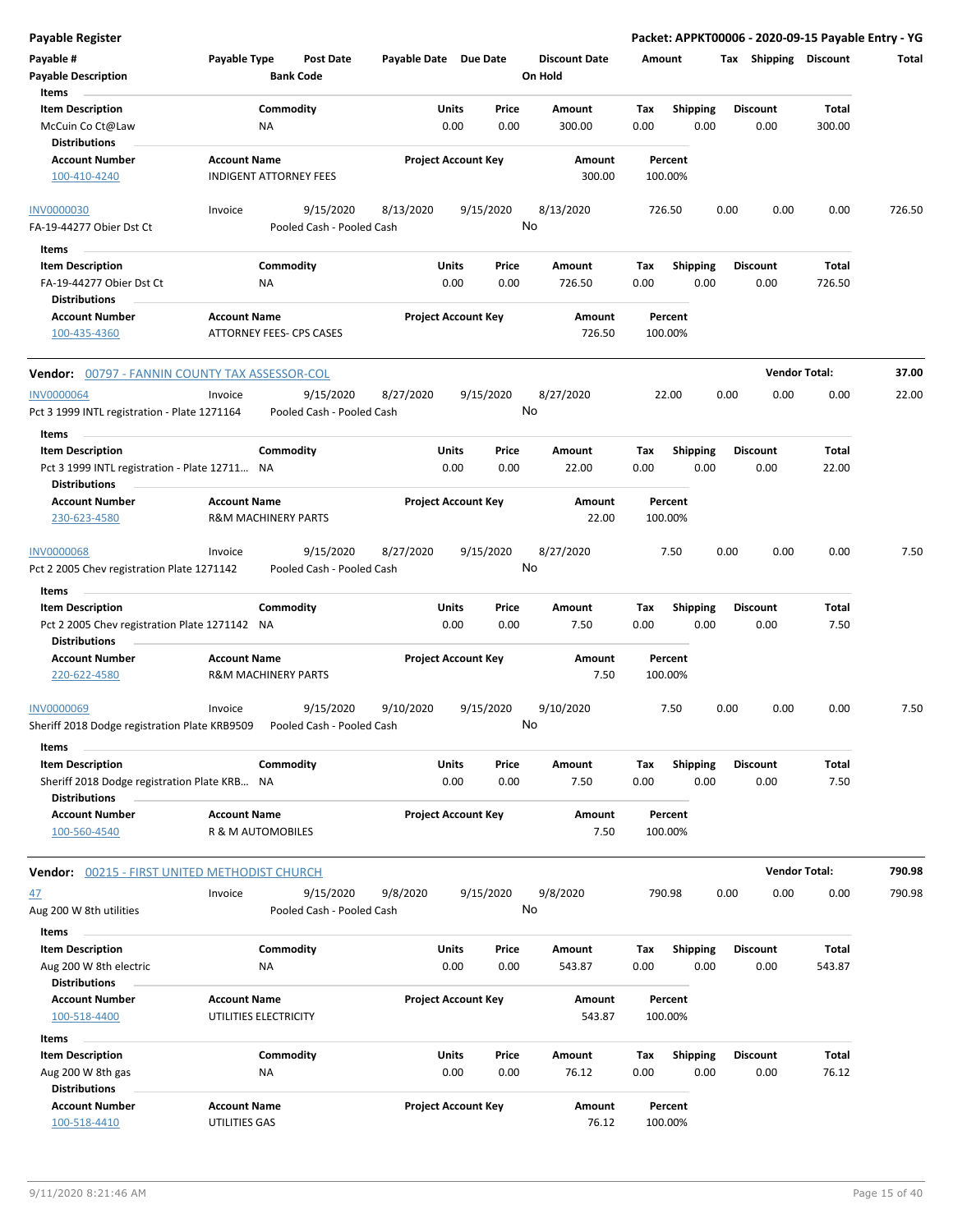| Payable #<br><b>Payable Description</b><br>Items                        | Payable Type          | Post Date<br><b>Bank Code</b>          | Payable Date Due Date |                                | <b>Discount Date</b><br>On Hold |             | Amount                  |      | Tax Shipping            | Discount             | Total  |
|-------------------------------------------------------------------------|-----------------------|----------------------------------------|-----------------------|--------------------------------|---------------------------------|-------------|-------------------------|------|-------------------------|----------------------|--------|
| <b>Item Description</b><br>McCuin Co Ct@Law<br><b>Distributions</b>     |                       | Commodity<br>ΝA                        |                       | Price<br>Units<br>0.00<br>0.00 | Amount<br>300.00                | Tax<br>0.00 | <b>Shipping</b><br>0.00 |      | <b>Discount</b><br>0.00 | Total<br>300.00      |        |
| Account Number<br>100-410-4240                                          | <b>Account Name</b>   | INDIGENT ATTORNEY FEES                 |                       | <b>Project Account Key</b>     | Amount                          | 300.00      | Percent<br>100.00%      |      |                         |                      |        |
| <b>INV0000030</b><br>FA-19-44277 Obier Dst Ct                           | Invoice               | 9/15/2020<br>Pooled Cash - Pooled Cash | 8/13/2020             | 9/15/2020                      | 8/13/2020<br>No                 |             | 726.50                  | 0.00 | 0.00                    | 0.00                 | 726.50 |
| Items                                                                   |                       |                                        |                       |                                |                                 |             |                         |      |                         |                      |        |
| <b>Item Description</b>                                                 |                       | Commodity                              |                       | Units<br>Price                 | Amount                          | Tax         | Shipping                |      | <b>Discount</b>         | Total                |        |
| FA-19-44277 Obier Dst Ct                                                |                       | NA                                     |                       | 0.00<br>0.00                   | 726.50                          | 0.00        | 0.00                    |      | 0.00                    | 726.50               |        |
| Distributions<br>Account Number                                         | <b>Account Name</b>   |                                        |                       | <b>Project Account Key</b>     | Amount                          |             | Percent                 |      |                         |                      |        |
| 100-435-4360                                                            |                       | ATTORNEY FEES- CPS CASES               |                       |                                |                                 | 726.50      | 100.00%                 |      |                         |                      |        |
| Vendor: 00797 - FANNIN COUNTY TAX ASSESSOR-COL                          |                       |                                        |                       |                                |                                 |             |                         |      |                         | <b>Vendor Total:</b> | 37.00  |
| <b>INV0000064</b><br>Pct 3 1999 INTL registration - Plate 1271164       | Invoice               | 9/15/2020<br>Pooled Cash - Pooled Cash | 8/27/2020             | 9/15/2020                      | 8/27/2020<br>No                 |             | 22.00                   | 0.00 | 0.00                    | 0.00                 | 22.00  |
|                                                                         |                       |                                        |                       |                                |                                 |             |                         |      |                         |                      |        |
| Items<br><b>Item Description</b>                                        |                       | Commodity                              |                       | Units<br>Price                 | Amount                          | Tax         | <b>Shipping</b>         |      | <b>Discount</b>         | Total                |        |
| Pct 3 1999 INTL registration - Plate 12711 NA                           |                       |                                        |                       | 0.00<br>0.00                   | 22.00                           | 0.00        | 0.00                    |      | 0.00                    | 22.00                |        |
| <b>Distributions</b>                                                    |                       |                                        |                       |                                |                                 |             |                         |      |                         |                      |        |
| <b>Account Number</b><br>230-623-4580                                   | <b>Account Name</b>   | <b>R&amp;M MACHINERY PARTS</b>         |                       | <b>Project Account Key</b>     | Amount                          | 22.00       | Percent<br>100.00%      |      |                         |                      |        |
| INV0000068                                                              | Invoice               | 9/15/2020                              | 8/27/2020             | 9/15/2020                      | 8/27/2020                       |             | 7.50                    | 0.00 | 0.00                    | 0.00                 | 7.50   |
| Pct 2 2005 Chev registration Plate 1271142<br>Items                     |                       | Pooled Cash - Pooled Cash              |                       |                                | No                              |             |                         |      |                         |                      |        |
| <b>Item Description</b>                                                 |                       | Commodity                              |                       | Units<br>Price                 | Amount                          | Tax         | <b>Shipping</b>         |      | <b>Discount</b>         | Total                |        |
| Pct 2 2005 Chev registration Plate 1271142 NA<br><b>Distributions</b>   |                       |                                        |                       | 0.00<br>0.00                   | 7.50                            | 0.00        | 0.00                    |      | 0.00                    | 7.50                 |        |
| <b>Account Number</b><br>220-622-4580                                   | <b>Account Name</b>   | <b>R&amp;M MACHINERY PARTS</b>         |                       | <b>Project Account Key</b>     | Amount                          | 7.50        | Percent<br>100.00%      |      |                         |                      |        |
| <b>INV0000069</b>                                                       | Invoice               | 9/15/2020                              | 9/10/2020             | 9/15/2020                      | 9/10/2020                       |             | 7.50                    | 0.00 | 0.00                    | 0.00                 | 7.50   |
| Sheriff 2018 Dodge registration Plate KRB9509                           |                       | Pooled Cash - Pooled Cash              |                       |                                | No                              |             |                         |      |                         |                      |        |
| Items                                                                   |                       |                                        |                       |                                |                                 |             |                         |      |                         |                      |        |
| <b>Item Description</b><br>Sheriff 2018 Dodge registration Plate KRB NA |                       | Commodity                              |                       | Units<br>Price<br>0.00<br>0.00 | Amount<br>7.50                  | Tax<br>0.00 | Shipping<br>0.00        |      | <b>Discount</b><br>0.00 | Total<br>7.50        |        |
| <b>Distributions</b>                                                    |                       |                                        |                       |                                |                                 |             |                         |      |                         |                      |        |
| <b>Account Number</b>                                                   | <b>Account Name</b>   |                                        |                       | <b>Project Account Key</b>     | Amount                          |             | Percent                 |      |                         |                      |        |
| 100-560-4540                                                            | R & M AUTOMOBILES     |                                        |                       |                                |                                 | 7.50        | 100.00%                 |      |                         |                      |        |
| <b>Vendor: 00215 - FIRST UNITED METHODIST CHURCH</b>                    |                       |                                        |                       |                                |                                 |             |                         |      |                         | <b>Vendor Total:</b> | 790.98 |
| 47                                                                      | Invoice               | 9/15/2020                              | 9/8/2020              | 9/15/2020                      | 9/8/2020                        |             | 790.98                  | 0.00 | 0.00                    | 0.00                 | 790.98 |
| Aug 200 W 8th utilities                                                 |                       | Pooled Cash - Pooled Cash              |                       |                                | No                              |             |                         |      |                         |                      |        |
| Items                                                                   |                       |                                        |                       |                                |                                 |             |                         |      |                         |                      |        |
| <b>Item Description</b>                                                 |                       | Commodity                              |                       | Units<br>Price                 | Amount                          | Tax         | <b>Shipping</b>         |      | <b>Discount</b>         | Total                |        |
| Aug 200 W 8th electric                                                  |                       | ΝA                                     |                       | 0.00<br>0.00                   | 543.87                          | 0.00        | 0.00                    |      | 0.00                    | 543.87               |        |
| <b>Distributions</b><br><b>Account Number</b>                           | <b>Account Name</b>   |                                        |                       | <b>Project Account Key</b>     | Amount                          |             | Percent                 |      |                         |                      |        |
| 100-518-4400                                                            | UTILITIES ELECTRICITY |                                        |                       |                                |                                 | 543.87      | 100.00%                 |      |                         |                      |        |
| Items                                                                   |                       |                                        |                       |                                |                                 |             |                         |      |                         |                      |        |
| <b>Item Description</b>                                                 |                       | Commodity                              |                       | Units<br>Price                 | Amount                          | Tax         | <b>Shipping</b>         |      | <b>Discount</b>         | Total                |        |
| Aug 200 W 8th gas                                                       |                       | ΝA                                     |                       | 0.00<br>0.00                   | 76.12                           | 0.00        | 0.00                    |      | 0.00                    | 76.12                |        |
| <b>Distributions</b>                                                    |                       |                                        |                       |                                |                                 |             |                         |      |                         |                      |        |
| <b>Account Number</b>                                                   | <b>Account Name</b>   |                                        |                       | <b>Project Account Key</b>     | Amount                          |             | Percent                 |      |                         |                      |        |
| 100-518-4410                                                            | UTILITIES GAS         |                                        |                       |                                |                                 | 76.12       | 100.00%                 |      |                         |                      |        |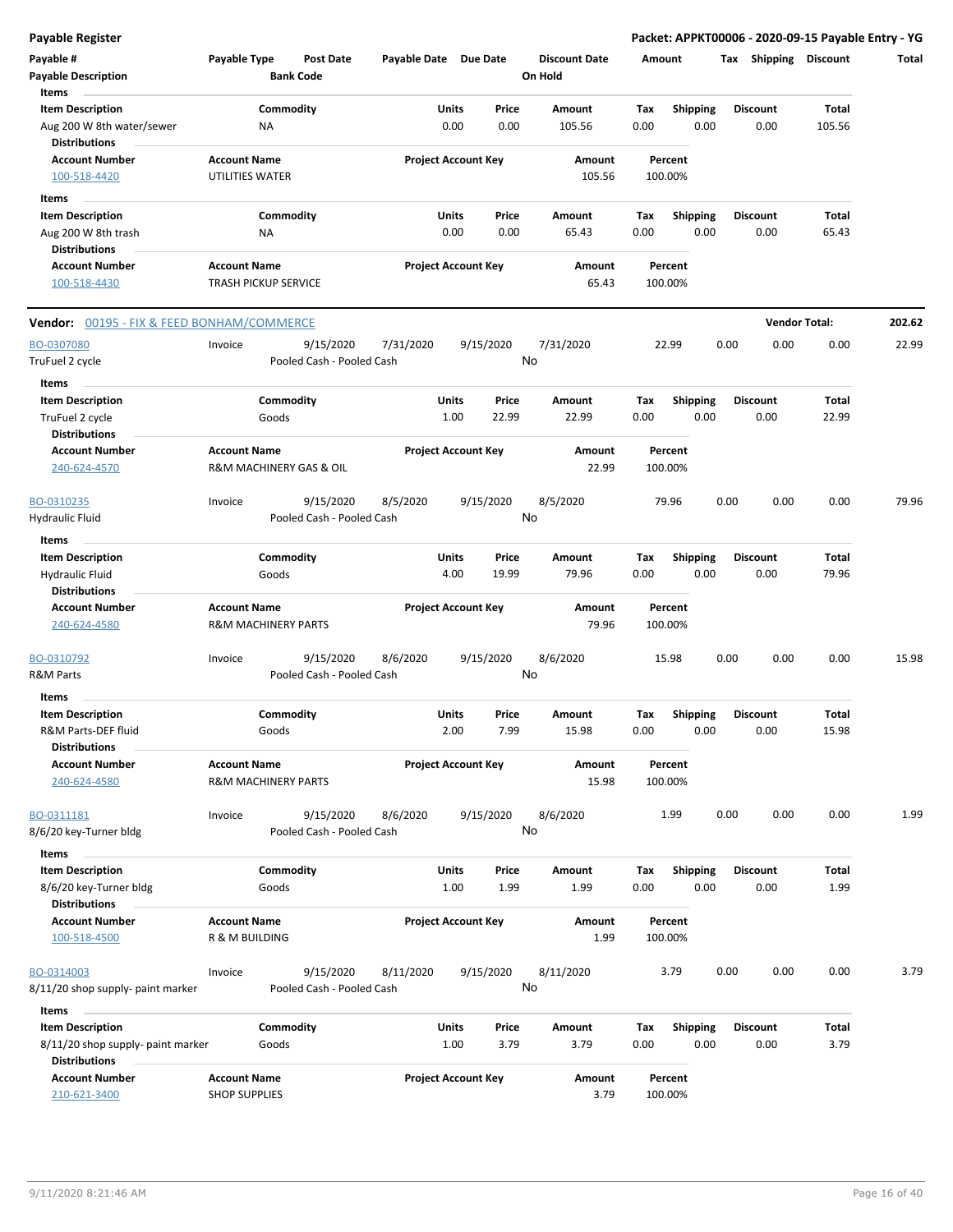| <b>Payable Register</b>                               |                                                       |                    |                           |                       |               |                            |                      |             |                         |      |                         | Packet: APPKT00006 - 2020-09-15 Payable Entry - YG |        |
|-------------------------------------------------------|-------------------------------------------------------|--------------------|---------------------------|-----------------------|---------------|----------------------------|----------------------|-------------|-------------------------|------|-------------------------|----------------------------------------------------|--------|
| Payable #                                             | Payable Type                                          |                    | <b>Post Date</b>          | Payable Date Due Date |               |                            | <b>Discount Date</b> | Amount      |                         |      | Tax Shipping Discount   |                                                    | Total  |
| <b>Payable Description</b>                            |                                                       |                    | <b>Bank Code</b>          |                       |               |                            | On Hold              |             |                         |      |                         |                                                    |        |
| Items                                                 |                                                       |                    |                           |                       |               |                            |                      |             |                         |      |                         |                                                    |        |
| <b>Item Description</b>                               |                                                       | Commodity          |                           |                       | Units         | Price                      | Amount               | Tax         | <b>Shipping</b>         |      | <b>Discount</b>         | <b>Total</b>                                       |        |
| Aug 200 W 8th water/sewer<br><b>Distributions</b>     |                                                       | ΝA                 |                           |                       | 0.00          | 0.00                       | 105.56               | 0.00        | 0.00                    |      | 0.00                    | 105.56                                             |        |
| <b>Account Number</b><br>100-518-4420                 | <b>Account Name</b><br>UTILITIES WATER                |                    |                           |                       |               | <b>Project Account Key</b> | Amount<br>105.56     |             | Percent<br>100.00%      |      |                         |                                                    |        |
|                                                       |                                                       |                    |                           |                       |               |                            |                      |             |                         |      |                         |                                                    |        |
| Items<br><b>Item Description</b>                      |                                                       | Commodity          |                           |                       | Units         | Price                      | Amount               | Tax         | <b>Shipping</b>         |      | <b>Discount</b>         | Total                                              |        |
| Aug 200 W 8th trash                                   |                                                       | ΝA                 |                           |                       | 0.00          | 0.00                       | 65.43                | 0.00        | 0.00                    |      | 0.00                    | 65.43                                              |        |
| <b>Distributions</b>                                  |                                                       |                    |                           |                       |               |                            |                      |             |                         |      |                         |                                                    |        |
| <b>Account Number</b>                                 | <b>Account Name</b>                                   |                    |                           |                       |               | <b>Project Account Key</b> | Amount               |             | Percent                 |      |                         |                                                    |        |
| 100-518-4430                                          | <b>TRASH PICKUP SERVICE</b>                           |                    |                           |                       |               |                            | 65.43                |             | 100.00%                 |      |                         |                                                    |        |
| <b>Vendor: 00195 - FIX &amp; FEED BONHAM/COMMERCE</b> |                                                       |                    |                           |                       |               |                            |                      |             |                         |      |                         | <b>Vendor Total:</b>                               | 202.62 |
| BO-0307080                                            | Invoice                                               |                    | 9/15/2020                 | 7/31/2020             |               | 9/15/2020                  | 7/31/2020            |             | 22.99                   | 0.00 | 0.00                    | 0.00                                               | 22.99  |
| TruFuel 2 cycle                                       |                                                       |                    | Pooled Cash - Pooled Cash |                       |               |                            | No                   |             |                         |      |                         |                                                    |        |
| Items                                                 |                                                       |                    |                           |                       |               |                            |                      |             |                         |      |                         |                                                    |        |
| <b>Item Description</b><br>TruFuel 2 cycle            |                                                       | Commodity<br>Goods |                           |                       | Units<br>1.00 | Price<br>22.99             | Amount<br>22.99      | Tax<br>0.00 | <b>Shipping</b><br>0.00 |      | <b>Discount</b><br>0.00 | <b>Total</b><br>22.99                              |        |
| <b>Distributions</b>                                  |                                                       |                    |                           |                       |               |                            |                      |             |                         |      |                         |                                                    |        |
| <b>Account Number</b>                                 | <b>Account Name</b>                                   |                    |                           |                       |               | <b>Project Account Key</b> | Amount               |             | Percent                 |      |                         |                                                    |        |
| 240-624-4570                                          |                                                       |                    | R&M MACHINERY GAS & OIL   |                       |               |                            | 22.99                |             | 100.00%                 |      |                         |                                                    |        |
| BO-0310235                                            | Invoice                                               |                    | 9/15/2020                 | 8/5/2020              |               | 9/15/2020                  | 8/5/2020             |             | 79.96                   | 0.00 | 0.00                    | 0.00                                               | 79.96  |
| Hydraulic Fluid                                       |                                                       |                    | Pooled Cash - Pooled Cash |                       |               |                            | No                   |             |                         |      |                         |                                                    |        |
| Items                                                 |                                                       |                    |                           |                       |               |                            |                      |             |                         |      |                         |                                                    |        |
| <b>Item Description</b>                               |                                                       | Commodity          |                           |                       | Units         | Price                      | Amount               | Tax         | Shipping                |      | <b>Discount</b>         | <b>Total</b>                                       |        |
| <b>Hydraulic Fluid</b><br><b>Distributions</b>        |                                                       | Goods              |                           |                       | 4.00          | 19.99                      | 79.96                | 0.00        | 0.00                    |      | 0.00                    | 79.96                                              |        |
| <b>Account Number</b>                                 | <b>Account Name</b>                                   |                    |                           |                       |               | <b>Project Account Key</b> | Amount               |             | Percent                 |      |                         |                                                    |        |
| 240-624-4580                                          | <b>R&amp;M MACHINERY PARTS</b>                        |                    |                           |                       |               |                            | 79.96                |             | 100.00%                 |      |                         |                                                    |        |
| BO-0310792                                            | Invoice                                               |                    | 9/15/2020                 | 8/6/2020              |               | 9/15/2020                  | 8/6/2020             |             | 15.98                   | 0.00 | 0.00                    | 0.00                                               | 15.98  |
| R&M Parts                                             |                                                       |                    | Pooled Cash - Pooled Cash |                       |               |                            | No                   |             |                         |      |                         |                                                    |        |
| Items                                                 |                                                       |                    |                           |                       |               |                            |                      |             |                         |      |                         |                                                    |        |
| <b>Item Description</b><br>R&M Parts-DEF fluid        |                                                       | Commodity<br>Goods |                           |                       | Units<br>2.00 | Price<br>7.99              | Amount<br>15.98      | Тах<br>0.00 | <b>Shipping</b><br>0.00 |      | <b>Discount</b><br>0.00 | Total<br>15.98                                     |        |
| <b>Distributions</b>                                  |                                                       |                    |                           |                       |               |                            |                      |             |                         |      |                         |                                                    |        |
| <b>Account Number</b><br>240-624-4580                 | <b>Account Name</b><br><b>R&amp;M MACHINERY PARTS</b> |                    |                           |                       |               | <b>Project Account Key</b> | Amount<br>15.98      |             | Percent<br>100.00%      |      |                         |                                                    |        |
| BO-0311181                                            | Invoice                                               |                    | 9/15/2020                 | 8/6/2020              |               | 9/15/2020                  | 8/6/2020             |             | 1.99                    | 0.00 | 0.00                    | 0.00                                               | 1.99   |
| 8/6/20 key-Turner bldg                                |                                                       |                    | Pooled Cash - Pooled Cash |                       |               |                            | No                   |             |                         |      |                         |                                                    |        |
| Items                                                 |                                                       |                    |                           |                       |               |                            |                      |             |                         |      |                         |                                                    |        |
| <b>Item Description</b>                               |                                                       | Commodity          |                           |                       | Units         | Price                      | Amount               | Tax         | <b>Shipping</b>         |      | <b>Discount</b>         | Total                                              |        |
| 8/6/20 key-Turner bldg                                |                                                       | Goods              |                           |                       | 1.00          | 1.99                       | 1.99                 | 0.00        | 0.00                    |      | 0.00                    | 1.99                                               |        |
| <b>Distributions</b>                                  |                                                       |                    |                           |                       |               |                            |                      |             |                         |      |                         |                                                    |        |
| <b>Account Number</b>                                 | <b>Account Name</b>                                   |                    |                           |                       |               | <b>Project Account Key</b> | Amount               |             | Percent                 |      |                         |                                                    |        |
| 100-518-4500                                          | R & M BUILDING                                        |                    |                           |                       |               |                            | 1.99                 |             | 100.00%                 |      |                         |                                                    |        |
| BO-0314003                                            | Invoice                                               |                    | 9/15/2020                 | 8/11/2020             |               | 9/15/2020                  | 8/11/2020            |             | 3.79                    | 0.00 | 0.00                    | 0.00                                               | 3.79   |
| 8/11/20 shop supply- paint marker                     |                                                       |                    | Pooled Cash - Pooled Cash |                       |               |                            | No                   |             |                         |      |                         |                                                    |        |
| Items                                                 |                                                       |                    |                           |                       |               |                            |                      |             |                         |      |                         |                                                    |        |
| <b>Item Description</b>                               |                                                       | Commodity          |                           |                       | Units         | Price                      | Amount               | Tax         | <b>Shipping</b>         |      | <b>Discount</b>         | Total                                              |        |
| 8/11/20 shop supply- paint marker                     |                                                       | Goods              |                           |                       | 1.00          | 3.79                       | 3.79                 | 0.00        | 0.00                    |      | 0.00                    | 3.79                                               |        |
| <b>Distributions</b>                                  |                                                       |                    |                           |                       |               |                            |                      |             |                         |      |                         |                                                    |        |
| <b>Account Number</b>                                 | <b>Account Name</b>                                   |                    |                           |                       |               | <b>Project Account Key</b> | Amount               |             | Percent                 |      |                         |                                                    |        |

210-621-3400 SHOP SUPPLIES 3.79 100.00%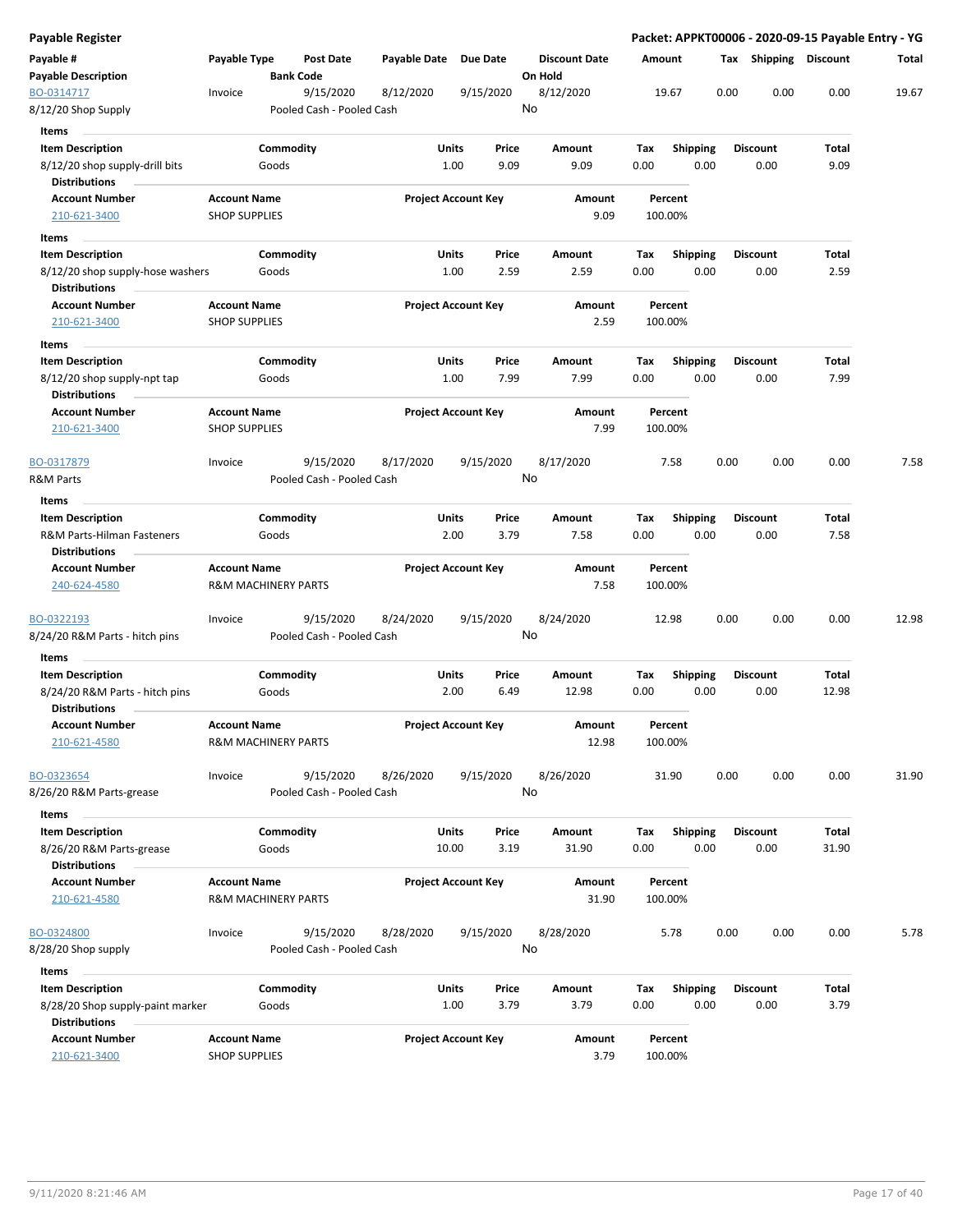| Payable Register                                            |                                                       |                    |                                        |                       |                            |               |                                 |                    |                         |      |                         | Packet: APPKT00006 - 2020-09-15 Payable Entry - YG |       |
|-------------------------------------------------------------|-------------------------------------------------------|--------------------|----------------------------------------|-----------------------|----------------------------|---------------|---------------------------------|--------------------|-------------------------|------|-------------------------|----------------------------------------------------|-------|
| Payable #<br><b>Payable Description</b>                     | Payable Type                                          |                    | Post Date<br><b>Bank Code</b>          | Payable Date Due Date |                            |               | <b>Discount Date</b><br>On Hold | Amount             |                         |      | Tax Shipping Discount   |                                                    | Total |
| BO-0314717                                                  | Invoice                                               |                    | 9/15/2020                              | 8/12/2020             | 9/15/2020                  |               | 8/12/2020                       | 19.67              |                         | 0.00 | 0.00                    | 0.00                                               | 19.67 |
| 8/12/20 Shop Supply                                         |                                                       |                    | Pooled Cash - Pooled Cash              |                       |                            |               | No                              |                    |                         |      |                         |                                                    |       |
| Items                                                       |                                                       |                    |                                        |                       |                            |               |                                 |                    |                         |      |                         |                                                    |       |
| <b>Item Description</b>                                     |                                                       | Commodity          |                                        |                       | Units                      | Price         | Amount                          | Tax                | <b>Shipping</b>         |      | <b>Discount</b>         | Total                                              |       |
| 8/12/20 shop supply-drill bits<br><b>Distributions</b>      |                                                       | Goods              |                                        |                       | 1.00                       | 9.09          | 9.09                            | 0.00               | 0.00                    |      | 0.00                    | 9.09                                               |       |
| <b>Account Number</b><br>210-621-3400                       | <b>Account Name</b><br><b>SHOP SUPPLIES</b>           |                    |                                        |                       | <b>Project Account Key</b> |               | Amount<br>9.09                  | Percent<br>100.00% |                         |      |                         |                                                    |       |
| Items                                                       |                                                       |                    |                                        |                       |                            |               |                                 |                    |                         |      |                         |                                                    |       |
| <b>Item Description</b>                                     |                                                       | Commodity          |                                        |                       | Units                      | Price         | Amount                          | Tax                | <b>Shipping</b>         |      | <b>Discount</b>         | Total                                              |       |
| 8/12/20 shop supply-hose washers<br><b>Distributions</b>    |                                                       | Goods              |                                        |                       | 1.00                       | 2.59          | 2.59                            | 0.00               | 0.00                    |      | 0.00                    | 2.59                                               |       |
| <b>Account Number</b>                                       | <b>Account Name</b>                                   |                    |                                        |                       | <b>Project Account Key</b> |               | Amount                          | Percent            |                         |      |                         |                                                    |       |
| 210-621-3400                                                | <b>SHOP SUPPLIES</b>                                  |                    |                                        |                       |                            |               | 2.59                            | 100.00%            |                         |      |                         |                                                    |       |
| Items                                                       |                                                       |                    |                                        |                       |                            |               |                                 |                    |                         |      |                         |                                                    |       |
| <b>Item Description</b><br>8/12/20 shop supply-npt tap      |                                                       | Commodity<br>Goods |                                        |                       | Units<br>1.00              | Price<br>7.99 | Amount<br>7.99                  | Tax<br>0.00        | Shipping<br>0.00        |      | <b>Discount</b><br>0.00 | Total<br>7.99                                      |       |
| <b>Distributions</b>                                        |                                                       |                    |                                        |                       |                            |               |                                 |                    |                         |      |                         |                                                    |       |
| <b>Account Number</b><br>210-621-3400                       | <b>Account Name</b><br><b>SHOP SUPPLIES</b>           |                    |                                        |                       | <b>Project Account Key</b> |               | Amount<br>7.99                  | Percent<br>100.00% |                         |      |                         |                                                    |       |
| BO-0317879                                                  | Invoice                                               |                    | 9/15/2020<br>Pooled Cash - Pooled Cash | 8/17/2020             | 9/15/2020                  |               | 8/17/2020<br>No                 | 7.58               |                         | 0.00 | 0.00                    | 0.00                                               | 7.58  |
| R&M Parts                                                   |                                                       |                    |                                        |                       |                            |               |                                 |                    |                         |      |                         |                                                    |       |
| Items                                                       |                                                       |                    |                                        |                       |                            |               |                                 |                    |                         |      |                         |                                                    |       |
| <b>Item Description</b><br>R&M Parts-Hilman Fasteners       |                                                       | Commodity<br>Goods |                                        |                       | Units<br>2.00              | Price<br>3.79 | Amount<br>7.58                  | Tax<br>0.00        | <b>Shipping</b><br>0.00 |      | <b>Discount</b><br>0.00 | Total<br>7.58                                      |       |
| Distributions                                               |                                                       |                    |                                        |                       |                            |               |                                 |                    |                         |      |                         |                                                    |       |
| <b>Account Number</b><br>240-624-4580                       | <b>Account Name</b><br><b>R&amp;M MACHINERY PARTS</b> |                    |                                        |                       | <b>Project Account Key</b> |               | Amount<br>7.58                  | Percent<br>100.00% |                         |      |                         |                                                    |       |
| BO-0322193<br>8/24/20 R&M Parts - hitch pins                | Invoice                                               |                    | 9/15/2020<br>Pooled Cash - Pooled Cash | 8/24/2020             | 9/15/2020                  |               | 8/24/2020<br>No                 | 12.98              |                         | 0.00 | 0.00                    | 0.00                                               | 12.98 |
| Items                                                       |                                                       |                    |                                        |                       |                            |               |                                 |                    |                         |      |                         |                                                    |       |
| <b>Item Description</b><br>8/24/20 R&M Parts - hitch pins   |                                                       | Commodity<br>Goods |                                        |                       | Units<br>2.00              | Price<br>6.49 | Amount<br>12.98                 | Tax<br>0.00        | <b>Shipping</b><br>0.00 |      | <b>Discount</b><br>0.00 | Total<br>12.98                                     |       |
| <b>Distributions</b><br>Account Number<br>210-621-4580      | <b>Account Name</b><br><b>R&amp;M MACHINERY PARTS</b> |                    |                                        |                       | <b>Project Account Key</b> |               | Amount<br>12.98                 | Percent<br>100.00% |                         |      |                         |                                                    |       |
|                                                             |                                                       |                    |                                        |                       |                            |               |                                 |                    |                         |      |                         |                                                    |       |
| BO-0323654<br>8/26/20 R&M Parts-grease                      | Invoice                                               |                    | 9/15/2020<br>Pooled Cash - Pooled Cash | 8/26/2020             | 9/15/2020                  |               | 8/26/2020<br>No                 | 31.90              |                         | 0.00 | 0.00                    | 0.00                                               | 31.90 |
| Items                                                       |                                                       |                    |                                        |                       |                            |               |                                 |                    |                         |      |                         |                                                    |       |
| <b>Item Description</b><br>8/26/20 R&M Parts-grease         |                                                       | Commodity<br>Goods |                                        |                       | <b>Units</b><br>10.00      | Price<br>3.19 | Amount<br>31.90                 | Tax<br>0.00        | <b>Shipping</b><br>0.00 |      | <b>Discount</b><br>0.00 | Total<br>31.90                                     |       |
| <b>Distributions</b>                                        |                                                       |                    |                                        |                       |                            |               |                                 |                    |                         |      |                         |                                                    |       |
| <b>Account Number</b><br>210-621-4580                       | <b>Account Name</b><br><b>R&amp;M MACHINERY PARTS</b> |                    |                                        |                       | <b>Project Account Key</b> |               | Amount<br>31.90                 | Percent<br>100.00% |                         |      |                         |                                                    |       |
| BO-0324800<br>8/28/20 Shop supply                           | Invoice                                               |                    | 9/15/2020<br>Pooled Cash - Pooled Cash | 8/28/2020             | 9/15/2020                  |               | 8/28/2020<br>No                 | 5.78               |                         | 0.00 | 0.00                    | 0.00                                               | 5.78  |
| Items                                                       |                                                       |                    |                                        |                       |                            |               |                                 |                    |                         |      |                         |                                                    |       |
| <b>Item Description</b><br>8/28/20 Shop supply-paint marker |                                                       | Commodity<br>Goods |                                        |                       | Units<br>1.00              | Price<br>3.79 | Amount<br>3.79                  | Tax<br>0.00        | <b>Shipping</b><br>0.00 |      | <b>Discount</b><br>0.00 | Total<br>3.79                                      |       |
| <b>Distributions</b>                                        |                                                       |                    |                                        |                       |                            |               |                                 |                    |                         |      |                         |                                                    |       |
| <b>Account Number</b><br>210-621-3400                       | <b>Account Name</b><br><b>SHOP SUPPLIES</b>           |                    |                                        |                       | <b>Project Account Key</b> |               | Amount<br>3.79                  | Percent<br>100.00% |                         |      |                         |                                                    |       |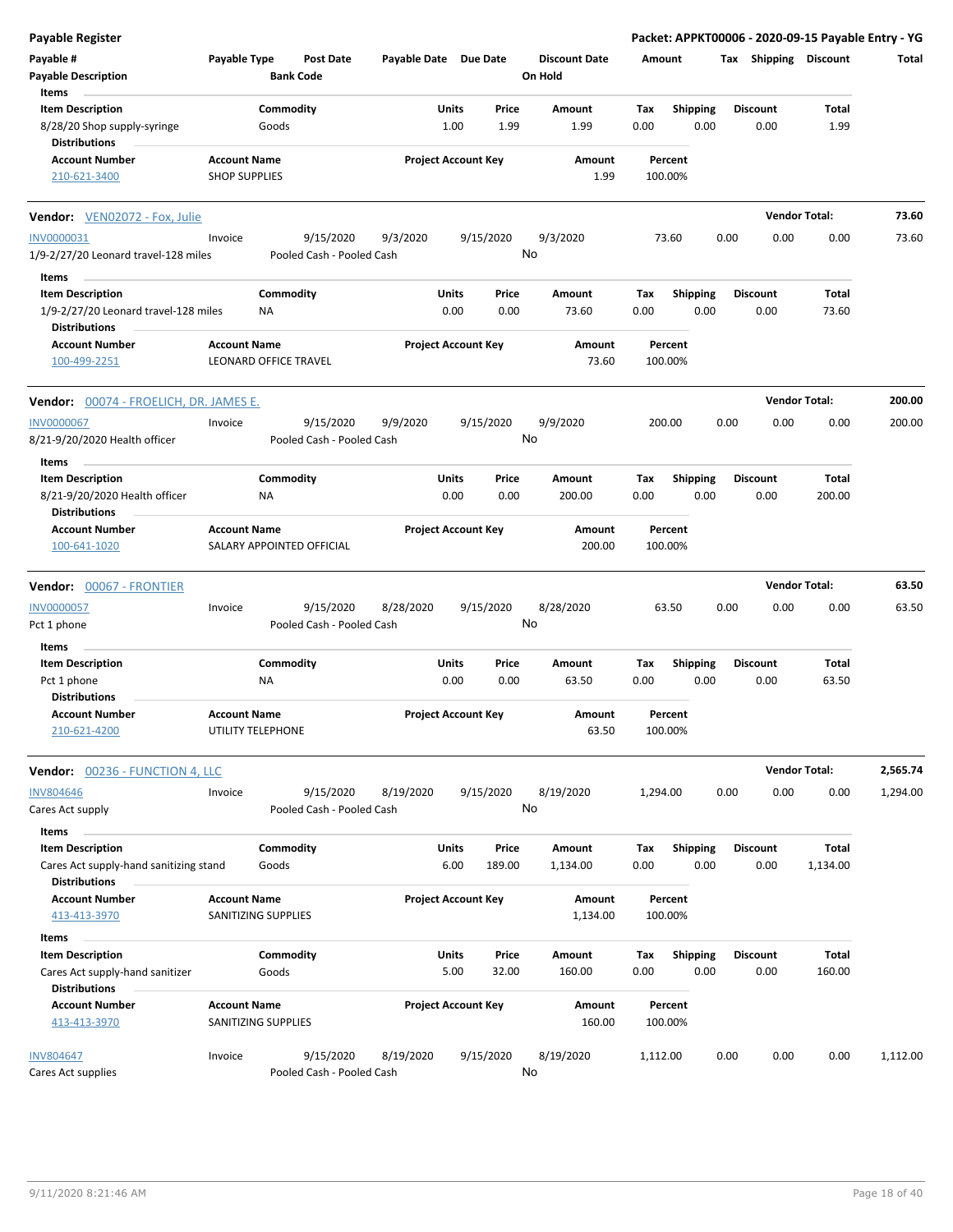| <b>Payable Register</b>                                                                          |                                             |                           |                  |                       |                            |                 |                                 |             |                    |      |                         |                      | Packet: APPKT00006 - 2020-09-15 Payable Entry - YG |
|--------------------------------------------------------------------------------------------------|---------------------------------------------|---------------------------|------------------|-----------------------|----------------------------|-----------------|---------------------------------|-------------|--------------------|------|-------------------------|----------------------|----------------------------------------------------|
| Payable #<br><b>Payable Description</b>                                                          | Payable Type                                | <b>Bank Code</b>          | <b>Post Date</b> | Payable Date Due Date |                            |                 | <b>Discount Date</b><br>On Hold | Amount      |                    |      | Tax Shipping Discount   |                      | Total                                              |
| Items<br><b>Item Description</b><br>8/28/20 Shop supply-syringe<br><b>Distributions</b>          |                                             | Commodity<br>Goods        |                  |                       | Units<br>1.00              | Price<br>1.99   | Amount<br>1.99                  | Tax<br>0.00 | <b>Shipping</b>    | 0.00 | <b>Discount</b><br>0.00 |                      | Total<br>1.99                                      |
| <b>Account Number</b><br>210-621-3400                                                            | <b>Account Name</b><br><b>SHOP SUPPLIES</b> |                           |                  |                       | <b>Project Account Key</b> |                 | Amount<br>1.99                  |             | Percent<br>100.00% |      |                         |                      |                                                    |
| Vendor: VEN02072 - Fox, Julie                                                                    |                                             |                           |                  |                       |                            |                 |                                 |             |                    |      |                         | <b>Vendor Total:</b> | 73.60                                              |
| <b>INV0000031</b><br>1/9-2/27/20 Leonard travel-128 miles                                        | Invoice                                     | Pooled Cash - Pooled Cash | 9/15/2020        | 9/3/2020              |                            | 9/15/2020       | 9/3/2020<br>No                  |             | 73.60              |      | 0.00                    | 0.00                 | 0.00<br>73.60                                      |
| Items<br><b>Item Description</b><br>1/9-2/27/20 Leonard travel-128 miles<br><b>Distributions</b> |                                             | Commodity<br>NA           |                  |                       | Units<br>0.00              | Price<br>0.00   | Amount<br>73.60                 | Tax<br>0.00 | <b>Shipping</b>    | 0.00 | <b>Discount</b><br>0.00 |                      | Total<br>73.60                                     |
| <b>Account Number</b><br>100-499-2251                                                            | <b>Account Name</b>                         | LEONARD OFFICE TRAVEL     |                  |                       | <b>Project Account Key</b> |                 | Amount<br>73.60                 |             | Percent<br>100.00% |      |                         |                      |                                                    |
| <b>Vendor:</b> 00074 - FROELICH, DR. JAMES E.                                                    |                                             |                           |                  |                       |                            |                 |                                 |             |                    |      |                         | <b>Vendor Total:</b> | 200.00                                             |
| <b>INV0000067</b><br>8/21-9/20/2020 Health officer                                               | Invoice                                     | Pooled Cash - Pooled Cash | 9/15/2020        | 9/9/2020              |                            | 9/15/2020       | 9/9/2020<br>No                  |             | 200.00             |      | 0.00                    | 0.00                 | 0.00<br>200.00                                     |
| Items<br><b>Item Description</b>                                                                 |                                             | Commodity                 |                  |                       | Units                      | Price           | Amount                          | Tax         | <b>Shipping</b>    |      | <b>Discount</b>         |                      | Total                                              |
| 8/21-9/20/2020 Health officer<br><b>Distributions</b>                                            |                                             | NA                        |                  |                       | 0.00                       | 0.00            | 200.00                          | 0.00        |                    | 0.00 | 0.00                    | 200.00               |                                                    |
| <b>Account Number</b><br>100-641-1020                                                            | <b>Account Name</b>                         | SALARY APPOINTED OFFICIAL |                  |                       | <b>Project Account Key</b> |                 | Amount<br>200.00                |             | Percent<br>100.00% |      |                         |                      |                                                    |
| Vendor: 00067 - FRONTIER                                                                         |                                             |                           |                  |                       |                            |                 |                                 |             |                    |      |                         | <b>Vendor Total:</b> | 63.50                                              |
| <b>INV0000057</b><br>Pct 1 phone                                                                 | Invoice                                     | Pooled Cash - Pooled Cash | 9/15/2020        | 8/28/2020             |                            | 9/15/2020       | 8/28/2020<br>No                 |             | 63.50              |      | 0.00                    | 0.00                 | 0.00<br>63.50                                      |
| Items                                                                                            |                                             |                           |                  |                       |                            |                 |                                 |             |                    |      |                         |                      |                                                    |
| <b>Item Description</b><br>Pct 1 phone                                                           |                                             | Commodity<br><b>NA</b>    |                  |                       | Units<br>0.00              | Price<br>0.00   | Amount<br>63.50                 | Tax<br>0.00 | <b>Shipping</b>    | 0.00 | <b>Discount</b><br>0.00 |                      | Total<br>63.50                                     |
| <b>Distributions</b><br><b>Account Number</b><br>210-621-4200                                    | <b>Account Name</b>                         | UTILITY TELEPHONE         |                  |                       | <b>Project Account Key</b> |                 | Amount<br>63.50                 |             | Percent<br>100.00% |      |                         |                      |                                                    |
| Vendor: 00236 - FUNCTION 4, LLC                                                                  |                                             |                           |                  |                       |                            |                 |                                 |             |                    |      |                         | <b>Vendor Total:</b> | 2,565.74                                           |
| <b>INV804646</b><br>Cares Act supply                                                             | Invoice                                     | Pooled Cash - Pooled Cash | 9/15/2020        | 8/19/2020             |                            | 9/15/2020       | 8/19/2020<br>No                 | 1,294.00    |                    |      | 0.00                    | 0.00                 | 0.00<br>1,294.00                                   |
| Items<br><b>Item Description</b><br>Cares Act supply-hand sanitizing stand                       |                                             | Commodity<br>Goods        |                  |                       | Units<br>6.00              | Price<br>189.00 | Amount<br>1,134.00              | Tax<br>0.00 | <b>Shipping</b>    | 0.00 | <b>Discount</b><br>0.00 | 1,134.00             | Total                                              |
| <b>Distributions</b><br><b>Account Number</b><br>413-413-3970                                    | <b>Account Name</b>                         | SANITIZING SUPPLIES       |                  |                       | <b>Project Account Key</b> |                 | Amount<br>1,134.00              |             | Percent<br>100.00% |      |                         |                      |                                                    |
| Items                                                                                            |                                             |                           |                  |                       |                            |                 |                                 |             |                    |      |                         |                      |                                                    |
| <b>Item Description</b><br>Cares Act supply-hand sanitizer<br><b>Distributions</b>               |                                             | Commodity<br>Goods        |                  |                       | Units<br>5.00              | Price<br>32.00  | Amount<br>160.00                | Tax<br>0.00 | Shipping           | 0.00 | <b>Discount</b><br>0.00 | 160.00               | Total                                              |
| <b>Account Number</b><br>413-413-3970                                                            | <b>Account Name</b>                         | SANITIZING SUPPLIES       |                  |                       | <b>Project Account Key</b> |                 | Amount<br>160.00                |             | Percent<br>100.00% |      |                         |                      |                                                    |
| <b>INV804647</b><br>Cares Act supplies                                                           | Invoice                                     | Pooled Cash - Pooled Cash | 9/15/2020        | 8/19/2020             |                            | 9/15/2020       | 8/19/2020<br>No                 | 1,112.00    |                    |      | 0.00                    | 0.00                 | 0.00<br>1,112.00                                   |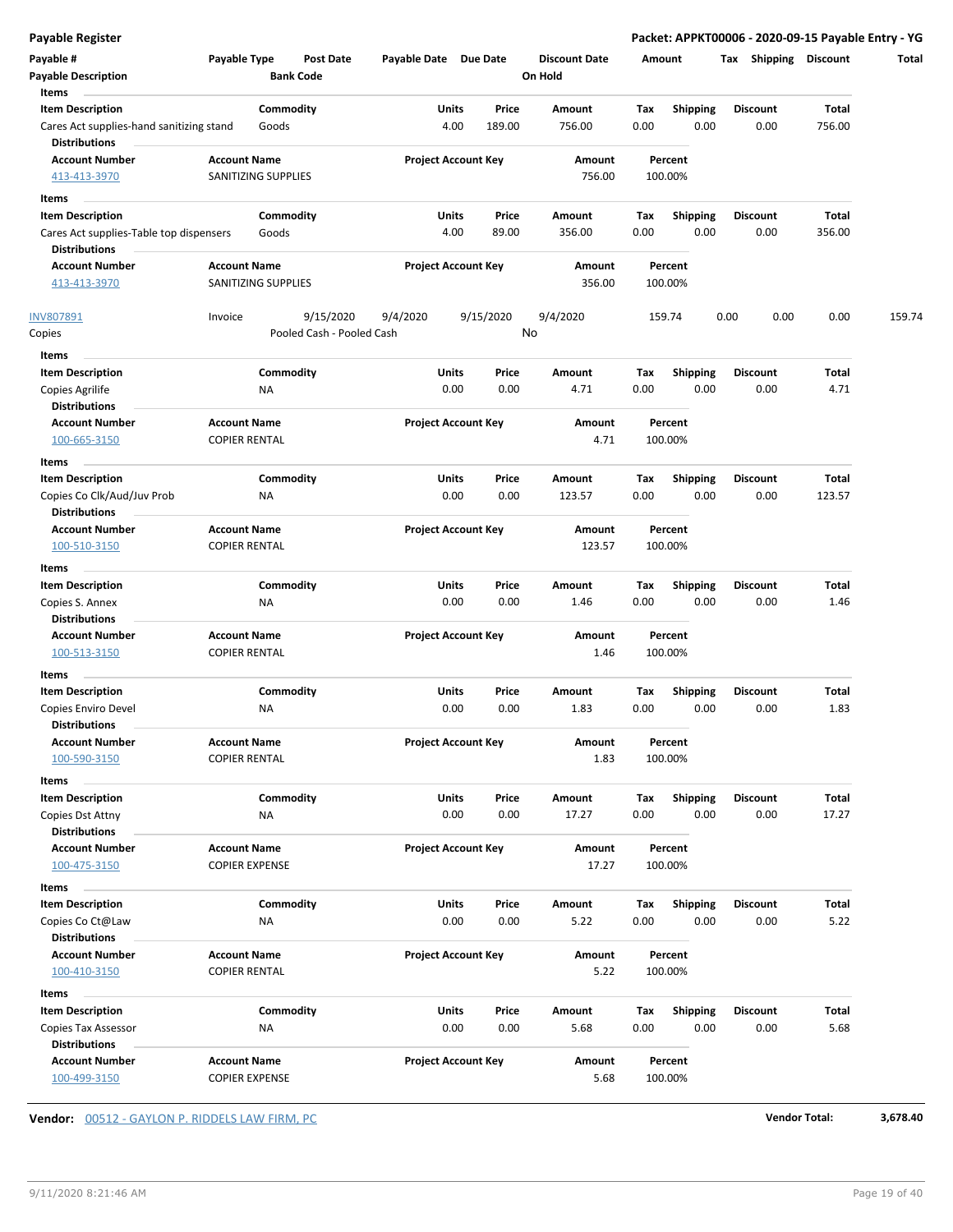| Payable #<br><b>Payable Description</b><br><b>Items</b>          | Payable Type                               | Post Date<br><b>Bank Code</b> | Payable Date Due Date |                            | <b>Discount Date</b><br>On Hold |      | Amount             | Shipping<br>Tax | <b>Discount</b> | Total  |
|------------------------------------------------------------------|--------------------------------------------|-------------------------------|-----------------------|----------------------------|---------------------------------|------|--------------------|-----------------|-----------------|--------|
| <b>Item Description</b>                                          |                                            | Commodity                     | Units                 | Price                      | Amount                          | Tax  | Shipping           | Discount        | Total           |        |
| Cares Act supplies-hand sanitizing stand<br><b>Distributions</b> |                                            | Goods                         |                       | 4.00<br>189.00             | 756.00                          | 0.00 | 0.00               | 0.00            | 756.00          |        |
| <b>Account Number</b><br>413-413-3970                            | <b>Account Name</b><br>SANITIZING SUPPLIES |                               |                       | <b>Project Account Key</b> | Amount<br>756.00                |      | Percent<br>100.00% |                 |                 |        |
|                                                                  |                                            |                               |                       |                            |                                 |      |                    |                 |                 |        |
| Items<br><b>Item Description</b>                                 |                                            | Commodity                     | Units                 | Price                      | Amount                          | Tax  | <b>Shipping</b>    | <b>Discount</b> | Total           |        |
| Cares Act supplies-Table top dispensers                          |                                            | Goods                         |                       | 4.00<br>89.00              | 356.00                          | 0.00 | 0.00               | 0.00            | 356.00          |        |
| <b>Distributions</b>                                             |                                            |                               |                       |                            |                                 |      |                    |                 |                 |        |
| <b>Account Number</b>                                            | <b>Account Name</b>                        |                               |                       | <b>Project Account Key</b> | Amount                          |      | Percent            |                 |                 |        |
| 413-413-3970                                                     | SANITIZING SUPPLIES                        |                               |                       |                            | 356.00                          |      | 100.00%            |                 |                 |        |
| INV807891                                                        | Invoice                                    | 9/15/2020                     | 9/4/2020              | 9/15/2020                  | 9/4/2020                        |      | 159.74             | 0.00<br>0.00    | 0.00            | 159.74 |
| Copies                                                           |                                            | Pooled Cash - Pooled Cash     |                       |                            | No                              |      |                    |                 |                 |        |
| Items                                                            |                                            |                               |                       |                            |                                 |      |                    |                 |                 |        |
| <b>Item Description</b>                                          |                                            | Commodity                     | Units                 | Price                      | Amount                          | Tax  | Shipping           | <b>Discount</b> | Total           |        |
| Copies Agrilife                                                  | NA                                         |                               |                       | 0.00<br>0.00               | 4.71                            | 0.00 | 0.00               | 0.00            | 4.71            |        |
| <b>Distributions</b>                                             |                                            |                               |                       |                            |                                 |      |                    |                 |                 |        |
| <b>Account Number</b>                                            | <b>Account Name</b>                        |                               |                       | <b>Project Account Key</b> | Amount                          |      | Percent            |                 |                 |        |
| 100-665-3150                                                     | <b>COPIER RENTAL</b>                       |                               |                       |                            | 4.71                            |      | 100.00%            |                 |                 |        |
| Items                                                            |                                            |                               |                       |                            |                                 |      |                    |                 |                 |        |
| <b>Item Description</b>                                          |                                            | Commodity                     | Units                 | Price                      | Amount                          | Tax  | <b>Shipping</b>    | <b>Discount</b> | Total           |        |
| Copies Co Clk/Aud/Juv Prob<br><b>Distributions</b>               | ΝA                                         |                               |                       | 0.00<br>0.00               | 123.57                          | 0.00 | 0.00               | 0.00            | 123.57          |        |
| <b>Account Number</b>                                            | <b>Account Name</b>                        |                               |                       | <b>Project Account Key</b> | Amount                          |      | Percent            |                 |                 |        |
| 100-510-3150                                                     | <b>COPIER RENTAL</b>                       |                               |                       |                            | 123.57                          |      | 100.00%            |                 |                 |        |
|                                                                  |                                            |                               |                       |                            |                                 |      |                    |                 |                 |        |
| Items                                                            |                                            |                               |                       |                            |                                 |      |                    |                 |                 |        |
| <b>Item Description</b>                                          |                                            | Commodity                     | Units                 | Price                      | Amount                          | Tax  | <b>Shipping</b>    | Discount        | Total           |        |
| Copies S. Annex<br><b>Distributions</b>                          | <b>NA</b>                                  |                               |                       | 0.00<br>0.00               | 1.46                            | 0.00 | 0.00               | 0.00            | 1.46            |        |
| <b>Account Number</b>                                            | <b>Account Name</b>                        |                               |                       | <b>Project Account Key</b> | Amount                          |      | Percent            |                 |                 |        |
| 100-513-3150                                                     | <b>COPIER RENTAL</b>                       |                               |                       |                            | 1.46                            |      | 100.00%            |                 |                 |        |
| Items                                                            |                                            |                               |                       |                            |                                 |      |                    |                 |                 |        |
| <b>Item Description</b>                                          |                                            | Commodity                     | Units                 | Price                      | Amount                          | Tax  | <b>Shipping</b>    | <b>Discount</b> | Total           |        |
| Copies Enviro Devel                                              | ΝA                                         |                               |                       | 0.00<br>0.00               | 1.83                            | 0.00 | 0.00               | 0.00            | 1.83            |        |
| <b>Distributions</b>                                             |                                            |                               |                       |                            |                                 |      |                    |                 |                 |        |
| <b>Account Number</b>                                            | <b>Account Name</b>                        |                               |                       | <b>Project Account Key</b> | Amount                          |      | Percent            |                 |                 |        |
| 100-590-3150                                                     | <b>COPIER RENTAL</b>                       |                               |                       |                            | 1.83                            |      | 100.00%            |                 |                 |        |
| Items                                                            |                                            |                               |                       |                            |                                 |      |                    |                 |                 |        |
| <b>Item Description</b>                                          |                                            | Commodity                     | Units                 | Price                      | Amount                          | Tax  | <b>Shipping</b>    | <b>Discount</b> | Total           |        |
| Copies Dst Attny                                                 | <b>NA</b>                                  |                               |                       | 0.00<br>0.00               | 17.27                           | 0.00 | 0.00               | 0.00            | 17.27           |        |
| <b>Distributions</b>                                             |                                            |                               |                       |                            |                                 |      |                    |                 |                 |        |
| <b>Account Number</b>                                            | <b>Account Name</b>                        |                               |                       | <b>Project Account Key</b> | Amount                          |      | Percent            |                 |                 |        |
| 100-475-3150                                                     | <b>COPIER EXPENSE</b>                      |                               |                       |                            | 17.27                           |      | 100.00%            |                 |                 |        |
| Items                                                            |                                            |                               |                       |                            |                                 |      |                    |                 |                 |        |
| <b>Item Description</b>                                          |                                            | Commodity                     | Units                 | Price                      | Amount                          | Tax  | Shipping           | <b>Discount</b> | Total           |        |
| Copies Co Ct@Law                                                 | NA                                         |                               |                       | 0.00<br>0.00               | 5.22                            | 0.00 | 0.00               | 0.00            | 5.22            |        |
| <b>Distributions</b>                                             |                                            |                               |                       |                            |                                 |      |                    |                 |                 |        |
| <b>Account Number</b>                                            | <b>Account Name</b>                        |                               |                       | <b>Project Account Key</b> | Amount                          |      | Percent            |                 |                 |        |
| 100-410-3150                                                     | <b>COPIER RENTAL</b>                       |                               |                       |                            | 5.22                            |      | 100.00%            |                 |                 |        |
| Items                                                            |                                            |                               |                       |                            |                                 |      |                    |                 |                 |        |
| <b>Item Description</b>                                          |                                            | Commodity                     | Units                 | Price                      | Amount                          | Tax  | <b>Shipping</b>    | <b>Discount</b> | Total           |        |
| Copies Tax Assessor                                              | NA                                         |                               |                       | 0.00<br>0.00               | 5.68                            | 0.00 | 0.00               | 0.00            | 5.68            |        |
| <b>Distributions</b>                                             |                                            |                               |                       |                            |                                 |      |                    |                 |                 |        |
| <b>Account Number</b>                                            | <b>Account Name</b>                        |                               |                       | <b>Project Account Key</b> | Amount                          |      | Percent            |                 |                 |        |
| 100-499-3150                                                     | <b>COPIER EXPENSE</b>                      |                               |                       |                            | 5.68                            |      | 100.00%            |                 |                 |        |

**Vendor:** 00512 - GAYLON P. RIDDELS LAW FIRM, PC **Vendor Total: 3,678.40**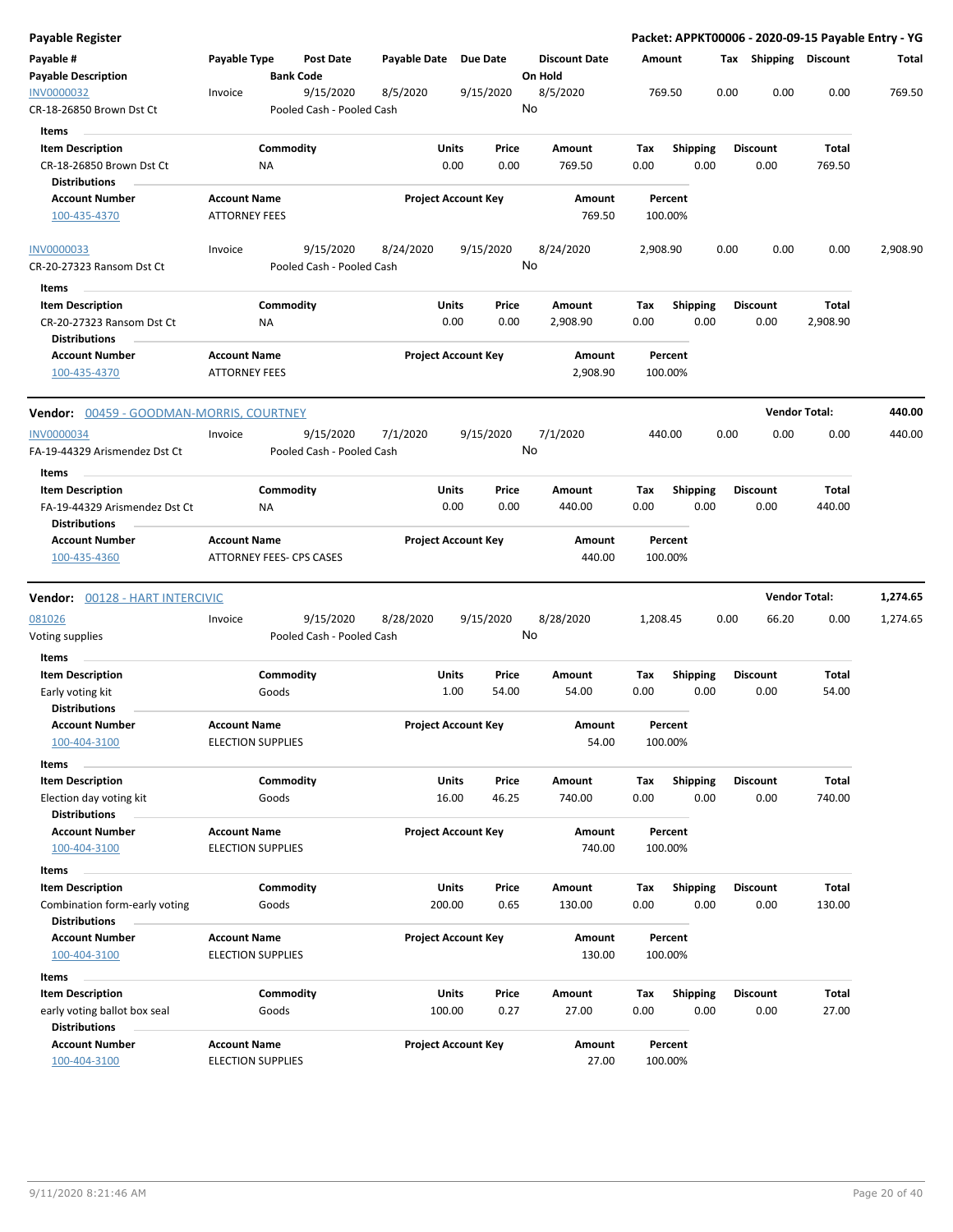| Payable Register                                  |                                             |                                      |           |                       |        |                            |         |                      |          |                    |      |      |                       |          | Packet: APPKT00006 - 2020-09-15 Payable Entry - YG |
|---------------------------------------------------|---------------------------------------------|--------------------------------------|-----------|-----------------------|--------|----------------------------|---------|----------------------|----------|--------------------|------|------|-----------------------|----------|----------------------------------------------------|
| Payable #<br><b>Payable Description</b>           | Payable Type                                | <b>Post Date</b><br><b>Bank Code</b> |           | Payable Date Due Date |        |                            | On Hold | <b>Discount Date</b> | Amount   |                    |      |      | Tax Shipping Discount |          | Total                                              |
| INV0000032<br>CR-18-26850 Brown Dst Ct            | Invoice                                     | Pooled Cash - Pooled Cash            | 9/15/2020 | 8/5/2020              |        | 9/15/2020                  | No      | 8/5/2020             |          | 769.50             |      | 0.00 | 0.00                  | 0.00     | 769.50                                             |
| Items                                             |                                             |                                      |           |                       |        |                            |         |                      |          |                    |      |      |                       |          |                                                    |
| <b>Item Description</b>                           |                                             | Commodity                            |           |                       | Units  | Price                      |         | Amount               | Tax      | Shipping           |      |      | <b>Discount</b>       | Total    |                                                    |
| CR-18-26850 Brown Dst Ct                          |                                             | <b>NA</b>                            |           |                       | 0.00   | 0.00                       |         | 769.50               | 0.00     |                    | 0.00 |      | 0.00                  | 769.50   |                                                    |
| <b>Distributions</b>                              |                                             |                                      |           |                       |        |                            |         |                      |          |                    |      |      |                       |          |                                                    |
| <b>Account Number</b>                             | <b>Account Name</b>                         |                                      |           |                       |        | <b>Project Account Key</b> |         | Amount               |          | Percent            |      |      |                       |          |                                                    |
| 100-435-4370                                      | <b>ATTORNEY FEES</b>                        |                                      |           |                       |        |                            |         | 769.50               |          | 100.00%            |      |      |                       |          |                                                    |
| INV0000033                                        | Invoice                                     |                                      | 9/15/2020 | 8/24/2020             |        | 9/15/2020                  |         | 8/24/2020            | 2,908.90 |                    |      | 0.00 | 0.00                  | 0.00     | 2,908.90                                           |
| CR-20-27323 Ransom Dst Ct                         |                                             | Pooled Cash - Pooled Cash            |           |                       |        |                            | No      |                      |          |                    |      |      |                       |          |                                                    |
| Items                                             |                                             |                                      |           |                       |        |                            |         |                      |          |                    |      |      |                       |          |                                                    |
| <b>Item Description</b>                           |                                             | Commodity                            |           |                       | Units  | Price                      |         | Amount               | Tax      | <b>Shipping</b>    |      |      | <b>Discount</b>       | Total    |                                                    |
| CR-20-27323 Ransom Dst Ct<br><b>Distributions</b> |                                             | ΝA                                   |           |                       | 0.00   | 0.00                       |         | 2,908.90             | 0.00     |                    | 0.00 |      | 0.00                  | 2,908.90 |                                                    |
| <b>Account Number</b><br>100-435-4370             | <b>Account Name</b><br><b>ATTORNEY FEES</b> |                                      |           |                       |        | <b>Project Account Key</b> |         | Amount<br>2,908.90   |          | Percent<br>100.00% |      |      |                       |          |                                                    |
| Vendor: 00459 - GOODMAN-MORRIS, COURTNEY          |                                             |                                      |           |                       |        |                            |         |                      |          |                    |      |      | <b>Vendor Total:</b>  |          | 440.00                                             |
| <b>INV0000034</b>                                 | Invoice                                     |                                      | 9/15/2020 | 7/1/2020              |        | 9/15/2020                  |         | 7/1/2020             |          | 440.00             |      | 0.00 | 0.00                  | 0.00     | 440.00                                             |
| FA-19-44329 Arismendez Dst Ct                     |                                             | Pooled Cash - Pooled Cash            |           |                       |        |                            | No      |                      |          |                    |      |      |                       |          |                                                    |
| Items                                             |                                             |                                      |           |                       |        |                            |         |                      |          |                    |      |      |                       |          |                                                    |
| <b>Item Description</b>                           |                                             | Commodity                            |           |                       | Units  | Price                      |         | Amount               | Tax      | <b>Shipping</b>    |      |      | <b>Discount</b>       | Total    |                                                    |
| FA-19-44329 Arismendez Dst Ct                     |                                             | ΝA                                   |           |                       | 0.00   | 0.00                       |         | 440.00               | 0.00     |                    | 0.00 |      | 0.00                  | 440.00   |                                                    |
| <b>Distributions</b>                              |                                             |                                      |           |                       |        |                            |         |                      |          |                    |      |      |                       |          |                                                    |
| <b>Account Number</b>                             | <b>Account Name</b>                         |                                      |           |                       |        | <b>Project Account Key</b> |         | Amount               |          | Percent            |      |      |                       |          |                                                    |
| 100-435-4360                                      |                                             | <b>ATTORNEY FEES- CPS CASES</b>      |           |                       |        |                            |         | 440.00               |          | 100.00%            |      |      |                       |          |                                                    |
| Vendor: 00128 - HART INTERCIVIC                   |                                             |                                      |           |                       |        |                            |         |                      |          |                    |      |      | <b>Vendor Total:</b>  |          | 1,274.65                                           |
| 081026                                            | Invoice                                     |                                      | 9/15/2020 | 8/28/2020             |        | 9/15/2020                  |         | 8/28/2020            | 1,208.45 |                    |      | 0.00 | 66.20                 | 0.00     | 1,274.65                                           |
| Voting supplies                                   |                                             | Pooled Cash - Pooled Cash            |           |                       |        |                            | No      |                      |          |                    |      |      |                       |          |                                                    |
| Items                                             |                                             |                                      |           |                       |        |                            |         |                      |          |                    |      |      |                       |          |                                                    |
| <b>Item Description</b>                           |                                             | Commodity                            |           |                       | Units  | Price                      |         | Amount               | Tax      | <b>Shipping</b>    |      |      | <b>Discount</b>       | Total    |                                                    |
| Early voting kit                                  |                                             | Goods                                |           |                       | 1.00   | 54.00                      |         | 54.00                | 0.00     |                    | 0.00 |      | 0.00                  | 54.00    |                                                    |
| <b>Distributions</b>                              |                                             |                                      |           |                       |        |                            |         |                      |          |                    |      |      |                       |          |                                                    |
| Account Number<br>100-404-3100                    | <b>Account Name</b>                         | <b>ELECTION SUPPLIES</b>             |           |                       |        | <b>Project Account Key</b> |         | Amount<br>54.00      |          | Percent<br>100.00% |      |      |                       |          |                                                    |
|                                                   |                                             |                                      |           |                       |        |                            |         |                      |          |                    |      |      |                       |          |                                                    |
| Items<br><b>Item Description</b>                  |                                             | Commodity                            |           |                       | Units  | Price                      |         | Amount               | Tax      |                    |      |      | <b>Discount</b>       | Total    |                                                    |
| Election day voting kit                           |                                             | Goods                                |           |                       | 16.00  | 46.25                      |         | 740.00               | 0.00     | <b>Shipping</b>    | 0.00 |      | 0.00                  | 740.00   |                                                    |
| <b>Distributions</b>                              |                                             |                                      |           |                       |        |                            |         |                      |          |                    |      |      |                       |          |                                                    |
| <b>Account Number</b>                             | <b>Account Name</b>                         |                                      |           |                       |        | <b>Project Account Key</b> |         | Amount               |          | Percent            |      |      |                       |          |                                                    |
| 100-404-3100                                      |                                             | <b>ELECTION SUPPLIES</b>             |           |                       |        |                            |         | 740.00               |          | 100.00%            |      |      |                       |          |                                                    |
| Items                                             |                                             |                                      |           |                       |        |                            |         |                      |          |                    |      |      |                       |          |                                                    |
| <b>Item Description</b>                           |                                             | Commodity                            |           |                       | Units  | Price                      |         | Amount               | Tax      | Shipping           |      |      | <b>Discount</b>       | Total    |                                                    |
| Combination form-early voting                     |                                             | Goods                                |           |                       | 200.00 | 0.65                       |         | 130.00               | 0.00     |                    | 0.00 |      | 0.00                  | 130.00   |                                                    |
| <b>Distributions</b>                              |                                             |                                      |           |                       |        |                            |         |                      |          |                    |      |      |                       |          |                                                    |
| <b>Account Number</b>                             | <b>Account Name</b>                         |                                      |           |                       |        | <b>Project Account Key</b> |         | Amount               |          | Percent            |      |      |                       |          |                                                    |
| 100-404-3100                                      |                                             | <b>ELECTION SUPPLIES</b>             |           |                       |        |                            |         | 130.00               |          | 100.00%            |      |      |                       |          |                                                    |
| Items                                             |                                             |                                      |           |                       |        |                            |         |                      |          |                    |      |      |                       |          |                                                    |
| <b>Item Description</b>                           |                                             | Commodity                            |           |                       | Units  | Price                      |         | Amount               | Tax      | <b>Shipping</b>    |      |      | <b>Discount</b>       | Total    |                                                    |
| early voting ballot box seal                      |                                             | Goods                                |           |                       | 100.00 | 0.27                       |         | 27.00                | 0.00     |                    | 0.00 |      | 0.00                  | 27.00    |                                                    |
| <b>Distributions</b>                              |                                             |                                      |           |                       |        |                            |         |                      |          |                    |      |      |                       |          |                                                    |
| <b>Account Number</b><br>100-404-3100             | <b>Account Name</b>                         | <b>ELECTION SUPPLIES</b>             |           |                       |        | <b>Project Account Key</b> |         | Amount<br>27.00      |          | Percent<br>100.00% |      |      |                       |          |                                                    |
|                                                   |                                             |                                      |           |                       |        |                            |         |                      |          |                    |      |      |                       |          |                                                    |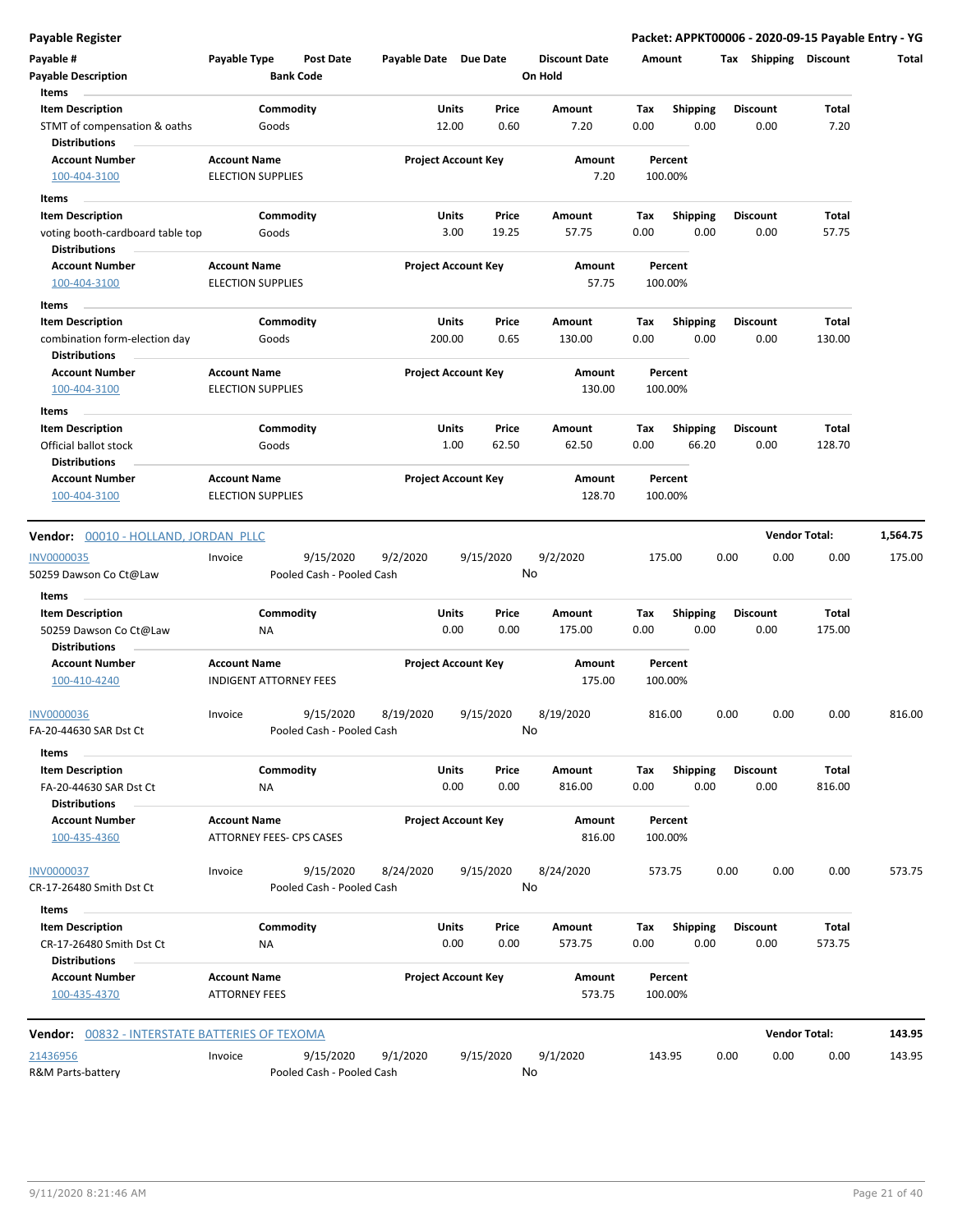| Payable #<br><b>Payable Description</b>                                   | Payable Type                                         | <b>Bank Code</b> | <b>Post Date</b>                       | Payable Date Due Date |                            |                | <b>Discount Date</b><br>On Hold | Amount      |                          | Тах  | Shipping                | <b>Discount</b>        | Total    |
|---------------------------------------------------------------------------|------------------------------------------------------|------------------|----------------------------------------|-----------------------|----------------------------|----------------|---------------------------------|-------------|--------------------------|------|-------------------------|------------------------|----------|
| Items<br><b>Item Description</b>                                          |                                                      | Commodity        |                                        |                       | <b>Units</b>               | Price          | Amount                          | Tax         | <b>Shipping</b>          |      | <b>Discount</b>         | Total                  |          |
| STMT of compensation & oaths<br><b>Distributions</b>                      | Goods                                                |                  |                                        |                       | 12.00                      | 0.60           | 7.20                            | 0.00        | 0.00                     |      | 0.00                    | 7.20                   |          |
| <b>Account Number</b><br>100-404-3100                                     | <b>Account Name</b><br><b>ELECTION SUPPLIES</b>      |                  |                                        |                       | <b>Project Account Key</b> |                | Amount<br>7.20                  |             | Percent<br>100.00%       |      |                         |                        |          |
| Items                                                                     |                                                      |                  |                                        |                       |                            |                |                                 |             |                          |      |                         |                        |          |
| <b>Item Description</b>                                                   |                                                      | Commodity        |                                        |                       | Units                      | Price          | Amount                          | Tax         | <b>Shipping</b>          |      | <b>Discount</b>         | Total                  |          |
| voting booth-cardboard table top<br><b>Distributions</b>                  | Goods                                                |                  |                                        |                       | 3.00                       | 19.25          | 57.75                           | 0.00        | 0.00                     |      | 0.00                    | 57.75                  |          |
| <b>Account Number</b><br>100-404-3100                                     | <b>Account Name</b><br><b>ELECTION SUPPLIES</b>      |                  |                                        |                       | <b>Project Account Key</b> |                | Amount<br>57.75                 |             | Percent<br>100.00%       |      |                         |                        |          |
| Items                                                                     |                                                      |                  |                                        |                       |                            |                |                                 |             |                          |      |                         |                        |          |
| <b>Item Description</b>                                                   |                                                      | Commodity        |                                        |                       | <b>Units</b>               | Price          | Amount                          | Tax         | <b>Shipping</b>          |      | <b>Discount</b>         | Total                  |          |
| combination form-election day<br><b>Distributions</b>                     | Goods                                                |                  |                                        |                       | 200.00                     | 0.65           | 130.00                          | 0.00        | 0.00                     |      | 0.00                    | 130.00                 |          |
| <b>Account Number</b><br>100-404-3100                                     | <b>Account Name</b><br><b>ELECTION SUPPLIES</b>      |                  |                                        |                       | <b>Project Account Key</b> |                | Amount<br>130.00                |             | Percent<br>100.00%       |      |                         |                        |          |
| Items                                                                     |                                                      |                  |                                        |                       |                            |                |                                 |             |                          |      |                         |                        |          |
| <b>Item Description</b><br>Official ballot stock                          | Goods                                                | Commodity        |                                        |                       | Units<br>1.00              | Price<br>62.50 | Amount<br>62.50                 | Tax<br>0.00 | <b>Shipping</b><br>66.20 |      | <b>Discount</b><br>0.00 | Total<br>128.70        |          |
| <b>Distributions</b>                                                      |                                                      |                  |                                        |                       |                            |                |                                 |             |                          |      |                         |                        |          |
| <b>Account Number</b><br>100-404-3100                                     | <b>Account Name</b><br><b>ELECTION SUPPLIES</b>      |                  |                                        |                       | <b>Project Account Key</b> |                | Amount<br>128.70                |             | Percent<br>100.00%       |      |                         |                        |          |
| Vendor: 00010 - HOLLAND, JORDAN PLLC                                      |                                                      |                  |                                        |                       |                            |                |                                 |             |                          |      |                         | <b>Vendor Total:</b>   | 1,564.75 |
| <b>INV0000035</b>                                                         | Invoice                                              |                  | 9/15/2020                              | 9/2/2020              |                            | 9/15/2020      | 9/2/2020                        | 175.00      |                          | 0.00 | 0.00                    | 0.00                   | 175.00   |
| 50259 Dawson Co Ct@Law                                                    |                                                      |                  | Pooled Cash - Pooled Cash              |                       |                            |                | No                              |             |                          |      |                         |                        |          |
| Items                                                                     |                                                      |                  |                                        |                       |                            |                |                                 |             |                          |      |                         |                        |          |
| <b>Item Description</b><br>50259 Dawson Co Ct@Law<br><b>Distributions</b> | ΝA                                                   | Commodity        |                                        |                       | Units<br>0.00              | Price<br>0.00  | Amount<br>175.00                | Tax<br>0.00 | <b>Shipping</b><br>0.00  |      | <b>Discount</b><br>0.00 | Total<br>175.00        |          |
| <b>Account Number</b><br>100-410-4240                                     | <b>Account Name</b><br><b>INDIGENT ATTORNEY FEES</b> |                  |                                        |                       | <b>Project Account Key</b> |                | Amount<br>175.00                |             | Percent<br>100.00%       |      |                         |                        |          |
| <b>INV0000036</b><br>FA-20-44630 SAR Dst Ct                               | Invoice                                              |                  | 9/15/2020<br>Pooled Cash - Pooled Cash | 8/19/2020             |                            | 9/15/2020      | 8/19/2020<br>No                 |             | 816.00                   | 0.00 | 0.00                    | 0.00                   | 816.00   |
| Items                                                                     |                                                      |                  |                                        |                       |                            |                |                                 |             |                          |      |                         |                        |          |
| <b>Item Description</b><br>FA-20-44630 SAR Dst Ct                         | ΝA                                                   | Commodity        |                                        |                       | Units<br>0.00              | Price<br>0.00  | Amount<br>816.00                | Tax<br>0.00 | <b>Shipping</b><br>0.00  |      | <b>Discount</b><br>0.00 | <b>Total</b><br>816.00 |          |
| <b>Distributions</b>                                                      |                                                      |                  |                                        |                       |                            |                |                                 |             |                          |      |                         |                        |          |
| <b>Account Number</b><br>100-435-4360                                     | <b>Account Name</b><br>ATTORNEY FEES- CPS CASES      |                  |                                        |                       | <b>Project Account Key</b> |                | Amount<br>816.00                |             | Percent<br>100.00%       |      |                         |                        |          |
| <b>INV0000037</b><br>CR-17-26480 Smith Dst Ct                             | Invoice                                              |                  | 9/15/2020<br>Pooled Cash - Pooled Cash | 8/24/2020             |                            | 9/15/2020      | 8/24/2020<br>No                 |             | 573.75                   | 0.00 | 0.00                    | 0.00                   | 573.75   |
| Items                                                                     |                                                      |                  |                                        |                       |                            |                |                                 |             |                          |      |                         |                        |          |
| <b>Item Description</b>                                                   |                                                      | Commodity        |                                        |                       | <b>Units</b>               | Price          | Amount                          | Tax         | Shipping                 |      | <b>Discount</b>         | Total                  |          |
| CR-17-26480 Smith Dst Ct<br><b>Distributions</b>                          | <b>NA</b>                                            |                  |                                        |                       | 0.00                       | 0.00           | 573.75                          | 0.00        | 0.00                     |      | 0.00                    | 573.75                 |          |
| <b>Account Number</b><br>100-435-4370                                     | <b>Account Name</b><br><b>ATTORNEY FEES</b>          |                  |                                        |                       | <b>Project Account Key</b> |                | Amount<br>573.75                |             | Percent<br>100.00%       |      |                         |                        |          |
| <b>Vendor: 00832 - INTERSTATE BATTERIES OF TEXOMA</b>                     |                                                      |                  |                                        |                       |                            |                |                                 |             |                          |      |                         | <b>Vendor Total:</b>   | 143.95   |
| 21436956<br>R&M Parts-battery                                             | Invoice                                              |                  | 9/15/2020<br>Pooled Cash - Pooled Cash | 9/1/2020              |                            | 9/15/2020      | 9/1/2020<br>No                  |             | 143.95                   | 0.00 | 0.00                    | 0.00                   | 143.95   |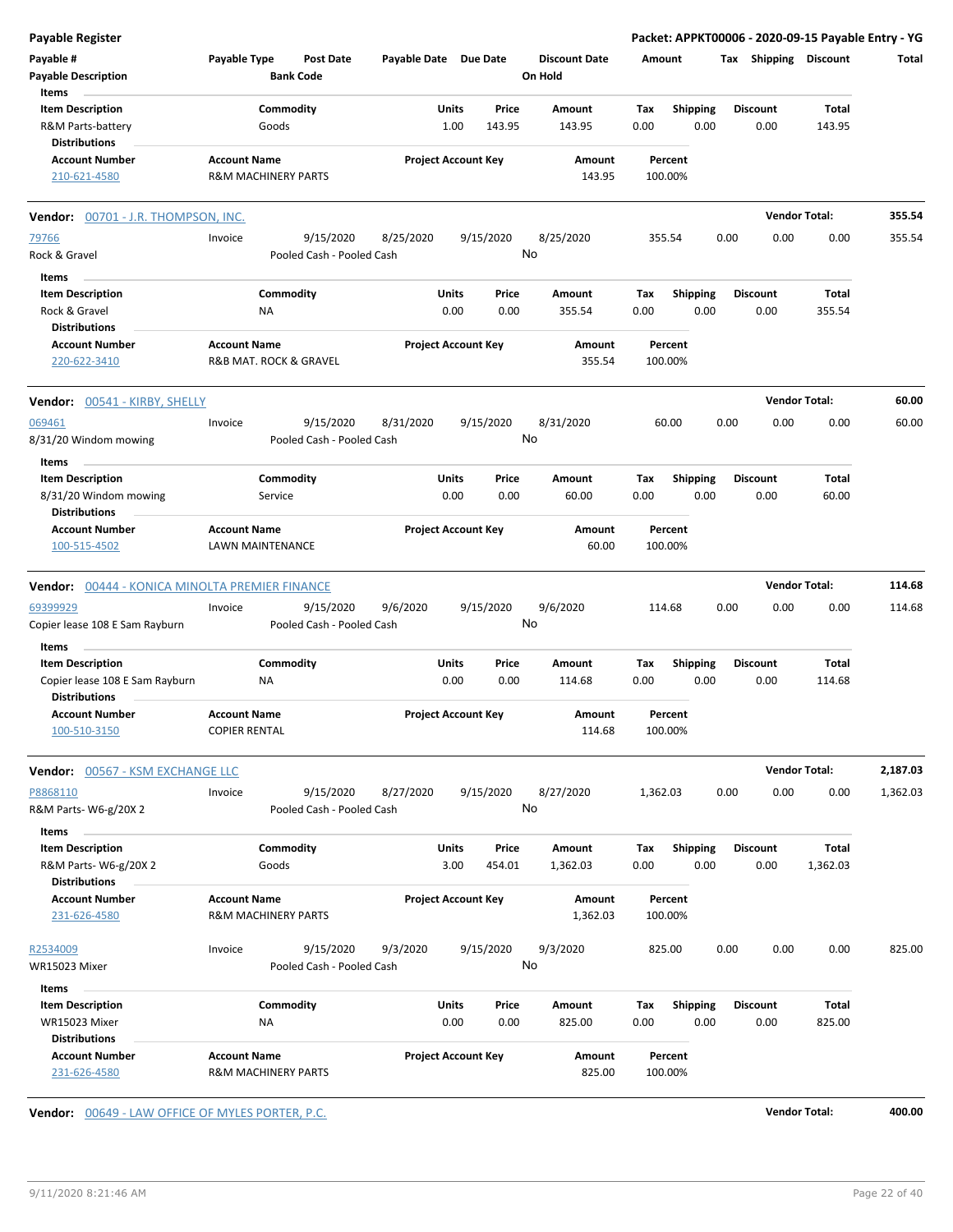| <b>Payable Register</b>                                              |                                             |                                        |                       |                            |                                 | Packet: APPKT00006 - 2020-09-15 Payable Entry - YG |      |                         |                      |          |
|----------------------------------------------------------------------|---------------------------------------------|----------------------------------------|-----------------------|----------------------------|---------------------------------|----------------------------------------------------|------|-------------------------|----------------------|----------|
| Payable #<br><b>Payable Description</b>                              | Payable Type                                | <b>Post Date</b><br><b>Bank Code</b>   | Payable Date Due Date |                            | <b>Discount Date</b><br>On Hold | Amount                                             |      | Tax Shipping Discount   |                      | Total    |
| Items                                                                |                                             |                                        |                       |                            |                                 |                                                    |      |                         |                      |          |
| <b>Item Description</b><br>R&M Parts-battery<br><b>Distributions</b> |                                             | Commodity<br>Goods                     | Units                 | Price<br>1.00<br>143.95    | Amount<br>143.95                | <b>Shipping</b><br>Tax<br>0.00                     | 0.00 | <b>Discount</b><br>0.00 | Total<br>143.95      |          |
| <b>Account Number</b><br>210-621-4580                                | <b>Account Name</b>                         | R&M MACHINERY PARTS                    |                       | <b>Project Account Key</b> | Amount<br>143.95                | Percent<br>100.00%                                 |      |                         |                      |          |
| Vendor: 00701 - J.R. THOMPSON, INC.                                  |                                             |                                        |                       |                            |                                 |                                                    |      |                         | <b>Vendor Total:</b> | 355.54   |
| 79766                                                                | Invoice                                     | 9/15/2020                              | 8/25/2020             | 9/15/2020                  | 8/25/2020                       | 355.54                                             | 0.00 | 0.00                    | 0.00                 | 355.54   |
| Rock & Gravel                                                        |                                             | Pooled Cash - Pooled Cash              |                       |                            | No                              |                                                    |      |                         |                      |          |
| Items                                                                |                                             |                                        |                       |                            |                                 |                                                    |      |                         |                      |          |
| <b>Item Description</b>                                              |                                             | Commodity                              | Units                 | Price                      | Amount                          | <b>Shipping</b><br>Tax                             |      | <b>Discount</b>         | Total                |          |
| Rock & Gravel<br><b>Distributions</b>                                |                                             | ΝA                                     |                       | 0.00<br>0.00               | 355.54                          | 0.00                                               | 0.00 | 0.00                    | 355.54               |          |
| <b>Account Number</b><br>220-622-3410                                | <b>Account Name</b>                         | R&B MAT. ROCK & GRAVEL                 |                       | <b>Project Account Key</b> | <b>Amount</b><br>355.54         | Percent<br>100.00%                                 |      |                         |                      |          |
| Vendor: 00541 - KIRBY, SHELLY                                        |                                             |                                        |                       |                            |                                 |                                                    |      |                         | <b>Vendor Total:</b> | 60.00    |
| 069461<br>8/31/20 Windom mowing                                      | Invoice                                     | 9/15/2020<br>Pooled Cash - Pooled Cash | 8/31/2020             | 9/15/2020                  | 8/31/2020<br>No                 | 60.00                                              | 0.00 | 0.00                    | 0.00                 | 60.00    |
| Items                                                                |                                             |                                        |                       |                            |                                 |                                                    |      |                         |                      |          |
| <b>Item Description</b>                                              |                                             | Commodity                              | Units                 | Price                      | Amount                          | Tax<br><b>Shipping</b>                             |      | <b>Discount</b>         | Total                |          |
| 8/31/20 Windom mowing<br><b>Distributions</b>                        |                                             | Service                                |                       | 0.00<br>0.00               | 60.00                           | 0.00                                               | 0.00 | 0.00                    | 60.00                |          |
| <b>Account Number</b><br>100-515-4502                                | <b>Account Name</b>                         | LAWN MAINTENANCE                       |                       | <b>Project Account Key</b> | Amount<br>60.00                 | Percent<br>100.00%                                 |      |                         |                      |          |
| Vendor: 00444 - KONICA MINOLTA PREMIER FINANCE                       |                                             |                                        |                       |                            |                                 |                                                    |      |                         | <b>Vendor Total:</b> | 114.68   |
| 69399929                                                             | Invoice                                     | 9/15/2020                              | 9/6/2020              | 9/15/2020                  | 9/6/2020                        | 114.68                                             | 0.00 | 0.00                    | 0.00                 | 114.68   |
| Copier lease 108 E Sam Rayburn<br>Items                              |                                             | Pooled Cash - Pooled Cash              |                       |                            | No                              |                                                    |      |                         |                      |          |
| <b>Item Description</b>                                              |                                             | Commodity                              | Units                 | Price                      | Amount                          | Tax<br><b>Shipping</b>                             |      | <b>Discount</b>         | Total                |          |
| Copier lease 108 E Sam Rayburn<br><b>Distributions</b>               |                                             | ΝA                                     |                       | 0.00<br>0.00               | 114.68                          | 0.00                                               | 0.00 | 0.00                    | 114.68               |          |
| <b>Account Number</b><br>100-510-3150                                | <b>Account Name</b><br><b>COPIER RENTAL</b> |                                        |                       | <b>Project Account Key</b> | Amount<br>114.68                | Percent<br>100.00%                                 |      |                         |                      |          |
| Vendor: 00567 - KSM EXCHANGE LLC                                     |                                             |                                        |                       |                            |                                 |                                                    |      |                         | <b>Vendor Total:</b> | 2,187.03 |
| P8868110<br>R&M Parts-W6-g/20X 2                                     | Invoice                                     | 9/15/2020<br>Pooled Cash - Pooled Cash | 8/27/2020             | 9/15/2020                  | 8/27/2020<br>No                 | 1,362.03                                           | 0.00 | 0.00                    | 0.00                 | 1,362.03 |
| Items<br><b>Item Description</b><br>R&M Parts-W6-g/20X 2             |                                             | Commodity<br>Goods                     | <b>Units</b>          | Price<br>3.00<br>454.01    | Amount<br>1,362.03              | Tax<br><b>Shipping</b><br>0.00                     | 0.00 | <b>Discount</b><br>0.00 | Total<br>1,362.03    |          |
| <b>Distributions</b><br><b>Account Number</b>                        | <b>Account Name</b>                         |                                        |                       | <b>Project Account Key</b> | Amount                          | Percent                                            |      |                         |                      |          |
| 231-626-4580                                                         |                                             | <b>R&amp;M MACHINERY PARTS</b>         |                       |                            | 1,362.03                        | 100.00%                                            |      |                         |                      |          |
| R2534009                                                             | Invoice                                     | 9/15/2020                              | 9/3/2020              | 9/15/2020                  | 9/3/2020                        | 825.00                                             | 0.00 | 0.00                    | 0.00                 | 825.00   |
| WR15023 Mixer                                                        |                                             | Pooled Cash - Pooled Cash              |                       |                            | No                              |                                                    |      |                         |                      |          |
| Items                                                                |                                             |                                        |                       |                            |                                 |                                                    |      |                         |                      |          |
| <b>Item Description</b>                                              |                                             | Commodity                              | <b>Units</b>          | Price                      | Amount                          | <b>Shipping</b><br>Tax                             |      | <b>Discount</b>         | Total                |          |
| WR15023 Mixer<br><b>Distributions</b>                                |                                             | NA                                     |                       | 0.00<br>0.00               | 825.00                          | 0.00                                               | 0.00 | 0.00                    | 825.00               |          |
| <b>Account Number</b><br>231-626-4580                                | <b>Account Name</b>                         | R&M MACHINERY PARTS                    |                       | <b>Project Account Key</b> | Amount<br>825.00                | Percent<br>100.00%                                 |      |                         |                      |          |

**Vendor:**  $\underline{00649 - LAW OFFICE OF MYLES PORTER, P.C.}$  **400.00**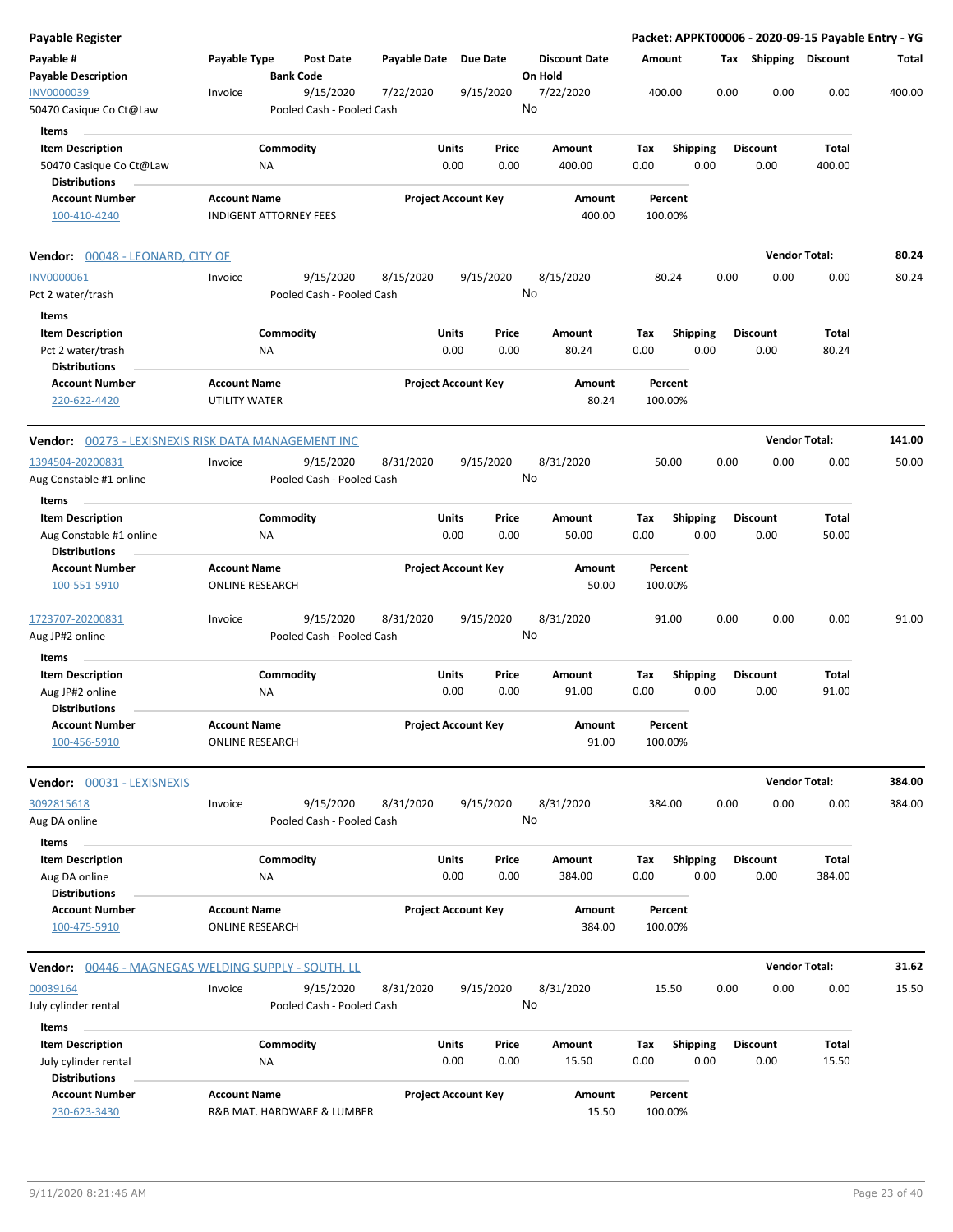| Payable Register                                                           |                                               |                        |                                        |                       |                            |               |                                 |                    |                         |      |                         | Packet: APPKT00006 - 2020-09-15 Payable Entry - YG |        |
|----------------------------------------------------------------------------|-----------------------------------------------|------------------------|----------------------------------------|-----------------------|----------------------------|---------------|---------------------------------|--------------------|-------------------------|------|-------------------------|----------------------------------------------------|--------|
| Payable #<br><b>Payable Description</b>                                    | Payable Type                                  | <b>Bank Code</b>       | Post Date                              | Payable Date Due Date |                            |               | <b>Discount Date</b><br>On Hold | Amount             |                         |      | Tax Shipping Discount   |                                                    | Total  |
| INV0000039<br>50470 Casique Co Ct@Law                                      | Invoice                                       |                        | 9/15/2020<br>Pooled Cash - Pooled Cash | 7/22/2020             | 9/15/2020                  |               | 7/22/2020<br>No                 | 400.00             |                         | 0.00 | 0.00                    | 0.00                                               | 400.00 |
| Items                                                                      |                                               |                        |                                        |                       |                            |               |                                 |                    |                         |      |                         |                                                    |        |
| <b>Item Description</b><br>50470 Casique Co Ct@Law                         |                                               | Commodity<br>ΝA        |                                        |                       | Units<br>0.00              | Price<br>0.00 | Amount<br>400.00                | Tax<br>0.00        | <b>Shipping</b><br>0.00 |      | <b>Discount</b><br>0.00 | Total<br>400.00                                    |        |
| <b>Distributions</b><br><b>Account Number</b>                              | <b>Account Name</b>                           |                        |                                        |                       | <b>Project Account Key</b> |               | Amount                          | Percent            |                         |      |                         |                                                    |        |
| 100-410-4240                                                               | <b>INDIGENT ATTORNEY FEES</b>                 |                        |                                        |                       |                            |               | 400.00                          | 100.00%            |                         |      |                         |                                                    |        |
| <b>Vendor:</b> 00048 - LEONARD, CITY OF                                    |                                               |                        |                                        |                       |                            |               |                                 |                    |                         |      |                         | <b>Vendor Total:</b>                               | 80.24  |
| <b>INV0000061</b><br>Pct 2 water/trash                                     | Invoice                                       |                        | 9/15/2020<br>Pooled Cash - Pooled Cash | 8/15/2020             | 9/15/2020                  |               | 8/15/2020<br>No                 | 80.24              |                         | 0.00 | 0.00                    | 0.00                                               | 80.24  |
| Items<br><b>Item Description</b>                                           |                                               | Commodity              |                                        |                       | Units                      | Price         | Amount                          | Tax                | <b>Shipping</b>         |      | <b>Discount</b>         | Total                                              |        |
| Pct 2 water/trash<br><b>Distributions</b>                                  |                                               | ΝA                     |                                        |                       | 0.00                       | 0.00          | 80.24                           | 0.00               | 0.00                    |      | 0.00                    | 80.24                                              |        |
| <b>Account Number</b><br>220-622-4420                                      | <b>Account Name</b><br>UTILITY WATER          |                        |                                        |                       | <b>Project Account Key</b> |               | Amount<br>80.24                 | Percent<br>100.00% |                         |      |                         |                                                    |        |
| <b>Vendor:</b> 00273 - LEXISNEXIS RISK DATA MANAGEMENT INC                 |                                               |                        |                                        |                       |                            |               |                                 |                    |                         |      |                         | <b>Vendor Total:</b>                               | 141.00 |
| 1394504-20200831<br>Aug Constable #1 online                                | Invoice                                       |                        | 9/15/2020<br>Pooled Cash - Pooled Cash | 8/31/2020             | 9/15/2020                  |               | 8/31/2020<br>No                 | 50.00              |                         | 0.00 | 0.00                    | 0.00                                               | 50.00  |
| Items                                                                      |                                               |                        |                                        |                       |                            |               |                                 |                    |                         |      |                         |                                                    |        |
| <b>Item Description</b><br>Aug Constable #1 online<br><b>Distributions</b> |                                               | Commodity<br>ΝA        |                                        |                       | Units<br>0.00              | Price<br>0.00 | Amount<br>50.00                 | Tax<br>0.00        | <b>Shipping</b><br>0.00 |      | <b>Discount</b><br>0.00 | Total<br>50.00                                     |        |
| <b>Account Number</b><br>100-551-5910                                      | <b>Account Name</b><br><b>ONLINE RESEARCH</b> |                        |                                        |                       | <b>Project Account Key</b> |               | Amount<br>50.00                 | Percent<br>100.00% |                         |      |                         |                                                    |        |
| 1723707-20200831<br>Aug JP#2 online                                        | Invoice                                       |                        | 9/15/2020<br>Pooled Cash - Pooled Cash | 8/31/2020             | 9/15/2020                  |               | 8/31/2020<br>No                 | 91.00              |                         | 0.00 | 0.00                    | 0.00                                               | 91.00  |
| Items                                                                      |                                               |                        |                                        |                       |                            |               |                                 |                    |                         |      |                         |                                                    |        |
| <b>Item Description</b><br>Aug JP#2 online                                 |                                               | Commodity<br>ΝA        |                                        |                       | Units<br>0.00              | Price<br>0.00 | Amount<br>91.00                 | Tax<br>0.00        | <b>Shipping</b><br>0.00 |      | <b>Discount</b><br>0.00 | Total<br>91.00                                     |        |
| <b>Distributions</b>                                                       | <b>Account Name</b>                           |                        |                                        |                       |                            |               |                                 | Percent            |                         |      |                         |                                                    |        |
| <b>Account Number</b><br>100-456-5910                                      | <b>ONLINE RESEARCH</b>                        |                        |                                        |                       | <b>Project Account Key</b> |               | Amount<br>91.00                 | 100.00%            |                         |      |                         |                                                    |        |
| <b>Vendor:</b> 00031 - LEXISNEXIS                                          |                                               |                        |                                        |                       |                            |               |                                 |                    |                         |      |                         | <b>Vendor Total:</b>                               | 384.00 |
| 3092815618<br>Aug DA online                                                | Invoice                                       |                        | 9/15/2020<br>Pooled Cash - Pooled Cash | 8/31/2020             | 9/15/2020                  |               | 8/31/2020<br>No                 | 384.00             |                         | 0.00 | 0.00                    | 0.00                                               | 384.00 |
| Items<br><b>Item Description</b>                                           |                                               | Commodity              |                                        |                       | <b>Units</b>               | Price         | Amount                          | Tax                | Shipping                |      | <b>Discount</b>         | Total                                              |        |
| Aug DA online<br><b>Distributions</b>                                      |                                               | NA                     |                                        |                       | 0.00                       | 0.00          | 384.00                          | 0.00               | 0.00                    |      | 0.00                    | 384.00                                             |        |
| <b>Account Number</b><br>100-475-5910                                      | <b>Account Name</b><br><b>ONLINE RESEARCH</b> |                        |                                        |                       | <b>Project Account Key</b> |               | Amount<br>384.00                | Percent<br>100.00% |                         |      |                         |                                                    |        |
| <b>Vendor:</b> 00446 - MAGNEGAS WELDING SUPPLY - SOUTH, LL                 |                                               |                        |                                        |                       |                            |               |                                 |                    |                         |      |                         | <b>Vendor Total:</b>                               | 31.62  |
| 00039164<br>July cylinder rental                                           | Invoice                                       |                        | 9/15/2020<br>Pooled Cash - Pooled Cash | 8/31/2020             | 9/15/2020                  |               | 8/31/2020<br>No                 | 15.50              |                         | 0.00 | 0.00                    | 0.00                                               | 15.50  |
| Items                                                                      |                                               |                        |                                        |                       |                            |               |                                 |                    |                         |      |                         |                                                    |        |
| <b>Item Description</b><br>July cylinder rental<br><b>Distributions</b>    |                                               | Commodity<br><b>NA</b> |                                        |                       | Units<br>0.00              | Price<br>0.00 | Amount<br>15.50                 | Tax<br>0.00        | <b>Shipping</b><br>0.00 |      | <b>Discount</b><br>0.00 | Total<br>15.50                                     |        |
| <b>Account Number</b><br>230-623-3430                                      | <b>Account Name</b>                           |                        | R&B MAT. HARDWARE & LUMBER             |                       | <b>Project Account Key</b> |               | Amount<br>15.50                 | Percent<br>100.00% |                         |      |                         |                                                    |        |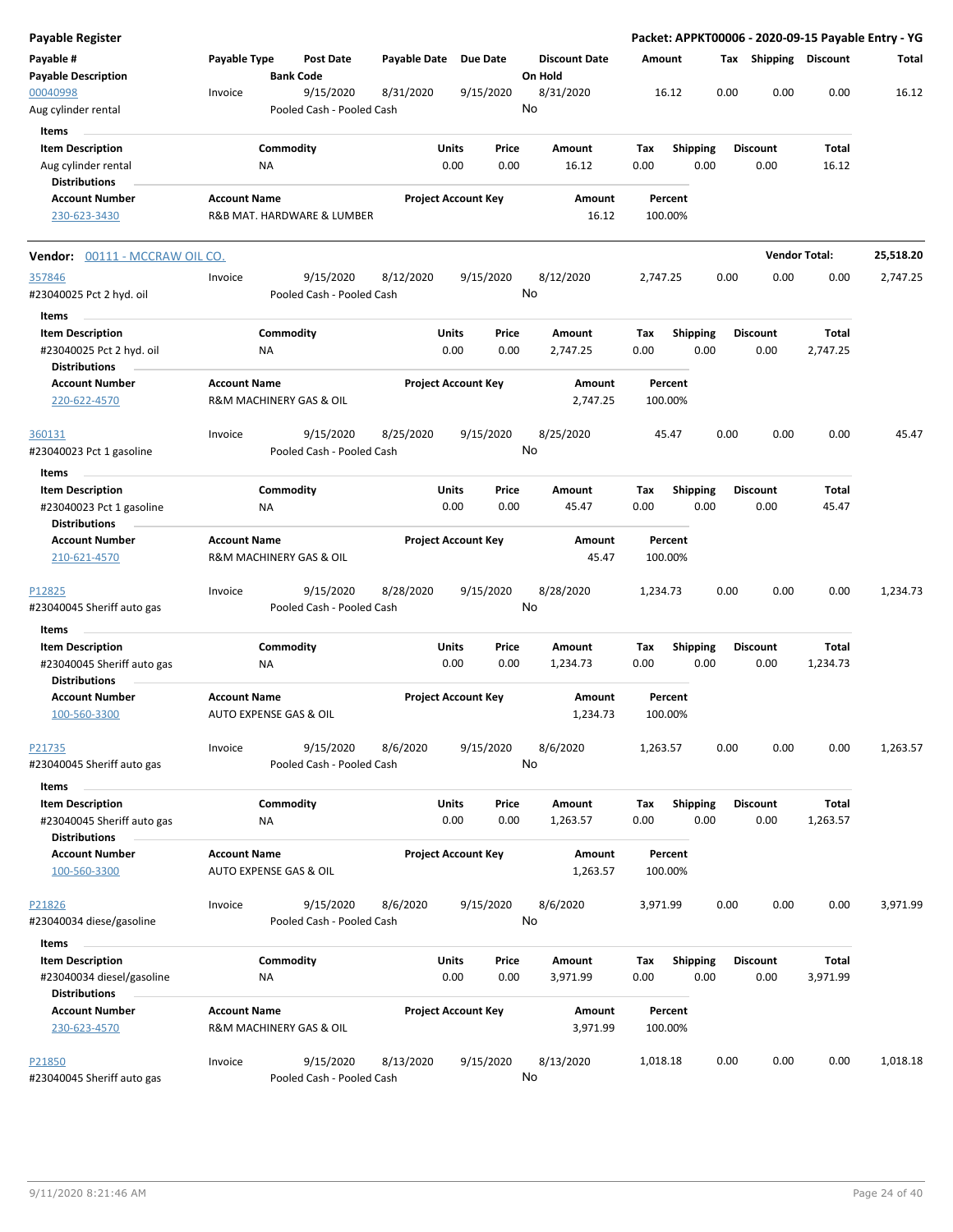| <b>Payable Register</b>                               |                     |                                        |                       |                            |               |                                 |                    |                         |      |                         |                      | Packet: APPKT00006 - 2020-09-15 Payable Entry - YG |
|-------------------------------------------------------|---------------------|----------------------------------------|-----------------------|----------------------------|---------------|---------------------------------|--------------------|-------------------------|------|-------------------------|----------------------|----------------------------------------------------|
| Payable #<br><b>Payable Description</b>               | Payable Type        | <b>Post Date</b><br><b>Bank Code</b>   | Payable Date Due Date |                            |               | <b>Discount Date</b><br>On Hold | Amount             |                         | Тах  |                         | Shipping Discount    | Total                                              |
| 00040998<br>Aug cylinder rental                       | Invoice             | 9/15/2020<br>Pooled Cash - Pooled Cash | 8/31/2020             |                            | 9/15/2020     | 8/31/2020<br>No                 | 16.12              |                         | 0.00 | 0.00                    | 0.00                 | 16.12                                              |
| Items                                                 |                     |                                        |                       |                            |               |                                 |                    |                         |      |                         |                      |                                                    |
| <b>Item Description</b>                               |                     | Commodity                              |                       | Units                      | Price         | Amount                          | Tax                | <b>Shipping</b>         |      | <b>Discount</b>         | Total                |                                                    |
| Aug cylinder rental                                   |                     | NA                                     |                       | 0.00                       | 0.00          | 16.12                           | 0.00               | 0.00                    |      | 0.00                    | 16.12                |                                                    |
| <b>Distributions</b>                                  |                     |                                        |                       |                            |               |                                 |                    |                         |      |                         |                      |                                                    |
| <b>Account Number</b>                                 | <b>Account Name</b> |                                        |                       | <b>Project Account Key</b> |               | Amount                          | Percent            |                         |      |                         |                      |                                                    |
| 230-623-3430                                          |                     | R&B MAT. HARDWARE & LUMBER             |                       |                            |               | 16.12                           | 100.00%            |                         |      |                         |                      |                                                    |
| Vendor: 00111 - MCCRAW OIL CO.                        |                     |                                        |                       |                            |               |                                 |                    |                         |      |                         | <b>Vendor Total:</b> | 25,518.20                                          |
| 357846                                                | Invoice             | 9/15/2020                              | 8/12/2020             |                            | 9/15/2020     | 8/12/2020                       | 2,747.25           |                         | 0.00 | 0.00                    | 0.00                 | 2,747.25                                           |
| #23040025 Pct 2 hyd. oil                              |                     | Pooled Cash - Pooled Cash              |                       |                            |               | No                              |                    |                         |      |                         |                      |                                                    |
| Items                                                 |                     |                                        |                       |                            |               |                                 |                    |                         |      |                         |                      |                                                    |
| <b>Item Description</b>                               |                     | Commodity                              |                       | Units                      | Price         | Amount                          | Tax                | <b>Shipping</b>         |      | <b>Discount</b>         | Total                |                                                    |
| #23040025 Pct 2 hyd. oil                              |                     | ΝA                                     |                       | 0.00                       | 0.00          | 2,747.25                        | 0.00               | 0.00                    |      | 0.00                    | 2,747.25             |                                                    |
| <b>Distributions</b>                                  |                     |                                        |                       |                            |               |                                 |                    |                         |      |                         |                      |                                                    |
| <b>Account Number</b><br>220-622-4570                 | <b>Account Name</b> | <b>R&amp;M MACHINERY GAS &amp; OIL</b> |                       | <b>Project Account Key</b> |               | Amount<br>2,747.25              | Percent<br>100.00% |                         |      |                         |                      |                                                    |
| 360131                                                | Invoice             | 9/15/2020                              | 8/25/2020             |                            | 9/15/2020     | 8/25/2020                       | 45.47              |                         | 0.00 | 0.00                    | 0.00                 | 45.47                                              |
| #23040023 Pct 1 gasoline                              |                     | Pooled Cash - Pooled Cash              |                       |                            |               | No                              |                    |                         |      |                         |                      |                                                    |
| Items                                                 |                     |                                        |                       |                            |               |                                 |                    |                         |      |                         |                      |                                                    |
| <b>Item Description</b>                               |                     | Commodity                              |                       | Units                      | Price         | Amount                          | Tax                | <b>Shipping</b>         |      | <b>Discount</b>         | Total                |                                                    |
| #23040023 Pct 1 gasoline<br><b>Distributions</b>      |                     | NA                                     |                       | 0.00                       | 0.00          | 45.47                           | 0.00               | 0.00                    |      | 0.00                    | 45.47                |                                                    |
| <b>Account Number</b>                                 | <b>Account Name</b> |                                        |                       | <b>Project Account Key</b> |               | Amount                          | Percent            |                         |      |                         |                      |                                                    |
| 210-621-4570                                          |                     | R&M MACHINERY GAS & OIL                |                       |                            |               | 45.47                           | 100.00%            |                         |      |                         |                      |                                                    |
| P12825                                                | Invoice             | 9/15/2020                              | 8/28/2020             |                            | 9/15/2020     | 8/28/2020<br>No                 | 1,234.73           |                         | 0.00 | 0.00                    | 0.00                 | 1,234.73                                           |
| #23040045 Sheriff auto gas                            |                     | Pooled Cash - Pooled Cash              |                       |                            |               |                                 |                    |                         |      |                         |                      |                                                    |
| Items                                                 |                     |                                        |                       |                            |               |                                 |                    |                         |      |                         |                      |                                                    |
| <b>Item Description</b>                               |                     | Commodity                              |                       | Units                      | Price         | Amount                          | Tax                | Shipping                |      | <b>Discount</b>         | Total                |                                                    |
| #23040045 Sheriff auto gas<br><b>Distributions</b>    |                     | ΝA                                     |                       | 0.00                       | 0.00          | 1,234.73                        | 0.00               | 0.00                    |      | 0.00                    | 1,234.73             |                                                    |
| <b>Account Number</b><br>100-560-3300                 | <b>Account Name</b> | AUTO EXPENSE GAS & OIL                 |                       | <b>Project Account Key</b> |               | Amount<br>1,234.73              | Percent<br>100.00% |                         |      |                         |                      |                                                    |
| P21735                                                | Invoice             | 9/15/2020                              | 8/6/2020              |                            | 9/15/2020     | 8/6/2020                        | 1,263.57           |                         | 0.00 | 0.00                    | 0.00                 | 1,263.57                                           |
| #23040045 Sheriff auto gas                            |                     | Pooled Cash - Pooled Cash              |                       |                            |               | No                              |                    |                         |      |                         |                      |                                                    |
| Items                                                 |                     |                                        |                       |                            |               |                                 |                    |                         |      |                         |                      |                                                    |
| <b>Item Description</b><br>#23040045 Sheriff auto gas |                     | Commodity<br>ΝA                        |                       | Units<br>0.00              | Price<br>0.00 | Amount<br>1,263.57              | Tax<br>0.00        | <b>Shipping</b><br>0.00 |      | <b>Discount</b><br>0.00 | Total<br>1,263.57    |                                                    |
| <b>Distributions</b>                                  |                     |                                        |                       |                            |               |                                 |                    |                         |      |                         |                      |                                                    |
| <b>Account Number</b><br>100-560-3300                 | <b>Account Name</b> | AUTO EXPENSE GAS & OIL                 |                       | <b>Project Account Key</b> |               | Amount<br>1,263.57              | Percent<br>100.00% |                         |      |                         |                      |                                                    |
|                                                       |                     |                                        |                       |                            |               |                                 |                    |                         | 0.00 | 0.00                    |                      | 3,971.99                                           |
| P21826<br>#23040034 diese/gasoline                    | Invoice             | 9/15/2020<br>Pooled Cash - Pooled Cash | 8/6/2020              |                            | 9/15/2020     | 8/6/2020<br>No                  | 3,971.99           |                         |      |                         | 0.00                 |                                                    |
| Items                                                 |                     |                                        |                       |                            |               |                                 |                    |                         |      |                         |                      |                                                    |
| <b>Item Description</b>                               |                     | Commodity                              |                       | Units                      | Price         | Amount                          | Tax                | <b>Shipping</b>         |      | <b>Discount</b>         | Total                |                                                    |
| #23040034 diesel/gasoline<br><b>Distributions</b>     |                     | NA                                     |                       | 0.00                       | 0.00          | 3,971.99                        | 0.00               | 0.00                    |      | 0.00                    | 3,971.99             |                                                    |
| <b>Account Number</b>                                 | <b>Account Name</b> |                                        |                       | <b>Project Account Key</b> |               | Amount                          | Percent            |                         |      |                         |                      |                                                    |
| 230-623-4570                                          |                     | R&M MACHINERY GAS & OIL                |                       |                            |               | 3,971.99                        | 100.00%            |                         |      |                         |                      |                                                    |
| P21850                                                | Invoice             | 9/15/2020                              | 8/13/2020             |                            | 9/15/2020     | 8/13/2020                       | 1,018.18           |                         | 0.00 | 0.00                    | 0.00                 | 1,018.18                                           |
| #23040045 Sheriff auto gas                            |                     | Pooled Cash - Pooled Cash              |                       |                            |               | No                              |                    |                         |      |                         |                      |                                                    |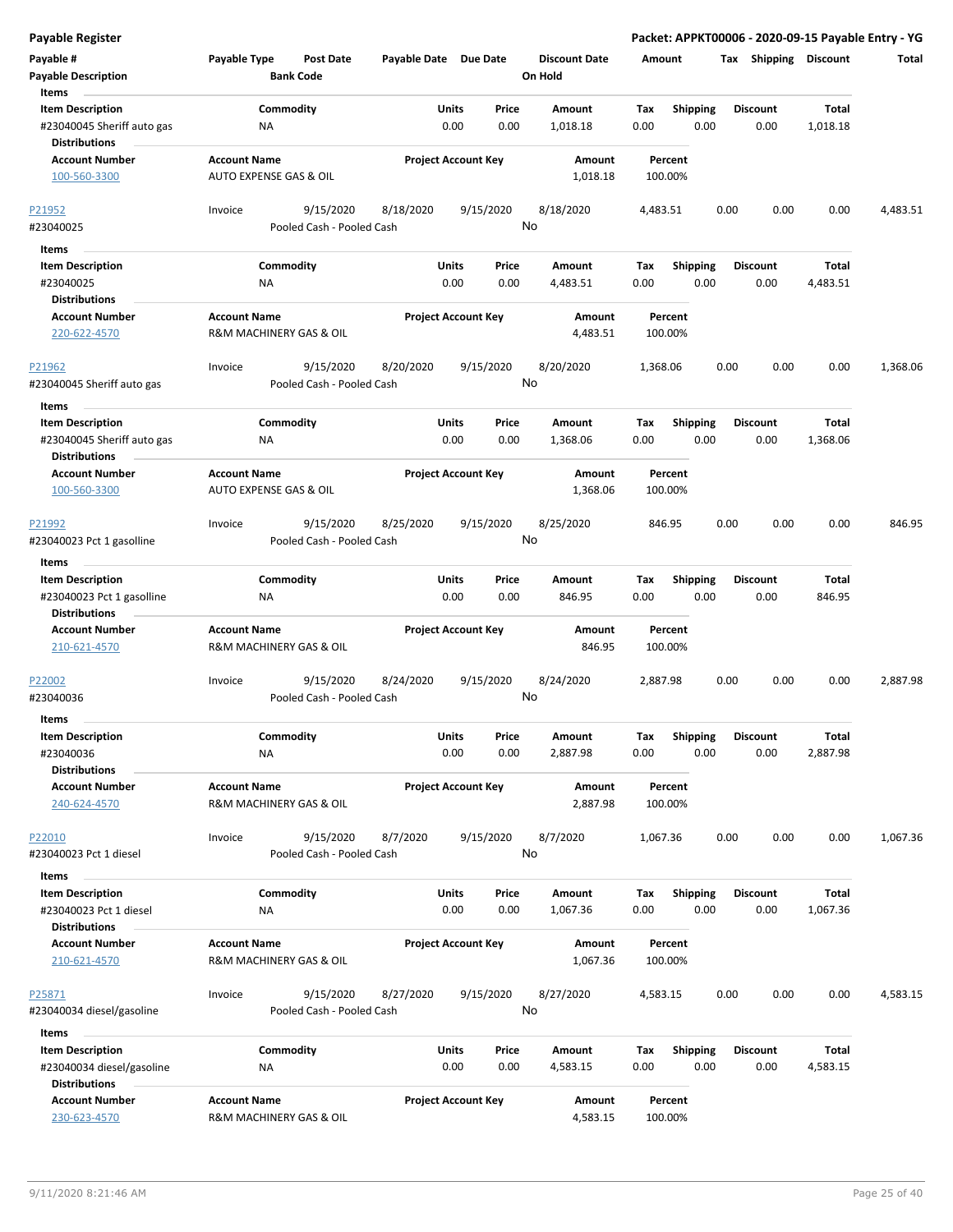| Payable #<br><b>Payable Description</b>            | Payable Type                                   | <b>Post Date</b><br><b>Bank Code</b> | Payable Date Due Date |                            | <b>Discount Date</b><br>On Hold | Amount             |                 | Тах  | Shipping        | Discount     | Total    |
|----------------------------------------------------|------------------------------------------------|--------------------------------------|-----------------------|----------------------------|---------------------------------|--------------------|-----------------|------|-----------------|--------------|----------|
| Items                                              |                                                |                                      |                       |                            |                                 |                    |                 |      |                 |              |          |
| <b>Item Description</b>                            |                                                | Commodity                            |                       | Units<br>Price             | Amount                          | Tax                | Shipping        |      | <b>Discount</b> | Total        |          |
| #23040045 Sheriff auto gas<br><b>Distributions</b> | <b>NA</b>                                      |                                      |                       | 0.00<br>0.00               | 1,018.18                        | 0.00               | 0.00            |      | 0.00            | 1,018.18     |          |
|                                                    |                                                |                                      |                       |                            |                                 |                    |                 |      |                 |              |          |
| <b>Account Number</b>                              | <b>Account Name</b>                            |                                      |                       | <b>Project Account Key</b> | Amount                          | Percent            |                 |      |                 |              |          |
| 100-560-3300                                       | AUTO EXPENSE GAS & OIL                         |                                      |                       |                            | 1,018.18                        | 100.00%            |                 |      |                 |              |          |
| P21952                                             | Invoice                                        | 9/15/2020                            | 8/18/2020             | 9/15/2020                  | 8/18/2020                       | 4,483.51           |                 | 0.00 | 0.00            | 0.00         | 4,483.51 |
| #23040025                                          |                                                | Pooled Cash - Pooled Cash            |                       |                            | No                              |                    |                 |      |                 |              |          |
| Items                                              |                                                |                                      |                       |                            |                                 |                    |                 |      |                 |              |          |
| <b>Item Description</b>                            |                                                | Commodity                            |                       | Units<br>Price             | Amount                          | Tax                | <b>Shipping</b> |      | <b>Discount</b> | Total        |          |
| #23040025                                          | ΝA                                             |                                      |                       | 0.00<br>0.00               | 4,483.51                        | 0.00               | 0.00            |      | 0.00            | 4,483.51     |          |
| <b>Distributions</b>                               |                                                |                                      |                       |                            |                                 |                    |                 |      |                 |              |          |
| <b>Account Number</b>                              | <b>Account Name</b>                            |                                      |                       | <b>Project Account Key</b> | Amount                          | Percent            |                 |      |                 |              |          |
| 220-622-4570                                       | R&M MACHINERY GAS & OIL                        |                                      |                       |                            | 4,483.51                        | 100.00%            |                 |      |                 |              |          |
| P21962                                             | Invoice                                        | 9/15/2020                            | 8/20/2020             | 9/15/2020                  | 8/20/2020                       | 1,368.06           |                 | 0.00 | 0.00            | 0.00         | 1,368.06 |
| #23040045 Sheriff auto gas                         |                                                | Pooled Cash - Pooled Cash            |                       |                            | No                              |                    |                 |      |                 |              |          |
| Items                                              |                                                |                                      |                       |                            |                                 |                    |                 |      |                 |              |          |
| <b>Item Description</b>                            |                                                | Commodity                            |                       | Units<br>Price             | Amount                          | Tax                | <b>Shipping</b> |      | <b>Discount</b> | Total        |          |
| #23040045 Sheriff auto gas                         | ΝA                                             |                                      |                       | 0.00<br>0.00               | 1,368.06                        | 0.00               | 0.00            |      | 0.00            | 1,368.06     |          |
| <b>Distributions</b>                               |                                                |                                      |                       |                            |                                 |                    |                 |      |                 |              |          |
| <b>Account Number</b>                              | <b>Account Name</b>                            |                                      |                       | <b>Project Account Key</b> | Amount                          | Percent            |                 |      |                 |              |          |
| 100-560-3300                                       | <b>AUTO EXPENSE GAS &amp; OIL</b>              |                                      |                       |                            | 1,368.06                        | 100.00%            |                 |      |                 |              |          |
| P21992                                             | Invoice                                        | 9/15/2020                            | 8/25/2020             | 9/15/2020                  | 8/25/2020                       | 846.95             |                 | 0.00 | 0.00            | 0.00         | 846.95   |
| #23040023 Pct 1 gasolline                          |                                                | Pooled Cash - Pooled Cash            |                       |                            | No                              |                    |                 |      |                 |              |          |
|                                                    |                                                |                                      |                       |                            |                                 |                    |                 |      |                 |              |          |
| Items                                              |                                                |                                      |                       |                            |                                 |                    |                 |      |                 |              |          |
| <b>Item Description</b>                            |                                                | Commodity                            |                       | Units<br>Price             | Amount                          | Tax                | <b>Shipping</b> |      | <b>Discount</b> | Total        |          |
| #23040023 Pct 1 gasolline<br><b>Distributions</b>  | NA                                             |                                      |                       | 0.00<br>0.00               | 846.95                          | 0.00               | 0.00            |      | 0.00            | 846.95       |          |
| <b>Account Number</b>                              | <b>Account Name</b>                            |                                      |                       | <b>Project Account Key</b> | Amount                          | Percent            |                 |      |                 |              |          |
| 210-621-4570                                       | R&M MACHINERY GAS & OIL                        |                                      |                       |                            | 846.95                          | 100.00%            |                 |      |                 |              |          |
|                                                    |                                                |                                      |                       |                            |                                 |                    |                 |      |                 |              |          |
| P22002                                             | Invoice                                        | 9/15/2020                            | 8/24/2020             | 9/15/2020                  | 8/24/2020                       | 2,887.98           |                 | 0.00 | 0.00            | 0.00         | 2,887.98 |
| #23040036                                          |                                                | Pooled Cash - Pooled Cash            |                       |                            | No                              |                    |                 |      |                 |              |          |
|                                                    |                                                |                                      |                       |                            |                                 |                    |                 |      |                 |              |          |
| Items<br><b>Item Description</b>                   |                                                | Commodity                            |                       | Units<br>Price             | Amount                          |                    | <b>Shipping</b> |      | <b>Discount</b> | Total        |          |
| #23040036                                          | <b>NA</b>                                      |                                      |                       | 0.00<br>0.00               | 2,887.98                        | Тах<br>0.00        | 0.00            |      | 0.00            | 2,887.98     |          |
| <b>Distributions</b>                               |                                                |                                      |                       |                            |                                 |                    |                 |      |                 |              |          |
| <b>Account Number</b>                              | <b>Account Name</b>                            |                                      |                       | <b>Project Account Key</b> | Amount                          | Percent            |                 |      |                 |              |          |
| 240-624-4570                                       | R&M MACHINERY GAS & OIL                        |                                      |                       |                            | 2,887.98                        | 100.00%            |                 |      |                 |              |          |
|                                                    |                                                |                                      |                       |                            |                                 |                    |                 |      |                 |              |          |
| P22010                                             | Invoice                                        | 9/15/2020                            | 8/7/2020              | 9/15/2020                  | 8/7/2020                        | 1,067.36           |                 | 0.00 | 0.00            | 0.00         | 1,067.36 |
| #23040023 Pct 1 diesel                             |                                                | Pooled Cash - Pooled Cash            |                       |                            | No                              |                    |                 |      |                 |              |          |
|                                                    |                                                |                                      |                       |                            |                                 |                    |                 |      |                 |              |          |
| Items                                              |                                                | Commodity                            |                       | Units<br>Price             | Amount                          | Tax                | <b>Shipping</b> |      | <b>Discount</b> | <b>Total</b> |          |
| <b>Item Description</b><br>#23040023 Pct 1 diesel  | NA                                             |                                      |                       | 0.00<br>0.00               | 1,067.36                        | 0.00               | 0.00            |      | 0.00            | 1,067.36     |          |
| <b>Distributions</b>                               |                                                |                                      |                       |                            |                                 |                    |                 |      |                 |              |          |
| <b>Account Number</b>                              | <b>Account Name</b>                            |                                      |                       | <b>Project Account Key</b> | Amount                          | Percent            |                 |      |                 |              |          |
| 210-621-4570                                       | R&M MACHINERY GAS & OIL                        |                                      |                       |                            | 1,067.36                        | 100.00%            |                 |      |                 |              |          |
|                                                    |                                                |                                      |                       |                            |                                 |                    |                 |      |                 |              |          |
| P25871                                             | Invoice                                        | 9/15/2020                            | 8/27/2020             | 9/15/2020                  | 8/27/2020                       | 4,583.15           |                 | 0.00 | 0.00            | 0.00         | 4,583.15 |
| #23040034 diesel/gasoline                          |                                                | Pooled Cash - Pooled Cash            |                       |                            | No                              |                    |                 |      |                 |              |          |
|                                                    |                                                |                                      |                       |                            |                                 |                    |                 |      |                 |              |          |
| Items                                              |                                                |                                      |                       |                            |                                 |                    |                 |      |                 |              |          |
| <b>Item Description</b>                            |                                                | Commodity                            |                       | Units<br>Price             | Amount                          | Tax                | <b>Shipping</b> |      | <b>Discount</b> | Total        |          |
| #23040034 diesel/gasoline                          | ΝA                                             |                                      |                       | 0.00<br>0.00               | 4,583.15                        | 0.00               | 0.00            |      | 0.00            | 4,583.15     |          |
| <b>Distributions</b>                               |                                                |                                      |                       |                            |                                 |                    |                 |      |                 |              |          |
| <b>Account Number</b><br>230-623-4570              | <b>Account Name</b><br>R&M MACHINERY GAS & OIL |                                      |                       | <b>Project Account Key</b> | Amount<br>4,583.15              | Percent<br>100.00% |                 |      |                 |              |          |
|                                                    |                                                |                                      |                       |                            |                                 |                    |                 |      |                 |              |          |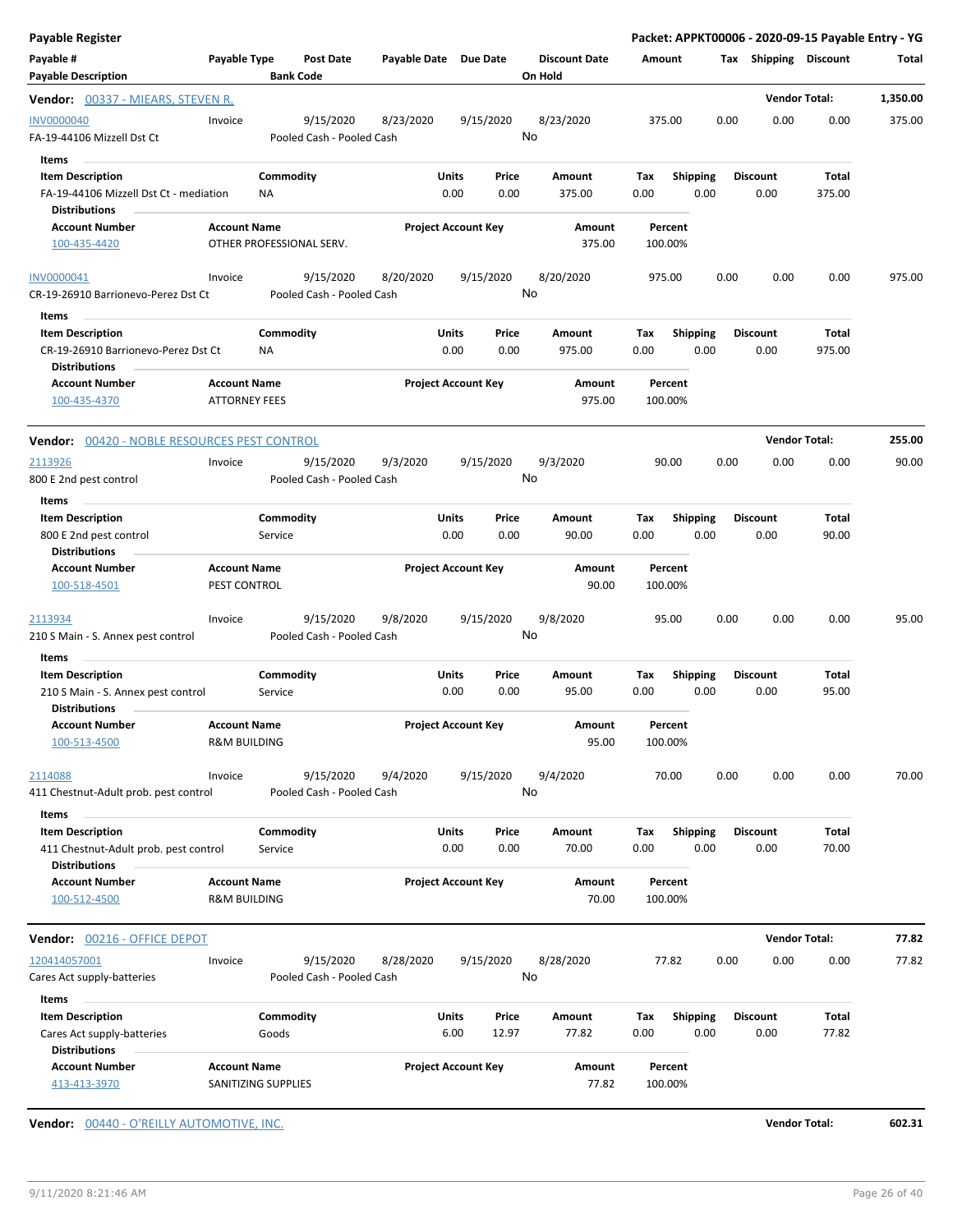| <b>Payable Register</b>                                                                           |                                                |                                        |                       |                            |               |                                 |                    |                         |      |                         | Packet: APPKT00006 - 2020-09-15 Payable Entry - YG |          |
|---------------------------------------------------------------------------------------------------|------------------------------------------------|----------------------------------------|-----------------------|----------------------------|---------------|---------------------------------|--------------------|-------------------------|------|-------------------------|----------------------------------------------------|----------|
| Payable #<br><b>Payable Description</b>                                                           | Payable Type                                   | Post Date<br><b>Bank Code</b>          | Payable Date Due Date |                            |               | <b>Discount Date</b><br>On Hold | Amount             |                         |      | Tax Shipping Discount   |                                                    | Total    |
| Vendor: 00337 - MIEARS, STEVEN R.                                                                 |                                                |                                        |                       |                            |               |                                 |                    |                         |      |                         | <b>Vendor Total:</b>                               | 1,350.00 |
| INV0000040<br>FA-19-44106 Mizzell Dst Ct                                                          | Invoice                                        | 9/15/2020<br>Pooled Cash - Pooled Cash | 8/23/2020             | 9/15/2020                  |               | 8/23/2020<br>No                 | 375.00             |                         | 0.00 | 0.00                    | 0.00                                               | 375.00   |
| Items<br><b>Item Description</b><br>FA-19-44106 Mizzell Dst Ct - mediation                        |                                                | Commodity<br>ΝA                        |                       | Units<br>0.00              | Price<br>0.00 | Amount<br>375.00                | Tax<br>0.00        | <b>Shipping</b><br>0.00 |      | <b>Discount</b><br>0.00 | Total<br>375.00                                    |          |
| <b>Distributions</b><br><b>Account Number</b><br>100-435-4420                                     | <b>Account Name</b>                            | OTHER PROFESSIONAL SERV.               |                       | <b>Project Account Key</b> |               | Amount<br>375.00                | Percent<br>100.00% |                         |      |                         |                                                    |          |
| INV0000041<br>CR-19-26910 Barrionevo-Perez Dst Ct                                                 | Invoice                                        | 9/15/2020<br>Pooled Cash - Pooled Cash | 8/20/2020             | 9/15/2020                  |               | 8/20/2020<br>No                 | 975.00             |                         | 0.00 | 0.00                    | 0.00                                               | 975.00   |
| Items<br><b>Item Description</b><br>CR-19-26910 Barrionevo-Perez Dst Ct                           |                                                | Commodity<br>NA                        |                       | Units<br>0.00              | Price<br>0.00 | Amount<br>975.00                | Tax<br>0.00        | <b>Shipping</b><br>0.00 |      | <b>Discount</b><br>0.00 | Total<br>975.00                                    |          |
| <b>Distributions</b><br><b>Account Number</b><br>100-435-4370                                     | <b>Account Name</b><br><b>ATTORNEY FEES</b>    |                                        |                       | <b>Project Account Key</b> |               | Amount<br>975.00                | Percent<br>100.00% |                         |      |                         |                                                    |          |
| <b>Vendor:</b> 00420 - NOBLE RESOURCES PEST CONTROL                                               |                                                |                                        |                       |                            |               |                                 |                    |                         |      |                         | <b>Vendor Total:</b>                               | 255.00   |
| 2113926<br>800 E 2nd pest control                                                                 | Invoice                                        | 9/15/2020<br>Pooled Cash - Pooled Cash | 9/3/2020              | 9/15/2020                  |               | 9/3/2020<br>No                  | 90.00              |                         | 0.00 | 0.00                    | 0.00                                               | 90.00    |
| Items<br><b>Item Description</b><br>800 E 2nd pest control<br><b>Distributions</b>                |                                                | Commodity<br>Service                   |                       | Units<br>0.00              | Price<br>0.00 | Amount<br>90.00                 | Tax<br>0.00        | <b>Shipping</b><br>0.00 |      | <b>Discount</b><br>0.00 | Total<br>90.00                                     |          |
| <b>Account Number</b><br>100-518-4501                                                             | <b>Account Name</b><br>PEST CONTROL            |                                        |                       | <b>Project Account Key</b> |               | Amount<br>90.00                 | Percent<br>100.00% |                         |      |                         |                                                    |          |
| 2113934<br>210 S Main - S. Annex pest control                                                     | Invoice                                        | 9/15/2020<br>Pooled Cash - Pooled Cash | 9/8/2020              | 9/15/2020                  |               | 9/8/2020<br>No                  | 95.00              |                         | 0.00 | 0.00                    | 0.00                                               | 95.00    |
| Items<br><b>Item Description</b><br>210 S Main - S. Annex pest control<br><b>Distributions</b>    |                                                | Commodity<br>Service                   |                       | Units<br>0.00              | Price<br>0.00 | Amount<br>95.00                 | Tax<br>0.00        | <b>Shipping</b><br>0.00 |      | <b>Discount</b><br>0.00 | Total<br>95.00                                     |          |
| <b>Account Number</b><br>100-513-4500                                                             | <b>Account Name</b><br><b>R&amp;M BUILDING</b> |                                        |                       | <b>Project Account Key</b> |               | Amount<br>95.00                 | Percent<br>100.00% |                         |      |                         |                                                    |          |
| 2114088<br>411 Chestnut-Adult prob. pest control                                                  | Invoice                                        | 9/15/2020<br>Pooled Cash - Pooled Cash | 9/4/2020              | 9/15/2020                  |               | 9/4/2020<br>No                  | 70.00              |                         | 0.00 | 0.00                    | 0.00                                               | 70.00    |
| Items<br><b>Item Description</b><br>411 Chestnut-Adult prob. pest control<br><b>Distributions</b> |                                                | Commodity<br>Service                   |                       | Units<br>0.00              | Price<br>0.00 | Amount<br>70.00                 | Tax<br>0.00        | <b>Shipping</b><br>0.00 |      | <b>Discount</b><br>0.00 | Total<br>70.00                                     |          |
| <b>Account Number</b><br>100-512-4500                                                             | <b>Account Name</b><br><b>R&amp;M BUILDING</b> |                                        |                       | <b>Project Account Key</b> |               | Amount<br>70.00                 | Percent<br>100.00% |                         |      |                         |                                                    |          |
| Vendor: 00216 - OFFICE DEPOT                                                                      |                                                |                                        |                       |                            |               |                                 |                    |                         |      |                         | <b>Vendor Total:</b>                               | 77.82    |
| 120414057001<br>Cares Act supply-batteries                                                        | Invoice                                        | 9/15/2020<br>Pooled Cash - Pooled Cash | 8/28/2020             | 9/15/2020                  |               | 8/28/2020<br>No                 | 77.82              |                         | 0.00 | 0.00                    | 0.00                                               | 77.82    |
| Items<br><b>Item Description</b>                                                                  |                                                | Commodity                              |                       | Units                      | Price         | Amount                          | Tax                | <b>Shipping</b>         |      | <b>Discount</b>         | Total                                              |          |
| Cares Act supply-batteries<br><b>Distributions</b>                                                |                                                | Goods                                  |                       | 6.00                       | 12.97         | 77.82                           | 0.00               | 0.00                    |      | 0.00                    | 77.82                                              |          |
| <b>Account Number</b><br>413-413-3970                                                             | <b>Account Name</b>                            | SANITIZING SUPPLIES                    |                       | <b>Project Account Key</b> |               | Amount<br>77.82                 | Percent<br>100.00% |                         |      |                         |                                                    |          |

**Vendor:**  $\underline{00440 - 0'REILLY AUTOMOTIVE, INC.}$  602.31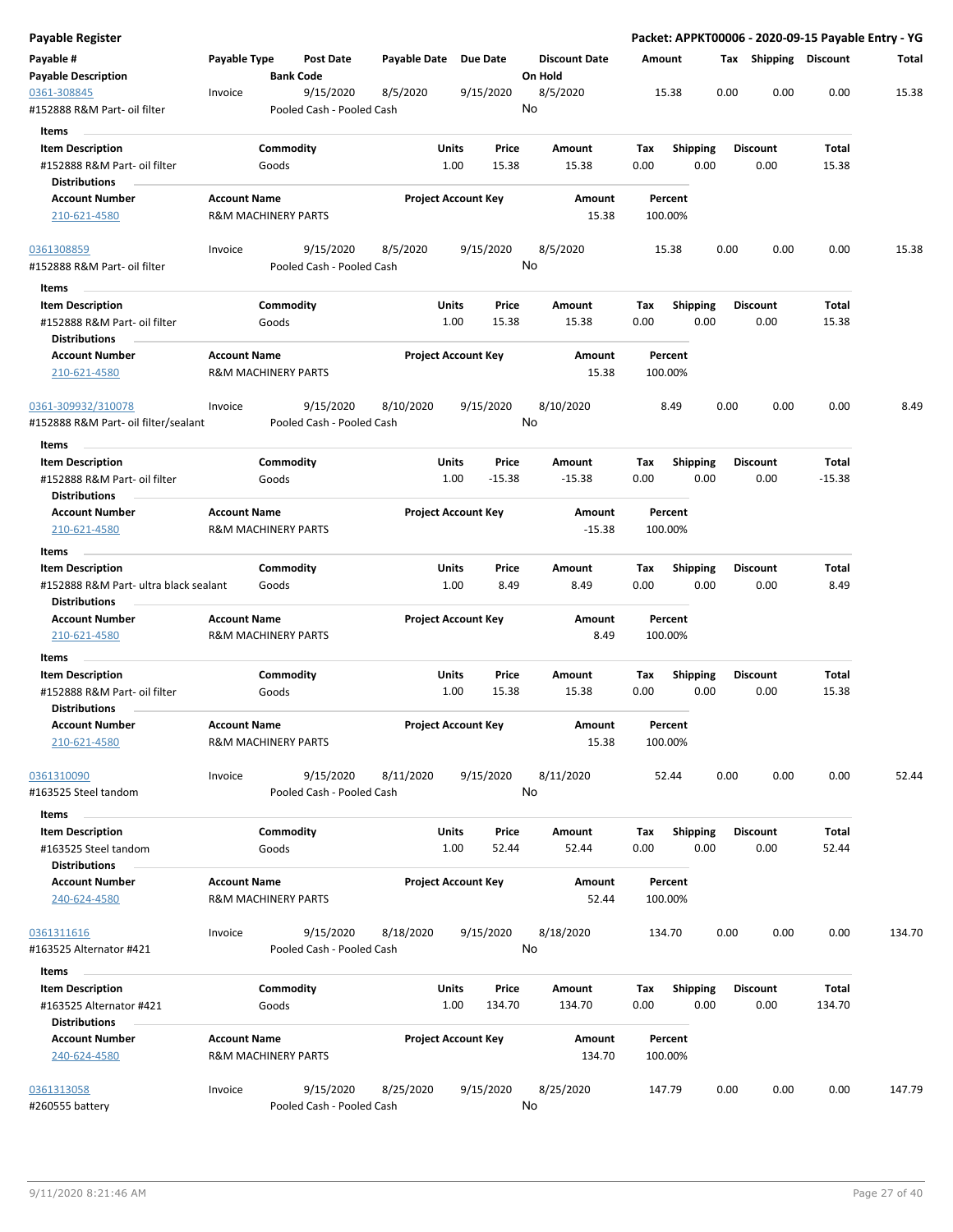| Payable Register                                                                |                     |                                        |                      |                            |                                 |             |                         |      |                         | Packet: APPKT00006 - 2020-09-15 Payable Entry - YG |        |
|---------------------------------------------------------------------------------|---------------------|----------------------------------------|----------------------|----------------------------|---------------------------------|-------------|-------------------------|------|-------------------------|----------------------------------------------------|--------|
| Payable #<br><b>Payable Description</b>                                         | Payable Type        | Post Date<br><b>Bank Code</b>          | Payable Date         | <b>Due Date</b>            | <b>Discount Date</b><br>On Hold | Amount      |                         |      | Tax Shipping Discount   |                                                    | Total  |
| 0361-308845<br>#152888 R&M Part- oil filter                                     | Invoice             | 9/15/2020<br>Pooled Cash - Pooled Cash | 8/5/2020             | 9/15/2020                  | 8/5/2020<br>No                  |             | 15.38                   | 0.00 | 0.00                    | 0.00                                               | 15.38  |
| Items                                                                           |                     |                                        |                      |                            |                                 |             |                         |      |                         |                                                    |        |
| <b>Item Description</b><br>#152888 R&M Part- oil filter                         |                     | Commodity<br>Goods                     | Units<br>1.00        | Price<br>15.38             | Amount<br>15.38                 | Тах<br>0.00 | <b>Shipping</b><br>0.00 |      | <b>Discount</b><br>0.00 | Total<br>15.38                                     |        |
| <b>Distributions</b>                                                            |                     |                                        |                      |                            |                                 |             |                         |      |                         |                                                    |        |
| <b>Account Number</b><br>210-621-4580                                           | <b>Account Name</b> | <b>R&amp;M MACHINERY PARTS</b>         |                      | <b>Project Account Key</b> | Amount<br>15.38                 | 100.00%     | Percent                 |      |                         |                                                    |        |
| 0361308859                                                                      | Invoice             | 9/15/2020                              | 8/5/2020             | 9/15/2020                  | 8/5/2020                        |             | 15.38                   | 0.00 | 0.00                    | 0.00                                               | 15.38  |
| #152888 R&M Part- oil filter                                                    |                     | Pooled Cash - Pooled Cash              |                      |                            | No                              |             |                         |      |                         |                                                    |        |
| Items                                                                           |                     |                                        |                      |                            |                                 |             |                         |      |                         |                                                    |        |
| <b>Item Description</b><br>#152888 R&M Part- oil filter<br><b>Distributions</b> |                     | Commodity<br>Goods                     | Units                | Price<br>1.00<br>15.38     | Amount<br>15.38                 | Tax<br>0.00 | <b>Shipping</b><br>0.00 |      | <b>Discount</b><br>0.00 | Total<br>15.38                                     |        |
| <b>Account Number</b><br>210-621-4580                                           | <b>Account Name</b> | <b>R&amp;M MACHINERY PARTS</b>         |                      | <b>Project Account Key</b> | Amount<br>15.38                 | 100.00%     | Percent                 |      |                         |                                                    |        |
|                                                                                 |                     |                                        |                      |                            |                                 |             |                         |      |                         |                                                    |        |
| 0361-309932/310078<br>#152888 R&M Part- oil filter/sealant                      | Invoice             | 9/15/2020<br>Pooled Cash - Pooled Cash | 8/10/2020            | 9/15/2020                  | 8/10/2020<br>No                 |             | 8.49                    | 0.00 | 0.00                    | 0.00                                               | 8.49   |
| Items                                                                           |                     |                                        |                      |                            |                                 |             |                         |      |                         |                                                    |        |
| <b>Item Description</b><br>#152888 R&M Part- oil filter                         |                     | Commodity<br>Goods                     | Units<br>1.00        | Price<br>$-15.38$          | Amount<br>$-15.38$              | Tax<br>0.00 | <b>Shipping</b><br>0.00 |      | <b>Discount</b><br>0.00 | <b>Total</b><br>$-15.38$                           |        |
| <b>Distributions</b><br><b>Account Number</b>                                   | <b>Account Name</b> |                                        |                      | <b>Project Account Key</b> | Amount                          |             | Percent                 |      |                         |                                                    |        |
| 210-621-4580                                                                    |                     | <b>R&amp;M MACHINERY PARTS</b>         |                      |                            | $-15.38$                        | 100.00%     |                         |      |                         |                                                    |        |
| Items<br><b>Item Description</b>                                                |                     | Commodity                              | Units                | Price                      | Amount                          | Тах         | <b>Shipping</b>         |      | <b>Discount</b>         | Total                                              |        |
| #152888 R&M Part- ultra black sealant<br><b>Distributions</b>                   |                     | Goods                                  | 1.00                 | 8.49                       | 8.49                            | 0.00        | 0.00                    |      | 0.00                    | 8.49                                               |        |
| <b>Account Number</b>                                                           | <b>Account Name</b> |                                        |                      | <b>Project Account Key</b> | Amount                          |             | Percent                 |      |                         |                                                    |        |
| 210-621-4580                                                                    |                     | <b>R&amp;M MACHINERY PARTS</b>         |                      |                            | 8.49                            | 100.00%     |                         |      |                         |                                                    |        |
| Items                                                                           |                     |                                        |                      |                            |                                 |             |                         |      |                         |                                                    |        |
| <b>Item Description</b><br>#152888 R&M Part- oil filter                         |                     | Commodity<br>Goods                     | <b>Units</b><br>1.00 | Price<br>15.38             | Amount<br>15.38                 | Тах<br>0.00 | <b>Shipping</b><br>0.00 |      | <b>Discount</b><br>0.00 | Total<br>15.38                                     |        |
| <b>Distributions</b>                                                            |                     |                                        |                      |                            |                                 |             |                         |      |                         |                                                    |        |
| <b>Account Number</b><br>210-621-4580                                           | <b>Account Name</b> | <b>R&amp;M MACHINERY PARTS</b>         |                      | <b>Project Account Key</b> | Amount<br>15.38                 | 100.00%     | Percent                 |      |                         |                                                    |        |
| 0361310090                                                                      | Invoice             | 9/15/2020                              | 8/11/2020            | 9/15/2020                  | 8/11/2020                       |             | 52.44                   | 0.00 | 0.00                    | 0.00                                               | 52.44  |
| #163525 Steel tandom                                                            |                     | Pooled Cash - Pooled Cash              |                      |                            | No                              |             |                         |      |                         |                                                    |        |
| Items                                                                           |                     |                                        |                      |                            |                                 |             |                         |      |                         |                                                    |        |
| <b>Item Description</b><br>#163525 Steel tandom                                 |                     | Commodity<br>Goods                     | <b>Units</b><br>1.00 | Price<br>52.44             | Amount<br>52.44                 | Tax<br>0.00 | <b>Shipping</b><br>0.00 |      | <b>Discount</b><br>0.00 | Total<br>52.44                                     |        |
| <b>Distributions</b><br><b>Account Number</b>                                   | <b>Account Name</b> |                                        |                      | <b>Project Account Key</b> | Amount                          |             | Percent                 |      |                         |                                                    |        |
| 240-624-4580                                                                    |                     | <b>R&amp;M MACHINERY PARTS</b>         |                      |                            | 52.44                           | 100.00%     |                         |      |                         |                                                    |        |
| 0361311616<br>#163525 Alternator #421                                           | Invoice             | 9/15/2020<br>Pooled Cash - Pooled Cash | 8/18/2020            | 9/15/2020                  | 8/18/2020<br>No                 | 134.70      |                         | 0.00 | 0.00                    | 0.00                                               | 134.70 |
| Items                                                                           |                     |                                        |                      |                            |                                 |             |                         |      |                         |                                                    |        |
| <b>Item Description</b><br>#163525 Alternator #421                              |                     | Commodity<br>Goods                     | Units<br>1.00        | Price<br>134.70            | Amount<br>134.70                | Tax<br>0.00 | <b>Shipping</b><br>0.00 |      | <b>Discount</b><br>0.00 | Total<br>134.70                                    |        |
| <b>Distributions</b>                                                            |                     |                                        |                      |                            |                                 |             |                         |      |                         |                                                    |        |
| <b>Account Number</b><br>240-624-4580                                           | <b>Account Name</b> | <b>R&amp;M MACHINERY PARTS</b>         |                      | <b>Project Account Key</b> | Amount<br>134.70                | 100.00%     | Percent                 |      |                         |                                                    |        |
| 0361313058                                                                      | Invoice             | 9/15/2020                              | 8/25/2020            | 9/15/2020                  | 8/25/2020                       | 147.79      |                         | 0.00 | 0.00                    | 0.00                                               | 147.79 |
| #260555 battery                                                                 |                     | Pooled Cash - Pooled Cash              |                      |                            | No                              |             |                         |      |                         |                                                    |        |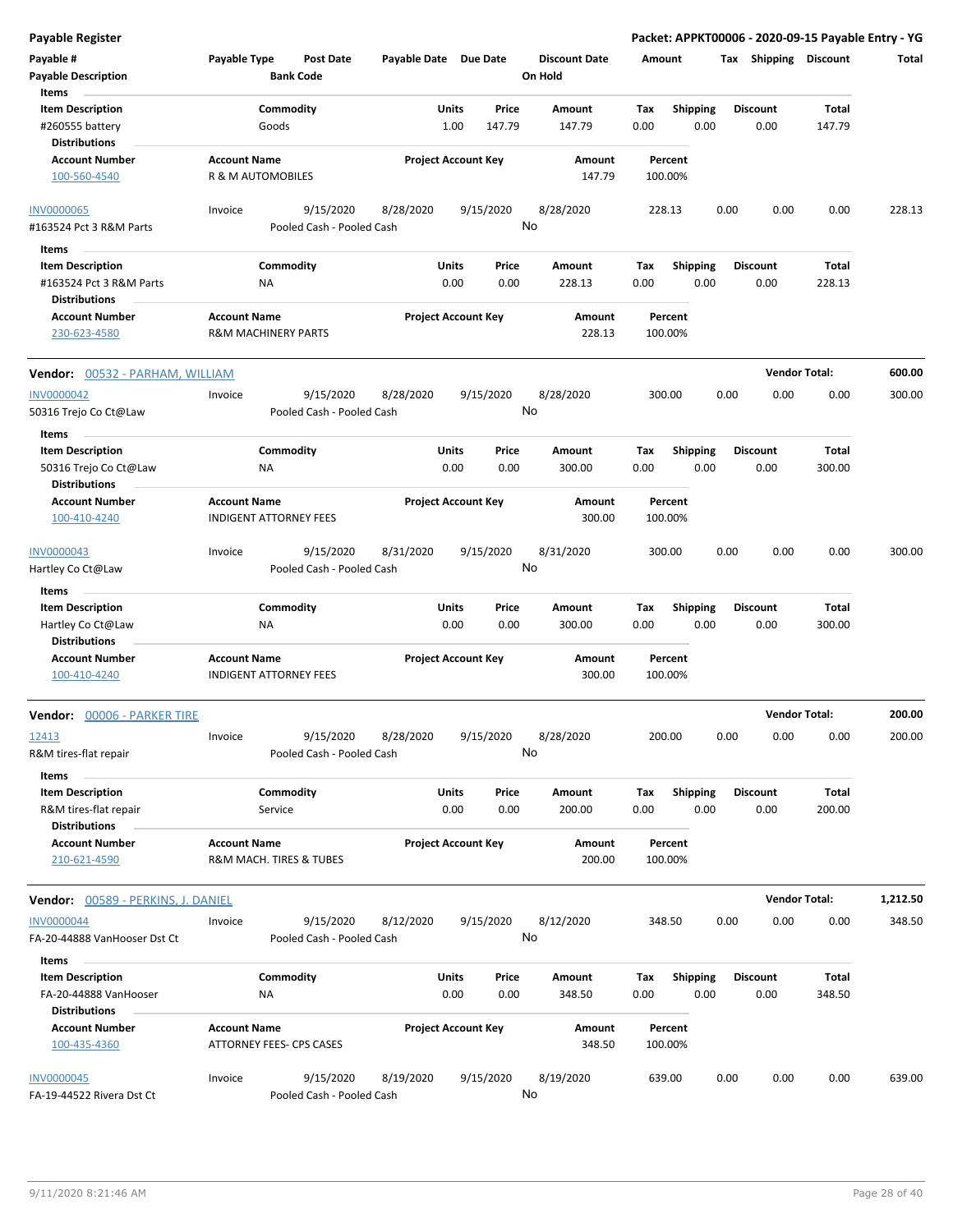| <b>Payable Register</b>                           |                                                       |                                        |                            |                      |                 |                                 |             |                         |      |                         | Packet: APPKT00006 - 2020-09-15 Payable Entry - YG |          |
|---------------------------------------------------|-------------------------------------------------------|----------------------------------------|----------------------------|----------------------|-----------------|---------------------------------|-------------|-------------------------|------|-------------------------|----------------------------------------------------|----------|
| Payable #<br><b>Payable Description</b>           | Payable Type                                          | <b>Post Date</b><br><b>Bank Code</b>   | Payable Date Due Date      |                      |                 | <b>Discount Date</b><br>On Hold | Amount      |                         |      | Tax Shipping Discount   |                                                    | Total    |
| Items                                             |                                                       |                                        |                            |                      |                 |                                 |             |                         |      |                         |                                                    |          |
| <b>Item Description</b><br>#260555 battery        | Commodity<br>Goods                                    |                                        |                            | Units<br>1.00        | Price<br>147.79 | Amount<br>147.79                | Tax<br>0.00 | <b>Shipping</b><br>0.00 |      | <b>Discount</b><br>0.00 | Total<br>147.79                                    |          |
| <b>Distributions</b><br><b>Account Number</b>     | <b>Account Name</b>                                   |                                        | <b>Project Account Key</b> |                      |                 | Amount                          |             | Percent                 |      |                         |                                                    |          |
| 100-560-4540                                      | <b>R &amp; M AUTOMOBILES</b>                          |                                        |                            |                      |                 | 147.79                          |             | 100.00%                 |      |                         |                                                    |          |
| <b>INV0000065</b>                                 | Invoice                                               | 9/15/2020                              | 8/28/2020                  |                      | 9/15/2020       | 8/28/2020                       |             | 228.13                  | 0.00 | 0.00                    | 0.00                                               | 228.13   |
| #163524 Pct 3 R&M Parts                           |                                                       | Pooled Cash - Pooled Cash              |                            |                      |                 | No                              |             |                         |      |                         |                                                    |          |
| Items                                             |                                                       |                                        |                            |                      |                 |                                 |             |                         |      |                         |                                                    |          |
| <b>Item Description</b>                           | Commodity                                             |                                        |                            | Units                | Price           | Amount                          | Tax         | <b>Shipping</b>         |      | <b>Discount</b>         | Total                                              |          |
| #163524 Pct 3 R&M Parts                           | ΝA                                                    |                                        |                            | 0.00                 | 0.00            | 228.13                          | 0.00        | 0.00                    |      | 0.00                    | 228.13                                             |          |
| <b>Distributions</b>                              |                                                       |                                        |                            |                      |                 |                                 |             |                         |      |                         |                                                    |          |
| <b>Account Number</b><br>230-623-4580             | <b>Account Name</b><br><b>R&amp;M MACHINERY PARTS</b> |                                        | <b>Project Account Key</b> |                      |                 | Amount<br>228.13                |             | Percent<br>100.00%      |      |                         |                                                    |          |
| Vendor: 00532 - PARHAM, WILLIAM                   |                                                       |                                        |                            |                      |                 |                                 |             |                         |      |                         | <b>Vendor Total:</b>                               | 600.00   |
| <b>INV0000042</b>                                 | Invoice                                               | 9/15/2020                              | 8/28/2020                  |                      | 9/15/2020       | 8/28/2020                       | 300.00      |                         | 0.00 | 0.00                    | 0.00                                               | 300.00   |
| 50316 Trejo Co Ct@Law                             |                                                       | Pooled Cash - Pooled Cash              |                            |                      |                 | No                              |             |                         |      |                         |                                                    |          |
| Items                                             |                                                       |                                        |                            |                      |                 |                                 |             |                         |      | <b>Discount</b>         |                                                    |          |
| <b>Item Description</b><br>50316 Trejo Co Ct@Law  | Commodity<br>NA                                       |                                        |                            | Units<br>0.00        | Price<br>0.00   | Amount<br>300.00                | Tax<br>0.00 | <b>Shipping</b><br>0.00 |      | 0.00                    | Total<br>300.00                                    |          |
| <b>Distributions</b>                              |                                                       |                                        |                            |                      |                 |                                 |             |                         |      |                         |                                                    |          |
| <b>Account Number</b><br>100-410-4240             | <b>Account Name</b><br><b>INDIGENT ATTORNEY FEES</b>  |                                        | <b>Project Account Key</b> |                      |                 | Amount<br>300.00                |             | Percent<br>100.00%      |      |                         |                                                    |          |
| INV0000043                                        | Invoice                                               | 9/15/2020                              | 8/31/2020                  |                      | 9/15/2020       | 8/31/2020                       |             | 300.00                  | 0.00 | 0.00                    | 0.00                                               | 300.00   |
| Hartley Co Ct@Law                                 |                                                       | Pooled Cash - Pooled Cash              |                            |                      |                 | No                              |             |                         |      |                         |                                                    |          |
| Items                                             |                                                       |                                        |                            |                      |                 |                                 |             |                         |      |                         |                                                    |          |
| <b>Item Description</b>                           | Commodity                                             |                                        |                            | Units                | Price           | Amount                          | Tax         | <b>Shipping</b>         |      | <b>Discount</b>         | Total                                              |          |
| Hartley Co Ct@Law<br><b>Distributions</b>         | ΝA                                                    |                                        |                            | 0.00                 | 0.00            | 300.00                          | 0.00        | 0.00                    |      | 0.00                    | 300.00                                             |          |
| <b>Account Number</b>                             | <b>Account Name</b>                                   |                                        | <b>Project Account Key</b> |                      |                 | Amount                          |             | Percent                 |      |                         |                                                    |          |
| 100-410-4240                                      | <b>INDIGENT ATTORNEY FEES</b>                         |                                        |                            |                      |                 | 300.00                          |             | 100.00%                 |      |                         |                                                    |          |
| Vendor: 00006 - PARKER TIRE                       |                                                       |                                        |                            |                      |                 |                                 |             |                         |      |                         | <b>Vendor Total:</b>                               | 200.00   |
| 12413                                             | Invoice                                               | 9/15/2020                              | 8/28/2020                  |                      | 9/15/2020       | 8/28/2020<br>No                 | 200.00      |                         | 0.00 | 0.00                    | 0.00                                               | 200.00   |
| R&M tires-flat repair                             |                                                       | Pooled Cash - Pooled Cash              |                            |                      |                 |                                 |             |                         |      |                         |                                                    |          |
| Items                                             |                                                       |                                        |                            |                      |                 |                                 |             |                         |      |                         |                                                    |          |
| <b>Item Description</b><br>R&M tires-flat repair  | Commodity<br>Service                                  |                                        |                            | Units<br>0.00        | Price<br>0.00   | Amount<br>200.00                | Tax<br>0.00 | Shipping<br>0.00        |      | <b>Discount</b><br>0.00 | Total<br>200.00                                    |          |
| <b>Distributions</b><br><b>Account Number</b>     | <b>Account Name</b>                                   |                                        | <b>Project Account Key</b> |                      |                 | Amount                          |             | Percent                 |      |                         |                                                    |          |
| 210-621-4590                                      | R&M MACH. TIRES & TUBES                               |                                        |                            |                      |                 | 200.00                          |             | 100.00%                 |      |                         |                                                    |          |
| Vendor: 00589 - PERKINS, J. DANIEL                |                                                       |                                        |                            |                      |                 |                                 |             |                         |      |                         | <b>Vendor Total:</b>                               | 1,212.50 |
| <b>INV0000044</b><br>FA-20-44888 VanHooser Dst Ct | Invoice                                               | 9/15/2020<br>Pooled Cash - Pooled Cash | 8/12/2020                  |                      | 9/15/2020       | 8/12/2020<br>No                 | 348.50      |                         | 0.00 | 0.00                    | 0.00                                               | 348.50   |
| Items                                             |                                                       |                                        |                            |                      |                 |                                 |             |                         |      |                         |                                                    |          |
| <b>Item Description</b><br>FA-20-44888 VanHooser  | Commodity<br>ΝA                                       |                                        |                            | <b>Units</b><br>0.00 | Price<br>0.00   | Amount<br>348.50                | Tax<br>0.00 | <b>Shipping</b><br>0.00 |      | <b>Discount</b><br>0.00 | Total<br>348.50                                    |          |
| <b>Distributions</b>                              |                                                       |                                        |                            |                      |                 |                                 |             |                         |      |                         |                                                    |          |
| <b>Account Number</b><br>100-435-4360             | <b>Account Name</b><br>ATTORNEY FEES- CPS CASES       |                                        | <b>Project Account Key</b> |                      |                 | Amount<br>348.50                |             | Percent<br>100.00%      |      |                         |                                                    |          |
| <b>INV0000045</b><br>FA-19-44522 Rivera Dst Ct    | Invoice                                               | 9/15/2020<br>Pooled Cash - Pooled Cash | 8/19/2020                  |                      | 9/15/2020       | 8/19/2020<br>No                 |             | 639.00                  | 0.00 | 0.00                    | 0.00                                               | 639.00   |
|                                                   |                                                       |                                        |                            |                      |                 |                                 |             |                         |      |                         |                                                    |          |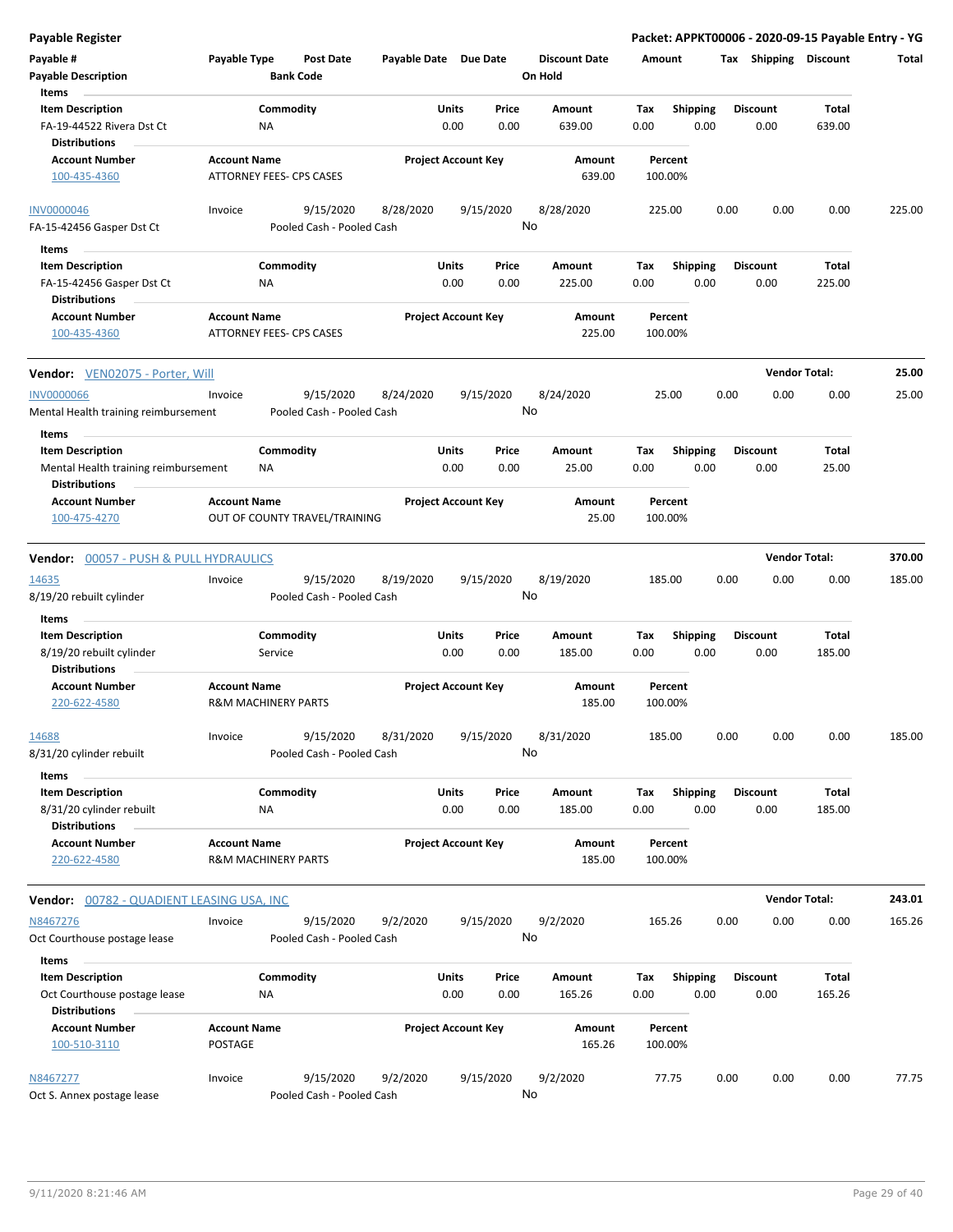| <b>Payable Register</b>                                               |                                       |                                      |                       |                            |               |                                 |             |                         |      |                         | Packet: APPKT00006 - 2020-09-15 Payable Entry - YG |        |
|-----------------------------------------------------------------------|---------------------------------------|--------------------------------------|-----------------------|----------------------------|---------------|---------------------------------|-------------|-------------------------|------|-------------------------|----------------------------------------------------|--------|
| Payable #<br><b>Payable Description</b>                               | Payable Type                          | <b>Post Date</b><br><b>Bank Code</b> | Payable Date Due Date |                            |               | <b>Discount Date</b><br>On Hold | Amount      |                         |      | Tax Shipping Discount   |                                                    | Total  |
| Items                                                                 |                                       |                                      |                       |                            |               |                                 |             |                         |      |                         |                                                    |        |
| <b>Item Description</b><br>FA-19-44522 Rivera Dst Ct<br>Distributions |                                       | Commodity<br>ΝA                      |                       | Units<br>0.00              | Price<br>0.00 | Amount<br>639.00                | Tax<br>0.00 | <b>Shipping</b><br>0.00 |      | <b>Discount</b><br>0.00 | Total<br>639.00                                    |        |
| <b>Account Number</b>                                                 | <b>Account Name</b>                   |                                      |                       | <b>Project Account Key</b> |               | Amount                          |             | Percent                 |      |                         |                                                    |        |
| 100-435-4360                                                          |                                       | ATTORNEY FEES- CPS CASES             |                       |                            |               | 639.00                          | 100.00%     |                         |      |                         |                                                    |        |
| <b>INV0000046</b>                                                     | Invoice                               | 9/15/2020                            | 8/28/2020             | 9/15/2020                  |               | 8/28/2020                       | 225.00      |                         | 0.00 | 0.00                    | 0.00                                               | 225.00 |
| FA-15-42456 Gasper Dst Ct                                             |                                       | Pooled Cash - Pooled Cash            |                       |                            |               | No                              |             |                         |      |                         |                                                    |        |
| Items                                                                 |                                       |                                      |                       |                            |               |                                 |             |                         |      |                         |                                                    |        |
| <b>Item Description</b>                                               |                                       | Commodity                            |                       | Units                      | Price         | Amount                          | Tax         | <b>Shipping</b>         |      | <b>Discount</b>         | Total                                              |        |
| FA-15-42456 Gasper Dst Ct                                             |                                       | ΝA                                   |                       | 0.00                       | 0.00          | 225.00                          | 0.00        | 0.00                    |      | 0.00                    | 225.00                                             |        |
| <b>Distributions</b>                                                  |                                       |                                      |                       |                            |               |                                 |             |                         |      |                         |                                                    |        |
| <b>Account Number</b>                                                 | <b>Account Name</b>                   |                                      |                       | <b>Project Account Key</b> |               | Amount                          |             | Percent                 |      |                         |                                                    |        |
| 100-435-4360                                                          |                                       | <b>ATTORNEY FEES- CPS CASES</b>      |                       |                            |               | 225.00                          | 100.00%     |                         |      |                         |                                                    |        |
| Vendor: VEN02075 - Porter, Will                                       |                                       |                                      |                       |                            |               |                                 |             |                         |      | <b>Vendor Total:</b>    |                                                    | 25.00  |
| <b>INV0000066</b>                                                     | Invoice                               | 9/15/2020                            | 8/24/2020             | 9/15/2020                  |               | 8/24/2020                       |             | 25.00                   | 0.00 | 0.00                    | 0.00                                               | 25.00  |
| Mental Health training reimbursement<br>Items                         |                                       | Pooled Cash - Pooled Cash            |                       |                            |               | No                              |             |                         |      |                         |                                                    |        |
| <b>Item Description</b>                                               |                                       | Commodity                            |                       | Units                      | Price         | Amount                          | Tax         | <b>Shipping</b>         |      | <b>Discount</b>         | Total                                              |        |
| Mental Health training reimbursement<br><b>Distributions</b>          |                                       | NA                                   |                       | 0.00                       | 0.00          | 25.00                           | 0.00        | 0.00                    |      | 0.00                    | 25.00                                              |        |
| <b>Account Number</b><br>100-475-4270                                 | <b>Account Name</b>                   | OUT OF COUNTY TRAVEL/TRAINING        |                       | <b>Project Account Key</b> |               | Amount<br>25.00                 | 100.00%     | Percent                 |      |                         |                                                    |        |
|                                                                       |                                       |                                      |                       |                            |               |                                 |             |                         |      |                         |                                                    |        |
| <b>Vendor: 00057 - PUSH &amp; PULL HYDRAULICS</b>                     |                                       |                                      |                       |                            |               |                                 |             |                         |      | <b>Vendor Total:</b>    |                                                    | 370.00 |
| 14635                                                                 | Invoice                               | 9/15/2020                            | 8/19/2020             | 9/15/2020                  |               | 8/19/2020                       | 185.00      |                         | 0.00 | 0.00                    | 0.00                                               | 185.00 |
| 8/19/20 rebuilt cylinder                                              |                                       | Pooled Cash - Pooled Cash            |                       |                            |               | No                              |             |                         |      |                         |                                                    |        |
| Items                                                                 |                                       |                                      |                       |                            |               |                                 |             |                         |      |                         |                                                    |        |
| <b>Item Description</b>                                               |                                       | Commodity                            |                       | Units                      | Price         | Amount                          | Tax         | <b>Shipping</b>         |      | <b>Discount</b>         | Total                                              |        |
| 8/19/20 rebuilt cylinder                                              |                                       | Service                              |                       | 0.00                       | 0.00          | 185.00                          | 0.00        | 0.00                    |      | 0.00                    | 185.00                                             |        |
| <b>Distributions</b>                                                  |                                       |                                      |                       |                            |               |                                 |             |                         |      |                         |                                                    |        |
| Account Number<br>220-622-4580                                        | <b>Account Name</b>                   | <b>R&amp;M MACHINERY PARTS</b>       |                       | <b>Project Account Key</b> |               | Amount<br>185.00                | 100.00%     | Percent                 |      |                         |                                                    |        |
| 14688                                                                 | Invoice                               | 9/15/2020                            | 8/31/2020             | 9/15/2020                  |               | 8/31/2020                       | 185.00      |                         | 0.00 | 0.00                    | 0.00                                               | 185.00 |
| 8/31/20 cylinder rebuilt                                              |                                       | Pooled Cash - Pooled Cash            |                       |                            |               | No                              |             |                         |      |                         |                                                    |        |
| Items                                                                 |                                       |                                      |                       |                            |               |                                 |             |                         |      |                         |                                                    |        |
| <b>Item Description</b>                                               |                                       | Commodity                            |                       | Units                      | Price         | Amount                          | Tax         | <b>Shipping</b>         |      | <b>Discount</b>         | Total                                              |        |
| 8/31/20 cylinder rebuilt<br><b>Distributions</b>                      |                                       | ΝA                                   |                       | 0.00                       | 0.00          | 185.00                          | 0.00        | 0.00                    |      | 0.00                    | 185.00                                             |        |
| <b>Account Number</b><br>220-622-4580                                 | <b>Account Name</b>                   | <b>R&amp;M MACHINERY PARTS</b>       |                       | <b>Project Account Key</b> |               | Amount<br>185.00                | 100.00%     | Percent                 |      |                         |                                                    |        |
| Vendor: 00782 - QUADIENT LEASING USA, INC                             |                                       |                                      |                       |                            |               |                                 |             |                         |      | <b>Vendor Total:</b>    |                                                    | 243.01 |
| N8467276                                                              | Invoice                               | 9/15/2020                            | 9/2/2020              | 9/15/2020                  |               | 9/2/2020                        | 165.26      |                         | 0.00 | 0.00                    | 0.00                                               | 165.26 |
| Oct Courthouse postage lease                                          |                                       | Pooled Cash - Pooled Cash            |                       |                            |               | No                              |             |                         |      |                         |                                                    |        |
| Items                                                                 |                                       |                                      |                       |                            |               |                                 |             |                         |      |                         |                                                    |        |
| <b>Item Description</b>                                               |                                       | Commodity                            |                       | Units                      | Price         | Amount                          | Tax         | Shipping                |      | <b>Discount</b>         | Total                                              |        |
| Oct Courthouse postage lease<br>Distributions                         |                                       | ΝA                                   |                       | 0.00                       | 0.00          | 165.26                          | 0.00        | 0.00                    |      | 0.00                    | 165.26                                             |        |
| <b>Account Number</b><br>100-510-3110                                 | <b>Account Name</b><br><b>POSTAGE</b> |                                      |                       | <b>Project Account Key</b> |               | Amount<br>165.26                | 100.00%     | Percent                 |      |                         |                                                    |        |
| N8467277                                                              | Invoice                               | 9/15/2020                            | 9/2/2020              | 9/15/2020                  |               | 9/2/2020                        |             | 77.75                   | 0.00 | 0.00                    | 0.00                                               | 77.75  |
| Oct S. Annex postage lease                                            |                                       | Pooled Cash - Pooled Cash            |                       |                            |               | No                              |             |                         |      |                         |                                                    |        |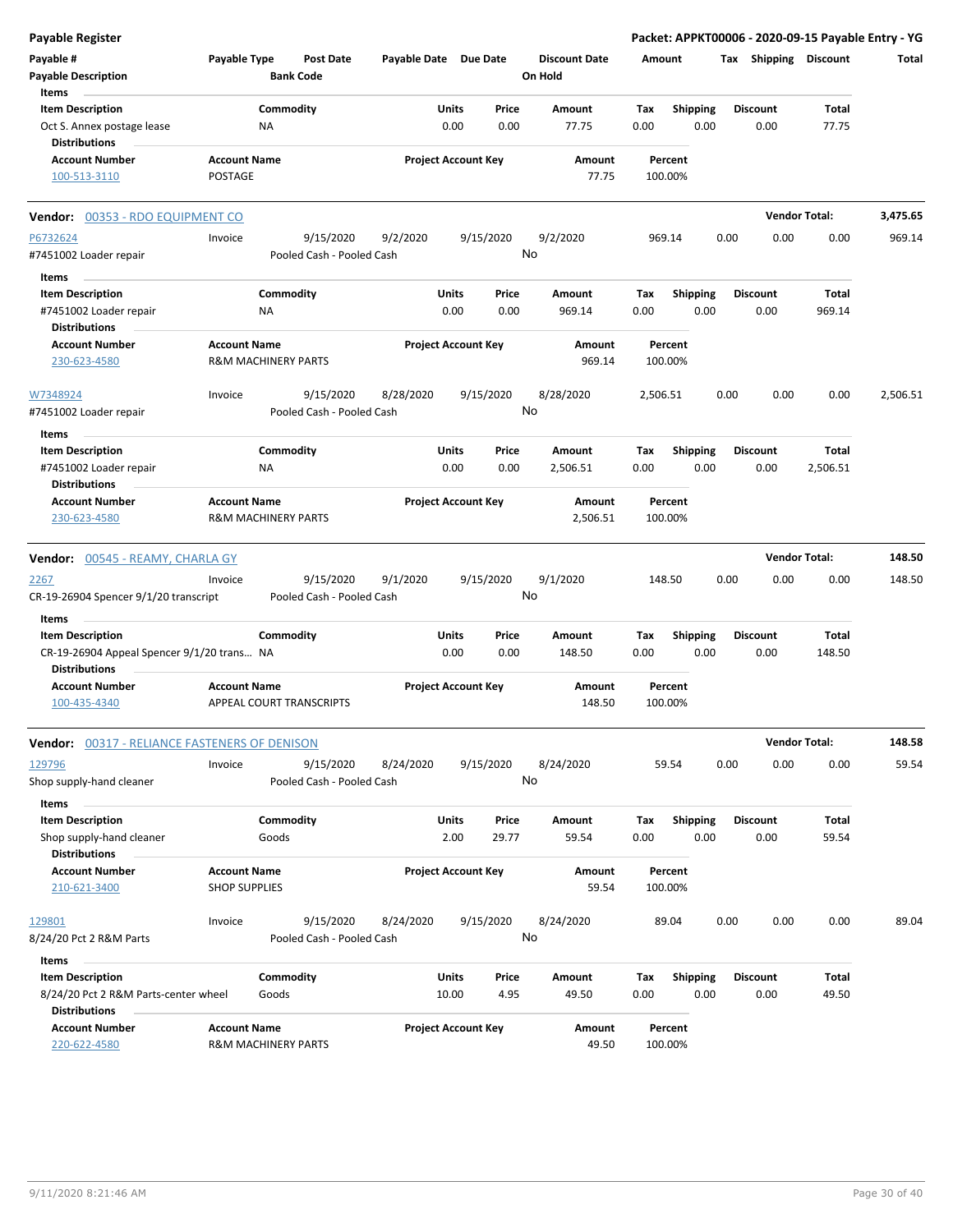| <b>Payable Register</b>                                      |                                                       |                  |                                        |                            |       |                 |                                 |             |                         |      |                       | Packet: APPKT00006 - 2020-09-15 Payable Entry - YG |          |
|--------------------------------------------------------------|-------------------------------------------------------|------------------|----------------------------------------|----------------------------|-------|-----------------|---------------------------------|-------------|-------------------------|------|-----------------------|----------------------------------------------------|----------|
| Payable #<br><b>Payable Description</b>                      | Payable Type                                          | <b>Bank Code</b> | Post Date                              | Payable Date Due Date      |       |                 | <b>Discount Date</b><br>On Hold | Amount      |                         |      | Tax Shipping Discount |                                                    | Total    |
| Items                                                        |                                                       |                  |                                        |                            |       |                 |                                 |             |                         |      |                       |                                                    |          |
| <b>Item Description</b>                                      |                                                       | Commodity        |                                        |                            | Units | Price           | Amount                          | Tax         | <b>Shipping</b>         |      | <b>Discount</b>       | Total                                              |          |
| Oct S. Annex postage lease<br><b>Distributions</b>           |                                                       | ΝA               |                                        |                            | 0.00  | 0.00            | 77.75                           | 0.00        | 0.00                    |      | 0.00                  | 77.75                                              |          |
| <b>Account Number</b><br>100-513-3110                        | <b>Account Name</b><br><b>POSTAGE</b>                 |                  |                                        | <b>Project Account Key</b> |       |                 | Amount<br>77.75                 |             | Percent<br>100.00%      |      |                       |                                                    |          |
| Vendor: 00353 - RDO EQUIPMENT CO                             |                                                       |                  |                                        |                            |       |                 |                                 |             |                         |      |                       | <b>Vendor Total:</b>                               | 3,475.65 |
| P6732624                                                     | Invoice                                               |                  | 9/15/2020                              | 9/2/2020                   |       | 9/15/2020       | 9/2/2020                        |             | 969.14                  | 0.00 | 0.00                  | 0.00                                               | 969.14   |
| #7451002 Loader repair                                       |                                                       |                  | Pooled Cash - Pooled Cash              |                            |       | No              |                                 |             |                         |      |                       |                                                    |          |
| Items                                                        |                                                       |                  |                                        |                            |       |                 |                                 |             |                         |      |                       |                                                    |          |
| <b>Item Description</b>                                      |                                                       | Commodity        |                                        |                            | Units | Price           | Amount                          | Tax         | <b>Shipping</b>         |      | <b>Discount</b>       | Total                                              |          |
| #7451002 Loader repair<br><b>Distributions</b>               |                                                       | ΝA               |                                        |                            | 0.00  | 0.00            | 969.14                          | 0.00        | 0.00                    |      | 0.00                  | 969.14                                             |          |
| <b>Account Number</b>                                        | <b>Account Name</b>                                   |                  |                                        | <b>Project Account Key</b> |       |                 | Amount                          |             | Percent                 |      |                       |                                                    |          |
| 230-623-4580                                                 | <b>R&amp;M MACHINERY PARTS</b>                        |                  |                                        |                            |       |                 | 969.14                          |             | 100.00%                 |      |                       |                                                    |          |
| W7348924                                                     | Invoice                                               |                  | 9/15/2020                              | 8/28/2020                  |       | 9/15/2020<br>No | 8/28/2020                       | 2,506.51    |                         | 0.00 | 0.00                  | 0.00                                               | 2,506.51 |
| #7451002 Loader repair                                       |                                                       |                  | Pooled Cash - Pooled Cash              |                            |       |                 |                                 |             |                         |      |                       |                                                    |          |
| Items                                                        |                                                       |                  |                                        |                            |       |                 |                                 |             |                         |      |                       |                                                    |          |
| <b>Item Description</b>                                      |                                                       | Commodity        |                                        |                            | Units | Price           | Amount                          | Tax         | Shipping                |      | <b>Discount</b>       | Total                                              |          |
| #7451002 Loader repair                                       |                                                       | NA               |                                        |                            | 0.00  | 0.00            | 2,506.51                        | 0.00        | 0.00                    |      | 0.00                  | 2,506.51                                           |          |
| <b>Distributions</b>                                         |                                                       |                  |                                        |                            |       |                 |                                 |             |                         |      |                       |                                                    |          |
| <b>Account Number</b><br>230-623-4580                        | <b>Account Name</b><br><b>R&amp;M MACHINERY PARTS</b> |                  |                                        | <b>Project Account Key</b> |       |                 | Amount<br>2,506.51              |             | Percent<br>100.00%      |      |                       |                                                    |          |
|                                                              |                                                       |                  |                                        |                            |       |                 |                                 |             |                         |      |                       |                                                    |          |
| Vendor: 00545 - REAMY, CHARLA GY                             |                                                       |                  |                                        |                            |       |                 |                                 |             |                         |      |                       | <b>Vendor Total:</b>                               | 148.50   |
| 2267<br>CR-19-26904 Spencer 9/1/20 transcript                | Invoice                                               |                  | 9/15/2020<br>Pooled Cash - Pooled Cash | 9/1/2020                   |       | 9/15/2020<br>No | 9/1/2020                        |             | 148.50                  | 0.00 | 0.00                  | 0.00                                               | 148.50   |
| Items                                                        |                                                       |                  |                                        |                            |       |                 |                                 |             |                         |      |                       |                                                    |          |
| <b>Item Description</b>                                      |                                                       | Commodity        |                                        |                            | Units | Price           | Amount                          | Tax         | <b>Shipping</b>         |      | <b>Discount</b>       | Total                                              |          |
| CR-19-26904 Appeal Spencer 9/1/20 trans NA                   |                                                       |                  |                                        |                            | 0.00  | 0.00            | 148.50                          | 0.00        | 0.00                    |      | 0.00                  | 148.50                                             |          |
| <b>Distributions</b>                                         |                                                       |                  |                                        |                            |       |                 |                                 |             |                         |      |                       |                                                    |          |
| <b>Account Number</b>                                        | <b>Account Name</b>                                   |                  |                                        | <b>Project Account Key</b> |       |                 | Amount                          |             | Percent                 |      |                       |                                                    |          |
| 100-435-4340                                                 | APPEAL COURT TRANSCRIPTS                              |                  |                                        |                            |       |                 | 148.50                          |             | 100.00%                 |      |                       |                                                    |          |
| Vendor: 00317 - RELIANCE FASTENERS OF DENISON                |                                                       |                  |                                        |                            |       |                 |                                 |             |                         |      |                       | <b>Vendor Total:</b>                               | 148.58   |
| 129796                                                       | Invoice                                               |                  | 9/15/2020                              | 8/24/2020                  |       | 9/15/2020       | 8/24/2020                       |             | 59.54                   | 0.00 | 0.00                  | 0.00                                               | 59.54    |
| Shop supply-hand cleaner                                     |                                                       |                  | Pooled Cash - Pooled Cash              |                            |       | No              |                                 |             |                         |      |                       |                                                    |          |
| Items<br><b>Item Description</b>                             |                                                       | Commodity        |                                        |                            | Units | Price           |                                 |             |                         |      | <b>Discount</b>       | Total                                              |          |
| Shop supply-hand cleaner                                     |                                                       | Goods            |                                        |                            | 2.00  | 29.77           | Amount<br>59.54                 | Tax<br>0.00 | <b>Shipping</b><br>0.00 |      | 0.00                  | 59.54                                              |          |
| <b>Distributions</b>                                         |                                                       |                  |                                        |                            |       |                 |                                 |             |                         |      |                       |                                                    |          |
| <b>Account Number</b><br>210-621-3400                        | <b>Account Name</b><br><b>SHOP SUPPLIES</b>           |                  |                                        | <b>Project Account Key</b> |       |                 | Amount<br>59.54                 |             | Percent<br>100.00%      |      |                       |                                                    |          |
| 129801                                                       | Invoice                                               |                  | 9/15/2020                              | 8/24/2020                  |       | 9/15/2020       | 8/24/2020                       |             | 89.04                   | 0.00 | 0.00                  | 0.00                                               | 89.04    |
| 8/24/20 Pct 2 R&M Parts                                      |                                                       |                  | Pooled Cash - Pooled Cash              |                            |       | No              |                                 |             |                         |      |                       |                                                    |          |
| Items                                                        |                                                       |                  |                                        |                            |       |                 |                                 |             |                         |      |                       |                                                    |          |
| <b>Item Description</b>                                      |                                                       | Commodity        |                                        |                            | Units | Price           | Amount                          | Tax         | <b>Shipping</b>         |      | <b>Discount</b>       | Total                                              |          |
| 8/24/20 Pct 2 R&M Parts-center wheel<br><b>Distributions</b> |                                                       | Goods            |                                        |                            | 10.00 | 4.95            | 49.50                           | 0.00        | 0.00                    |      | 0.00                  | 49.50                                              |          |
| <b>Account Number</b><br>220-622-4580                        | <b>Account Name</b><br><b>R&amp;M MACHINERY PARTS</b> |                  |                                        | <b>Project Account Key</b> |       |                 | Amount<br>49.50                 |             | Percent<br>100.00%      |      |                       |                                                    |          |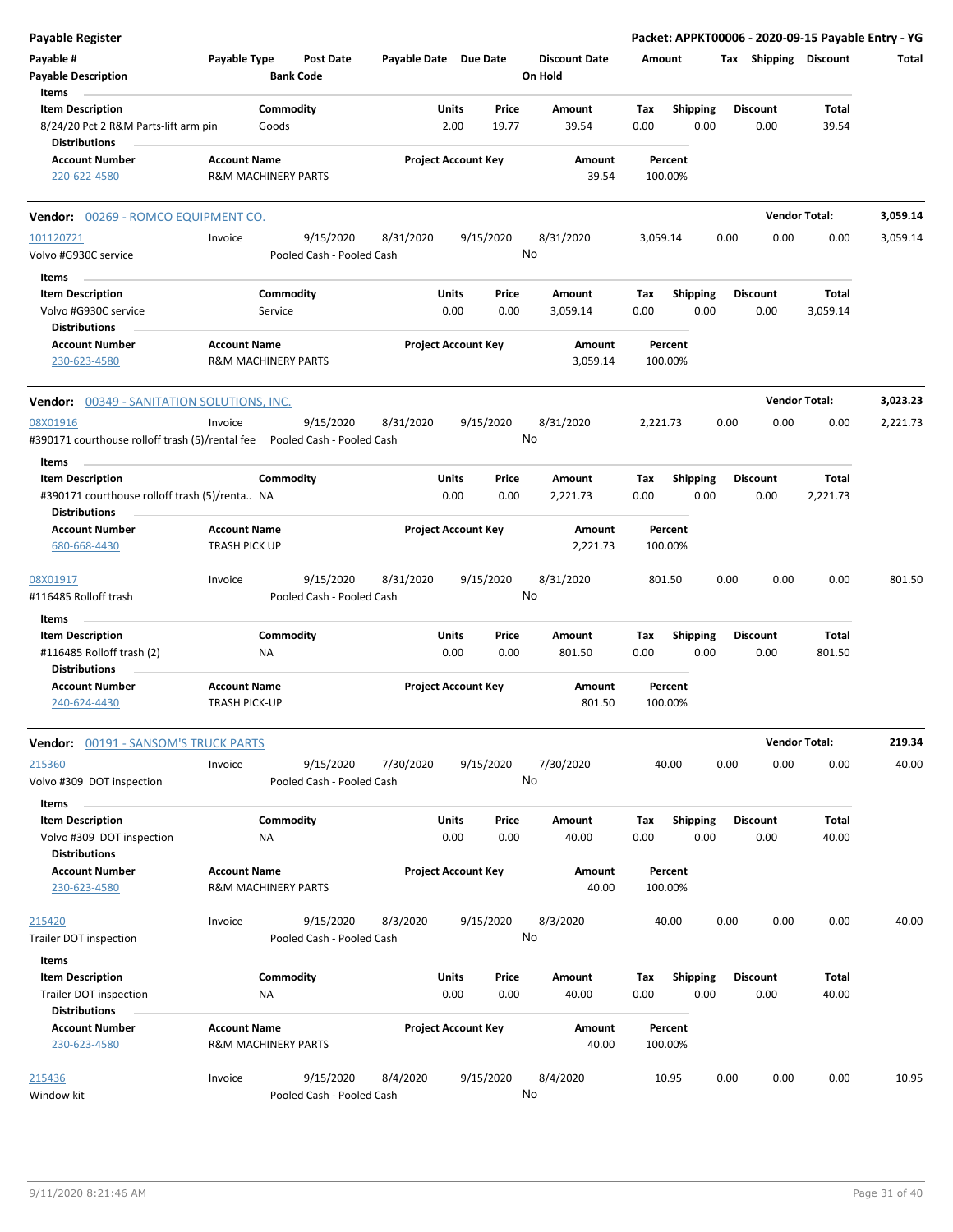| Payable Register                                                                         |                                                       |                        |                                        |                            |                      |           |                |                                 |        |             |                    |      |      |                         |                       | Packet: APPKT00006 - 2020-09-15 Payable Entry - YG |
|------------------------------------------------------------------------------------------|-------------------------------------------------------|------------------------|----------------------------------------|----------------------------|----------------------|-----------|----------------|---------------------------------|--------|-------------|--------------------|------|------|-------------------------|-----------------------|----------------------------------------------------|
| Payable #<br><b>Payable Description</b>                                                  | Payable Type                                          |                        | <b>Post Date</b><br><b>Bank Code</b>   | Payable Date Due Date      |                      |           |                | <b>Discount Date</b><br>On Hold |        | Amount      |                    |      |      |                         | Tax Shipping Discount | Total                                              |
| Items<br><b>Item Description</b><br>8/24/20 Pct 2 R&M Parts-lift arm pin                 |                                                       | Commodity<br>Goods     |                                        |                            | <b>Units</b><br>2.00 |           | Price<br>19.77 | Amount<br>39.54                 |        | Tax<br>0.00 | <b>Shipping</b>    | 0.00 |      | <b>Discount</b><br>0.00 | Total<br>39.54        |                                                    |
| <b>Distributions</b>                                                                     |                                                       |                        |                                        |                            |                      |           |                |                                 |        |             |                    |      |      |                         |                       |                                                    |
| <b>Account Number</b><br>220-622-4580                                                    | <b>Account Name</b><br><b>R&amp;M MACHINERY PARTS</b> |                        |                                        | <b>Project Account Key</b> |                      |           |                | Amount                          | 39.54  |             | Percent<br>100.00% |      |      |                         |                       |                                                    |
| Vendor: 00269 - ROMCO EQUIPMENT CO.                                                      |                                                       |                        |                                        |                            |                      |           |                |                                 |        |             |                    |      |      |                         | <b>Vendor Total:</b>  | 3,059.14                                           |
| 101120721<br>Volvo #G930C service                                                        | Invoice                                               |                        | 9/15/2020<br>Pooled Cash - Pooled Cash | 8/31/2020                  |                      |           | 9/15/2020      | 8/31/2020<br>No                 |        | 3,059.14    |                    |      | 0.00 | 0.00                    | 0.00                  | 3,059.14                                           |
| Items                                                                                    |                                                       |                        |                                        |                            |                      |           |                |                                 |        |             |                    |      |      |                         |                       |                                                    |
| <b>Item Description</b>                                                                  |                                                       | Commodity              |                                        |                            | <b>Units</b>         |           | Price          | Amount                          |        | Tax         | <b>Shipping</b>    |      |      | <b>Discount</b>         | Total                 |                                                    |
| Volvo #G930C service                                                                     |                                                       | Service                |                                        |                            | 0.00                 |           | 0.00           | 3,059.14                        |        | 0.00        |                    | 0.00 |      | 0.00                    | 3,059.14              |                                                    |
| <b>Distributions</b>                                                                     |                                                       |                        |                                        |                            |                      |           |                |                                 |        |             |                    |      |      |                         |                       |                                                    |
| <b>Account Number</b><br>230-623-4580                                                    | <b>Account Name</b><br>R&M MACHINERY PARTS            |                        |                                        | <b>Project Account Key</b> |                      |           |                | Amount<br>3,059.14              |        |             | Percent<br>100.00% |      |      |                         |                       |                                                    |
| <b>Vendor: 00349 - SANITATION SOLUTIONS, INC.</b>                                        |                                                       |                        |                                        |                            |                      |           |                |                                 |        |             |                    |      |      |                         | <b>Vendor Total:</b>  | 3,023.23                                           |
| 08X01916<br>#390171 courthouse rolloff trash (5)/rental fee    Pooled Cash - Pooled Cash | Invoice                                               |                        | 9/15/2020                              | 8/31/2020                  |                      | 9/15/2020 |                | 8/31/2020<br>No                 |        | 2,221.73    |                    |      | 0.00 | 0.00                    | 0.00                  | 2,221.73                                           |
| Items                                                                                    |                                                       |                        |                                        |                            |                      |           |                |                                 |        |             |                    |      |      |                         |                       |                                                    |
| <b>Item Description</b><br>#390171 courthouse rolloff trash (5)/renta NA                 |                                                       | Commodity              |                                        |                            | <b>Units</b><br>0.00 |           | Price<br>0.00  | Amount<br>2,221.73              |        | Tax<br>0.00 | <b>Shipping</b>    | 0.00 |      | <b>Discount</b><br>0.00 | Total<br>2,221.73     |                                                    |
| <b>Distributions</b><br><b>Account Number</b><br>680-668-4430                            | <b>Account Name</b><br><b>TRASH PICK UP</b>           |                        |                                        | <b>Project Account Key</b> |                      |           |                | Amount<br>2,221.73              |        |             | Percent<br>100.00% |      |      |                         |                       |                                                    |
|                                                                                          |                                                       |                        |                                        |                            |                      |           |                |                                 |        |             |                    |      |      |                         |                       |                                                    |
| 08X01917<br>#116485 Rolloff trash                                                        | Invoice                                               |                        | 9/15/2020<br>Pooled Cash - Pooled Cash | 8/31/2020                  |                      |           | 9/15/2020      | 8/31/2020<br>No                 |        | 801.50      |                    |      | 0.00 | 0.00                    | 0.00                  | 801.50                                             |
| Items                                                                                    |                                                       |                        |                                        |                            |                      |           |                |                                 |        |             |                    |      |      |                         |                       |                                                    |
| <b>Item Description</b>                                                                  |                                                       | Commodity              |                                        |                            | Units                |           | Price          | Amount                          |        | Tax         | Shipping           |      |      | <b>Discount</b>         | Total                 |                                                    |
| #116485 Rolloff trash (2)<br><b>Distributions</b>                                        |                                                       | <b>NA</b>              |                                        |                            | 0.00                 |           | 0.00           | 801.50                          |        | 0.00        |                    | 0.00 |      | 0.00                    | 801.50                |                                                    |
| <b>Account Number</b><br>240-624-4430                                                    | <b>Account Name</b><br><b>TRASH PICK-UP</b>           |                        |                                        | <b>Project Account Key</b> |                      |           |                | Amount                          | 801.50 |             | Percent<br>100.00% |      |      |                         |                       |                                                    |
| <b>Vendor: 00191 - SANSOM'S TRUCK PARTS</b>                                              |                                                       |                        |                                        |                            |                      |           |                |                                 |        |             |                    |      |      |                         | <b>Vendor Total:</b>  | 219.34                                             |
| 215360<br>Volvo #309 DOT inspection                                                      | Invoice                                               |                        | 9/15/2020<br>Pooled Cash - Pooled Cash | 7/30/2020                  |                      |           | 9/15/2020      | 7/30/2020<br>No                 |        |             | 40.00              |      | 0.00 | 0.00                    | 0.00                  | 40.00                                              |
| Items                                                                                    |                                                       |                        |                                        |                            |                      |           |                |                                 |        |             |                    |      |      |                         |                       |                                                    |
| <b>Item Description</b><br>Volvo #309 DOT inspection<br><b>Distributions</b>             |                                                       | Commodity<br>NA        |                                        |                            | <b>Units</b><br>0.00 |           | Price<br>0.00  | Amount<br>40.00                 |        | Tax<br>0.00 | <b>Shipping</b>    | 0.00 |      | <b>Discount</b><br>0.00 | Total<br>40.00        |                                                    |
| <b>Account Number</b><br>230-623-4580                                                    | <b>Account Name</b><br>R&M MACHINERY PARTS            |                        |                                        | <b>Project Account Key</b> |                      |           |                | Amount                          | 40.00  |             | Percent<br>100.00% |      |      |                         |                       |                                                    |
| 215420                                                                                   | Invoice                                               |                        | 9/15/2020                              | 8/3/2020                   |                      | 9/15/2020 |                | 8/3/2020                        |        |             | 40.00              |      | 0.00 | 0.00                    | 0.00                  | 40.00                                              |
| Trailer DOT inspection                                                                   |                                                       |                        | Pooled Cash - Pooled Cash              |                            |                      |           |                | No                              |        |             |                    |      |      |                         |                       |                                                    |
| Items                                                                                    |                                                       |                        |                                        |                            |                      |           |                |                                 |        |             |                    |      |      |                         |                       |                                                    |
| <b>Item Description</b><br>Trailer DOT inspection<br><b>Distributions</b>                |                                                       | Commodity<br><b>NA</b> |                                        |                            | <b>Units</b><br>0.00 |           | Price<br>0.00  | Amount<br>40.00                 |        | Tax<br>0.00 | <b>Shipping</b>    | 0.00 |      | <b>Discount</b><br>0.00 | Total<br>40.00        |                                                    |
| <b>Account Number</b><br>230-623-4580                                                    | <b>Account Name</b><br>R&M MACHINERY PARTS            |                        |                                        | <b>Project Account Key</b> |                      |           |                | Amount                          | 40.00  |             | Percent<br>100.00% |      |      |                         |                       |                                                    |
| 215436<br>Window kit                                                                     | Invoice                                               |                        | 9/15/2020<br>Pooled Cash - Pooled Cash | 8/4/2020                   |                      |           | 9/15/2020      | 8/4/2020<br>No                  |        |             | 10.95              |      | 0.00 | 0.00                    | 0.00                  | 10.95                                              |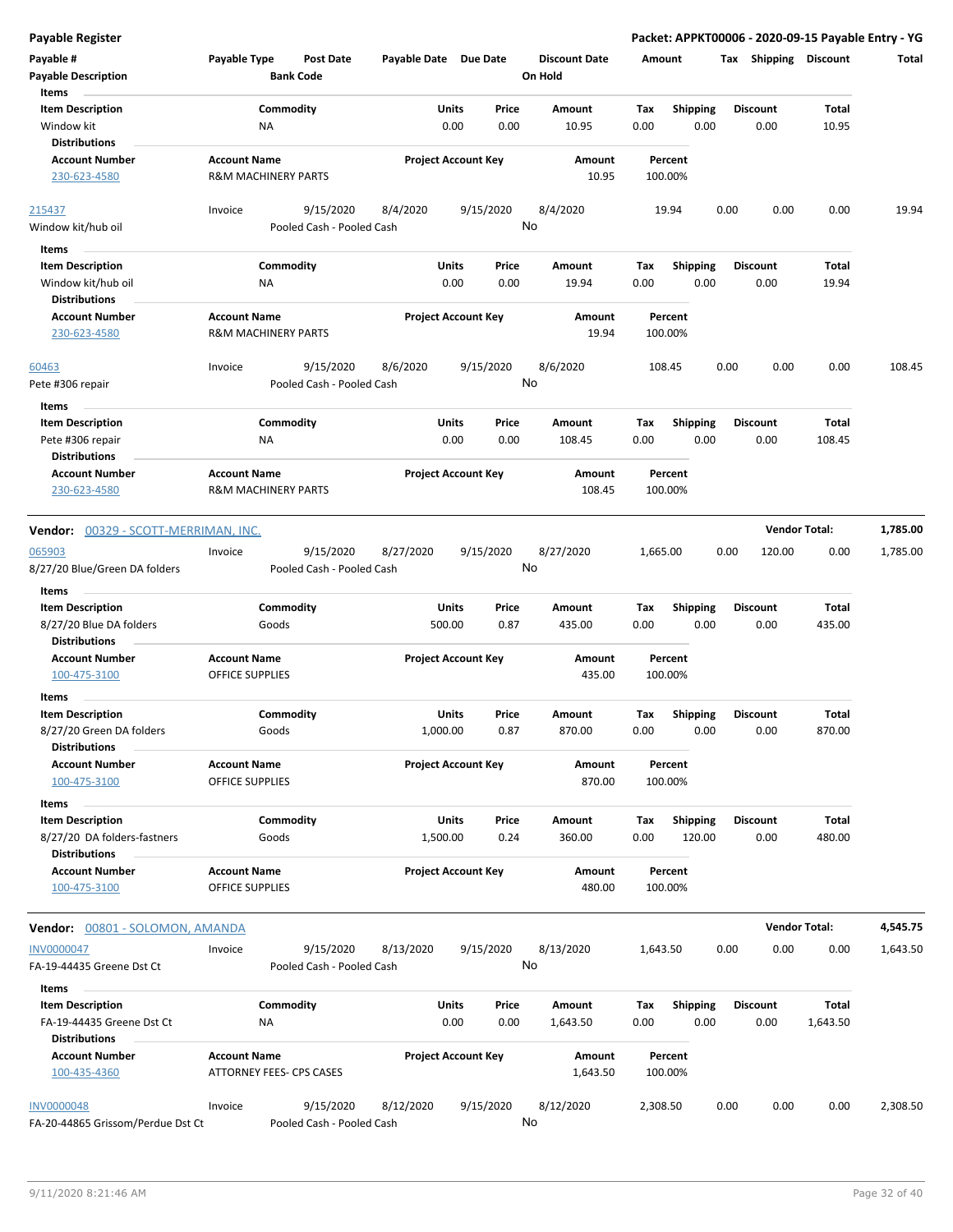| Payable #<br><b>Payable Description</b><br>Items | Payable Type                                  | Post Date<br><b>Bank Code</b> | Payable Date Due Date |                            | <b>Discount Date</b><br>On Hold | Amount   |                    | Shipping<br>Tax | <b>Discount</b>      | Total    |
|--------------------------------------------------|-----------------------------------------------|-------------------------------|-----------------------|----------------------------|---------------------------------|----------|--------------------|-----------------|----------------------|----------|
| <b>Item Description</b>                          |                                               | Commodity                     |                       | Units<br>Price             | Amount                          | Tax      | <b>Shipping</b>    | Discount        | Total                |          |
| Window kit                                       | ΝA                                            |                               |                       | 0.00<br>0.00               | 10.95                           | 0.00     | 0.00               | 0.00            | 10.95                |          |
| <b>Distributions</b>                             |                                               |                               |                       |                            |                                 |          |                    |                 |                      |          |
| <b>Account Number</b>                            | <b>Account Name</b>                           |                               |                       | <b>Project Account Key</b> | Amount                          |          | Percent            |                 |                      |          |
| 230-623-4580                                     | <b>R&amp;M MACHINERY PARTS</b>                |                               |                       |                            | 10.95                           |          | 100.00%            |                 |                      |          |
| 215437                                           | Invoice                                       | 9/15/2020                     | 8/4/2020              | 9/15/2020                  | 8/4/2020                        |          | 19.94              | 0.00<br>0.00    | 0.00                 | 19.94    |
| Window kit/hub oil                               |                                               | Pooled Cash - Pooled Cash     |                       |                            | No                              |          |                    |                 |                      |          |
| Items                                            |                                               |                               |                       |                            |                                 |          |                    |                 |                      |          |
| <b>Item Description</b>                          |                                               | Commodity                     |                       | Units<br>Price             | Amount                          | Tax      | <b>Shipping</b>    | <b>Discount</b> | Total                |          |
| Window kit/hub oil                               | ΝA                                            |                               |                       | 0.00<br>0.00               | 19.94                           | 0.00     | 0.00               | 0.00            | 19.94                |          |
| <b>Distributions</b>                             |                                               |                               |                       |                            |                                 |          |                    |                 |                      |          |
| <b>Account Number</b>                            | <b>Account Name</b>                           |                               |                       | <b>Project Account Key</b> | Amount                          |          | Percent            |                 |                      |          |
| 230-623-4580                                     | <b>R&amp;M MACHINERY PARTS</b>                |                               |                       |                            | 19.94                           |          | 100.00%            |                 |                      |          |
| 60463                                            | Invoice                                       | 9/15/2020                     | 8/6/2020              | 9/15/2020                  | 8/6/2020                        | 108.45   |                    | 0.00<br>0.00    | 0.00                 | 108.45   |
| Pete #306 repair                                 |                                               | Pooled Cash - Pooled Cash     |                       |                            | No                              |          |                    |                 |                      |          |
|                                                  |                                               |                               |                       |                            |                                 |          |                    |                 |                      |          |
| Items                                            |                                               |                               |                       |                            |                                 |          |                    |                 |                      |          |
| <b>Item Description</b>                          |                                               | Commodity                     |                       | Units<br>Price             | Amount                          | Tax      | <b>Shipping</b>    | <b>Discount</b> | Total                |          |
| Pete #306 repair                                 | ΝA                                            |                               |                       | 0.00<br>0.00               | 108.45                          | 0.00     | 0.00               | 0.00            | 108.45               |          |
| <b>Distributions</b>                             |                                               |                               |                       |                            |                                 |          |                    |                 |                      |          |
| <b>Account Number</b>                            | <b>Account Name</b>                           |                               |                       | <b>Project Account Key</b> | Amount                          |          | Percent            |                 |                      |          |
| 230-623-4580                                     | <b>R&amp;M MACHINERY PARTS</b>                |                               |                       |                            | 108.45                          |          | 100.00%            |                 |                      |          |
| Vendor: 00329 - SCOTT-MERRIMAN, INC.             |                                               |                               |                       |                            |                                 |          |                    |                 | <b>Vendor Total:</b> | 1,785.00 |
| 065903                                           | Invoice                                       | 9/15/2020                     | 8/27/2020             | 9/15/2020                  | 8/27/2020                       | 1,665.00 |                    | 0.00<br>120.00  | 0.00                 | 1,785.00 |
| 8/27/20 Blue/Green DA folders                    |                                               | Pooled Cash - Pooled Cash     |                       |                            | No                              |          |                    |                 |                      |          |
|                                                  |                                               |                               |                       |                            |                                 |          |                    |                 |                      |          |
| Items                                            |                                               |                               |                       |                            |                                 |          |                    |                 |                      |          |
| <b>Item Description</b>                          |                                               | Commodity                     |                       | Units<br>Price             | Amount                          | Tax      | <b>Shipping</b>    | <b>Discount</b> | Total                |          |
| 8/27/20 Blue DA folders<br><b>Distributions</b>  |                                               | Goods                         | 500.00                | 0.87                       | 435.00                          | 0.00     | 0.00               | 0.00            | 435.00               |          |
| <b>Account Number</b>                            | <b>Account Name</b>                           |                               |                       | <b>Project Account Key</b> | Amount                          |          | Percent            |                 |                      |          |
| 100-475-3100                                     | OFFICE SUPPLIES                               |                               |                       |                            | 435.00                          |          | 100.00%            |                 |                      |          |
| Items                                            |                                               |                               |                       |                            |                                 |          |                    |                 |                      |          |
|                                                  |                                               |                               |                       |                            |                                 |          |                    | <b>Discount</b> |                      |          |
| <b>Item Description</b>                          |                                               | Commodity                     |                       | Units<br>Price             | Amount<br>870.00                | Tax      | <b>Shipping</b>    |                 | Total<br>870.00      |          |
| 8/27/20 Green DA folders<br><b>Distributions</b> |                                               | Goods                         | 1,000.00              | 0.87                       |                                 | 0.00     | 0.00               | 0.00            |                      |          |
| <b>Account Number</b>                            | <b>Account Name</b>                           |                               |                       | <b>Project Account Key</b> | Amount                          |          | Percent            |                 |                      |          |
| 100-475-3100                                     | OFFICE SUPPLIES                               |                               |                       |                            | 870.00                          |          | 100.00%            |                 |                      |          |
|                                                  |                                               |                               |                       |                            |                                 |          |                    |                 |                      |          |
| Items                                            |                                               |                               |                       |                            |                                 |          |                    |                 |                      |          |
| <b>Item Description</b>                          |                                               | Commodity                     |                       | Units<br>Price             | Amount                          | Тах      | <b>Shipping</b>    | Discount        | Total                |          |
| 8/27/20 DA folders-fastners                      |                                               | Goods                         | 1,500.00              | 0.24                       | 360.00                          | 0.00     | 120.00             | 0.00            | 480.00               |          |
| <b>Distributions</b>                             |                                               |                               |                       |                            |                                 |          |                    |                 |                      |          |
| <b>Account Number</b><br>100-475-3100            | <b>Account Name</b><br><b>OFFICE SUPPLIES</b> |                               |                       | <b>Project Account Key</b> | Amount<br>480.00                |          | Percent<br>100.00% |                 |                      |          |
|                                                  |                                               |                               |                       |                            |                                 |          |                    |                 | <b>Vendor Total:</b> | 4,545.75 |
| Vendor: 00801 - SOLOMON, AMANDA                  |                                               |                               |                       |                            |                                 |          |                    |                 |                      |          |
| <b>INV0000047</b>                                | Invoice                                       | 9/15/2020                     | 8/13/2020             | 9/15/2020                  | 8/13/2020                       | 1,643.50 |                    | 0.00<br>0.00    | 0.00                 | 1,643.50 |
| FA-19-44435 Greene Dst Ct                        |                                               | Pooled Cash - Pooled Cash     |                       |                            | No                              |          |                    |                 |                      |          |
| Items                                            |                                               |                               |                       |                            |                                 |          |                    |                 |                      |          |
| <b>Item Description</b>                          |                                               | Commodity                     |                       | Units<br>Price             | Amount                          | Tax      | <b>Shipping</b>    | <b>Discount</b> | Total                |          |
| FA-19-44435 Greene Dst Ct                        | ΝA                                            |                               |                       | 0.00<br>0.00               | 1,643.50                        | 0.00     | 0.00               | 0.00            | 1,643.50             |          |
| <b>Distributions</b>                             |                                               |                               |                       |                            |                                 |          |                    |                 |                      |          |
| <b>Account Number</b>                            | <b>Account Name</b>                           |                               |                       | <b>Project Account Key</b> | Amount                          |          | Percent            |                 |                      |          |
| 100-435-4360                                     |                                               | ATTORNEY FEES- CPS CASES      |                       |                            | 1,643.50                        |          | 100.00%            |                 |                      |          |
| <b>INV0000048</b>                                | Invoice                                       | 9/15/2020                     | 8/12/2020             | 9/15/2020                  | 8/12/2020                       | 2,308.50 |                    | 0.00<br>0.00    | 0.00                 | 2,308.50 |
| FA-20-44865 Grissom/Perdue Dst Ct                |                                               | Pooled Cash - Pooled Cash     |                       |                            | No                              |          |                    |                 |                      |          |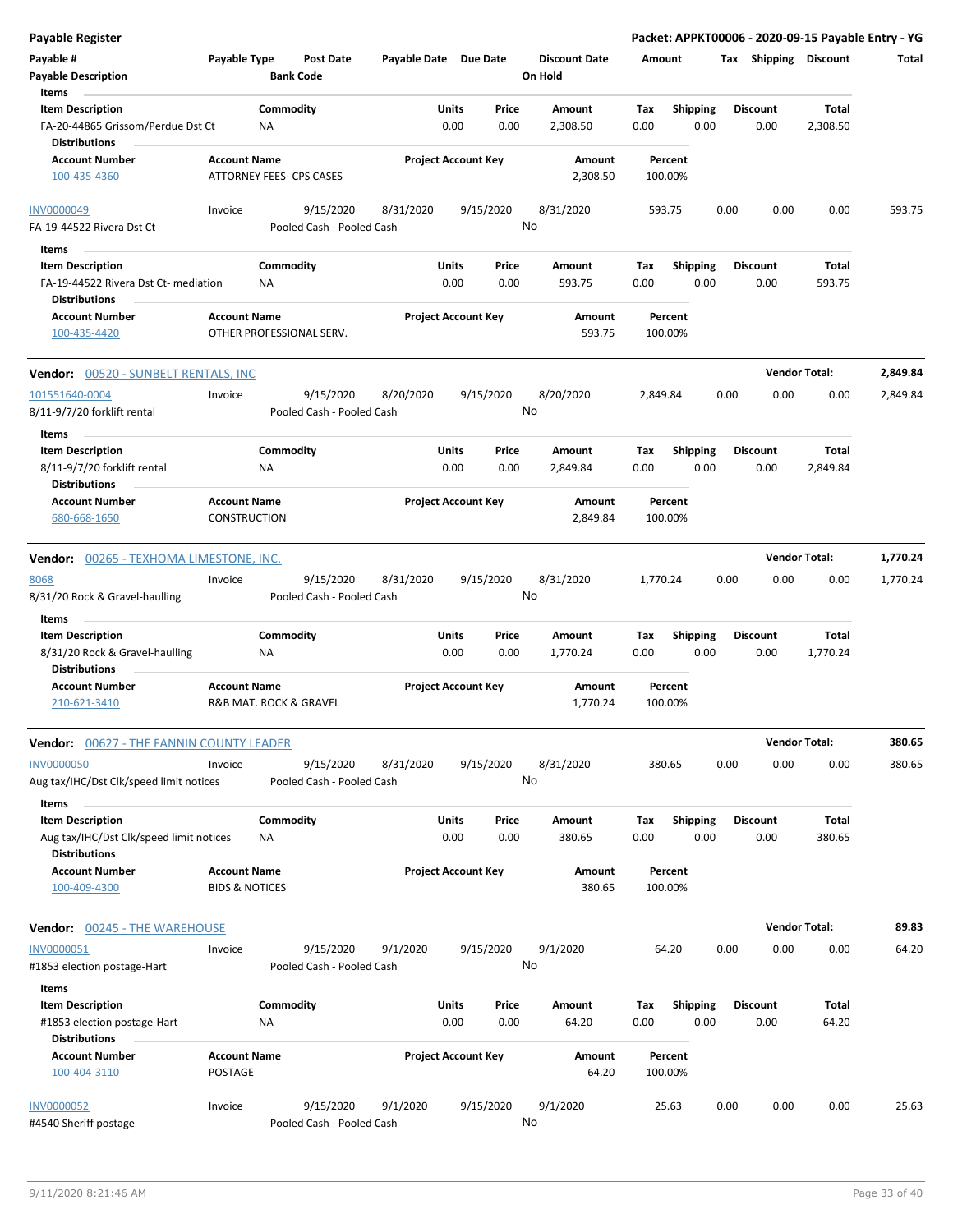| <b>Payable Register</b>                                            |                                       |                                        |           |                                       |                                 |                    |                         |                 |                      | Packet: APPKT00006 - 2020-09-15 Payable Entry - YG |          |
|--------------------------------------------------------------------|---------------------------------------|----------------------------------------|-----------|---------------------------------------|---------------------------------|--------------------|-------------------------|-----------------|----------------------|----------------------------------------------------|----------|
| Payable #<br><b>Payable Description</b>                            | Payable Type                          | Post Date<br><b>Bank Code</b>          |           | Payable Date Due Date                 | <b>Discount Date</b><br>On Hold | Amount             |                         |                 |                      | Tax Shipping Discount                              | Total    |
| Items                                                              |                                       |                                        |           |                                       |                                 |                    |                         |                 |                      |                                                    |          |
| <b>Item Description</b><br>FA-20-44865 Grissom/Perdue Dst Ct       |                                       | Commodity<br>ΝA                        |           | <b>Units</b><br>Price<br>0.00<br>0.00 | Amount<br>2,308.50              | Tax<br>0.00        | Shipping<br>0.00        | <b>Discount</b> | 0.00                 | <b>Total</b><br>2,308.50                           |          |
| <b>Distributions</b><br><b>Account Number</b>                      | <b>Account Name</b>                   |                                        |           | <b>Project Account Key</b>            | Amount                          | Percent            |                         |                 |                      |                                                    |          |
| 100-435-4360                                                       |                                       | ATTORNEY FEES- CPS CASES               |           |                                       | 2,308.50                        | 100.00%            |                         |                 |                      |                                                    |          |
| <b>INV0000049</b>                                                  | Invoice                               | 9/15/2020                              | 8/31/2020 | 9/15/2020                             | 8/31/2020                       | 593.75             |                         | 0.00            | 0.00                 | 0.00                                               | 593.75   |
| FA-19-44522 Rivera Dst Ct                                          |                                       | Pooled Cash - Pooled Cash              |           |                                       | No                              |                    |                         |                 |                      |                                                    |          |
| Items                                                              |                                       |                                        |           |                                       |                                 |                    |                         |                 |                      |                                                    |          |
| <b>Item Description</b><br>FA-19-44522 Rivera Dst Ct- mediation    |                                       | Commodity<br>ΝA                        |           | Units<br>Price<br>0.00<br>0.00        | Amount<br>593.75                | Tax<br>0.00        | <b>Shipping</b><br>0.00 | <b>Discount</b> | 0.00                 | Total<br>593.75                                    |          |
| <b>Distributions</b><br><b>Account Number</b>                      | <b>Account Name</b>                   |                                        |           | <b>Project Account Key</b>            | Amount                          | Percent            |                         |                 |                      |                                                    |          |
| 100-435-4420                                                       |                                       | OTHER PROFESSIONAL SERV.               |           |                                       | 593.75                          | 100.00%            |                         |                 |                      |                                                    |          |
| Vendor: 00520 - SUNBELT RENTALS, INC                               |                                       |                                        |           |                                       |                                 |                    |                         |                 | <b>Vendor Total:</b> |                                                    | 2,849.84 |
| 101551640-0004                                                     | Invoice                               | 9/15/2020                              | 8/20/2020 | 9/15/2020                             | 8/20/2020                       | 2,849.84           |                         | 0.00            | 0.00                 | 0.00                                               | 2,849.84 |
| 8/11-9/7/20 forklift rental<br>Items                               |                                       | Pooled Cash - Pooled Cash              |           |                                       | No                              |                    |                         |                 |                      |                                                    |          |
| <b>Item Description</b>                                            |                                       | Commodity                              |           | Units<br>Price                        | Amount                          | Tax                | <b>Shipping</b>         | <b>Discount</b> |                      | Total                                              |          |
| 8/11-9/7/20 forklift rental<br><b>Distributions</b>                |                                       | NA                                     |           | 0.00<br>0.00                          | 2,849.84                        | 0.00               | 0.00                    |                 | 0.00                 | 2,849.84                                           |          |
| <b>Account Number</b><br>680-668-1650                              | <b>Account Name</b><br>CONSTRUCTION   |                                        |           | <b>Project Account Key</b>            | Amount<br>2,849.84              | Percent<br>100.00% |                         |                 |                      |                                                    |          |
|                                                                    |                                       |                                        |           |                                       |                                 |                    |                         |                 |                      |                                                    |          |
| <b>Vendor: 00265 - TEXHOMA LIMESTONE, INC.</b>                     |                                       |                                        |           |                                       |                                 |                    |                         |                 | <b>Vendor Total:</b> |                                                    | 1,770.24 |
| 8068<br>8/31/20 Rock & Gravel-haulling                             | Invoice                               | 9/15/2020<br>Pooled Cash - Pooled Cash | 8/31/2020 | 9/15/2020                             | 8/31/2020<br>No                 | 1,770.24           |                         | 0.00            | 0.00                 | 0.00                                               | 1,770.24 |
| Items                                                              |                                       |                                        |           |                                       |                                 |                    |                         |                 |                      |                                                    |          |
| <b>Item Description</b>                                            |                                       | Commodity                              |           | Units<br>Price                        | Amount                          | Tax                | <b>Shipping</b>         | <b>Discount</b> |                      | Total                                              |          |
| 8/31/20 Rock & Gravel-haulling                                     |                                       | NA                                     |           | 0.00<br>0.00                          | 1,770.24                        | 0.00               | 0.00                    |                 | 0.00                 | 1,770.24                                           |          |
| <b>Distributions</b>                                               |                                       |                                        |           |                                       |                                 |                    |                         |                 |                      |                                                    |          |
| <b>Account Number</b><br>210-621-3410                              | <b>Account Name</b>                   | R&B MAT. ROCK & GRAVEL                 |           | <b>Project Account Key</b>            | Amount<br>1,770.24              | Percent<br>100.00% |                         |                 |                      |                                                    |          |
| <b>Vendor:</b> 00627 - THE FANNIN COUNTY LEADER                    |                                       |                                        |           |                                       |                                 |                    |                         |                 | <b>Vendor Total:</b> |                                                    | 380.65   |
| <b>INV0000050</b><br>Aug tax/IHC/Dst Clk/speed limit notices       | Invoice                               | 9/15/2020<br>Pooled Cash - Pooled Cash | 8/31/2020 | 9/15/2020                             | 8/31/2020<br>No                 | 380.65             |                         | 0.00            | 0.00                 | 0.00                                               | 380.65   |
| Items                                                              |                                       |                                        |           |                                       |                                 |                    |                         |                 |                      |                                                    |          |
| <b>Item Description</b><br>Aug tax/IHC/Dst Clk/speed limit notices |                                       | Commodity<br>ΝA                        |           | Units<br>Price<br>0.00<br>0.00        | Amount<br>380.65                | Tax<br>0.00        | <b>Shipping</b><br>0.00 | <b>Discount</b> | 0.00                 | Total<br>380.65                                    |          |
| <b>Distributions</b><br><b>Account Number</b>                      | <b>Account Name</b>                   |                                        |           | <b>Project Account Key</b>            | Amount                          | Percent            |                         |                 |                      |                                                    |          |
| 100-409-4300                                                       | <b>BIDS &amp; NOTICES</b>             |                                        |           |                                       | 380.65                          | 100.00%            |                         |                 |                      |                                                    |          |
| Vendor: 00245 - THE WAREHOUSE                                      |                                       |                                        |           |                                       |                                 |                    |                         |                 | <b>Vendor Total:</b> |                                                    | 89.83    |
| INV0000051                                                         | Invoice                               | 9/15/2020                              | 9/1/2020  | 9/15/2020                             | 9/1/2020                        | 64.20              |                         | 0.00            | 0.00                 | 0.00                                               | 64.20    |
| #1853 election postage-Hart<br>Items                               |                                       | Pooled Cash - Pooled Cash              |           |                                       | No                              |                    |                         |                 |                      |                                                    |          |
| <b>Item Description</b>                                            |                                       | Commodity                              |           | Units<br>Price                        | Amount                          | Tax                | <b>Shipping</b>         | <b>Discount</b> |                      | Total                                              |          |
| #1853 election postage-Hart<br><b>Distributions</b>                |                                       | ΝA                                     |           | 0.00<br>0.00                          | 64.20                           | 0.00               | 0.00                    |                 | 0.00                 | 64.20                                              |          |
| <b>Account Number</b><br>100-404-3110                              | <b>Account Name</b><br><b>POSTAGE</b> |                                        |           | <b>Project Account Key</b>            | Amount<br>64.20                 | Percent<br>100.00% |                         |                 |                      |                                                    |          |
| <b>INV0000052</b>                                                  | Invoice                               | 9/15/2020                              | 9/1/2020  | 9/15/2020                             | 9/1/2020                        | 25.63              |                         | 0.00            | 0.00                 | 0.00                                               | 25.63    |
| #4540 Sheriff postage                                              |                                       | Pooled Cash - Pooled Cash              |           |                                       | No                              |                    |                         |                 |                      |                                                    |          |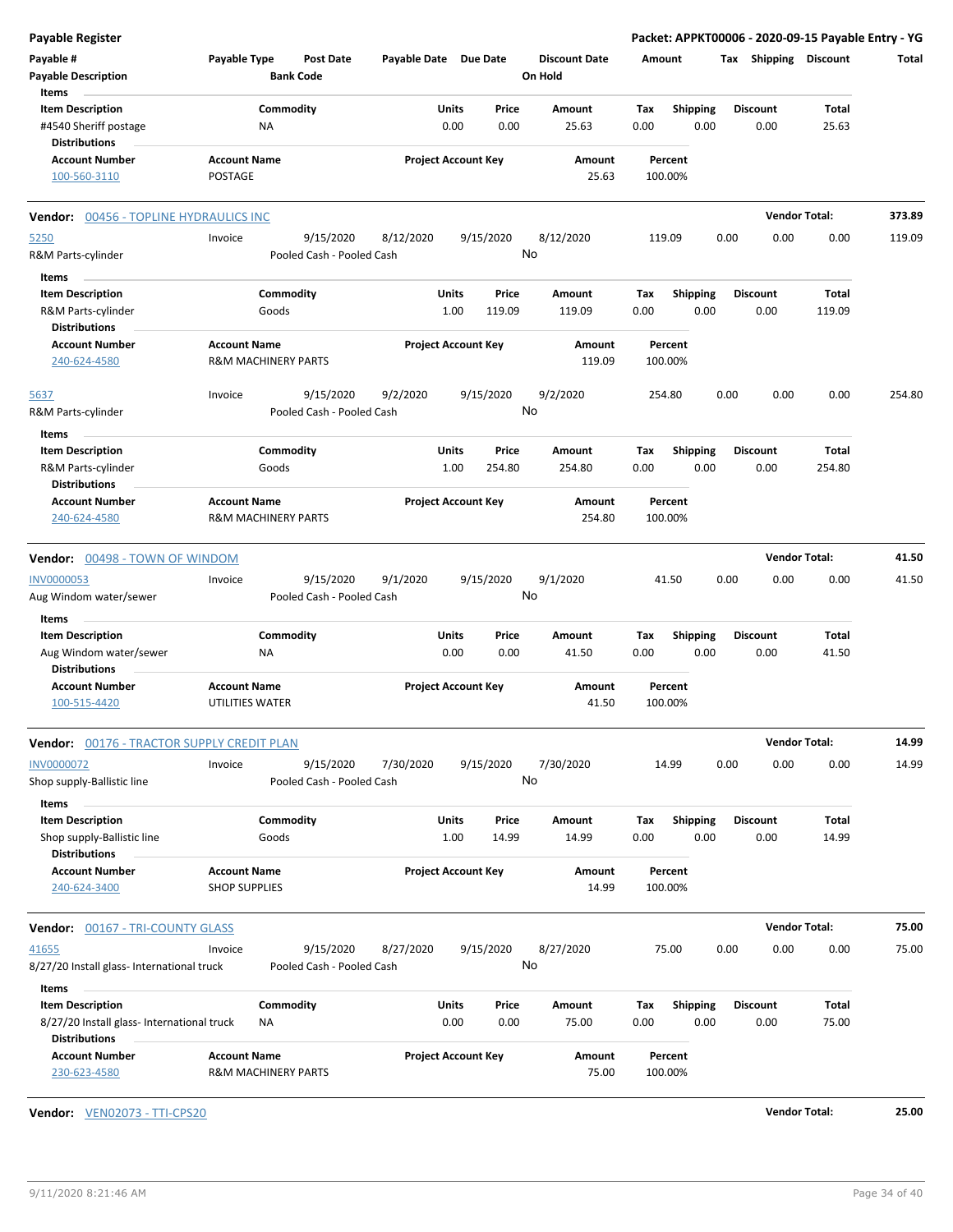| <b>Payable Register</b>                                                  |                      |                                        |                       |                                |                                 |                    |                         |      |                         | Packet: APPKT00006 - 2020-09-15 Payable Entry - YG |        |
|--------------------------------------------------------------------------|----------------------|----------------------------------------|-----------------------|--------------------------------|---------------------------------|--------------------|-------------------------|------|-------------------------|----------------------------------------------------|--------|
| Payable #<br><b>Payable Description</b>                                  | Payable Type         | <b>Post Date</b><br><b>Bank Code</b>   | Payable Date Due Date |                                | <b>Discount Date</b><br>On Hold | Amount             |                         |      |                         | Tax Shipping Discount                              | Total  |
| Items                                                                    |                      |                                        |                       |                                |                                 |                    |                         |      |                         |                                                    |        |
| <b>Item Description</b><br>#4540 Sheriff postage<br><b>Distributions</b> |                      | Commodity<br><b>NA</b>                 |                       | Units<br>Price<br>0.00<br>0.00 | Amount<br>25.63                 | Tax<br>0.00        | <b>Shipping</b><br>0.00 |      | <b>Discount</b><br>0.00 | Total<br>25.63                                     |        |
| <b>Account Number</b>                                                    | <b>Account Name</b>  |                                        |                       | <b>Project Account Key</b>     | Amount                          | Percent            |                         |      |                         |                                                    |        |
| 100-560-3110                                                             | POSTAGE              |                                        |                       |                                | 25.63                           | 100.00%            |                         |      |                         |                                                    |        |
| <b>Vendor: 00456 - TOPLINE HYDRAULICS INC</b>                            |                      |                                        |                       |                                |                                 |                    |                         |      |                         | <b>Vendor Total:</b>                               | 373.89 |
| 5250                                                                     | Invoice              | 9/15/2020                              | 8/12/2020             | 9/15/2020                      | 8/12/2020                       | 119.09             |                         | 0.00 | 0.00                    | 0.00                                               | 119.09 |
| R&M Parts-cylinder                                                       |                      | Pooled Cash - Pooled Cash              |                       |                                | No                              |                    |                         |      |                         |                                                    |        |
| Items                                                                    |                      |                                        |                       |                                |                                 |                    |                         |      |                         |                                                    |        |
| <b>Item Description</b>                                                  |                      | Commodity                              |                       | Units<br>Price                 | Amount                          | Tax                | <b>Shipping</b>         |      | <b>Discount</b>         | Total                                              |        |
| R&M Parts-cylinder                                                       |                      | Goods                                  |                       | 1.00<br>119.09                 | 119.09                          | 0.00               | 0.00                    |      | 0.00                    | 119.09                                             |        |
| <b>Distributions</b>                                                     |                      |                                        |                       |                                |                                 |                    |                         |      |                         |                                                    |        |
| <b>Account Number</b><br>240-624-4580                                    | <b>Account Name</b>  | <b>R&amp;M MACHINERY PARTS</b>         |                       | <b>Project Account Key</b>     | Amount<br>119.09                | Percent<br>100.00% |                         |      |                         |                                                    |        |
| 5637                                                                     | Invoice              | 9/15/2020                              | 9/2/2020              | 9/15/2020                      | 9/2/2020                        | 254.80             |                         | 0.00 | 0.00                    | 0.00                                               | 254.80 |
| R&M Parts-cylinder                                                       |                      | Pooled Cash - Pooled Cash              |                       |                                | No                              |                    |                         |      |                         |                                                    |        |
| Items                                                                    |                      |                                        |                       |                                |                                 |                    |                         |      |                         |                                                    |        |
| <b>Item Description</b>                                                  |                      | Commodity                              |                       | Units<br>Price                 | Amount                          | Tax                | <b>Shipping</b>         |      | <b>Discount</b>         | Total                                              |        |
| R&M Parts-cylinder<br><b>Distributions</b>                               |                      | Goods                                  |                       | 1.00<br>254.80                 | 254.80                          | 0.00               | 0.00                    |      | 0.00                    | 254.80                                             |        |
| <b>Account Number</b><br>240-624-4580                                    | <b>Account Name</b>  | <b>R&amp;M MACHINERY PARTS</b>         |                       | <b>Project Account Key</b>     | Amount<br>254.80                | Percent<br>100.00% |                         |      |                         |                                                    |        |
|                                                                          |                      |                                        |                       |                                |                                 |                    |                         |      |                         |                                                    |        |
| Vendor: 00498 - TOWN OF WINDOM                                           |                      |                                        |                       |                                |                                 |                    |                         |      |                         | <b>Vendor Total:</b>                               | 41.50  |
| <b>INV0000053</b><br>Aug Windom water/sewer                              | Invoice              | 9/15/2020<br>Pooled Cash - Pooled Cash | 9/1/2020              | 9/15/2020                      | 9/1/2020<br>No                  | 41.50              |                         | 0.00 | 0.00                    | 0.00                                               | 41.50  |
| Items                                                                    |                      |                                        |                       |                                |                                 |                    |                         |      |                         |                                                    |        |
| <b>Item Description</b>                                                  |                      | Commodity                              |                       | Units<br>Price                 | Amount                          | Tax                | <b>Shipping</b>         |      | <b>Discount</b>         | Total                                              |        |
| Aug Windom water/sewer<br><b>Distributions</b>                           |                      | <b>NA</b>                              |                       | 0.00<br>0.00                   | 41.50                           | 0.00               | 0.00                    |      | 0.00                    | 41.50                                              |        |
| <b>Account Number</b>                                                    | <b>Account Name</b>  |                                        |                       | <b>Project Account Key</b>     |                                 | Percent            |                         |      |                         |                                                    |        |
| 100-515-4420                                                             | UTILITIES WATER      |                                        |                       |                                | Amount<br>41.50                 | 100.00%            |                         |      |                         |                                                    |        |
| Vendor: 00176 - TRACTOR SUPPLY CREDIT PLAN                               |                      |                                        |                       |                                |                                 |                    |                         |      |                         | <b>Vendor Total:</b>                               | 14.99  |
| <b>INV0000072</b>                                                        | Invoice              | 9/15/2020                              | 7/30/2020             | 9/15/2020                      | 7/30/2020                       | 14.99              |                         | 0.00 | 0.00                    | 0.00                                               | 14.99  |
| Shop supply-Ballistic line                                               |                      | Pooled Cash - Pooled Cash              |                       |                                | No                              |                    |                         |      |                         |                                                    |        |
| Items                                                                    |                      |                                        |                       |                                |                                 |                    |                         |      |                         |                                                    |        |
| <b>Item Description</b>                                                  |                      | Commodity                              |                       | Units<br>Price                 | Amount                          | Tax                | <b>Shipping</b>         |      | <b>Discount</b>         | Total                                              |        |
| Shop supply-Ballistic line                                               |                      | Goods                                  |                       | 1.00<br>14.99                  | 14.99                           | 0.00               | 0.00                    |      | 0.00                    | 14.99                                              |        |
| <b>Distributions</b>                                                     |                      |                                        |                       |                                |                                 |                    |                         |      |                         |                                                    |        |
| <b>Account Number</b>                                                    | <b>Account Name</b>  |                                        |                       | <b>Project Account Key</b>     | Amount                          | Percent            |                         |      |                         |                                                    |        |
| 240-624-3400                                                             | <b>SHOP SUPPLIES</b> |                                        |                       |                                | 14.99                           | 100.00%            |                         |      |                         |                                                    |        |
| <b>Vendor: 00167 - TRI-COUNTY GLASS</b>                                  |                      |                                        |                       |                                |                                 |                    |                         |      |                         | <b>Vendor Total:</b>                               | 75.00  |
| 41655                                                                    | Invoice              | 9/15/2020                              | 8/27/2020             | 9/15/2020                      | 8/27/2020                       | 75.00              |                         | 0.00 | 0.00                    | 0.00                                               | 75.00  |
| 8/27/20 Install glass- International truck                               |                      | Pooled Cash - Pooled Cash              |                       |                                | No                              |                    |                         |      |                         |                                                    |        |
| Items                                                                    |                      |                                        |                       |                                |                                 |                    |                         |      |                         |                                                    |        |
| <b>Item Description</b>                                                  |                      | Commodity                              |                       | Units<br>Price                 | Amount                          | Тах                | <b>Shipping</b>         |      | <b>Discount</b>         | Total                                              |        |
| 8/27/20 Install glass- International truck                               |                      | NA                                     |                       | 0.00<br>0.00                   | 75.00                           | 0.00               | 0.00                    |      | 0.00                    | 75.00                                              |        |
| <b>Distributions</b>                                                     |                      |                                        |                       |                                |                                 |                    |                         |      |                         |                                                    |        |
| <b>Account Number</b><br>230-623-4580                                    | <b>Account Name</b>  | R&M MACHINERY PARTS                    |                       | <b>Project Account Key</b>     | Amount<br>75.00                 | Percent<br>100.00% |                         |      |                         |                                                    |        |
|                                                                          |                      |                                        |                       |                                |                                 |                    |                         |      |                         |                                                    |        |

**Vendor:** VEN02073 - TTI-CPS20 **Vendor Total: 25.00**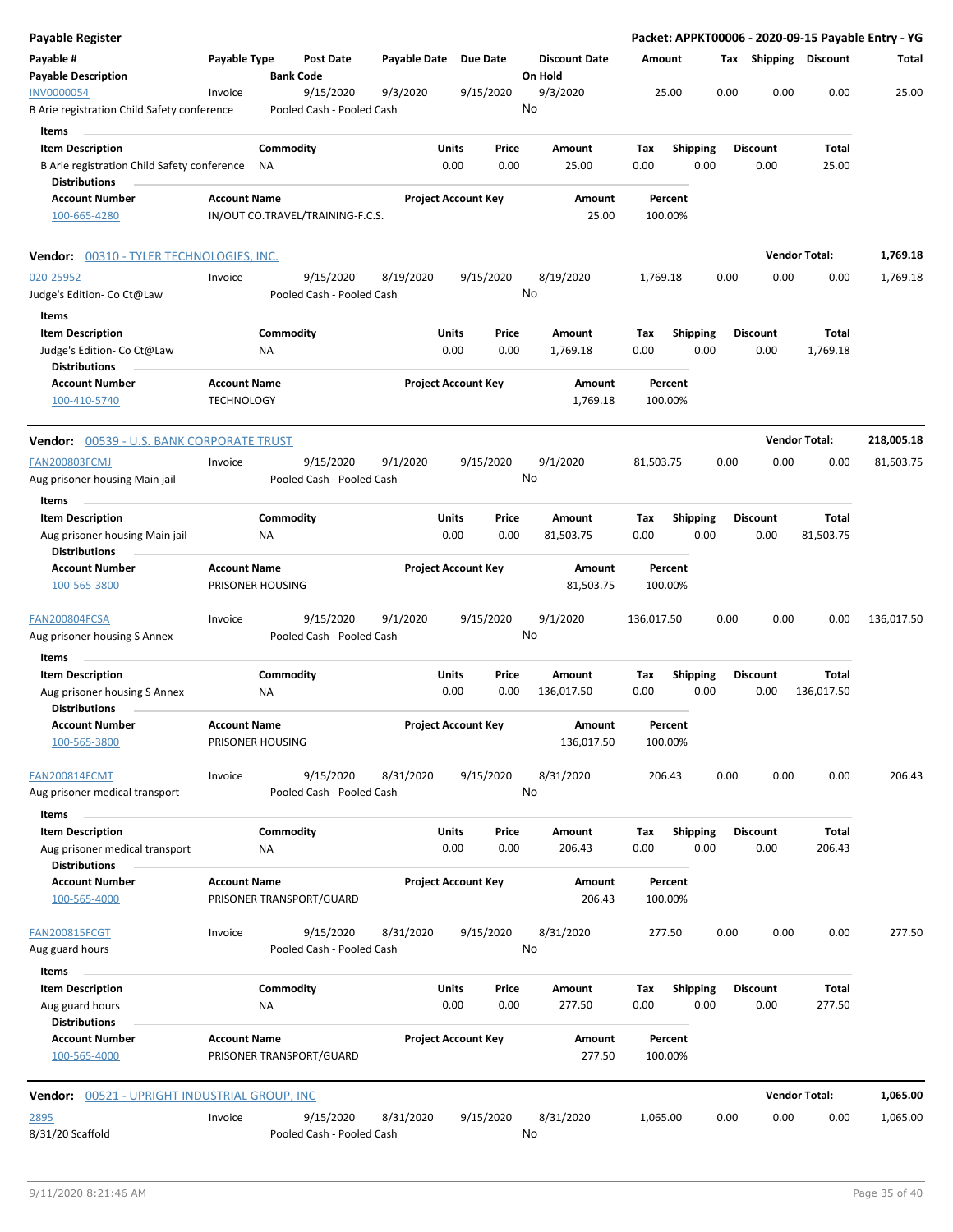| Payable Register                                                                               |                                          |                                      |                                        |       |                            |                                 |             |                         |      |                         |                      | Packet: APPKT00006 - 2020-09-15 Payable Entry - YG |
|------------------------------------------------------------------------------------------------|------------------------------------------|--------------------------------------|----------------------------------------|-------|----------------------------|---------------------------------|-------------|-------------------------|------|-------------------------|----------------------|----------------------------------------------------|
| Payable #<br><b>Payable Description</b>                                                        | Payable Type                             | <b>Post Date</b><br><b>Bank Code</b> |                                        |       | Payable Date Due Date      | <b>Discount Date</b><br>On Hold | Amount      |                         |      | Tax Shipping Discount   |                      | Total                                              |
| <b>INV0000054</b><br>B Arie registration Child Safety conference                               | Invoice                                  | 9/15/2020                            | 9/3/2020<br>Pooled Cash - Pooled Cash  |       | 9/15/2020                  | 9/3/2020<br>No                  |             | 25.00                   | 0.00 | 0.00                    | 0.00                 | 25.00                                              |
| Items                                                                                          |                                          |                                      |                                        |       |                            |                                 |             |                         |      |                         |                      |                                                    |
| <b>Item Description</b><br>B Arie registration Child Safety conference<br><b>Distributions</b> |                                          | Commodity<br>ΝA                      |                                        | Units | Price<br>0.00<br>0.00      | Amount<br>25.00                 | Tax<br>0.00 | <b>Shipping</b><br>0.00 |      | <b>Discount</b><br>0.00 | Total<br>25.00       |                                                    |
| <b>Account Number</b>                                                                          | <b>Account Name</b>                      |                                      |                                        |       | <b>Project Account Key</b> | Amount                          |             | Percent                 |      |                         |                      |                                                    |
| 100-665-4280                                                                                   |                                          | IN/OUT CO.TRAVEL/TRAINING-F.C.S.     |                                        |       |                            | 25.00                           | 100.00%     |                         |      |                         |                      |                                                    |
| <b>Vendor:</b> 00310 - TYLER TECHNOLOGIES, INC.                                                |                                          |                                      |                                        |       |                            |                                 |             |                         |      |                         | <b>Vendor Total:</b> | 1,769.18                                           |
| 020-25952<br>Judge's Edition- Co Ct@Law                                                        | Invoice                                  | 9/15/2020                            | 8/19/2020<br>Pooled Cash - Pooled Cash |       | 9/15/2020                  | 8/19/2020<br>No                 | 1,769.18    |                         | 0.00 | 0.00                    | 0.00                 | 1,769.18                                           |
| Items                                                                                          |                                          |                                      |                                        |       |                            |                                 |             |                         |      |                         |                      |                                                    |
| <b>Item Description</b><br>Judge's Edition- Co Ct@Law<br><b>Distributions</b>                  |                                          | Commodity<br>ΝA                      |                                        | Units | Price<br>0.00<br>0.00      | Amount<br>1,769.18              | Tax<br>0.00 | <b>Shipping</b><br>0.00 |      | <b>Discount</b><br>0.00 | Total<br>1,769.18    |                                                    |
| <b>Account Number</b><br>100-410-5740                                                          | <b>Account Name</b><br><b>TECHNOLOGY</b> |                                      |                                        |       | <b>Project Account Key</b> | Amount<br>1,769.18              | 100.00%     | Percent                 |      |                         |                      |                                                    |
| Vendor: 00539 - U.S. BANK CORPORATE TRUST                                                      |                                          |                                      |                                        |       |                            |                                 |             |                         |      |                         | <b>Vendor Total:</b> | 218,005.18                                         |
| <b>FAN200803FCMJ</b>                                                                           | Invoice                                  | 9/15/2020                            | 9/1/2020                               |       | 9/15/2020                  | 9/1/2020                        | 81,503.75   |                         | 0.00 | 0.00                    | 0.00                 | 81,503.75                                          |
| Aug prisoner housing Main jail                                                                 |                                          |                                      | Pooled Cash - Pooled Cash              |       |                            | No                              |             |                         |      |                         |                      |                                                    |
| Items                                                                                          |                                          |                                      |                                        |       |                            |                                 |             |                         |      |                         |                      |                                                    |
| <b>Item Description</b><br>Aug prisoner housing Main jail<br><b>Distributions</b>              |                                          | Commodity<br>ΝA                      |                                        | Units | Price<br>0.00<br>0.00      | Amount<br>81,503.75             | Tax<br>0.00 | <b>Shipping</b><br>0.00 |      | <b>Discount</b><br>0.00 | Total<br>81,503.75   |                                                    |
| <b>Account Number</b><br>100-565-3800                                                          | <b>Account Name</b>                      | PRISONER HOUSING                     |                                        |       | <b>Project Account Key</b> | Amount<br>81,503.75             | 100.00%     | Percent                 |      |                         |                      |                                                    |
| FAN200804FCSA<br>Aug prisoner housing S Annex                                                  | Invoice                                  | 9/15/2020                            | 9/1/2020<br>Pooled Cash - Pooled Cash  |       | 9/15/2020                  | 9/1/2020<br>No                  | 136,017.50  |                         | 0.00 | 0.00                    | 0.00                 | 136,017.50                                         |
| Items                                                                                          |                                          |                                      |                                        |       |                            |                                 |             |                         |      |                         |                      |                                                    |
| <b>Item Description</b>                                                                        |                                          | Commodity                            |                                        | Units | Price                      | Amount                          | Тах         | <b>Shipping</b>         |      | <b>Discount</b>         | Total                |                                                    |
| Aug prisoner housing S Annex<br><b>Distributions</b>                                           |                                          | ΝA                                   |                                        |       | 0.00<br>0.00               | 136,017.50                      | 0.00        | 0.00                    |      | 0.00                    | 136,017.50           |                                                    |
| <b>Account Number</b><br>100-565-3800                                                          | <b>Account Name</b>                      | PRISONER HOUSING                     |                                        |       | <b>Project Account Key</b> | Amount<br>136,017.50            | 100.00%     | Percent                 |      |                         |                      |                                                    |
| <b>FAN200814FCMT</b>                                                                           | Invoice                                  | 9/15/2020                            | 8/31/2020                              |       | 9/15/2020                  | 8/31/2020<br>No                 | 206.43      |                         | 0.00 | 0.00                    | 0.00                 | 206.43                                             |
| Aug prisoner medical transport                                                                 |                                          |                                      | Pooled Cash - Pooled Cash              |       |                            |                                 |             |                         |      |                         |                      |                                                    |
| Items<br><b>Item Description</b>                                                               |                                          | Commodity                            |                                        | Units | Price                      | Amount                          | Tax         | <b>Shipping</b>         |      | <b>Discount</b>         | Total                |                                                    |
| Aug prisoner medical transport<br><b>Distributions</b>                                         |                                          | <b>NA</b>                            |                                        |       | 0.00<br>0.00               | 206.43                          | 0.00        | 0.00                    |      | 0.00                    | 206.43               |                                                    |
| <b>Account Number</b><br>100-565-4000                                                          | <b>Account Name</b>                      | PRISONER TRANSPORT/GUARD             |                                        |       | <b>Project Account Key</b> | Amount<br>206.43                | 100.00%     | Percent                 |      |                         |                      |                                                    |
| <b>FAN200815FCGT</b><br>Aug guard hours                                                        | Invoice                                  | 9/15/2020                            | 8/31/2020<br>Pooled Cash - Pooled Cash |       | 9/15/2020                  | 8/31/2020<br>No                 | 277.50      |                         | 0.00 | 0.00                    | 0.00                 | 277.50                                             |
|                                                                                                |                                          |                                      |                                        |       |                            |                                 |             |                         |      |                         |                      |                                                    |
| Items<br><b>Item Description</b><br>Aug guard hours                                            |                                          | Commodity<br>ΝA                      |                                        | Units | Price<br>0.00<br>0.00      | Amount<br>277.50                | Tax<br>0.00 | <b>Shipping</b><br>0.00 |      | <b>Discount</b><br>0.00 | Total<br>277.50      |                                                    |
| <b>Distributions</b><br><b>Account Number</b><br>100-565-4000                                  | <b>Account Name</b>                      | PRISONER TRANSPORT/GUARD             |                                        |       | <b>Project Account Key</b> | Amount<br>277.50                | 100.00%     | Percent                 |      |                         |                      |                                                    |
| <b>Vendor:</b> 00521 - UPRIGHT INDUSTRIAL GROUP, INC                                           |                                          |                                      |                                        |       |                            |                                 |             |                         |      |                         | <b>Vendor Total:</b> | 1,065.00                                           |
| <u> 2895</u><br>8/31/20 Scaffold                                                               | Invoice                                  | 9/15/2020                            | 8/31/2020<br>Pooled Cash - Pooled Cash |       | 9/15/2020                  | 8/31/2020<br>No                 | 1,065.00    |                         | 0.00 | 0.00                    | 0.00                 | 1,065.00                                           |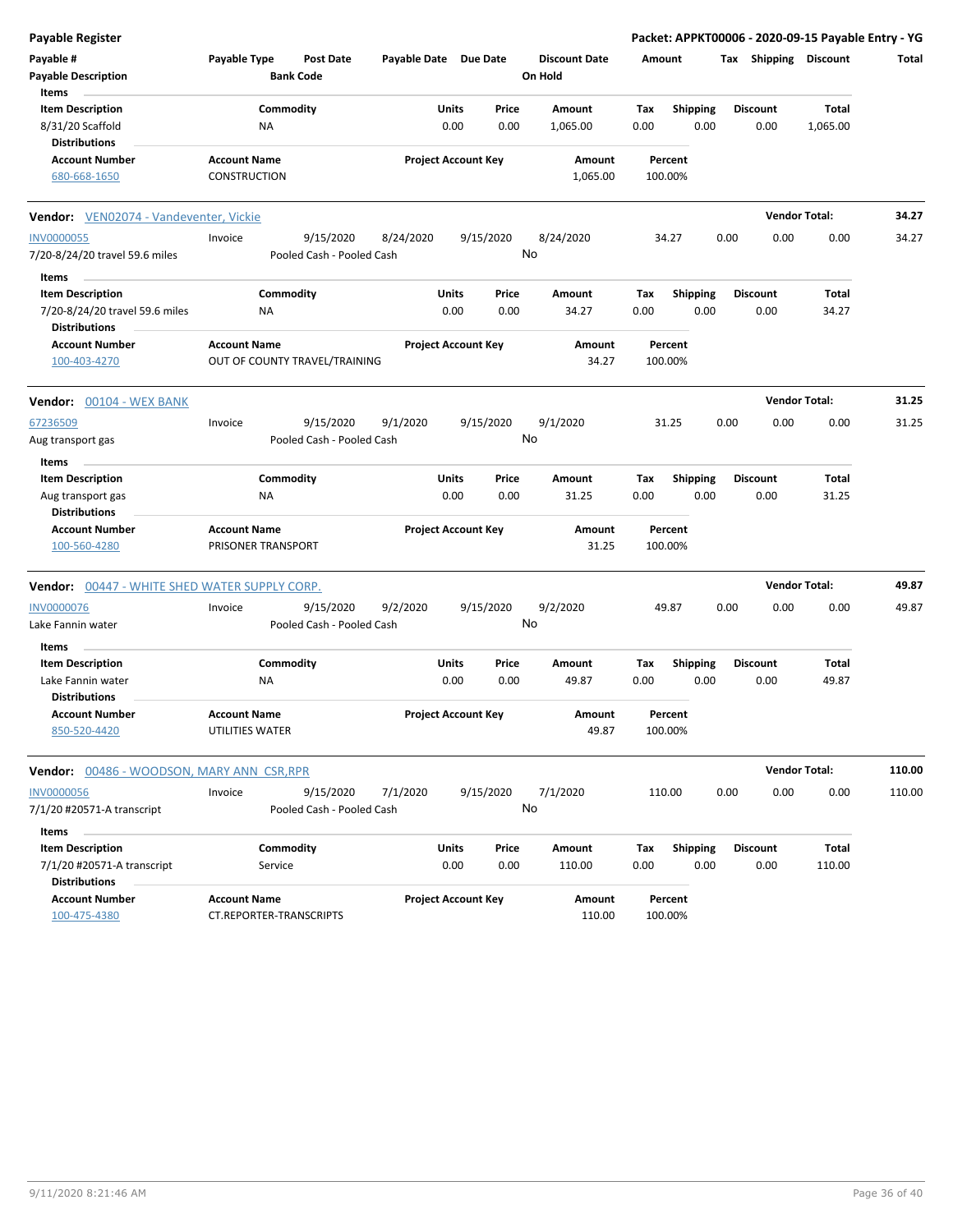| <b>Payable Register</b>                                                           |                                                      |                       |                                       |                                 |                    |                         |                         | Packet: APPKT00006 - 2020-09-15 Payable Entry - YG |        |
|-----------------------------------------------------------------------------------|------------------------------------------------------|-----------------------|---------------------------------------|---------------------------------|--------------------|-------------------------|-------------------------|----------------------------------------------------|--------|
| Payable #<br><b>Payable Description</b>                                           | Payable Type<br><b>Post Date</b><br><b>Bank Code</b> | Payable Date Due Date |                                       | <b>Discount Date</b><br>On Hold | Amount             |                         | Tax Shipping Discount   |                                                    | Total  |
| Items<br><b>Item Description</b><br>8/31/20 Scaffold                              | Commodity<br><b>NA</b>                               |                       | Units<br>Price<br>0.00<br>0.00        | Amount<br>1,065.00              | Tax<br>0.00        | <b>Shipping</b><br>0.00 | <b>Discount</b><br>0.00 | Total<br>1,065.00                                  |        |
| <b>Distributions</b>                                                              |                                                      |                       |                                       |                                 |                    |                         |                         |                                                    |        |
| <b>Account Number</b><br>680-668-1650                                             | <b>Account Name</b><br><b>CONSTRUCTION</b>           |                       | <b>Project Account Key</b>            | Amount<br>1,065.00              | Percent<br>100.00% |                         |                         |                                                    |        |
| Vendor: VEN02074 - Vandeventer, Vickie                                            |                                                      |                       |                                       |                                 |                    |                         |                         | <b>Vendor Total:</b>                               | 34.27  |
| <b>INV0000055</b><br>7/20-8/24/20 travel 59.6 miles                               | 9/15/2020<br>Invoice<br>Pooled Cash - Pooled Cash    | 8/24/2020             | 9/15/2020                             | 8/24/2020<br>No                 | 34.27              | 0.00                    | 0.00                    | 0.00                                               | 34.27  |
| Items                                                                             |                                                      |                       |                                       |                                 |                    |                         |                         |                                                    |        |
| <b>Item Description</b><br>7/20-8/24/20 travel 59.6 miles<br><b>Distributions</b> | Commodity<br>ΝA                                      |                       | Units<br>Price<br>0.00<br>0.00        | Amount<br>34.27                 | Tax<br>0.00        | Shipping<br>0.00        | <b>Discount</b><br>0.00 | Total<br>34.27                                     |        |
| <b>Account Number</b><br>100-403-4270                                             | <b>Account Name</b><br>OUT OF COUNTY TRAVEL/TRAINING |                       | <b>Project Account Key</b>            | Amount<br>34.27                 | Percent<br>100.00% |                         |                         |                                                    |        |
| Vendor: 00104 - WEX BANK                                                          |                                                      |                       |                                       |                                 |                    |                         |                         | <b>Vendor Total:</b>                               | 31.25  |
| 67236509<br>Aug transport gas                                                     | 9/15/2020<br>Invoice<br>Pooled Cash - Pooled Cash    | 9/1/2020              | 9/15/2020                             | 9/1/2020<br>No                  | 31.25              | 0.00                    | 0.00                    | 0.00                                               | 31.25  |
| Items<br><b>Item Description</b>                                                  | Commodity                                            |                       | Units<br>Price                        | Amount                          | Tax                |                         | <b>Discount</b>         | Total                                              |        |
| Aug transport gas<br><b>Distributions</b>                                         | ΝA                                                   |                       | 0.00<br>0.00                          | 31.25                           | 0.00               | <b>Shipping</b><br>0.00 | 0.00                    | 31.25                                              |        |
| <b>Account Number</b><br>100-560-4280                                             | <b>Account Name</b><br>PRISONER TRANSPORT            |                       | <b>Project Account Key</b>            | Amount<br>31.25                 | Percent<br>100.00% |                         |                         |                                                    |        |
| <b>Vendor: 00447 - WHITE SHED WATER SUPPLY CORP.</b>                              |                                                      |                       |                                       |                                 |                    |                         |                         | <b>Vendor Total:</b>                               | 49.87  |
| <b>INV0000076</b><br>Lake Fannin water                                            | 9/15/2020<br>Invoice<br>Pooled Cash - Pooled Cash    | 9/2/2020              | 9/15/2020                             | 9/2/2020<br>No                  | 49.87              | 0.00                    | 0.00                    | 0.00                                               | 49.87  |
| Items<br><b>Item Description</b>                                                  | Commodity                                            |                       | Units<br>Price                        | Amount                          | Tax                | <b>Shipping</b>         | <b>Discount</b>         | Total                                              |        |
| Lake Fannin water<br><b>Distributions</b>                                         | ΝA                                                   |                       | 0.00<br>0.00                          | 49.87                           | 0.00               | 0.00                    | 0.00                    | 49.87                                              |        |
| <b>Account Number</b><br>850-520-4420                                             | <b>Account Name</b><br>UTILITIES WATER               |                       | <b>Project Account Key</b>            | Amount<br>49.87                 | Percent<br>100.00% |                         |                         |                                                    |        |
| <b>Vendor: 00486 - WOODSON, MARY ANN CSR, RPR</b>                                 |                                                      |                       |                                       |                                 |                    |                         |                         | <b>Vendor Total:</b>                               | 110.00 |
| <b>INV0000056</b><br>7/1/20 #20571-A transcript                                   | Invoice<br>9/15/2020<br>Pooled Cash - Pooled Cash    | 7/1/2020              | 9/15/2020                             | 7/1/2020<br>No                  | 110.00             | 0.00                    | 0.00                    | 0.00                                               | 110.00 |
| Items                                                                             |                                                      |                       |                                       |                                 |                    |                         |                         |                                                    |        |
| <b>Item Description</b><br>7/1/20 #20571-A transcript                             | Commodity<br>Service                                 |                       | <b>Units</b><br>Price<br>0.00<br>0.00 | Amount<br>110.00                | Tax<br>0.00        | <b>Shipping</b><br>0.00 | <b>Discount</b><br>0.00 | Total<br>110.00                                    |        |
| <b>Distributions</b><br><b>Account Number</b><br>100-475-4380                     | <b>Account Name</b><br>CT.REPORTER-TRANSCRIPTS       |                       | <b>Project Account Key</b>            | <b>Amount</b><br>110.00         | Percent<br>100.00% |                         |                         |                                                    |        |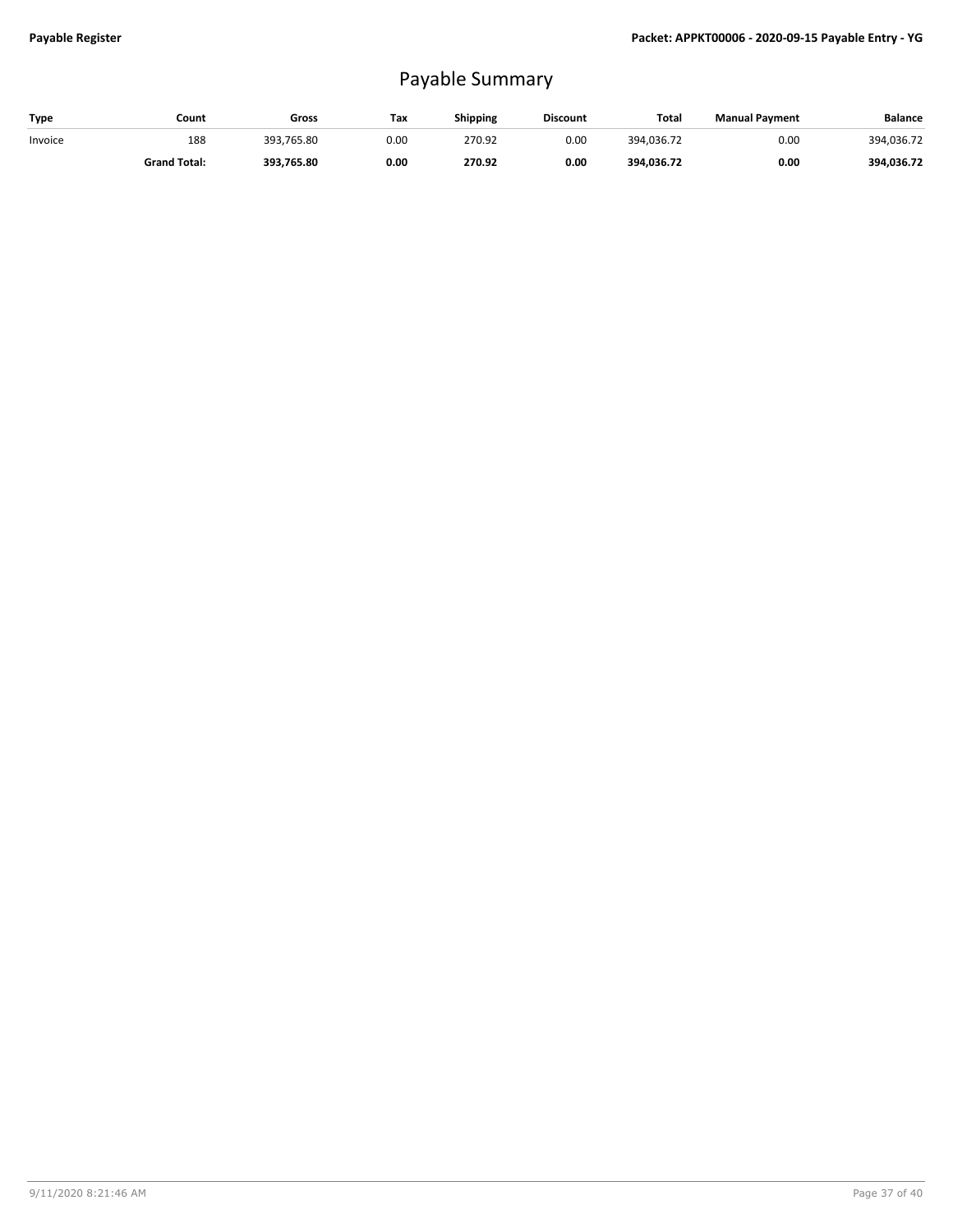## Payable Summary

| Type    | Count               | Gross           | Тах  | <b>Shipping</b> | <b>Discount</b> | Total      | <b>Manual Payment</b> | <b>Balance</b> |
|---------|---------------------|-----------------|------|-----------------|-----------------|------------|-----------------------|----------------|
| Invoice | 188                 | 393.<br>.765.80 | 0.00 | 270.92          | 0.00            | 394.036.72 | 0.00                  | 394.036.72     |
|         | <b>Grand Total:</b> | 393.765.80      | 0.00 | 270.92          | 0.00            | 394,036.72 | 0.00                  | 394,036.72     |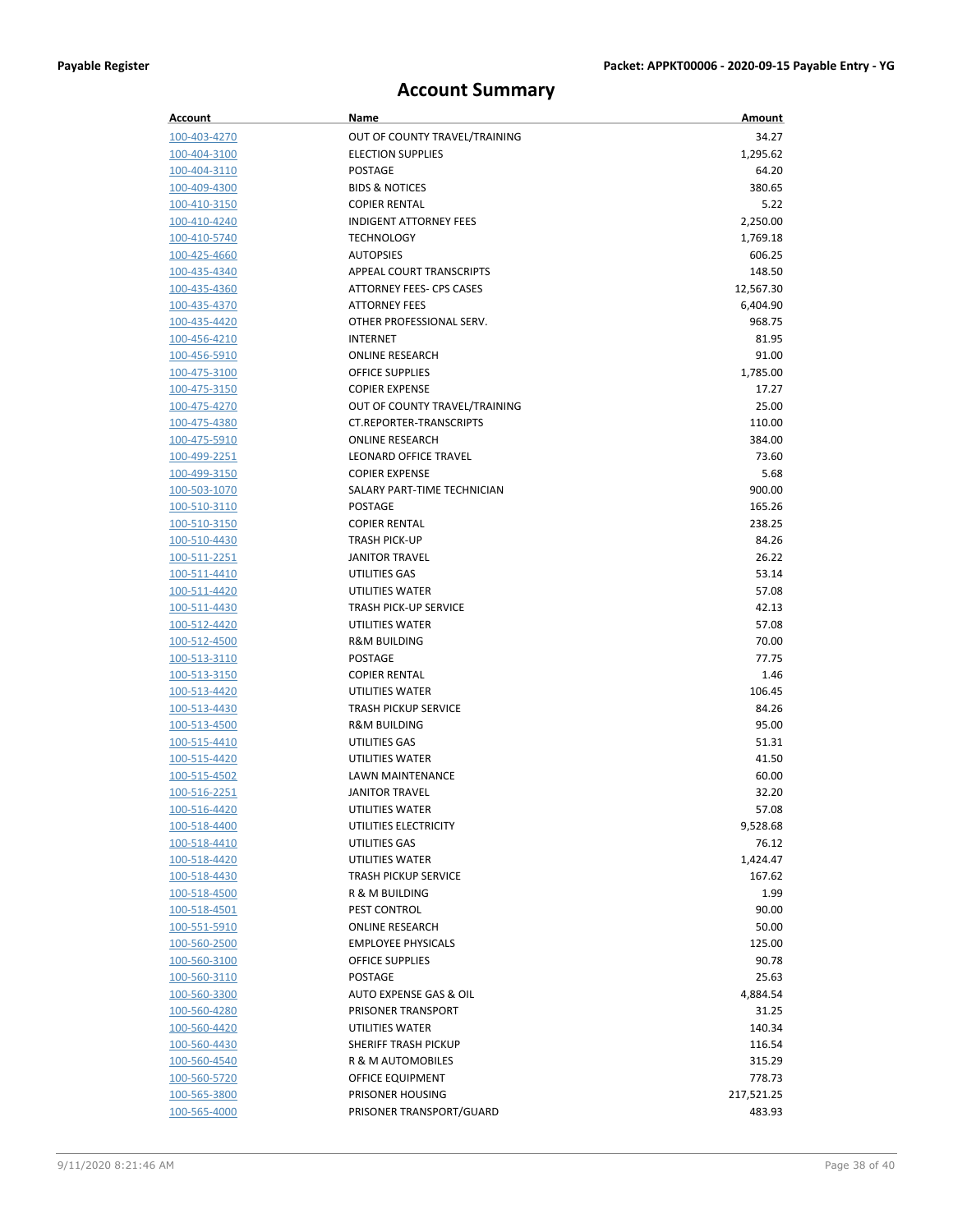## **Account Summary**

| Account                      | Name                                         | Amount            |
|------------------------------|----------------------------------------------|-------------------|
| 100-403-4270                 | OUT OF COUNTY TRAVEL/TRAINING                | 34.27             |
| 100-404-3100                 | <b>ELECTION SUPPLIES</b>                     | 1,295.62          |
| 100-404-3110                 | <b>POSTAGE</b>                               | 64.20             |
| 100-409-4300                 | <b>BIDS &amp; NOTICES</b>                    | 380.65            |
| 100-410-3150                 | <b>COPIER RENTAL</b>                         | 5.22              |
| 100-410-4240                 | <b>INDIGENT ATTORNEY FEES</b>                | 2,250.00          |
| 100-410-5740                 | <b>TECHNOLOGY</b>                            | 1,769.18          |
| 100-425-4660                 | <b>AUTOPSIES</b>                             | 606.25            |
| 100-435-4340                 | APPEAL COURT TRANSCRIPTS                     | 148.50            |
| 100-435-4360                 | <b>ATTORNEY FEES- CPS CASES</b>              | 12,567.30         |
| 100-435-4370                 | <b>ATTORNEY FEES</b>                         | 6,404.90          |
| 100-435-4420                 | OTHER PROFESSIONAL SERV.                     | 968.75            |
| 100-456-4210                 | <b>INTERNET</b>                              | 81.95             |
| 100-456-5910                 | <b>ONLINE RESEARCH</b>                       | 91.00             |
| 100-475-3100                 | OFFICE SUPPLIES                              | 1,785.00          |
| 100-475-3150                 | <b>COPIER EXPENSE</b>                        | 17.27             |
| 100-475-4270                 | OUT OF COUNTY TRAVEL/TRAINING                | 25.00             |
| 100-475-4380                 | <b>CT.REPORTER-TRANSCRIPTS</b>               | 110.00            |
| 100-475-5910                 | <b>ONLINE RESEARCH</b>                       | 384.00            |
| 100-499-2251                 | LEONARD OFFICE TRAVEL                        | 73.60             |
| 100-499-3150                 | <b>COPIER EXPENSE</b>                        | 5.68              |
| 100-503-1070                 | SALARY PART-TIME TECHNICIAN                  | 900.00            |
| 100-510-3110                 | <b>POSTAGE</b>                               | 165.26            |
| 100-510-3150<br>100-510-4430 | <b>COPIER RENTAL</b><br><b>TRASH PICK-UP</b> | 238.25<br>84.26   |
| <u>100-511-2251</u>          | <b>JANITOR TRAVEL</b>                        | 26.22             |
| 100-511-4410                 | UTILITIES GAS                                | 53.14             |
| 100-511-4420                 | UTILITIES WATER                              | 57.08             |
| 100-511-4430                 | <b>TRASH PICK-UP SERVICE</b>                 | 42.13             |
| 100-512-4420                 | UTILITIES WATER                              | 57.08             |
| 100-512-4500                 | <b>R&amp;M BUILDING</b>                      | 70.00             |
| 100-513-3110                 | <b>POSTAGE</b>                               | 77.75             |
| 100-513-3150                 | <b>COPIER RENTAL</b>                         | 1.46              |
| 100-513-4420                 | UTILITIES WATER                              | 106.45            |
| 100-513-4430                 | <b>TRASH PICKUP SERVICE</b>                  | 84.26             |
| 100-513-4500                 | <b>R&amp;M BUILDING</b>                      | 95.00             |
| 100-515-4410                 | UTILITIES GAS                                | 51.31             |
| 100-515-4420                 | UTILITIES WATER                              | 41.50             |
| 100-515-4502                 | LAWN MAINTENANCE                             | 60.00             |
| 100-516-2251                 | <b>JANITOR TRAVEL</b>                        | 32.20             |
| 100-516-4420                 | UTILITIES WATER                              | 57.08             |
| <u>100-518-4400</u>          | UTILITIES ELECTRICITY                        | 9,528.68          |
| 100-518-4410                 | UTILITIES GAS                                | 76.12             |
| 100-518-4420                 | UTILITIES WATER                              | 1,424.47          |
| 100-518-4430                 | <b>TRASH PICKUP SERVICE</b>                  | 167.62            |
| <u>100-518-4500</u>          | <b>R &amp; M BUILDING</b>                    | 1.99              |
| <u>100-518-4501</u>          | PEST CONTROL                                 | 90.00             |
| 100-551-5910                 | <b>ONLINE RESEARCH</b>                       | 50.00             |
| 100-560-2500                 | <b>EMPLOYEE PHYSICALS</b>                    | 125.00            |
| 100-560-3100                 | OFFICE SUPPLIES<br>POSTAGE                   | 90.78<br>25.63    |
| 100-560-3110                 | AUTO EXPENSE GAS & OIL                       |                   |
| 100-560-3300<br>100-560-4280 | PRISONER TRANSPORT                           | 4,884.54<br>31.25 |
| 100-560-4420                 | UTILITIES WATER                              | 140.34            |
| 100-560-4430                 | SHERIFF TRASH PICKUP                         | 116.54            |
| 100-560-4540                 | R & M AUTOMOBILES                            | 315.29            |
| 100-560-5720                 | OFFICE EQUIPMENT                             | 778.73            |
| 100-565-3800                 | PRISONER HOUSING                             | 217,521.25        |
| 100-565-4000                 | PRISONER TRANSPORT/GUARD                     | 483.93            |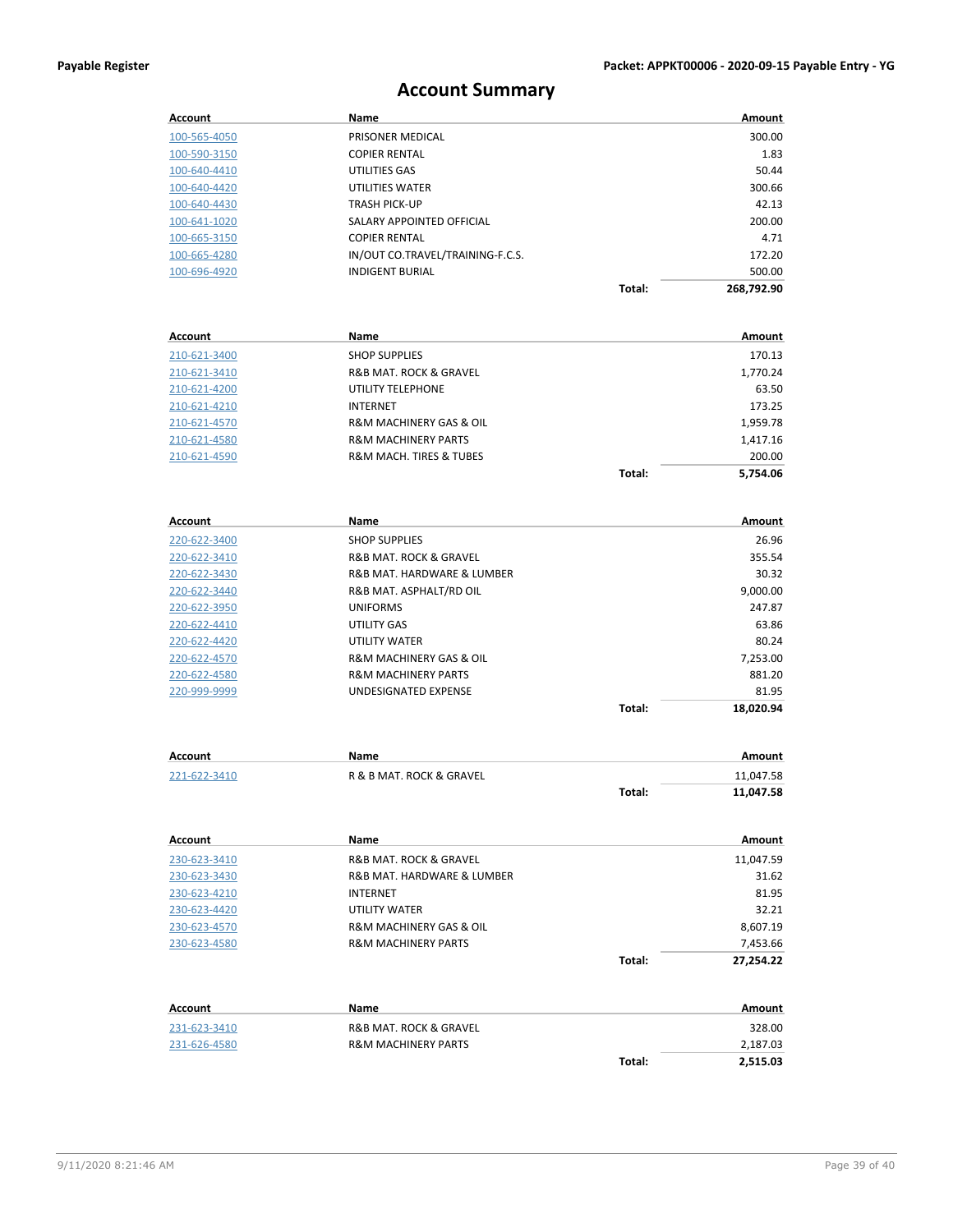## **Account Summary**

| Account             | Name                                  |        | Amount     |
|---------------------|---------------------------------------|--------|------------|
| 100-565-4050        | PRISONER MEDICAL                      |        | 300.00     |
| 100-590-3150        | <b>COPIER RENTAL</b>                  |        | 1.83       |
| 100-640-4410        | UTILITIES GAS                         |        | 50.44      |
| 100-640-4420        | UTILITIES WATER                       |        | 300.66     |
| 100-640-4430        | <b>TRASH PICK-UP</b>                  |        | 42.13      |
| <u>100-641-1020</u> | SALARY APPOINTED OFFICIAL             |        | 200.00     |
| 100-665-3150        | <b>COPIER RENTAL</b>                  |        | 4.71       |
| 100-665-4280        | IN/OUT CO.TRAVEL/TRAINING-F.C.S.      |        | 172.20     |
| 100-696-4920        | <b>INDIGENT BURIAL</b>                |        | 500.00     |
|                     |                                       | Total: | 268,792.90 |
|                     |                                       |        |            |
| Account             | Name                                  |        | Amount     |
| 210-621-3400        | <b>SHOP SUPPLIES</b>                  |        | 170.13     |
| 210-621-3410        | R&B MAT. ROCK & GRAVEL                |        | 1,770.24   |
| 210-621-4200        | UTILITY TELEPHONE                     |        | 63.50      |
| 210-621-4210        | <b>INTERNET</b>                       |        | 173.25     |
| 210-621-4570        | R&M MACHINERY GAS & OIL               |        | 1,959.78   |
| 210-621-4580        | <b>R&amp;M MACHINERY PARTS</b>        |        | 1,417.16   |
| 210-621-4590        | R&M MACH. TIRES & TUBES               |        | 200.00     |
|                     |                                       | Total: | 5,754.06   |
|                     |                                       |        |            |
| Account             | Name                                  |        | Amount     |
| 220-622-3400        | <b>SHOP SUPPLIES</b>                  |        | 26.96      |
| 220-622-3410        | R&B MAT. ROCK & GRAVEL                |        | 355.54     |
| 220-622-3430        | R&B MAT. HARDWARE & LUMBER            |        | 30.32      |
| 220-622-3440        | R&B MAT. ASPHALT/RD OIL               |        | 9,000.00   |
| 220-622-3950        | <b>UNIFORMS</b>                       |        | 247.87     |
| 220-622-4410        | UTILITY GAS                           |        | 63.86      |
| 220-622-4420        | UTILITY WATER                         |        | 80.24      |
| 220-622-4570        | R&M MACHINERY GAS & OIL               |        | 7,253.00   |
| 220-622-4580        | <b>R&amp;M MACHINERY PARTS</b>        |        | 881.20     |
| 220-999-9999        | UNDESIGNATED EXPENSE                  |        | 81.95      |
|                     |                                       | Total: | 18,020.94  |
|                     |                                       |        |            |
| Account             | Name                                  |        | Amount     |
| 221-622-3410        | R & B MAT. ROCK & GRAVEL              |        | 11,047.58  |
|                     |                                       | Total: | 11,047.58  |
| Account             | <b>Name</b>                           |        | Amount     |
| 230-623-3410        | <b>R&amp;B MAT. ROCK &amp; GRAVEL</b> |        | 11,047.59  |
| 230-623-3430        | R&B MAT. HARDWARE & LUMBER            |        | 31.62      |
| 230-623-4210        | <b>INTERNET</b>                       |        | 81.95      |
| 230-623-4420        | <b>UTILITY WATER</b>                  |        | 32.21      |
| 230-623-4570        | R&M MACHINERY GAS & OIL               |        | 8,607.19   |
| 230-623-4580        | <b>R&amp;M MACHINERY PARTS</b>        |        | 7,453.66   |
|                     |                                       | Total: | 27,254.22  |
|                     |                                       |        |            |
| Account             | Name                                  |        | Amount     |
| 231-623-3410        | R&B MAT. ROCK & GRAVEL                |        | 328.00     |
| 231-626-4580        | <b>R&amp;M MACHINERY PARTS</b>        |        | 2,187.03   |
|                     |                                       | Total: | 2,515.03   |
|                     |                                       |        |            |